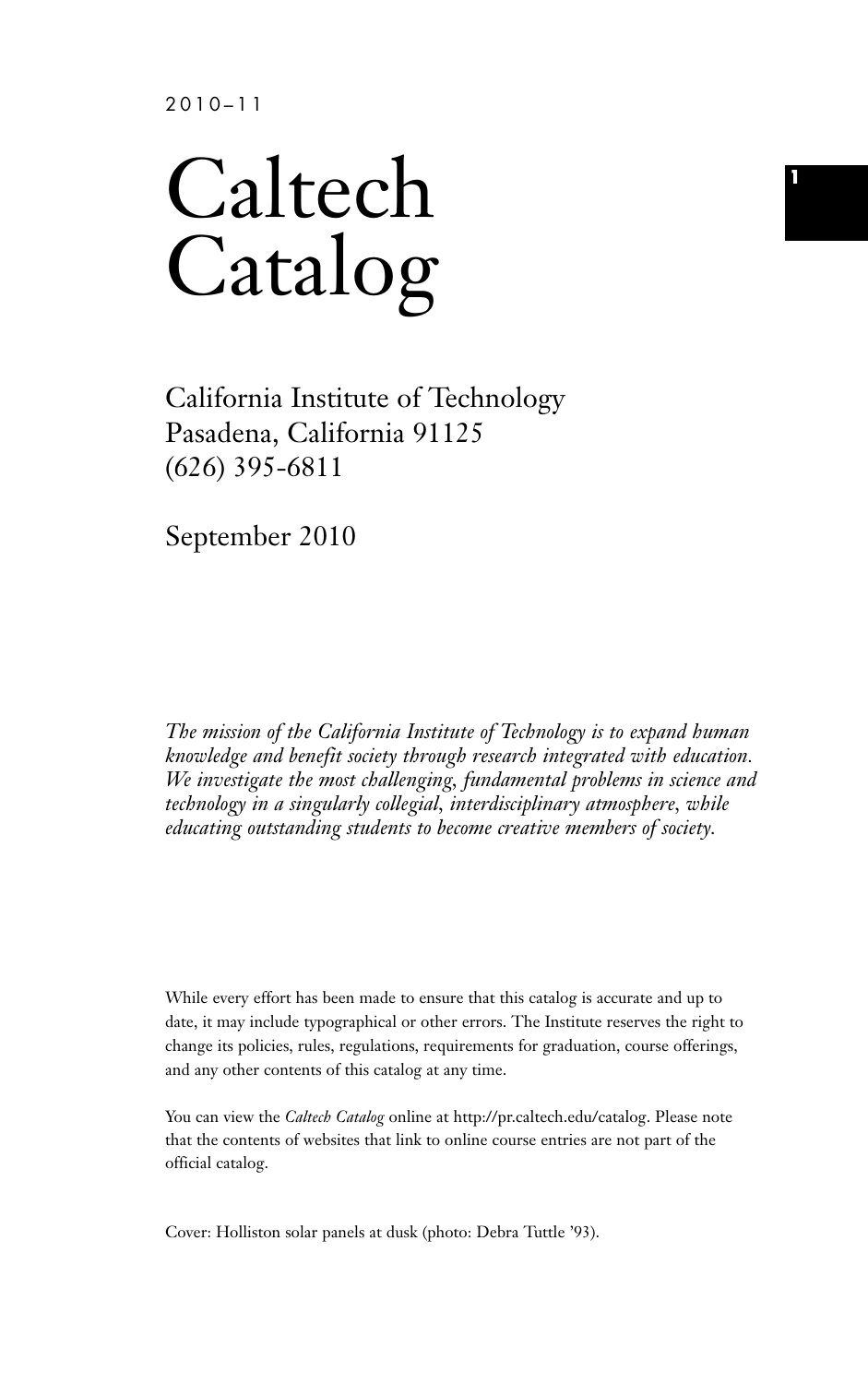# Caltech Catalog

California Institute of Technology Pasadena, California 91125 (626) 395-6811

September 2010

*The mission of the California Institute of Technology is to expand human knowledge and benefit society through research integrated with education. We investigate the most challenging, fundamental problems in science and technology in a singularly collegial, interdisciplinary atmosphere, while educating outstanding students to become creative members of society.*

While every effort has been made to ensure that this catalog is accurate and up to date, it may include typographical or other errors. The Institute reserves the right to change its policies, rules, regulations, requirements for graduation, course offerings, and any other contents of this catalog at any time.

You can view the *Caltech Catalog* online at http://pr.caltech.edu/catalog. Please note that the contents of websites that link to online course entries are not part of the official catalog.

Cover: Holliston solar panels at dusk (photo: Debra Tuttle '93).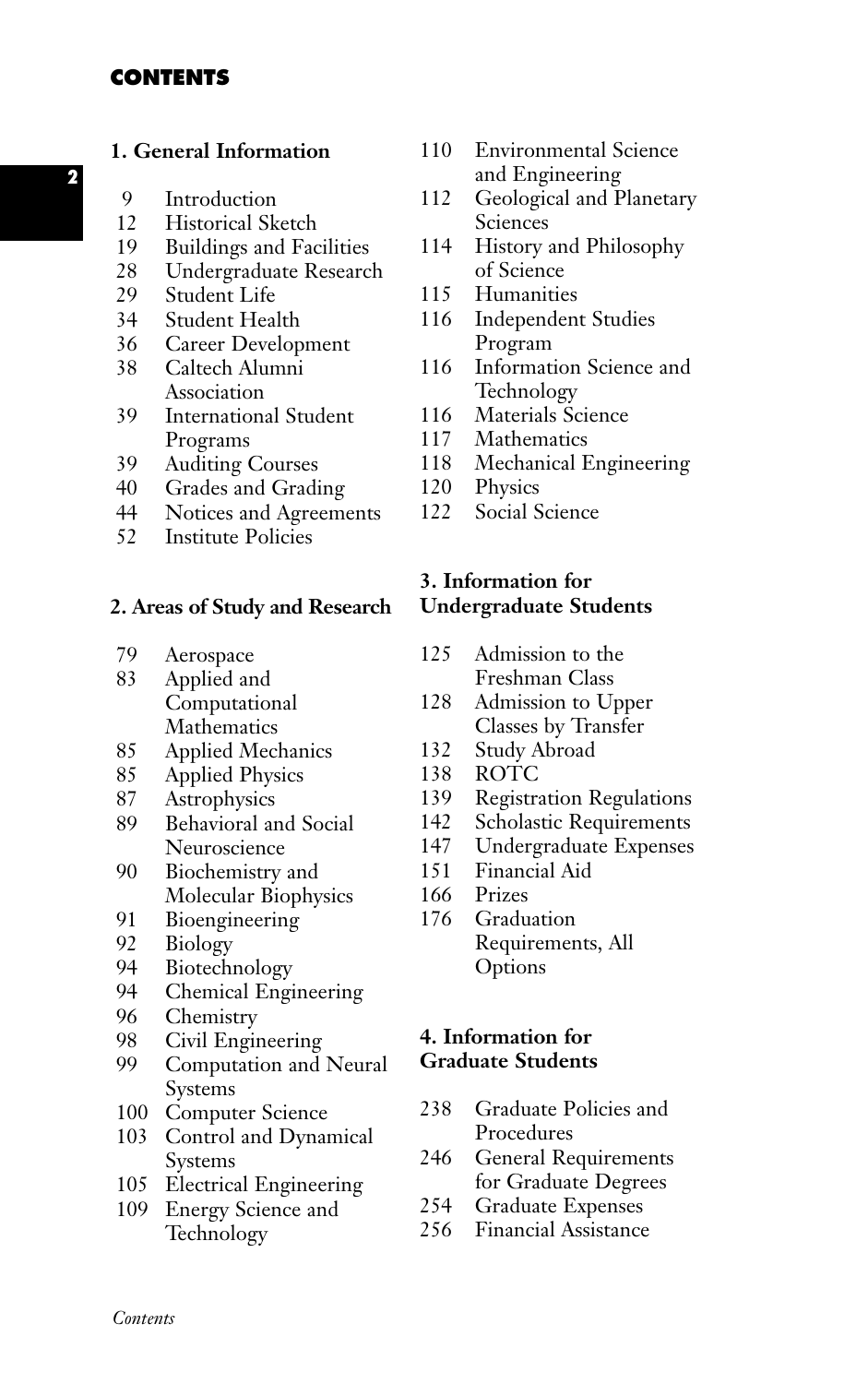# **CONTENTS**

**2**

# **1. General Information**

- 9 Introduction
- 12 Historical Sketch
- 19 Buildings and Facilities
- 28 Undergraduate Research
- 29 Student Life
- 34 Student Health
- 36 Career Development
- 38 Caltech Alumni Association
- 39 International Student Programs
- 39 Auditing Courses
- 40 Grades and Grading
- 44 Notices and Agreements
- 52 Institute Policies

# **2. Areas of Study and Research**

- 79 Aerospace
- 83 Applied and Computational Mathematics
- 85 Applied Mechanics
- 85 Applied Physics
- 87 Astrophysics
- 89 Behavioral and Social Neuroscience
- 90 Biochemistry and Molecular Biophysics
- 91 Bioengineering
- 92 Biology<br>94 Biotech
- 94 Biotechnology<br>94 Chemical Engi
- Chemical Engineering
- 96 Chemistry<br>98 Civil Engin
- 98 Civil Engineering<br>99 Computation and
- Computation and Neural Systems
- 100 Computer Science
- 103 Control and Dynamical Systems
- 105 Electrical Engineering
- 109 Energy Science and Technology
- 110 Environmental Science and Engineering
- 112 Geological and Planetary Sciences
- 114 History and Philosophy of Science
- 115 Humanities
- 116 Independent Studies Program
- 116 Information Science and Technology
- 116 Materials Science
- 117 Mathematics
- 118 Mechanical Engineering
- 120 Physics
- 122 Social Science

# **3. Information for Undergraduate Students**

- 125 Admission to the Freshman Class
- 128 Admission to Upper Classes by Transfer
- 132 Study Abroad
- 138 ROTC
- 139 Registration Regulations
- 142 Scholastic Requirements
- 147 Undergraduate Expenses
- 151 Financial Aid
- 166 Prizes
- 176 Graduation Requirements, All Options

# **4. Information for Graduate Students**

- 238 Graduate Policies and Procedures
- 246 General Requirements for Graduate Degrees
- 254 Graduate Expenses<br>256 Financial Assistance
- Financial Assistance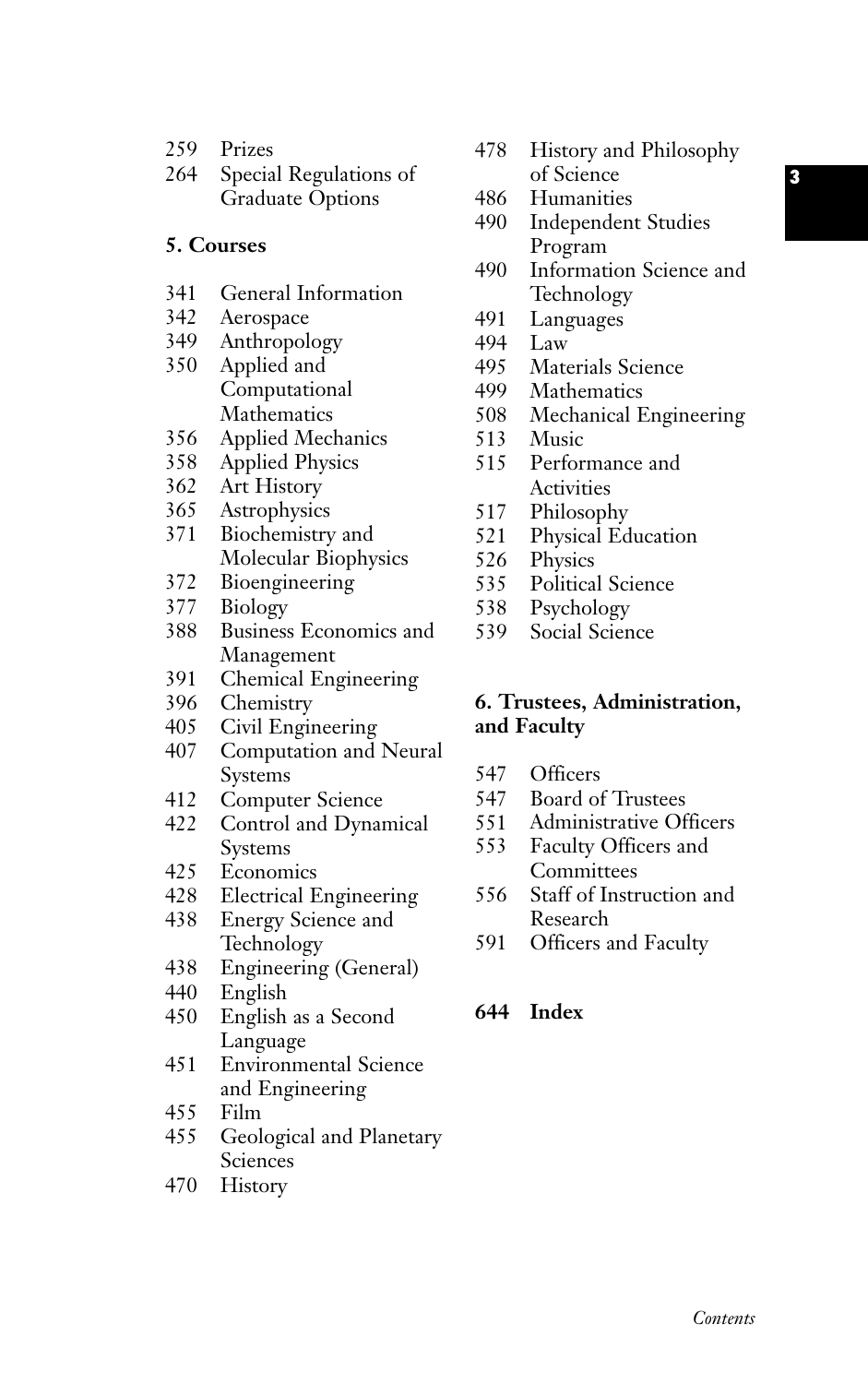- 259 Prizes<br>264 Specia
- Special Regulations of Graduate Options

# **5. Courses**

- 341 General Information<br>342 Aerospace
- 342 Aerospace<br>349 Anthropol
- Anthropology 350 Applied and
	- Computational Mathematics
- 356 Applied Mechanics<br>358 Applied Physics
- Applied Physics
- 362 Art History<br>365 Astrophysics
- 365 Astrophysics<br>371 Biochemistry
- Biochemistry and Molecular Biophysics
- 372 Bioengineering
- 377 Biology
- 388 Business Economics and Management
- 391 Chemical Engineering
- 396 Chemistry
- 405 Civil Engineering
- 407 Computation and Neural Systems
- 412 Computer Science
- 422 Control and Dynamical Systems
- 425 Economics
- 428 Electrical Engineering
- 438 Energy Science and Technology
- 438 Engineering (General)
- 440 English
- 450 English as a Second Language
- 451 Environmental Science and Engineering
- 455 Film
- 455 Geological and Planetary Sciences
- 470 History
- 478 History and Philosophy of Science
- 486 Humanities<br>490 Independen
- **Independent Studies** Program
- 490 Information Science and Technology
- 491 Languages<br>494 Law
- 494 Law<br>495 Mate
- 495 Materials Science<br>499 Mathematics
	- Mathematics
- 508 Mechanical Engineering<br>513 Music
- 513 Music<br>515 Perfor
- Performance and **Activities**
- 517 Philosophy
- 521 Physical Education
- 526 Physics
- 535 Political Science<br>538 Psychology
- 538 Psychology
- Social Science

# **6. Trustees, Administration, and Faculty**

- 547 Officers<br>547 Board of
- 547 Board of Trustees
- 551 Administrative Officers
- 553 Faculty Officers and **Committees**
- 556 Staff of Instruction and Research
- 591 Officers and Faculty

# **644 Index**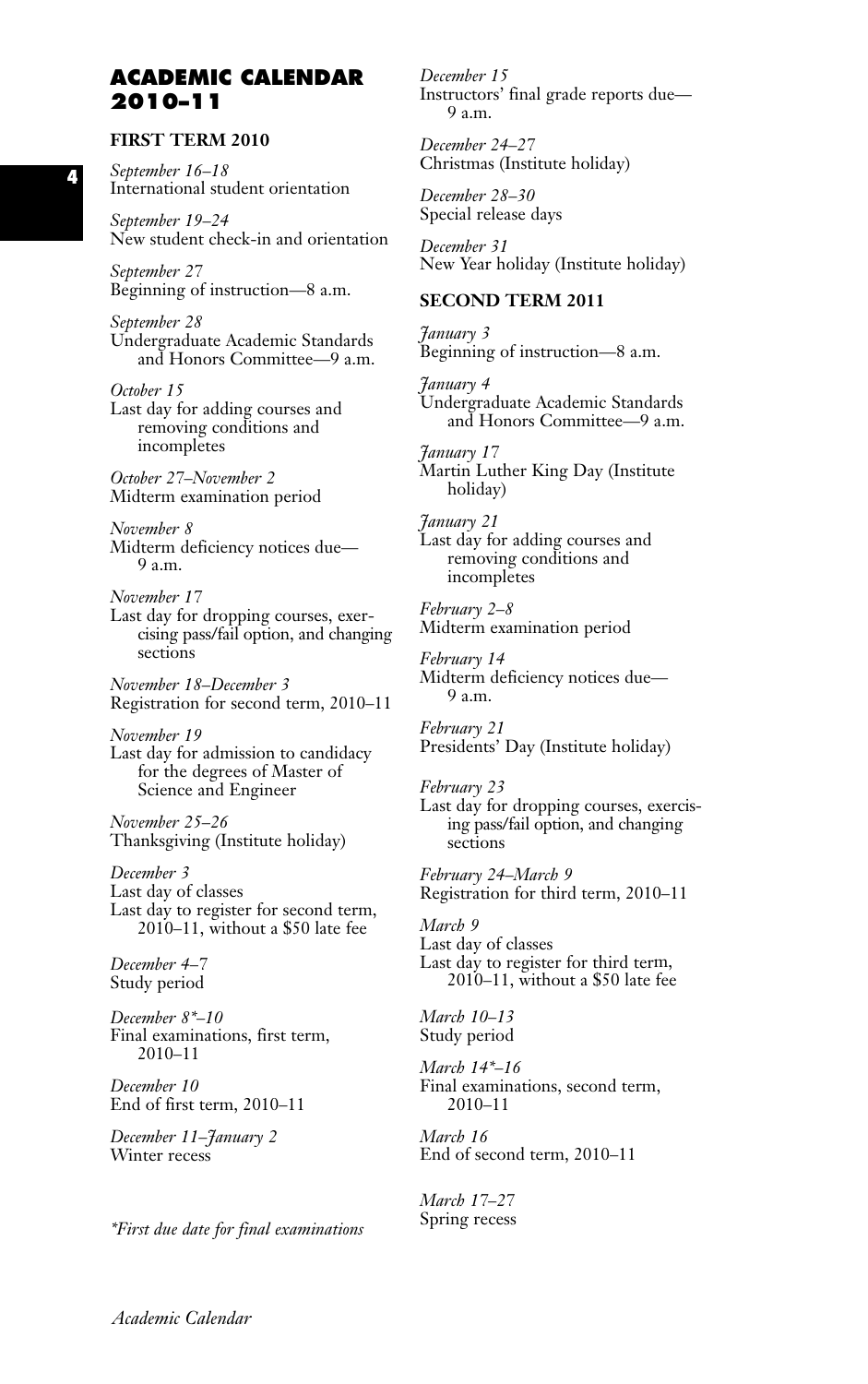# **ACADEMIC CALENDAR 2010–11**

#### **FIRST TERM 2010**

*September 16–18* International student orientation

*September 19–24* New student check-in and orientation

*September 27* Beginning of instruction—8 a.m.

*September 28* Undergraduate Academic Standards and Honors Committee—9 a.m.

*October 15* Last day for adding courses and removing conditions and incompletes

*October 27–November 2* Midterm examination period

*November 8* Midterm deficiency notices due— 9 a.m.

*November 17* Last day for dropping courses, exercising pass/fail option, and changing sections

*November 18–December 3* Registration for second term, 2010–11

*November 19* Last day for admission to candidacy for the degrees of Master of Science and Engineer

*November 25–26* Thanksgiving (Institute holiday)

*December 3* Last day of classes Last day to register for second term, 2010–11, without a \$50 late fee

*December 4–7* Study period

*December 8\*–10* Final examinations, first term, 2010–11

*December 10* End of first term, 2010–11

*December 11–January 2* Winter recess

*\*First due date for final examinations*

*December 15* Instructors' final grade reports due— 9 a.m.

*December 24–27* Christmas (Institute holiday)

*December 28–30* Special release days

*December 31* New Year holiday (Institute holiday)

## **SECOND TERM 2011**

*January 3* Beginning of instruction—8 a.m.

*January 4* Undergraduate Academic Standards and Honors Committee—9 a.m.

*January 17* Martin Luther King Day (Institute holiday)

*January 21* Last day for adding courses and removing conditions and incompletes

*February 2–8* Midterm examination period

*February 14* Midterm deficiency notices due— 9 a.m.

*February 21* Presidents' Day (Institute holiday)

*February 23* Last day for dropping courses, exercising pass/fail option, and changing sections

*February 24–March 9* Registration for third term, 2010–11

*March 9* Last day of classes Last day to register for third term, 2010–11, without a \$50 late fee

*March 10–13* Study period

*March 14\*–16* Final examinations, second term, 2010–11

*March 16* End of second term, 2010–11

*March 17–27* Spring recess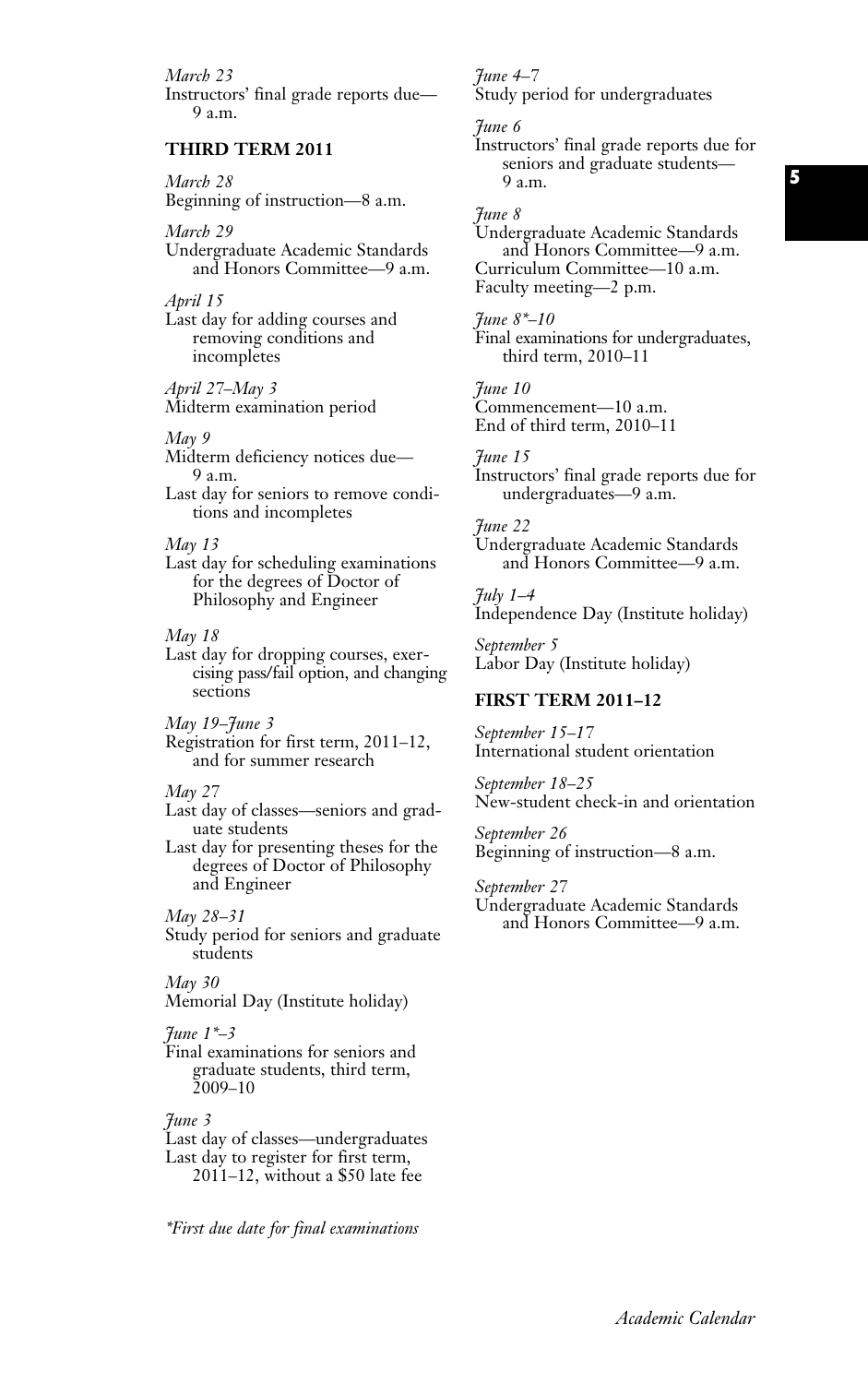*March 23* Instructors' final grade reports due— 9 a.m.

## **THIRD TERM 2011**

*March 28* Beginning of instruction—8 a.m.

*March 29*

Undergraduate Academic Standards and Honors Committee—9 a.m.

*April 15*

Last day for adding courses and removing conditions and incompletes

*April 27–May 3* Midterm examination period

#### *May 9*

Midterm deficiency notices due— 9 a.m.

Last day for seniors to remove conditions and incompletes

*May 13*

Last day for scheduling examinations for the degrees of Doctor of Philosophy and Engineer

#### *May 18*

Last day for dropping courses, exercising pass/fail option, and changing sections

*May 19–June 3* Registration for first term, 2011–12, and for summer research

#### *May 27*

Last day of classes—seniors and graduate students

Last day for presenting theses for the degrees of Doctor of Philosophy and Engineer

*May 28–31*

Study period for seniors and graduate students

## *May 30*

Memorial Day (Institute holiday)

*June 1\*–3*

Final examinations for seniors and graduate students, third term, 2009–10

*June 3*

Last day of classes—undergraduates Last day to register for first term, 2011–12, without a \$50 late fee

*\*First due date for final examinations*

*June 4–7*

Study period for undergraduates

*June 6*

Instructors' final grade reports due for seniors and graduate students-9 a.m.

# *June 8*

Undergraduate Academic Standards and Honors Committee—9 a.m. Curriculum Committee—10 a.m. Faculty meeting—2 p.m.

*June 8\*–10*

Final examinations for undergraduates, third term, 2010–11

*June 10* Commencement—10 a.m. End of third term, 2010–11

#### *June 15*

Instructors' final grade reports due for undergraduates—9 a.m.

*June 22*

Undergraduate Academic Standards and Honors Committee—9 a.m.

*July 1–4* Independence Day (Institute holiday)

*September 5* Labor Day (Institute holiday)

## **FIRST TERM 2011–12**

*September 15–17* International student orientation

*September 18–25* New-student check-in and orientation

*September 26* Beginning of instruction—8 a.m.

*September 27* Undergraduate Academic Standards and Honors Committee—9 a.m.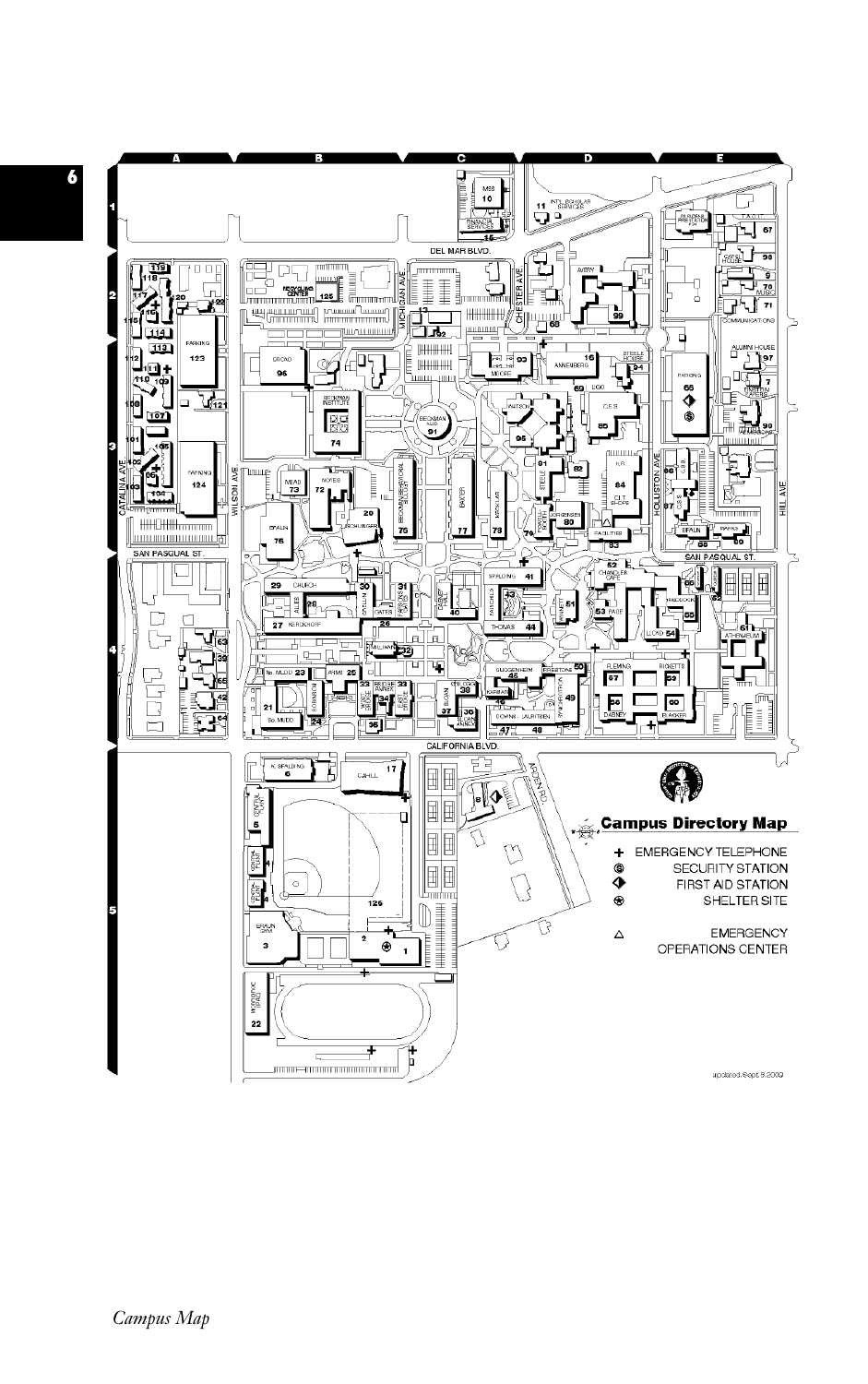

**6**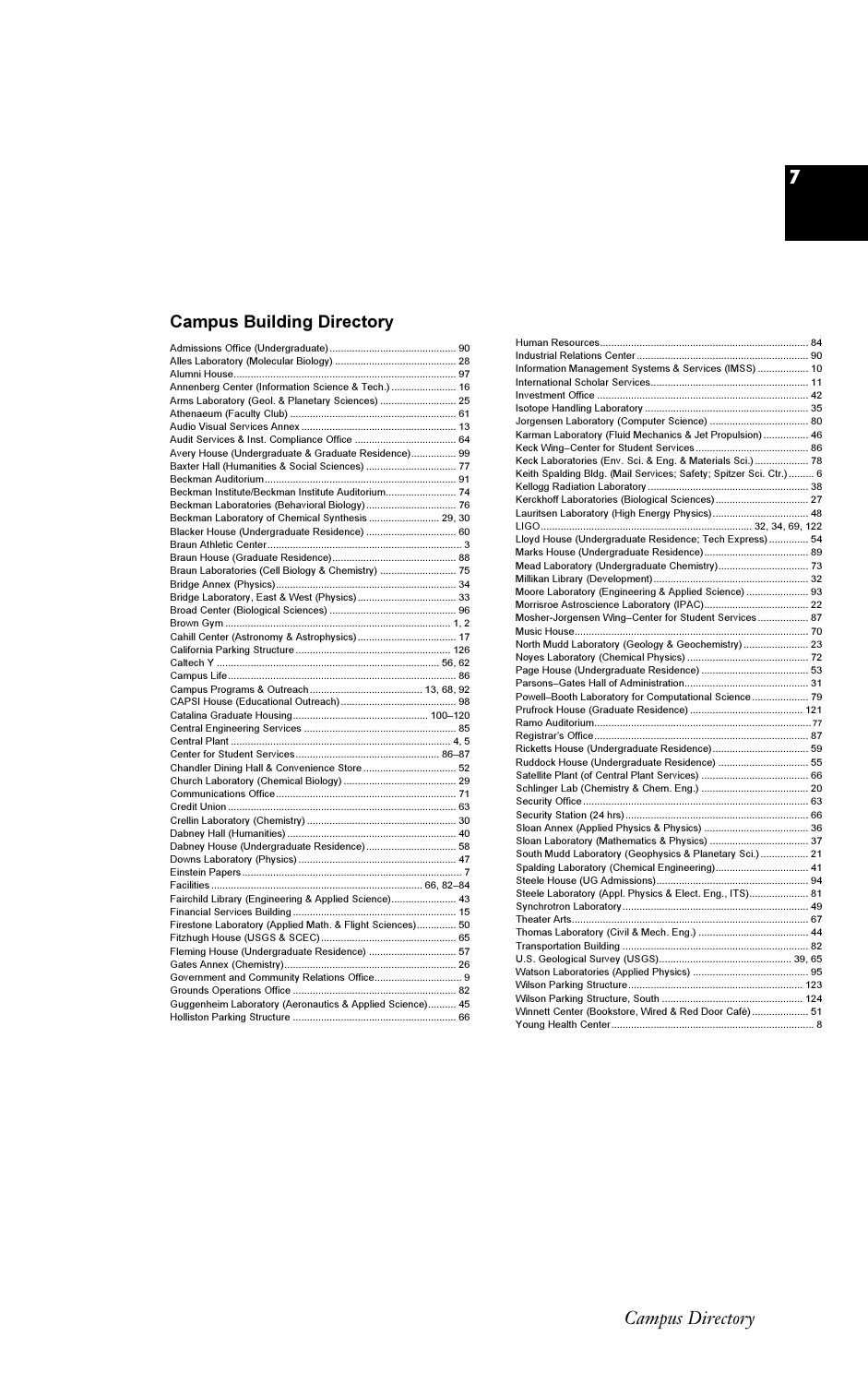# **Campus Building Directory**

| Annenberg Center (Information Science & Tech.)  16        |  |
|-----------------------------------------------------------|--|
| Arms Laboratory (Geol. & Planetary Sciences)  25          |  |
|                                                           |  |
|                                                           |  |
|                                                           |  |
| Avery House (Undergraduate & Graduate Residence) 99       |  |
| Baxter Hall (Humanities & Social Sciences)  77            |  |
|                                                           |  |
| Beckman Institute/Beckman Institute Auditorium 74         |  |
|                                                           |  |
| Beckman Laboratory of Chemical Synthesis  29, 30          |  |
| Blacker House (Undergraduate Residence)  60               |  |
|                                                           |  |
|                                                           |  |
| Braun Laboratories (Cell Biology & Chemistry)  75         |  |
|                                                           |  |
|                                                           |  |
|                                                           |  |
|                                                           |  |
|                                                           |  |
|                                                           |  |
|                                                           |  |
|                                                           |  |
|                                                           |  |
|                                                           |  |
|                                                           |  |
|                                                           |  |
|                                                           |  |
|                                                           |  |
| Chandler Dining Hall & Convenience Store 52               |  |
|                                                           |  |
|                                                           |  |
|                                                           |  |
|                                                           |  |
|                                                           |  |
| Dabney House (Undergraduate Residence) 58                 |  |
|                                                           |  |
|                                                           |  |
|                                                           |  |
| Fairchild Library (Engineering & Applied Science) 43      |  |
|                                                           |  |
| Firestone Laboratory (Applied Math. & Flight Sciences) 50 |  |
|                                                           |  |
| Fleming House (Undergraduate Residence)  57               |  |
|                                                           |  |
|                                                           |  |
|                                                           |  |
| Guggenheim Laboratory (Aeronautics & Applied Science) 45  |  |
|                                                           |  |
|                                                           |  |

| Information Management Systems & Services (IMSS)  10               |  |
|--------------------------------------------------------------------|--|
|                                                                    |  |
|                                                                    |  |
|                                                                    |  |
|                                                                    |  |
| Karman Laboratory (Fluid Mechanics & Jet Propulsion)  46           |  |
|                                                                    |  |
| Keck Laboratories (Env. Sci. & Eng. & Materials Sci.) 78           |  |
| Keith Spalding Bldg. (Mail Services; Safety; Spitzer Sci. Ctr.)  6 |  |
|                                                                    |  |
|                                                                    |  |
|                                                                    |  |
|                                                                    |  |
| Lloyd House (Undergraduate Residence; Tech Express) 54             |  |
|                                                                    |  |
|                                                                    |  |
|                                                                    |  |
| Moore Laboratory (Engineering & Applied Science)  93               |  |
|                                                                    |  |
| Mosher-Jorgensen Wing-Center for Student Services 87               |  |
|                                                                    |  |
| North Mudd Laboratory (Geology & Geochemistry) 23                  |  |
|                                                                    |  |
|                                                                    |  |
|                                                                    |  |
| Powell-Booth Laboratory for Computational Science 79               |  |
|                                                                    |  |
|                                                                    |  |
|                                                                    |  |
|                                                                    |  |
| Ruddock House (Undergraduate Residence)  55                        |  |
|                                                                    |  |
|                                                                    |  |
|                                                                    |  |
|                                                                    |  |
|                                                                    |  |
|                                                                    |  |
| South Mudd Laboratory (Geophysics & Planetary Sci.) 21             |  |
|                                                                    |  |
| Steele Laboratory (Appl. Physics & Elect. Eng., ITS) 81            |  |
|                                                                    |  |
|                                                                    |  |
|                                                                    |  |
|                                                                    |  |
|                                                                    |  |
|                                                                    |  |
|                                                                    |  |
|                                                                    |  |
| Winnett Center (Bookstore, Wired & Red Door Café) 51               |  |
|                                                                    |  |
|                                                                    |  |

**7**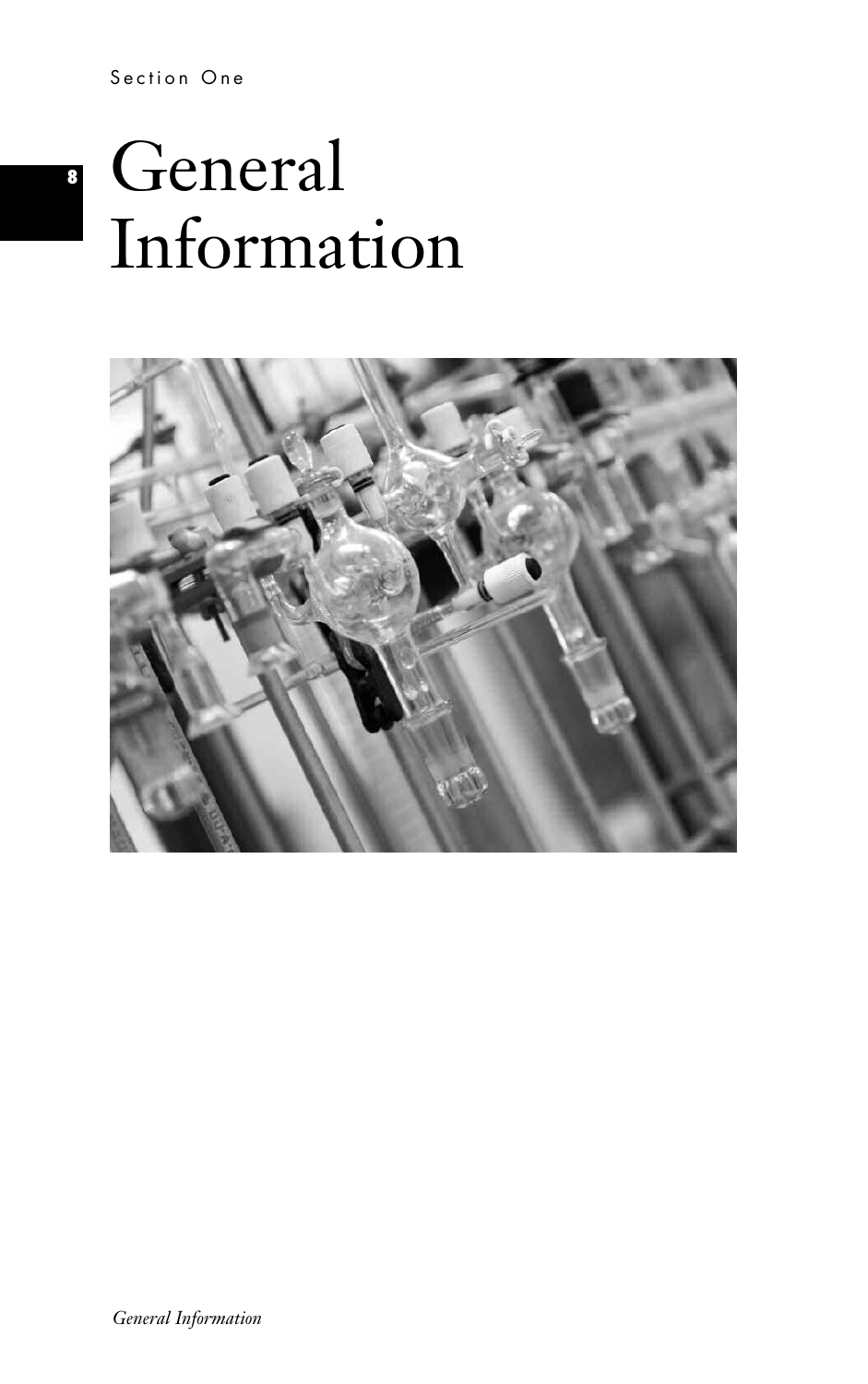# Section One

# General Information

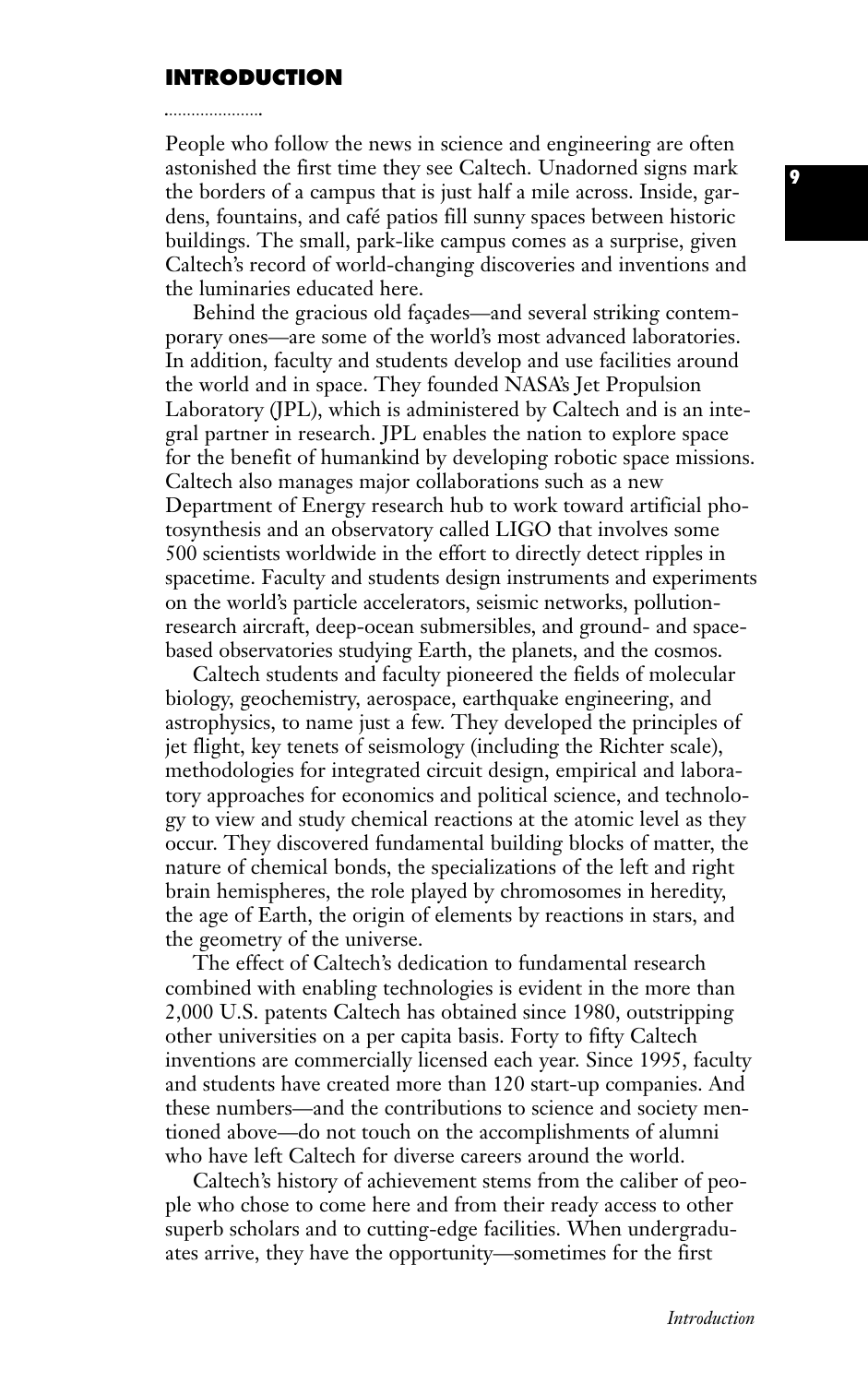# **INTRODUCTION**

People who follow the news in science and engineering are often astonished the first time they see Caltech. Unadorned signs mark the borders of a campus that is just half a mile across. Inside, gardens, fountains, and café patios fill sunny spaces between historic buildings. The small, park-like campus comes as a surprise, given Caltech's record of world-changing discoveries and inventions and the luminaries educated here.

Behind the gracious old façades—and several striking contemporary ones—are some of the world's most advanced laboratories. In addition, faculty and students develop and use facilities around the world and in space. They founded NASA's Jet Propulsion Laboratory (JPL), which is administered by Caltech and is an integral partner in research. JPL enables the nation to explore space for the benefit of humankind by developing robotic space missions. Caltech also manages major collaborations such as a new Department of Energy research hub to work toward artificial photosynthesis and an observatory called LIGO that involves some 500 scientists worldwide in the effort to directly detect ripples in spacetime. Faculty and students design instruments and experiments on the world's particle accelerators, seismic networks, pollutionresearch aircraft, deep-ocean submersibles, and ground- and spacebased observatories studying Earth, the planets, and the cosmos.

Caltech students and faculty pioneered the fields of molecular biology, geochemistry, aerospace, earthquake engineering, and astrophysics, to name just a few. They developed the principles of jet flight, key tenets of seismology (including the Richter scale), methodologies for integrated circuit design, empirical and laboratory approaches for economics and political science, and technology to view and study chemical reactions at the atomic level as they occur. They discovered fundamental building blocks of matter, the nature of chemical bonds, the specializations of the left and right brain hemispheres, the role played by chromosomes in heredity, the age of Earth, the origin of elements by reactions in stars, and the geometry of the universe.

The effect of Caltech's dedication to fundamental research combined with enabling technologies is evident in the more than 2,000 U.S. patents Caltech has obtained since 1980, outstripping other universities on a per capita basis. Forty to fifty Caltech inventions are commercially licensed each year. Since 1995, faculty and students have created more than 120 start-up companies. And these numbers—and the contributions to science and society mentioned above—do not touch on the accomplishments of alumni who have left Caltech for diverse careers around the world.

Caltech's history of achievement stems from the caliber of people who chose to come here and from their ready access to other superb scholars and to cutting-edge facilities. When undergraduates arrive, they have the opportunity—sometimes for the first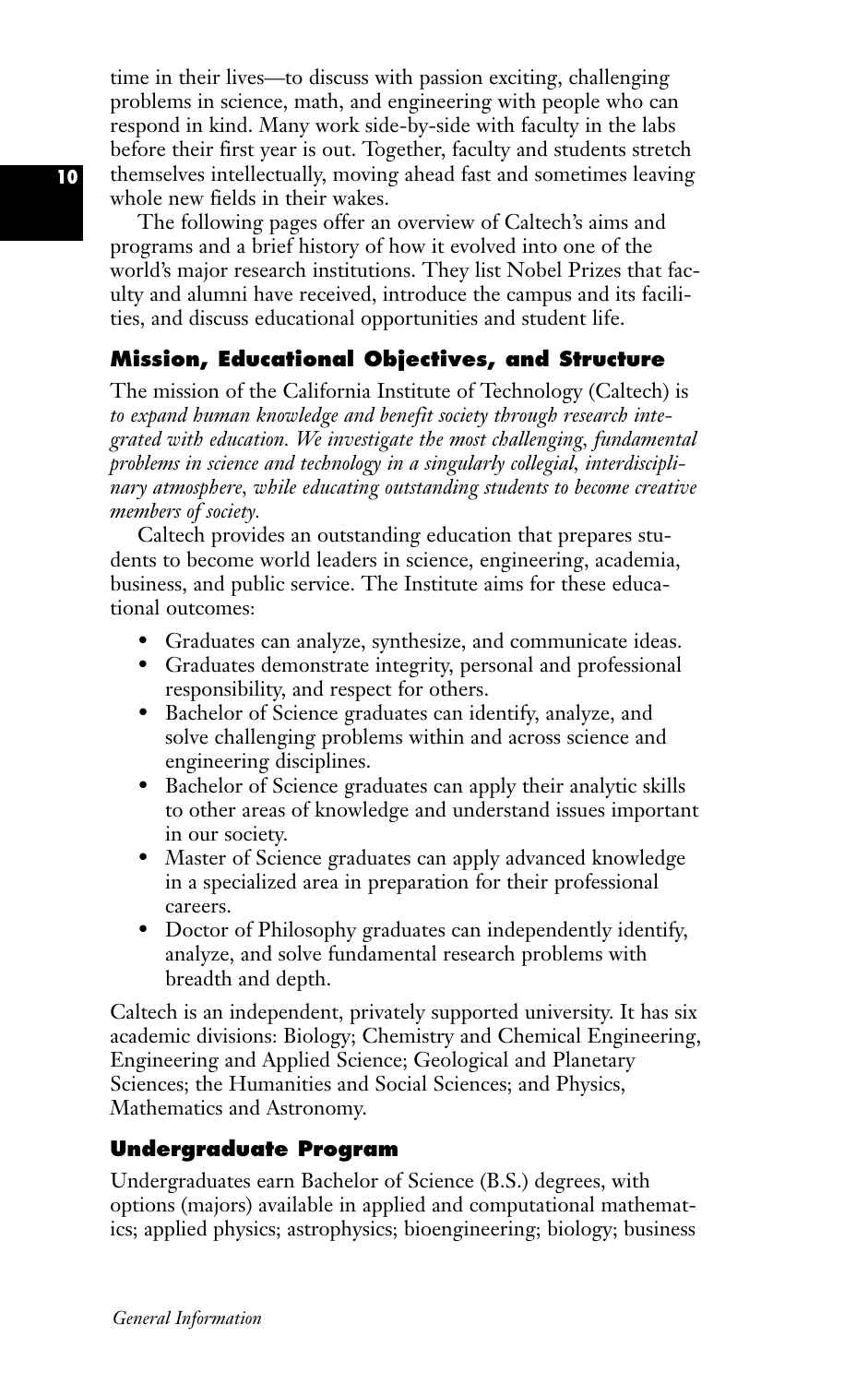time in their lives—to discuss with passion exciting, challenging problems in science, math, and engineering with people who can respond in kind. Many work side-by-side with faculty in the labs before their first year is out. Together, faculty and students stretch themselves intellectually, moving ahead fast and sometimes leaving whole new fields in their wakes.

The following pages offer an overview of Caltech's aims and programs and a brief history of how it evolved into one of the world's major research institutions. They list Nobel Prizes that faculty and alumni have received, introduce the campus and its facilities, and discuss educational opportunities and student life.

# **Mission, Educational Objectives, and Structure**

The mission of the California Institute of Technology (Caltech) is *to expand human knowledge and benefit society through research integrated with education. We investigate the most challenging, fundamental problems in science and technology in a singularly collegial, interdisciplinary atmosphere, while educating outstanding students to become creative members of society.*

Caltech provides an outstanding education that prepares students to become world leaders in science, engineering, academia, business, and public service. The Institute aims for these educational outcomes:

- Graduates can analyze, synthesize, and communicate ideas.
- Graduates demonstrate integrity, personal and professional responsibility, and respect for others.
- Bachelor of Science graduates can identify, analyze, and solve challenging problems within and across science and engineering disciplines.
- Bachelor of Science graduates can apply their analytic skills to other areas of knowledge and understand issues important in our society.
- Master of Science graduates can apply advanced knowledge in a specialized area in preparation for their professional careers.
- Doctor of Philosophy graduates can independently identify, analyze, and solve fundamental research problems with breadth and depth.

Caltech is an independent, privately supported university. It has six academic divisions: Biology; Chemistry and Chemical Engineering, Engineering and Applied Science; Geological and Planetary Sciences; the Humanities and Social Sciences; and Physics, Mathematics and Astronomy.

# **Undergraduate Program**

Undergraduates earn Bachelor of Science (B.S.) degrees, with options (majors) available in applied and computational mathematics; applied physics; astrophysics; bioengineering; biology; business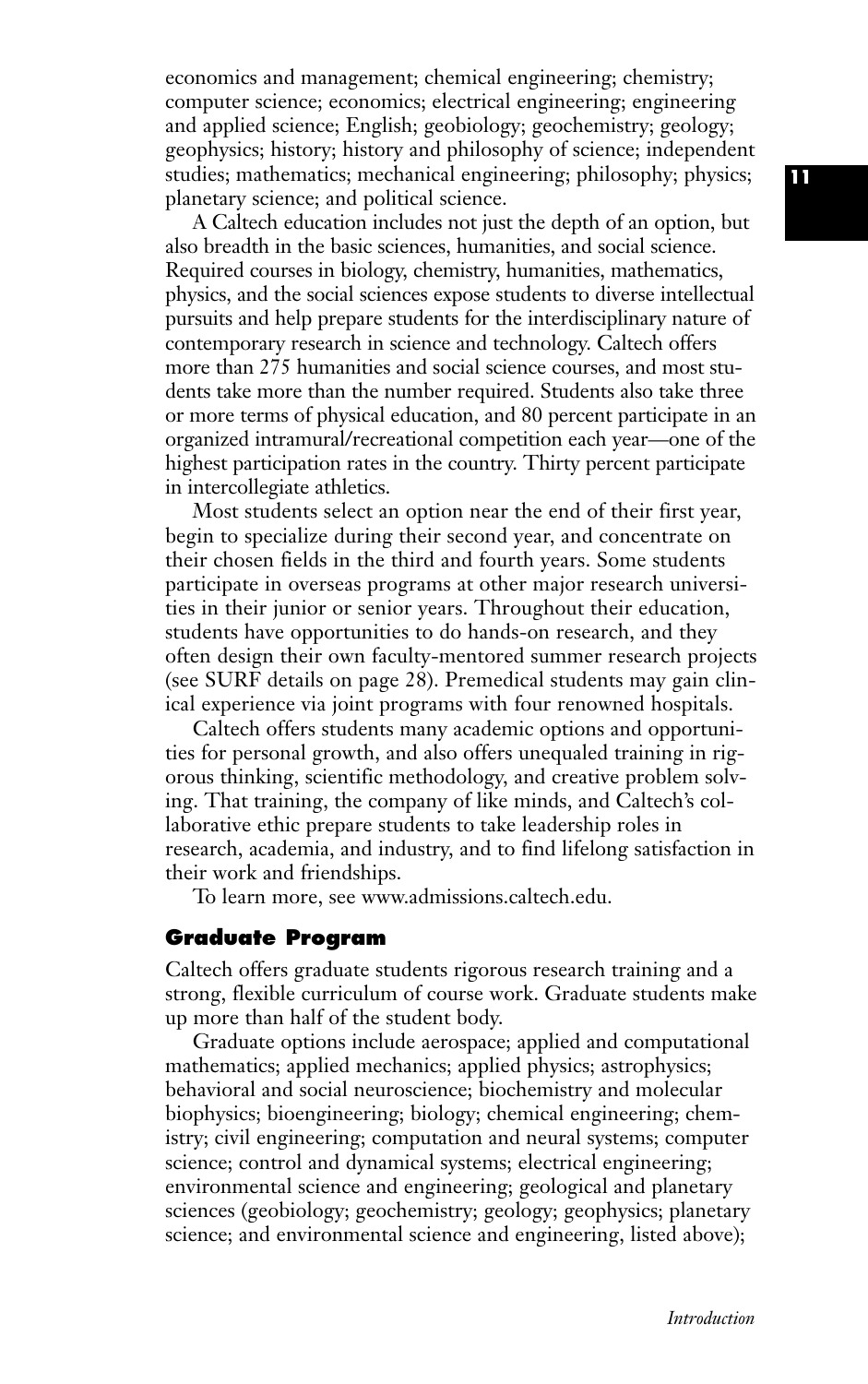economics and management; chemical engineering; chemistry; computer science; economics; electrical engineering; engineering and applied science; English; geobiology; geochemistry; geology; geophysics; history; history and philosophy of science; independent studies; mathematics; mechanical engineering; philosophy; physics; planetary science; and political science.

A Caltech education includes not just the depth of an option, but also breadth in the basic sciences, humanities, and social science. Required courses in biology, chemistry, humanities, mathematics, physics, and the social sciences expose students to diverse intellectual pursuits and help prepare students for the interdisciplinary nature of contemporary research in science and technology. Caltech offers more than 275 humanities and social science courses, and most students take more than the number required. Students also take three or more terms of physical education, and 80 percent participate in an organized intramural/recreational competition each year—one of the highest participation rates in the country. Thirty percent participate in intercollegiate athletics.

Most students select an option near the end of their first year, begin to specialize during their second year, and concentrate on their chosen fields in the third and fourth years. Some students participate in overseas programs at other major research universities in their junior or senior years. Throughout their education, students have opportunities to do hands-on research, and they often design their own faculty-mentored summer research projects (see SURF details on page 28). Premedical students may gain clinical experience via joint programs with four renowned hospitals.

Caltech offers students many academic options and opportunities for personal growth, and also offers unequaled training in rigorous thinking, scientific methodology, and creative problem solving. That training, the company of like minds, and Caltech's collaborative ethic prepare students to take leadership roles in research, academia, and industry, and to find lifelong satisfaction in their work and friendships.

To learn more, see www.admissions.caltech.edu.

# **Graduate Program**

Caltech offers graduate students rigorous research training and a strong, flexible curriculum of course work. Graduate students make up more than half of the student body.

Graduate options include aerospace; applied and computational mathematics; applied mechanics; applied physics; astrophysics; behavioral and social neuroscience; biochemistry and molecular biophysics; bioengineering; biology; chemical engineering; chemistry; civil engineering; computation and neural systems; computer science; control and dynamical systems; electrical engineering; environmental science and engineering; geological and planetary sciences (geobiology; geochemistry; geology; geophysics; planetary science; and environmental science and engineering, listed above);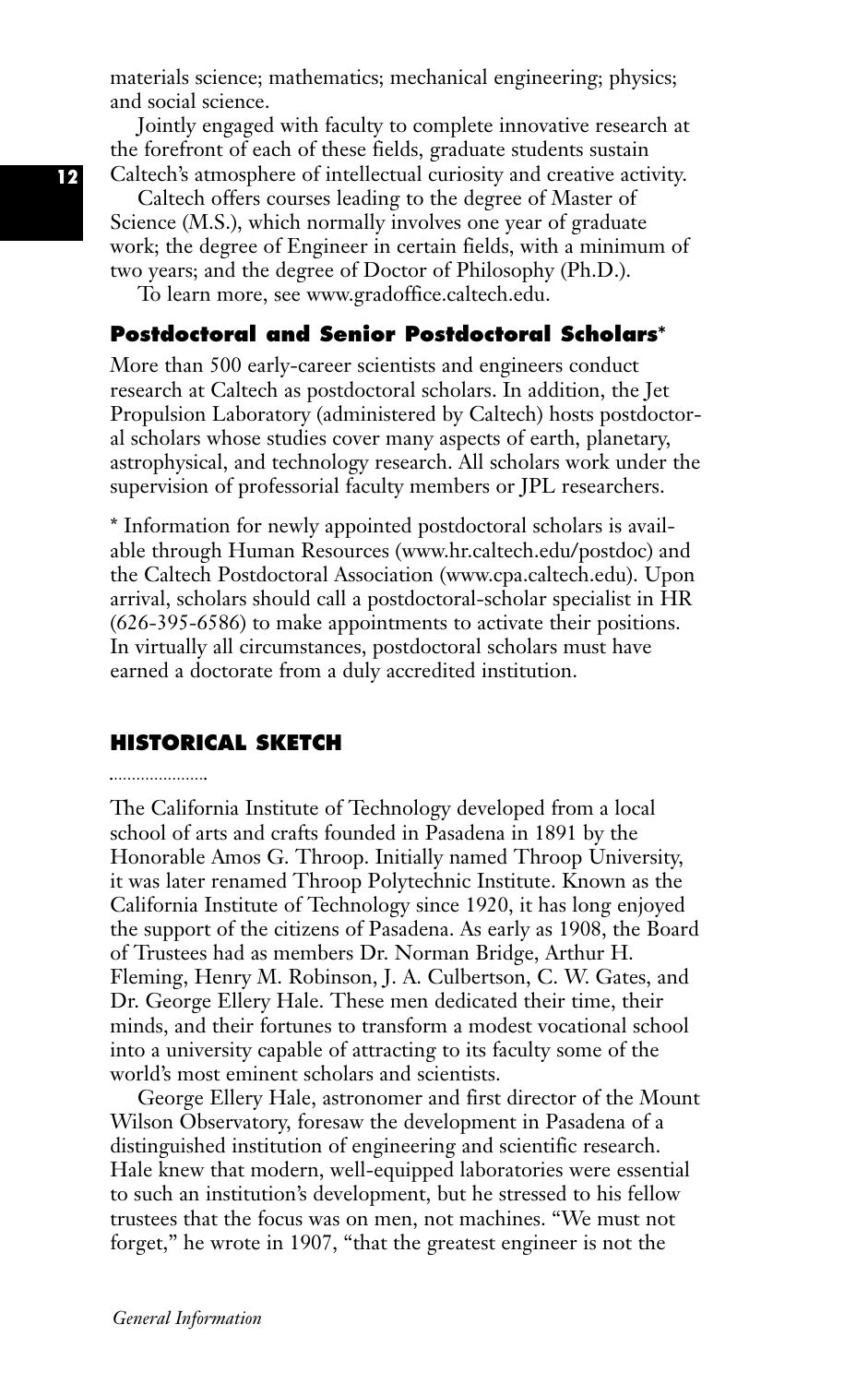materials science; mathematics; mechanical engineering; physics; and social science.

Jointly engaged with faculty to complete innovative research at the forefront of each of these fields, graduate students sustain Caltech's atmosphere of intellectual curiosity and creative activity.

Caltech offers courses leading to the degree of Master of Science (M.S.), which normally involves one year of graduate work; the degree of Engineer in certain fields, with a minimum of two years; and the degree of Doctor of Philosophy (Ph.D.).

To learn more, see www.gradoffice.caltech.edu.

# **Postdoctoral and Senior Postdoctoral Scholars\***

More than 500 early-career scientists and engineers conduct research at Caltech as postdoctoral scholars. In addition, the Jet Propulsion Laboratory (administered by Caltech) hosts postdoctoral scholars whose studies cover many aspects of earth, planetary, astrophysical, and technology research. All scholars work under the supervision of professorial faculty members or JPL researchers.

\* Information for newly appointed postdoctoral scholars is available through Human Resources (www.hr.caltech.edu/postdoc) and the Caltech Postdoctoral Association (www.cpa.caltech.edu). Upon arrival, scholars should call a postdoctoral-scholar specialist in HR (626-395-6586) to make appointments to activate their positions. In virtually all circumstances, postdoctoral scholars must have earned a doctorate from a duly accredited institution.

## **HISTORICAL SKETCH**

The California Institute of Technology developed from a local school of arts and crafts founded in Pasadena in 1891 by the Honorable Amos G. Throop. Initially named Throop University, it was later renamed Throop Polytechnic Institute. Known as the California Institute of Technology since 1920, it has long enjoyed the support of the citizens of Pasadena. As early as 1908, the Board of Trustees had as members Dr. Norman Bridge, Arthur H. Fleming, Henry M. Robinson, J. A. Culbertson, C. W. Gates, and Dr. George Ellery Hale. These men dedicated their time, their minds, and their fortunes to transform a modest vocational school into a university capable of attracting to its faculty some of the world's most eminent scholars and scientists.

George Ellery Hale, astronomer and first director of the Mount Wilson Observatory, foresaw the development in Pasadena of a distinguished institution of engineering and scientific research. Hale knew that modern, well-equipped laboratories were essential to such an institution's development, but he stressed to his fellow trustees that the focus was on men, not machines. "We must not forget,'' he wrote in 1907, "that the greatest engineer is not the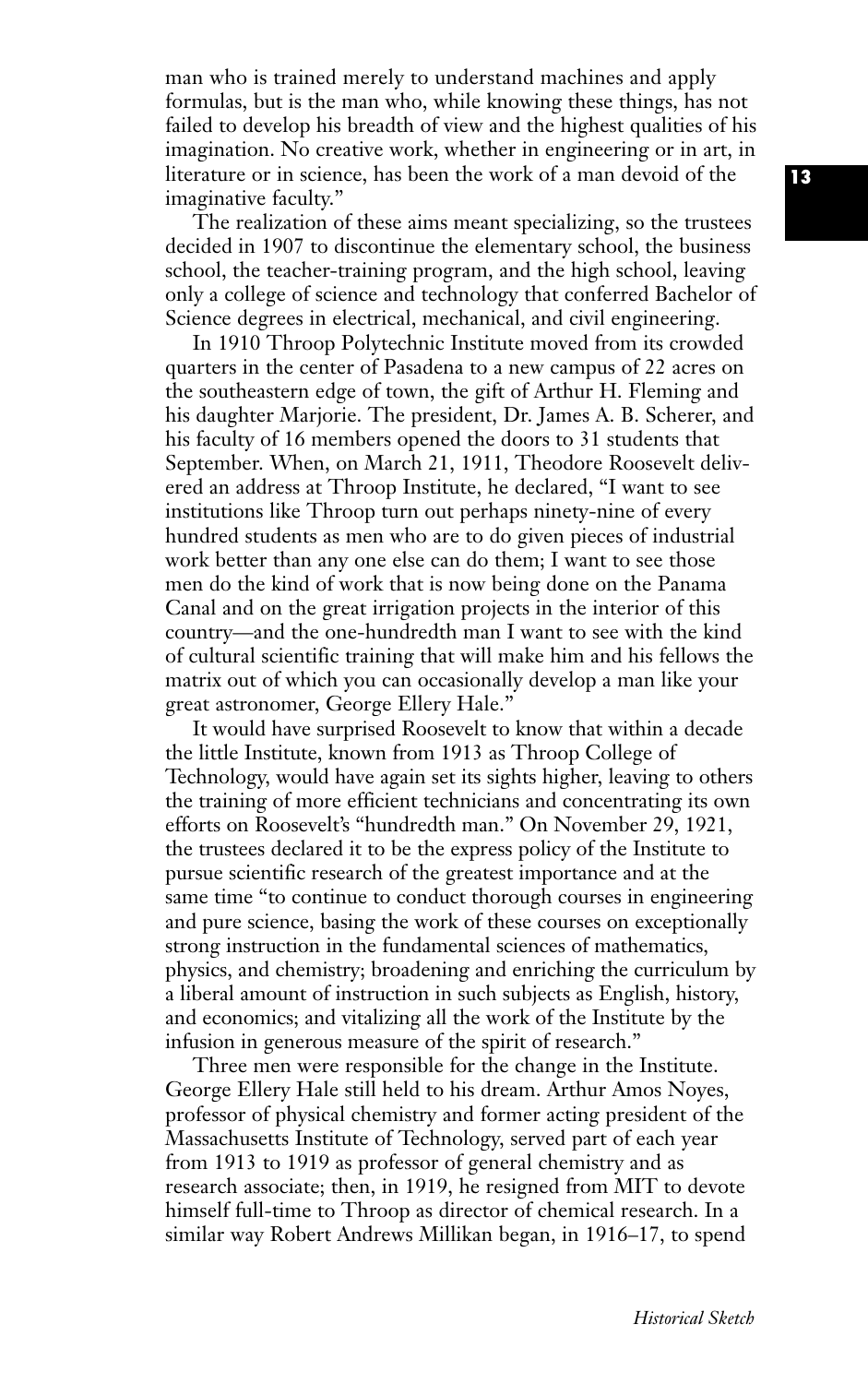man who is trained merely to understand machines and apply formulas, but is the man who, while knowing these things, has not failed to develop his breadth of view and the highest qualities of his imagination. No creative work, whether in engineering or in art, in literature or in science, has been the work of a man devoid of the imaginative faculty.''

The realization of these aims meant specializing, so the trustees decided in 1907 to discontinue the elementary school, the business school, the teacher-training program, and the high school, leaving only a college of science and technology that conferred Bachelor of Science degrees in electrical, mechanical, and civil engineering.

In 1910 Throop Polytechnic Institute moved from its crowded quarters in the center of Pasadena to a new campus of 22 acres on the southeastern edge of town, the gift of Arthur H. Fleming and his daughter Marjorie. The president, Dr. James A. B. Scherer, and his faculty of 16 members opened the doors to 31 students that September. When, on March 21, 1911, Theodore Roosevelt delivered an address at Throop Institute, he declared, "I want to see institutions like Throop turn out perhaps ninety-nine of every hundred students as men who are to do given pieces of industrial work better than any one else can do them; I want to see those men do the kind of work that is now being done on the Panama Canal and on the great irrigation projects in the interior of this country—and the one-hundredth man I want to see with the kind of cultural scientific training that will make him and his fellows the matrix out of which you can occasionally develop a man like your great astronomer, George Ellery Hale.''

It would have surprised Roosevelt to know that within a decade the little Institute, known from 1913 as Throop College of Technology, would have again set its sights higher, leaving to others the training of more efficient technicians and concentrating its own efforts on Roosevelt's "hundredth man.'' On November 29, 1921, the trustees declared it to be the express policy of the Institute to pursue scientific research of the greatest importance and at the same time "to continue to conduct thorough courses in engineering and pure science, basing the work of these courses on exceptionally strong instruction in the fundamental sciences of mathematics, physics, and chemistry; broadening and enriching the curriculum by a liberal amount of instruction in such subjects as English, history, and economics; and vitalizing all the work of the Institute by the infusion in generous measure of the spirit of research.''

Three men were responsible for the change in the Institute. George Ellery Hale still held to his dream. Arthur Amos Noyes, professor of physical chemistry and former acting president of the Massachusetts Institute of Technology, served part of each year from 1913 to 1919 as professor of general chemistry and as research associate; then, in 1919, he resigned from MIT to devote himself full-time to Throop as director of chemical research. In a similar way Robert Andrews Millikan began, in 1916–17, to spend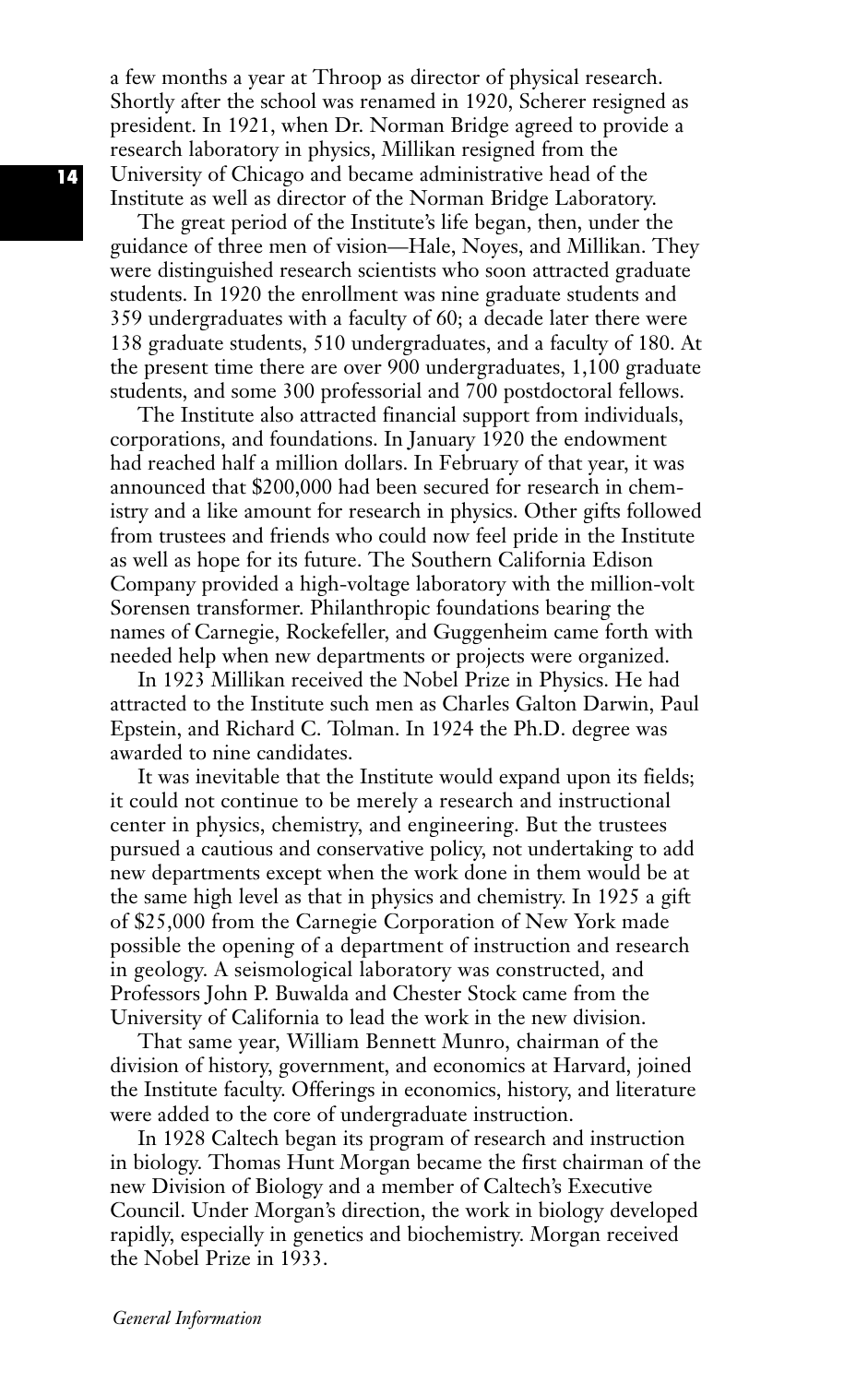a few months a year at Throop as director of physical research. Shortly after the school was renamed in 1920, Scherer resigned as president. In 1921, when Dr. Norman Bridge agreed to provide a research laboratory in physics, Millikan resigned from the University of Chicago and became administrative head of the Institute as well as director of the Norman Bridge Laboratory.

The great period of the Institute's life began, then, under the guidance of three men of vision—Hale, Noyes, and Millikan. They were distinguished research scientists who soon attracted graduate students. In 1920 the enrollment was nine graduate students and 359 undergraduates with a faculty of 60; a decade later there were 138 graduate students, 510 undergraduates, and a faculty of 180. At the present time there are over 900 undergraduates, 1,100 graduate students, and some 300 professorial and 700 postdoctoral fellows.

The Institute also attracted financial support from individuals, corporations, and foundations. In January 1920 the endowment had reached half a million dollars. In February of that year, it was announced that \$200,000 had been secured for research in chemistry and a like amount for research in physics. Other gifts followed from trustees and friends who could now feel pride in the Institute as well as hope for its future. The Southern California Edison Company provided a high-voltage laboratory with the million-volt Sorensen transformer. Philanthropic foundations bearing the names of Carnegie, Rockefeller, and Guggenheim came forth with needed help when new departments or projects were organized.

In 1923 Millikan received the Nobel Prize in Physics. He had attracted to the Institute such men as Charles Galton Darwin, Paul Epstein, and Richard C. Tolman. In 1924 the Ph.D. degree was awarded to nine candidates.

It was inevitable that the Institute would expand upon its fields; it could not continue to be merely a research and instructional center in physics, chemistry, and engineering. But the trustees pursued a cautious and conservative policy, not undertaking to add new departments except when the work done in them would be at the same high level as that in physics and chemistry. In 1925 a gift of \$25,000 from the Carnegie Corporation of New York made possible the opening of a department of instruction and research in geology. A seismological laboratory was constructed, and Professors John P. Buwalda and Chester Stock came from the University of California to lead the work in the new division.

That same year, William Bennett Munro, chairman of the division of history, government, and economics at Harvard, joined the Institute faculty. Offerings in economics, history, and literature were added to the core of undergraduate instruction.

In 1928 Caltech began its program of research and instruction in biology. Thomas Hunt Morgan became the first chairman of the new Division of Biology and a member of Caltech's Executive Council. Under Morgan's direction, the work in biology developed rapidly, especially in genetics and biochemistry. Morgan received the Nobel Prize in 1933.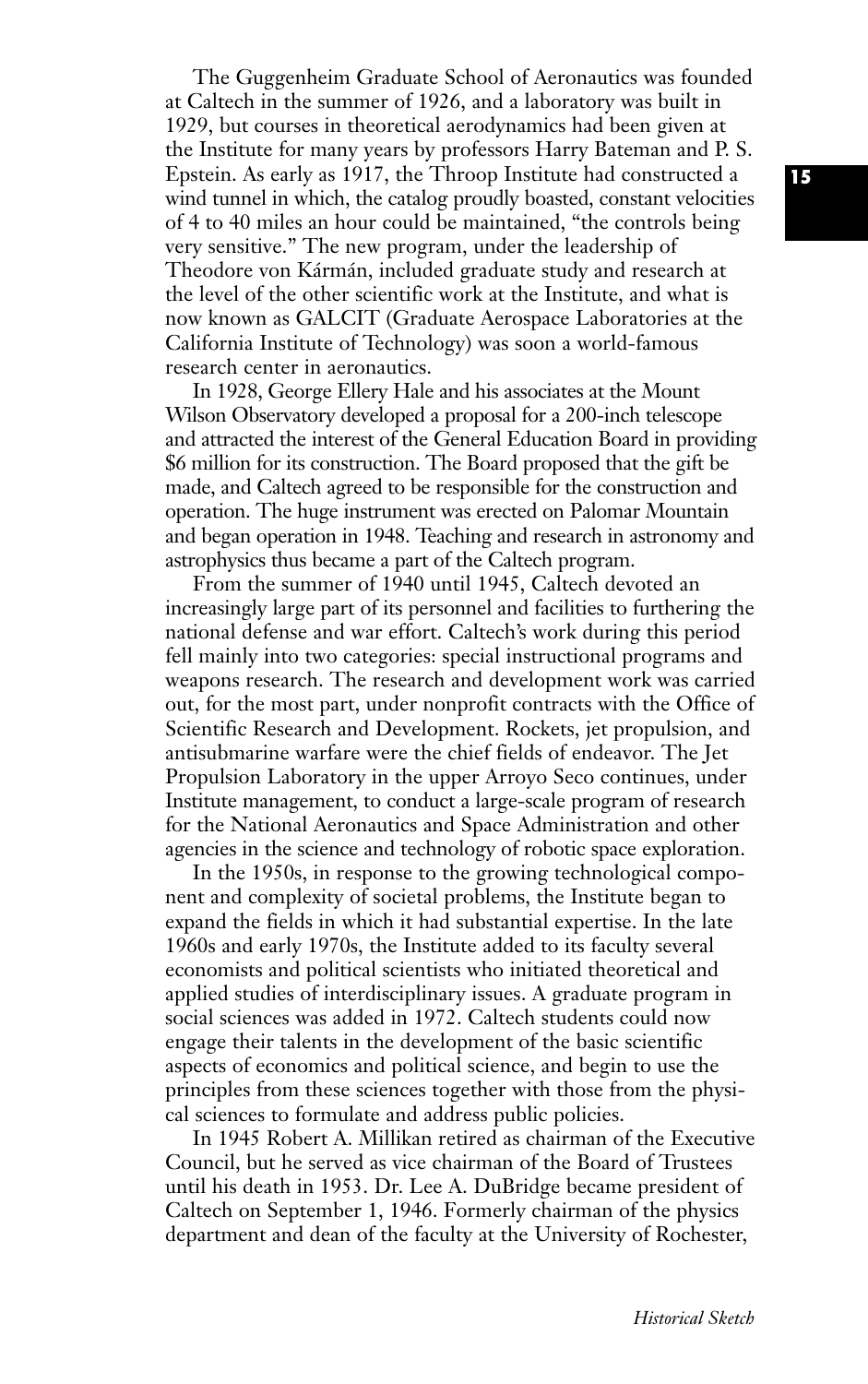The Guggenheim Graduate School of Aeronautics was founded at Caltech in the summer of 1926, and a laboratory was built in 1929, but courses in theoretical aerodynamics had been given at the Institute for many years by professors Harry Bateman and P. S. Epstein. As early as 1917, the Throop Institute had constructed a wind tunnel in which, the catalog proudly boasted, constant velocities of 4 to 40 miles an hour could be maintained, "the controls being very sensitive." The new program, under the leadership of Theodore von Kármán, included graduate study and research at the level of the other scientific work at the Institute, and what is now known as GALCIT (Graduate Aerospace Laboratories at the California Institute of Technology) was soon a world-famous research center in aeronautics.

In 1928, George Ellery Hale and his associates at the Mount Wilson Observatory developed a proposal for a 200-inch telescope and attracted the interest of the General Education Board in providing \$6 million for its construction. The Board proposed that the gift be made, and Caltech agreed to be responsible for the construction and operation. The huge instrument was erected on Palomar Mountain and began operation in 1948. Teaching and research in astronomy and astrophysics thus became a part of the Caltech program.

From the summer of 1940 until 1945, Caltech devoted an increasingly large part of its personnel and facilities to furthering the national defense and war effort. Caltech's work during this period fell mainly into two categories: special instructional programs and weapons research. The research and development work was carried out, for the most part, under nonprofit contracts with the Office of Scientific Research and Development. Rockets, jet propulsion, and antisubmarine warfare were the chief fields of endeavor. The Jet Propulsion Laboratory in the upper Arroyo Seco continues, under Institute management, to conduct a large-scale program of research for the National Aeronautics and Space Administration and other agencies in the science and technology of robotic space exploration.

In the 1950s, in response to the growing technological component and complexity of societal problems, the Institute began to expand the fields in which it had substantial expertise. In the late 1960s and early 1970s, the Institute added to its faculty several economists and political scientists who initiated theoretical and applied studies of interdisciplinary issues. A graduate program in social sciences was added in 1972. Caltech students could now engage their talents in the development of the basic scientific aspects of economics and political science, and begin to use the principles from these sciences together with those from the physical sciences to formulate and address public policies.

In 1945 Robert A. Millikan retired as chairman of the Executive Council, but he served as vice chairman of the Board of Trustees until his death in 1953. Dr. Lee A. DuBridge became president of Caltech on September 1, 1946. Formerly chairman of the physics department and dean of the faculty at the University of Rochester,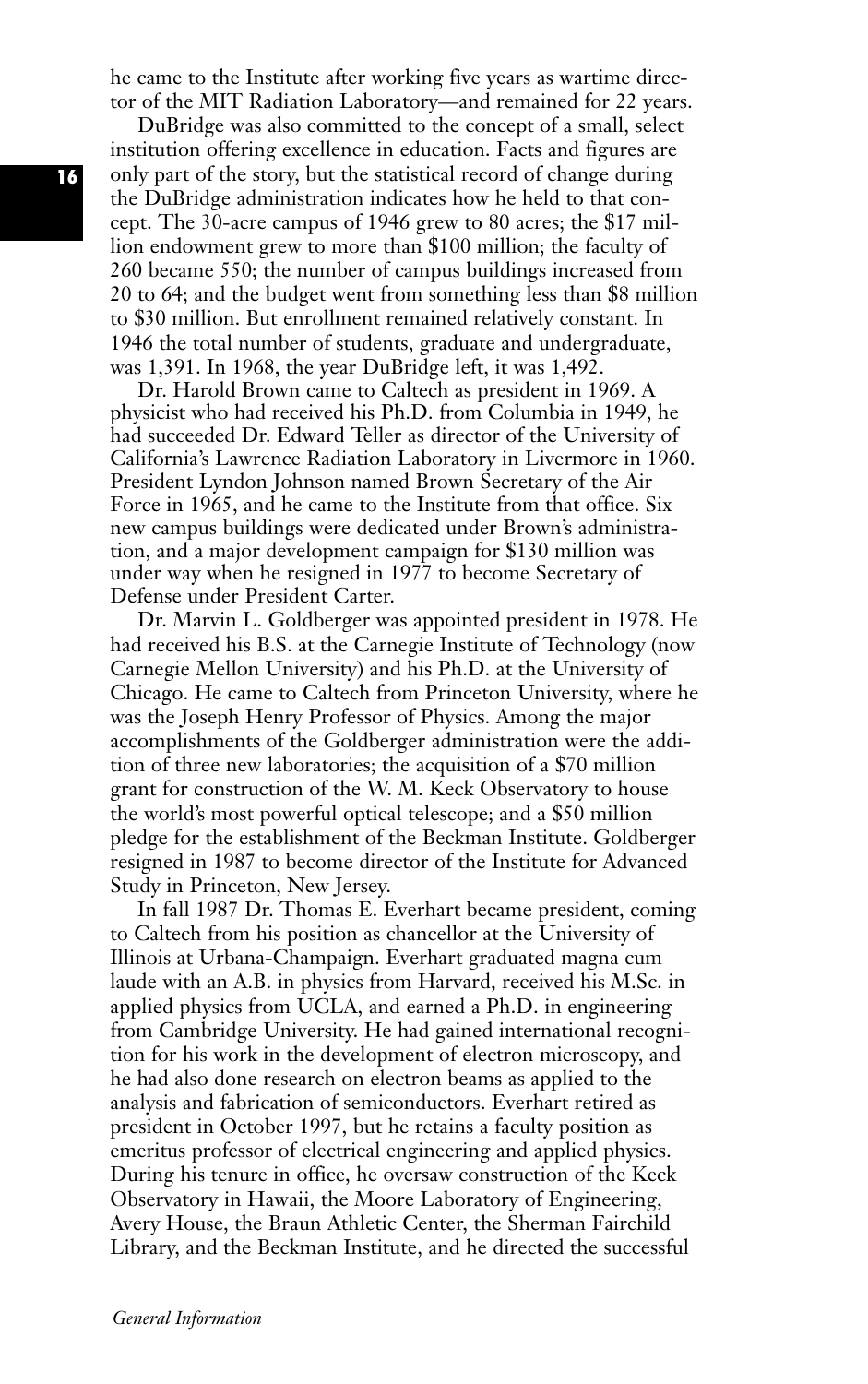he came to the Institute after working five years as wartime director of the MIT Radiation Laboratory—and remained for 22 years.

DuBridge was also committed to the concept of a small, select institution offering excellence in education. Facts and figures are only part of the story, but the statistical record of change during the DuBridge administration indicates how he held to that concept. The 30-acre campus of 1946 grew to 80 acres; the \$17 million endowment grew to more than \$100 million; the faculty of 260 became 550; the number of campus buildings increased from 20 to 64; and the budget went from something less than \$8 million to \$30 million. But enrollment remained relatively constant. In 1946 the total number of students, graduate and undergraduate, was 1,391. In 1968, the year DuBridge left, it was 1,492.

Dr. Harold Brown came to Caltech as president in 1969. A physicist who had received his Ph.D. from Columbia in 1949, he had succeeded Dr. Edward Teller as director of the University of California's Lawrence Radiation Laboratory in Livermore in 1960. President Lyndon Johnson named Brown Secretary of the Air Force in 1965, and he came to the Institute from that office. Six new campus buildings were dedicated under Brown's administration, and a major development campaign for \$130 million was under way when he resigned in 1977 to become Secretary of Defense under President Carter.

Dr. Marvin L. Goldberger was appointed president in 1978. He had received his B.S. at the Carnegie Institute of Technology (now Carnegie Mellon University) and his Ph.D. at the University of Chicago. He came to Caltech from Princeton University, where he was the Joseph Henry Professor of Physics. Among the major accomplishments of the Goldberger administration were the addition of three new laboratories; the acquisition of a \$70 million grant for construction of the W. M. Keck Observatory to house the world's most powerful optical telescope; and a \$50 million pledge for the establishment of the Beckman Institute. Goldberger resigned in 1987 to become director of the Institute for Advanced Study in Princeton, New Jersey.

In fall 1987 Dr. Thomas E. Everhart became president, coming to Caltech from his position as chancellor at the University of Illinois at Urbana-Champaign. Everhart graduated magna cum laude with an A.B. in physics from Harvard, received his M.Sc. in applied physics from UCLA, and earned a Ph.D. in engineering from Cambridge University. He had gained international recognition for his work in the development of electron microscopy, and he had also done research on electron beams as applied to the analysis and fabrication of semiconductors. Everhart retired as president in October 1997, but he retains a faculty position as emeritus professor of electrical engineering and applied physics. During his tenure in office, he oversaw construction of the Keck Observatory in Hawaii, the Moore Laboratory of Engineering, Avery House, the Braun Athletic Center, the Sherman Fairchild Library, and the Beckman Institute, and he directed the successful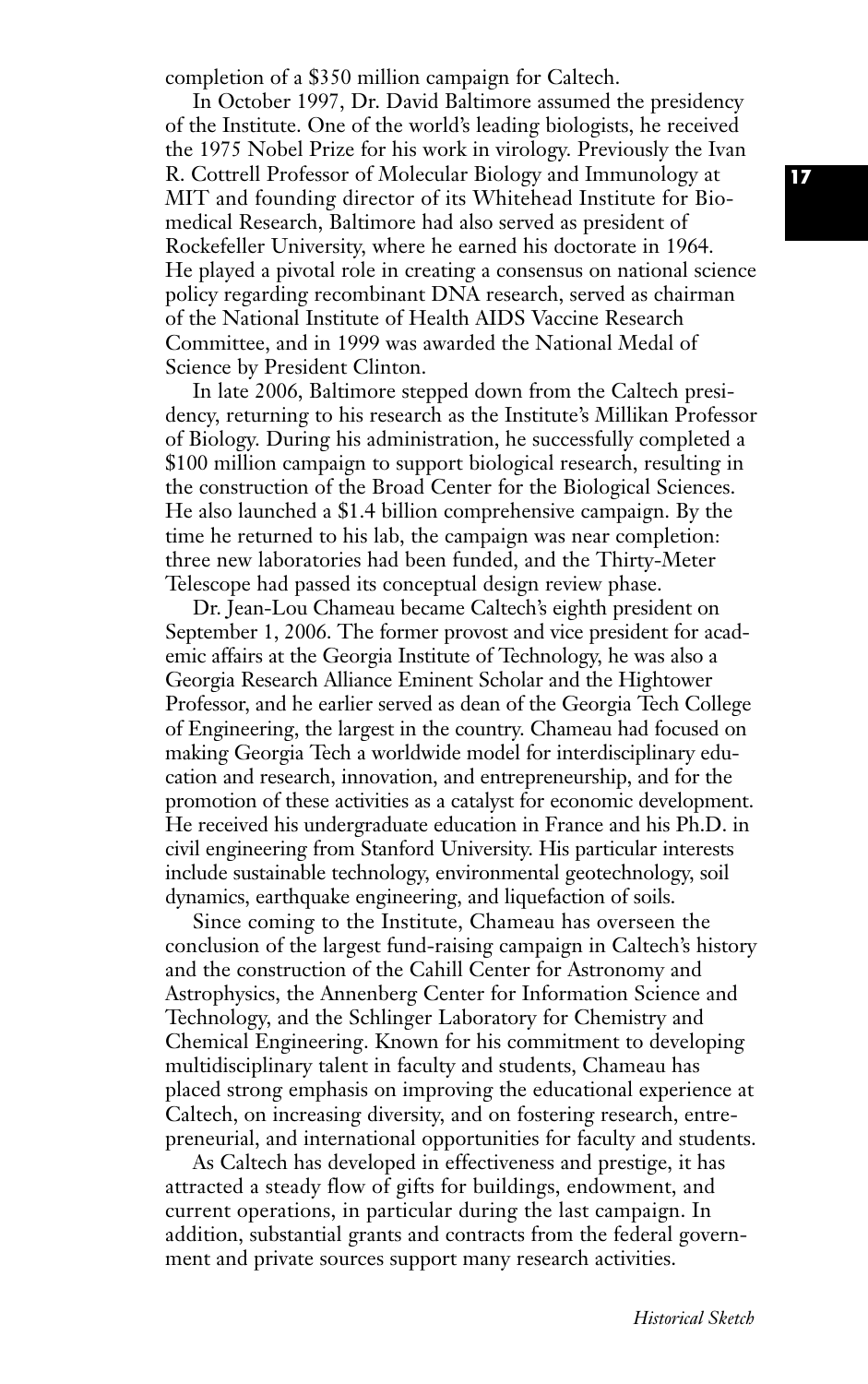completion of a \$350 million campaign for Caltech.

In October 1997, Dr. David Baltimore assumed the presidency of the Institute. One of the world's leading biologists, he received the 1975 Nobel Prize for his work in virology. Previously the Ivan R. Cottrell Professor of Molecular Biology and Immunology at MIT and founding director of its Whitehead Institute for Biomedical Research, Baltimore had also served as president of Rockefeller University, where he earned his doctorate in 1964. He played a pivotal role in creating a consensus on national science policy regarding recombinant DNA research, served as chairman of the National Institute of Health AIDS Vaccine Research Committee, and in 1999 was awarded the National Medal of Science by President Clinton.

In late 2006, Baltimore stepped down from the Caltech presidency, returning to his research as the Institute's Millikan Professor of Biology. During his administration, he successfully completed a \$100 million campaign to support biological research, resulting in the construction of the Broad Center for the Biological Sciences. He also launched a \$1.4 billion comprehensive campaign. By the time he returned to his lab, the campaign was near completion: three new laboratories had been funded, and the Thirty-Meter Telescope had passed its conceptual design review phase.

Dr. Jean-Lou Chameau became Caltech's eighth president on September 1, 2006. The former provost and vice president for academic affairs at the Georgia Institute of Technology, he was also a Georgia Research Alliance Eminent Scholar and the Hightower Professor, and he earlier served as dean of the Georgia Tech College of Engineering, the largest in the country. Chameau had focused on making Georgia Tech a worldwide model for interdisciplinary education and research, innovation, and entrepreneurship, and for the promotion of these activities as a catalyst for economic development. He received his undergraduate education in France and his Ph.D. in civil engineering from Stanford University. His particular interests include sustainable technology, environmental geotechnology, soil dynamics, earthquake engineering, and liquefaction of soils.

Since coming to the Institute, Chameau has overseen the conclusion of the largest fund-raising campaign in Caltech's history and the construction of the Cahill Center for Astronomy and Astrophysics, the Annenberg Center for Information Science and Technology, and the Schlinger Laboratory for Chemistry and Chemical Engineering. Known for his commitment to developing multidisciplinary talent in faculty and students, Chameau has placed strong emphasis on improving the educational experience at Caltech, on increasing diversity, and on fostering research, entrepreneurial, and international opportunities for faculty and students.

As Caltech has developed in effectiveness and prestige, it has attracted a steady flow of gifts for buildings, endowment, and current operations, in particular during the last campaign. In addition, substantial grants and contracts from the federal government and private sources support many research activities.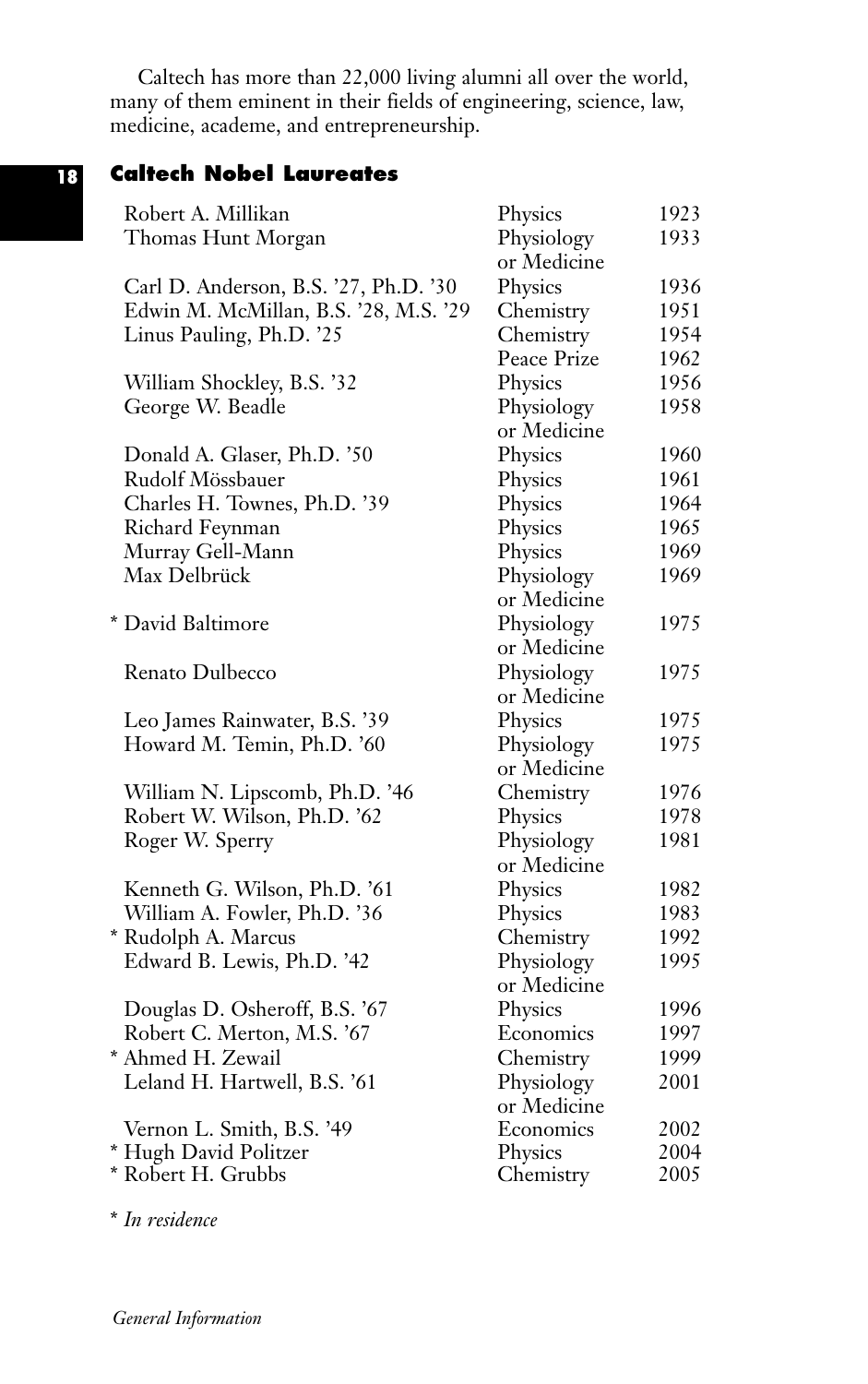Caltech has more than 22,000 living alumni all over the world, many of them eminent in their fields of engineering, science, law, medicine, academe, and entrepreneurship.

# **Caltech Nobel Laureates**

| Robert A. Millikan                    | Physics     | 1923 |
|---------------------------------------|-------------|------|
| Thomas Hunt Morgan                    | Physiology  | 1933 |
|                                       | or Medicine |      |
| Carl D. Anderson, B.S. '27, Ph.D. '30 | Physics     | 1936 |
| Edwin M. McMillan, B.S. '28, M.S. '29 | Chemistry   | 1951 |
| Linus Pauling, Ph.D. '25              | Chemistry   | 1954 |
|                                       | Peace Prize | 1962 |
| William Shockley, B.S. '32            | Physics     | 1956 |
| George W. Beadle                      | Physiology  | 1958 |
|                                       | or Medicine |      |
| Donald A. Glaser, Ph.D. '50           | Physics     | 1960 |
| Rudolf Mössbauer                      | Physics     | 1961 |
| Charles H. Townes, Ph.D. '39          | Physics     | 1964 |
| Richard Feynman                       | Physics     | 1965 |
| Murray Gell-Mann                      | Physics     | 1969 |
| Max Delbrück                          | Physiology  | 1969 |
|                                       | or Medicine |      |
| * David Baltimore                     | Physiology  | 1975 |
|                                       | or Medicine |      |
| Renato Dulbecco                       | Physiology  | 1975 |
|                                       | or Medicine |      |
| Leo James Rainwater, B.S. '39         | Physics     | 1975 |
| Howard M. Temin, Ph.D. '60            | Physiology  | 1975 |
|                                       | or Medicine |      |
| William N. Lipscomb, Ph.D. '46        | Chemistry   | 1976 |
| Robert W. Wilson, Ph.D. '62           | Physics     | 1978 |
| Roger W. Sperry                       | Physiology  | 1981 |
|                                       | or Medicine |      |
| Kenneth G. Wilson, Ph.D. '61          | Physics     | 1982 |
| William A. Fowler, Ph.D. '36          | Physics     | 1983 |
| * Rudolph A. Marcus                   | Chemistry   | 1992 |
| Edward B. Lewis, Ph.D. '42            | Physiology  | 1995 |
|                                       | or Medicine |      |
| Douglas D. Osheroff, B.S. '67         | Physics     | 1996 |
| Robert C. Merton, M.S. '67            | Economics   | 1997 |
| * Ahmed H. Zewail                     | Chemistry   | 1999 |
| Leland H. Hartwell, B.S. '61          | Physiology  | 2001 |
|                                       | or Medicine |      |
| Vernon L. Smith, B.S. '49             | Economics   | 2002 |
| * Hugh David Politzer                 | Physics     | 2004 |
| * Robert H. Grubbs                    | Chemistry   | 2005 |

\* *In residence*

**18**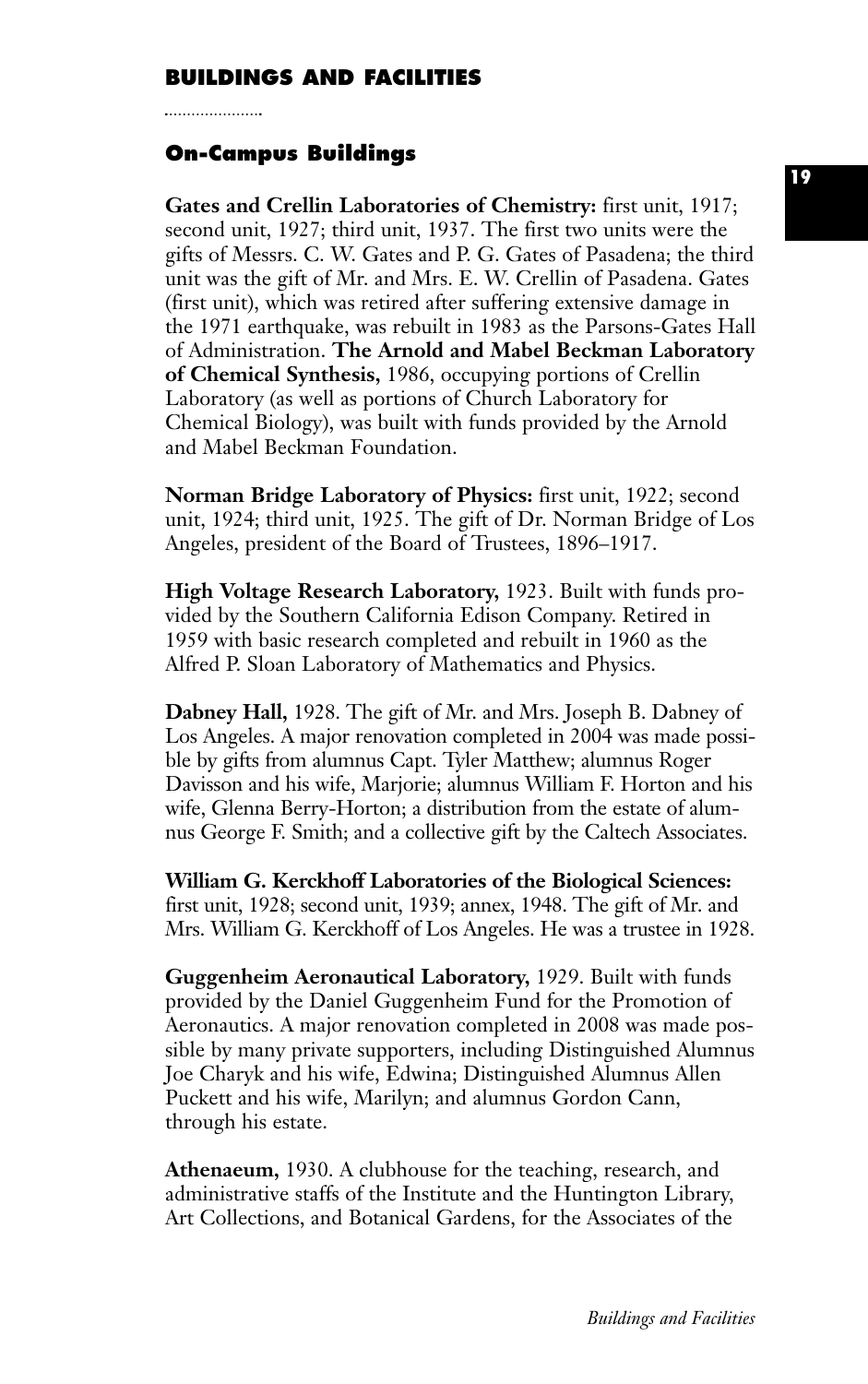# **On-Campus Buildings**

**Gates and Crellin Laboratories of Chemistry:** first unit, 1917; second unit, 1927; third unit, 1937. The first two units were the gifts of Messrs. C. W. Gates and P. G. Gates of Pasadena; the third unit was the gift of Mr. and Mrs. E. W. Crellin of Pasadena. Gates (first unit), which was retired after suffering extensive damage in the 1971 earthquake, was rebuilt in 1983 as the Parsons-Gates Hall of Administration. **The Arnold and Mabel Beckman Laboratory of Chemical Synthesis,** 1986, occupying portions of Crellin Laboratory (as well as portions of Church Laboratory for Chemical Biology), was built with funds provided by the Arnold and Mabel Beckman Foundation.

**Norman Bridge Laboratory of Physics:** first unit, 1922; second unit, 1924; third unit, 1925. The gift of Dr. Norman Bridge of Los Angeles, president of the Board of Trustees, 1896–1917.

**High Voltage Research Laboratory,** 1923. Built with funds provided by the Southern California Edison Company. Retired in 1959 with basic research completed and rebuilt in 1960 as the Alfred P. Sloan Laboratory of Mathematics and Physics.

**Dabney Hall,** 1928. The gift of Mr. and Mrs. Joseph B. Dabney of Los Angeles. A major renovation completed in 2004 was made possible by gifts from alumnus Capt. Tyler Matthew; alumnus Roger Davisson and his wife, Marjorie; alumnus William F. Horton and his wife, Glenna Berry-Horton; a distribution from the estate of alumnus George F. Smith; and a collective gift by the Caltech Associates.

**William G. Kerckhoff Laboratories of the Biological Sciences:** first unit, 1928; second unit, 1939; annex, 1948. The gift of Mr. and Mrs. William G. Kerckhoff of Los Angeles. He was a trustee in 1928.

**Guggenheim Aeronautical Laboratory,** 1929. Built with funds provided by the Daniel Guggenheim Fund for the Promotion of Aeronautics. A major renovation completed in 2008 was made possible by many private supporters, including Distinguished Alumnus Joe Charyk and his wife, Edwina; Distinguished Alumnus Allen Puckett and his wife, Marilyn; and alumnus Gordon Cann, through his estate.

**Athenaeum,** 1930. A clubhouse for the teaching, research, and administrative staffs of the Institute and the Huntington Library, Art Collections, and Botanical Gardens, for the Associates of the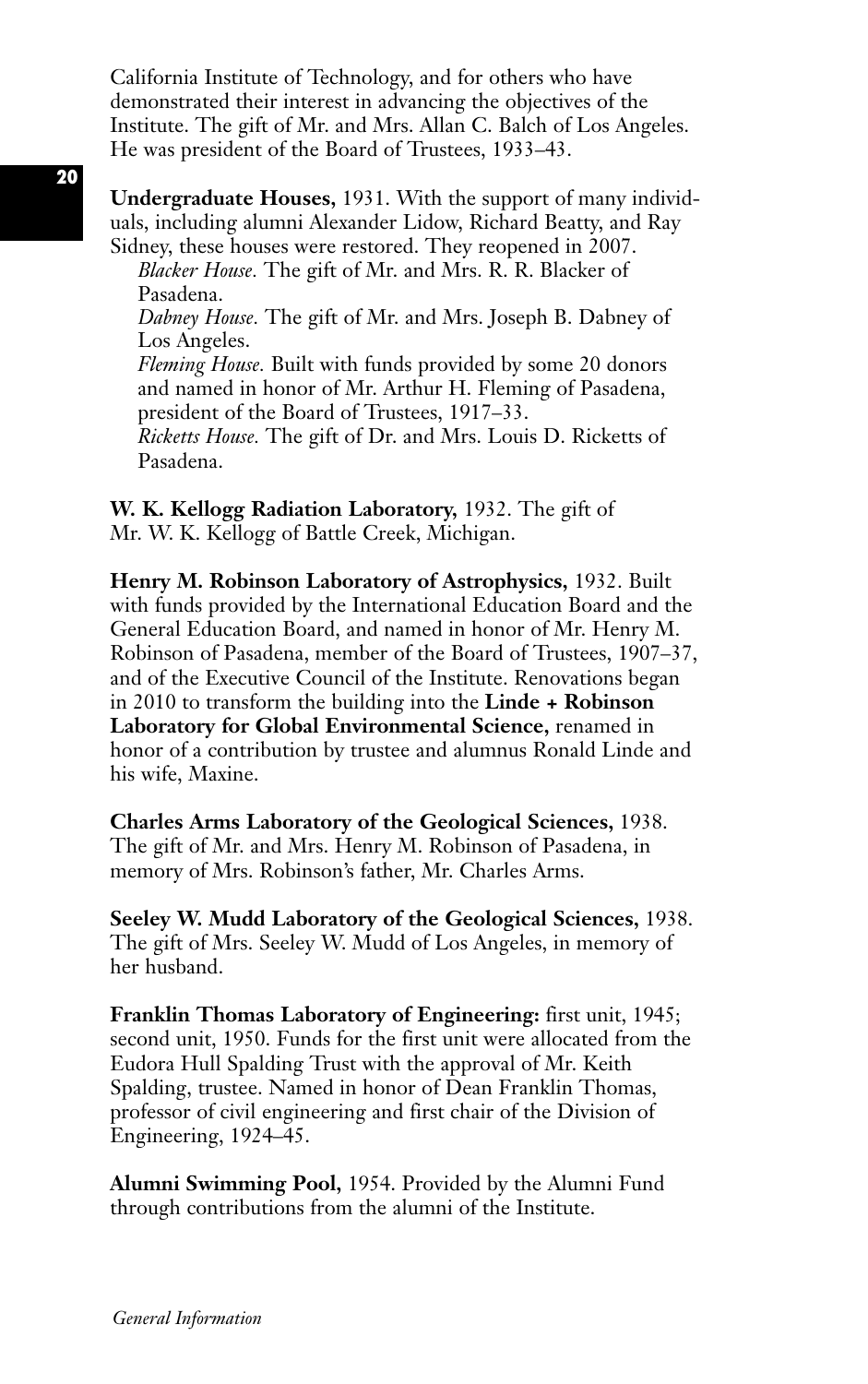California Institute of Technology, and for others who have demonstrated their interest in advancing the objectives of the Institute. The gift of Mr. and Mrs. Allan C. Balch of Los Angeles. He was president of the Board of Trustees, 1933–43.

**Undergraduate Houses,** 1931. With the support of many individuals, including alumni Alexander Lidow, Richard Beatty, and Ray Sidney, these houses were restored. They reopened in 2007.

*Blacker House.* The gift of Mr. and Mrs. R. R. Blacker of Pasadena. *Dabney House.* The gift of Mr. and Mrs. Joseph B. Dabney of Los Angeles.

*Fleming House.* Built with funds provided by some 20 donors and named in honor of Mr. Arthur H. Fleming of Pasadena, president of the Board of Trustees, 1917–33.

*Ricketts House.* The gift of Dr. and Mrs. Louis D. Ricketts of Pasadena.

**W. K. Kellogg Radiation Laboratory,** 1932. The gift of Mr. W. K. Kellogg of Battle Creek, Michigan.

**Henry M. Robinson Laboratory of Astrophysics,** 1932. Built with funds provided by the International Education Board and the General Education Board, and named in honor of Mr. Henry M. Robinson of Pasadena, member of the Board of Trustees, 1907–37, and of the Executive Council of the Institute. Renovations began in 2010 to transform the building into the **Linde + Robinson Laboratory for Global Environmental Science,** renamed in honor of a contribution by trustee and alumnus Ronald Linde and his wife, Maxine.

**Charles Arms Laboratory of the Geological Sciences,** 1938. The gift of Mr. and Mrs. Henry M. Robinson of Pasadena, in memory of Mrs. Robinson's father, Mr. Charles Arms.

**Seeley W. Mudd Laboratory of the Geological Sciences,** 1938. The gift of Mrs. Seeley W. Mudd of Los Angeles, in memory of her husband.

**Franklin Thomas Laboratory of Engineering:** first unit, 1945; second unit, 1950. Funds for the first unit were allocated from the Eudora Hull Spalding Trust with the approval of Mr. Keith Spalding, trustee. Named in honor of Dean Franklin Thomas, professor of civil engineering and first chair of the Division of Engineering, 1924–45.

**Alumni Swimming Pool,** 1954. Provided by the Alumni Fund through contributions from the alumni of the Institute.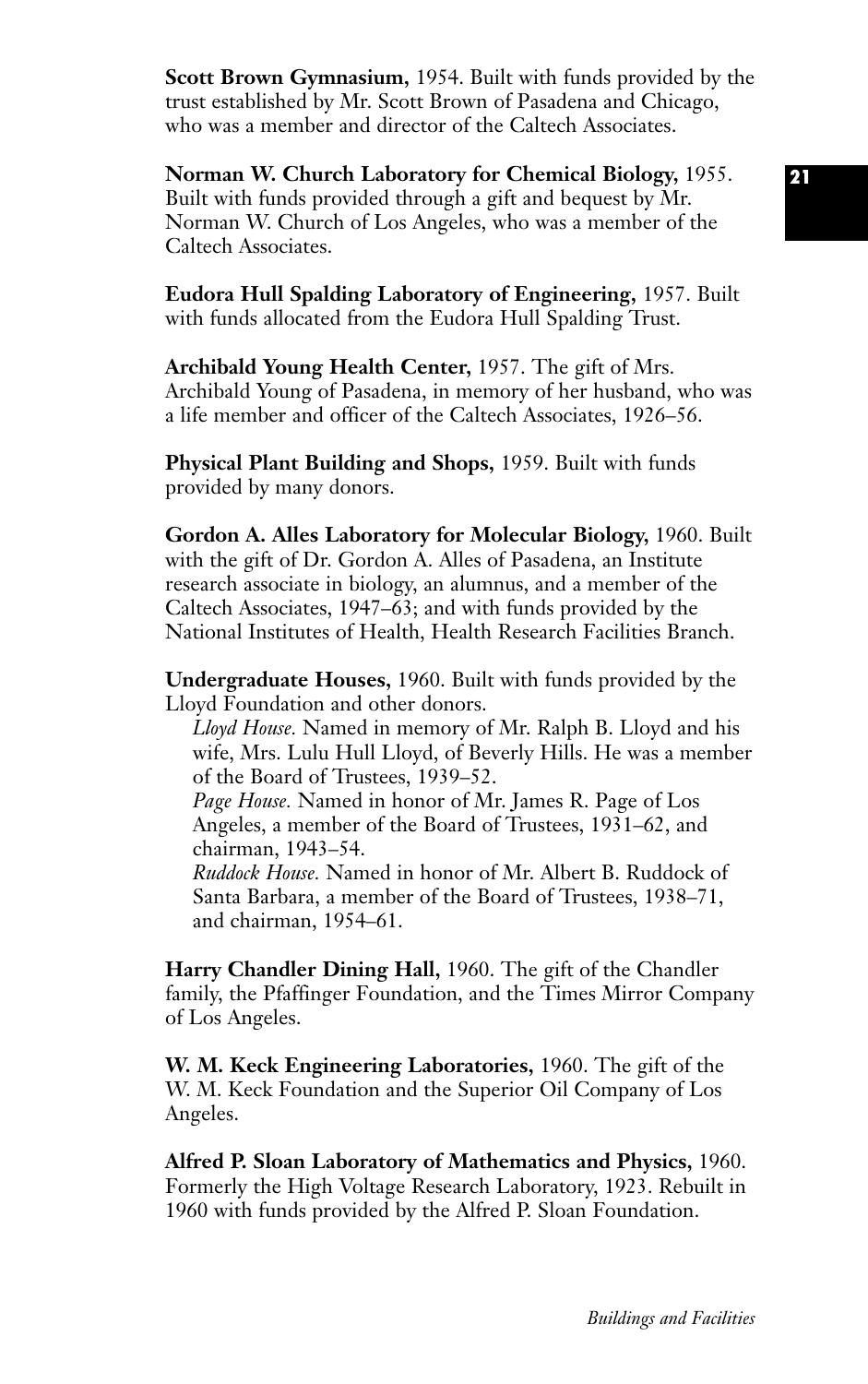**Scott Brown Gymnasium,** 1954. Built with funds provided by the trust established by Mr. Scott Brown of Pasadena and Chicago, who was a member and director of the Caltech Associates.

**Norman W. Church Laboratory for Chemical Biology,** 1955. Built with funds provided through a gift and bequest by Mr. Norman W. Church of Los Angeles, who was a member of the Caltech Associates.

**Eudora Hull Spalding Laboratory of Engineering,** 1957. Built with funds allocated from the Eudora Hull Spalding Trust.

**Archibald Young Health Center,** 1957. The gift of Mrs. Archibald Young of Pasadena, in memory of her husband, who was a life member and officer of the Caltech Associates, 1926–56.

**Physical Plant Building and Shops,** 1959. Built with funds provided by many donors.

**Gordon A. Alles Laboratory for Molecular Biology,** 1960. Built with the gift of Dr. Gordon A. Alles of Pasadena, an Institute research associate in biology, an alumnus, and a member of the Caltech Associates, 1947–63; and with funds provided by the National Institutes of Health, Health Research Facilities Branch.

**Undergraduate Houses,** 1960. Built with funds provided by the Lloyd Foundation and other donors.

*Lloyd House.* Named in memory of Mr. Ralph B. Lloyd and his wife, Mrs. Lulu Hull Lloyd, of Beverly Hills. He was a member of the Board of Trustees, 1939–52.

*Page House.* Named in honor of Mr. James R. Page of Los Angeles, a member of the Board of Trustees, 1931–62, and chairman, 1943–54.

*Ruddock House.* Named in honor of Mr. Albert B. Ruddock of Santa Barbara, a member of the Board of Trustees, 1938–71, and chairman, 1954–61.

**Harry Chandler Dining Hall,** 1960. The gift of the Chandler family, the Pfaffinger Foundation, and the Times Mirror Company of Los Angeles.

**W. M. Keck Engineering Laboratories,** 1960. The gift of the W. M. Keck Foundation and the Superior Oil Company of Los Angeles.

**Alfred P. Sloan Laboratory of Mathematics and Physics,** 1960. Formerly the High Voltage Research Laboratory, 1923. Rebuilt in 1960 with funds provided by the Alfred P. Sloan Foundation.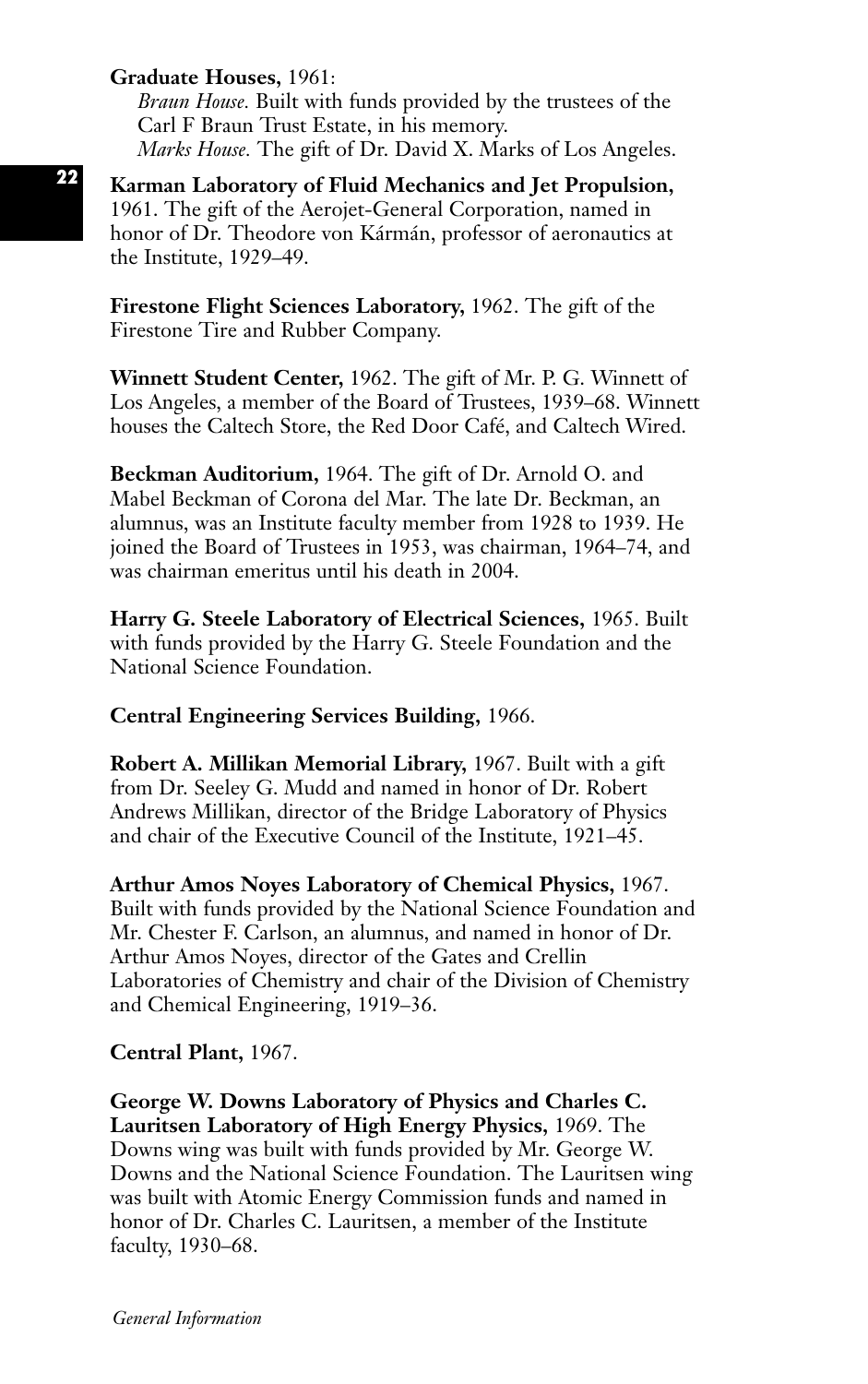# **Graduate Houses,** 1961:

*Braun House.* Built with funds provided by the trustees of the Carl F Braun Trust Estate, in his memory. *Marks House.* The gift of Dr. David X. Marks of Los Angeles.

**Karman Laboratory of Fluid Mechanics and Jet Propulsion,** 1961. The gift of the Aerojet-General Corporation, named in honor of Dr. Theodore von Kármán, professor of aeronautics at the Institute, 1929–49.

**Firestone Flight Sciences Laboratory,** 1962. The gift of the Firestone Tire and Rubber Company.

**Winnett Student Center,** 1962. The gift of Mr. P. G. Winnett of Los Angeles, a member of the Board of Trustees, 1939–68. Winnett houses the Caltech Store, the Red Door Café, and Caltech Wired.

**Beckman Auditorium,** 1964. The gift of Dr. Arnold O. and Mabel Beckman of Corona del Mar. The late Dr. Beckman, an alumnus, was an Institute faculty member from 1928 to 1939. He joined the Board of Trustees in 1953, was chairman, 1964–74, and was chairman emeritus until his death in 2004.

**Harry G. Steele Laboratory of Electrical Sciences,** 1965. Built with funds provided by the Harry G. Steele Foundation and the National Science Foundation.

**Central Engineering Services Building,** 1966.

**Robert A. Millikan Memorial Library,** 1967. Built with a gift from Dr. Seeley G. Mudd and named in honor of Dr. Robert Andrews Millikan, director of the Bridge Laboratory of Physics and chair of the Executive Council of the Institute, 1921–45.

**Arthur Amos Noyes Laboratory of Chemical Physics,** 1967. Built with funds provided by the National Science Foundation and Mr. Chester F. Carlson, an alumnus, and named in honor of Dr. Arthur Amos Noyes, director of the Gates and Crellin Laboratories of Chemistry and chair of the Division of Chemistry and Chemical Engineering, 1919–36.

**Central Plant,** 1967.

**George W. Downs Laboratory of Physics and Charles C. Lauritsen Laboratory of High Energy Physics,** 1969. The Downs wing was built with funds provided by Mr. George W. Downs and the National Science Foundation. The Lauritsen wing was built with Atomic Energy Commission funds and named in honor of Dr. Charles C. Lauritsen, a member of the Institute faculty, 1930–68.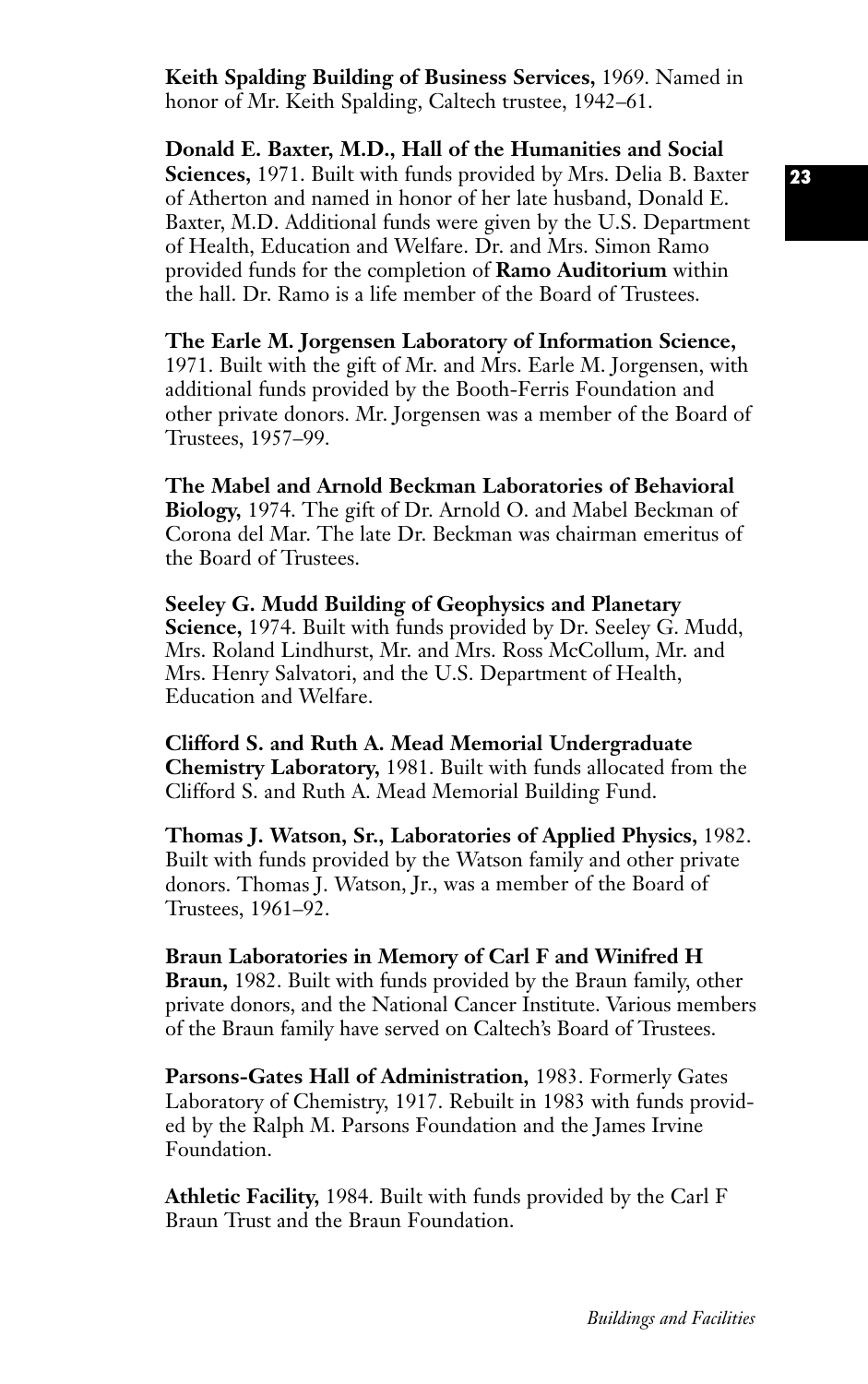**Donald E. Baxter, M.D., Hall of the Humanities and Social Sciences,** 1971. Built with funds provided by Mrs. Delia B. Baxter of Atherton and named in honor of her late husband, Donald E. Baxter, M.D. Additional funds were given by the U.S. Department of Health, Education and Welfare. Dr. and Mrs. Simon Ramo provided funds for the completion of **Ramo Auditorium** within the hall. Dr. Ramo is a life member of the Board of Trustees.

**The Earle M. Jorgensen Laboratory of Information Science,** 1971. Built with the gift of Mr. and Mrs. Earle M. Jorgensen, with additional funds provided by the Booth-Ferris Foundation and other private donors. Mr. Jorgensen was a member of the Board of Trustees, 1957–99.

**The Mabel and Arnold Beckman Laboratories of Behavioral Biology,** 1974. The gift of Dr. Arnold O. and Mabel Beckman of Corona del Mar. The late Dr. Beckman was chairman emeritus of the Board of Trustees.

**Seeley G. Mudd Building of Geophysics and Planetary Science,** 1974. Built with funds provided by Dr. Seeley G. Mudd, Mrs. Roland Lindhurst, Mr. and Mrs. Ross McCollum, Mr. and Mrs. Henry Salvatori, and the U.S. Department of Health, Education and Welfare.

**Clifford S. and Ruth A. Mead Memorial Undergraduate Chemistry Laboratory,** 1981. Built with funds allocated from the Clifford S. and Ruth A. Mead Memorial Building Fund.

**Thomas J. Watson, Sr., Laboratories of Applied Physics,** 1982. Built with funds provided by the Watson family and other private donors. Thomas J. Watson, Jr., was a member of the Board of Trustees, 1961–92.

**Braun Laboratories in Memory of Carl F and Winifred H Braun,** 1982. Built with funds provided by the Braun family, other private donors, and the National Cancer Institute. Various members of the Braun family have served on Caltech's Board of Trustees.

**Parsons-Gates Hall of Administration,** 1983. Formerly Gates Laboratory of Chemistry, 1917. Rebuilt in 1983 with funds provided by the Ralph M. Parsons Foundation and the James Irvine Foundation.

**Athletic Facility,** 1984. Built with funds provided by the Carl F Braun Trust and the Braun Foundation.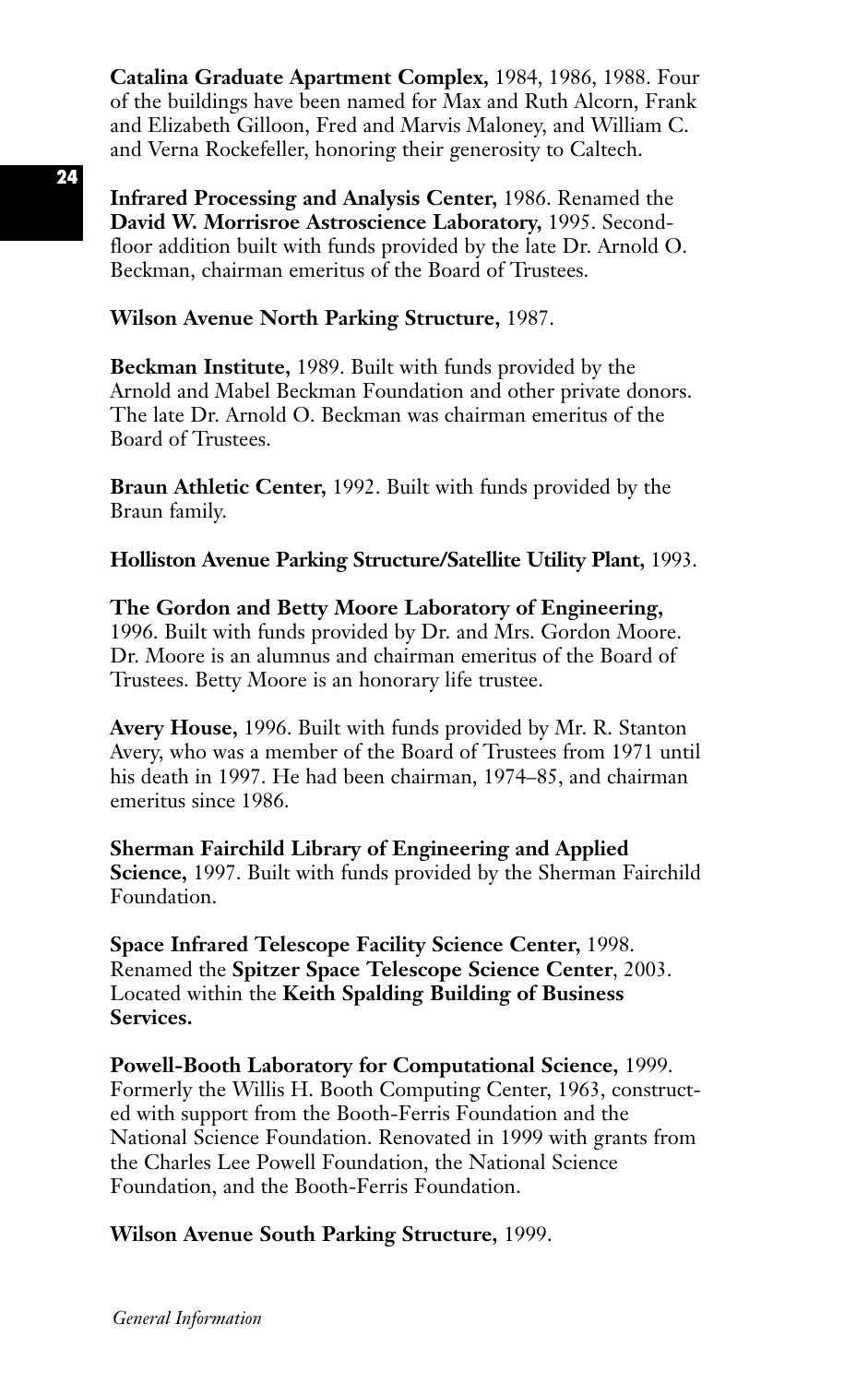**Catalina Graduate Apartment Complex,** 1984, 1986, 1988. Four of the buildings have been named for Max and Ruth Alcorn, Frank and Elizabeth Gilloon, Fred and Marvis Maloney, and William C. and Verna Rockefeller, honoring their generosity to Caltech.

**Infrared Processing and Analysis Center,** 1986. Renamed the **David W. Morrisroe Astroscience Laboratory,** 1995. Secondfloor addition built with funds provided by the late Dr. Arnold O. Beckman, chairman emeritus of the Board of Trustees.

**Wilson Avenue North Parking Structure,** 1987.

**Beckman Institute,** 1989. Built with funds provided by the Arnold and Mabel Beckman Foundation and other private donors. The late Dr. Arnold O. Beckman was chairman emeritus of the Board of Trustees.

**Braun Athletic Center,** 1992. Built with funds provided by the Braun family.

**Holliston Avenue Parking Structure/Satellite Utility Plant,** 1993.

**The Gordon and Betty Moore Laboratory of Engineering,** 1996. Built with funds provided by Dr. and Mrs. Gordon Moore. Dr. Moore is an alumnus and chairman emeritus of the Board of Trustees. Betty Moore is an honorary life trustee.

**Avery House,** 1996. Built with funds provided by Mr. R. Stanton Avery, who was a member of the Board of Trustees from 1971 until his death in 1997. He had been chairman, 1974–85, and chairman emeritus since 1986.

**Sherman Fairchild Library of Engineering and Applied Science,** 1997. Built with funds provided by the Sherman Fairchild Foundation.

**Space Infrared Telescope Facility Science Center,** 1998. Renamed the **Spitzer Space Telescope Science Center**, 2003. Located within the **Keith Spalding Building of Business Services.**

**Powell-Booth Laboratory for Computational Science,** 1999. Formerly the Willis H. Booth Computing Center, 1963, constructed with support from the Booth-Ferris Foundation and the National Science Foundation. Renovated in 1999 with grants from the Charles Lee Powell Foundation, the National Science Foundation, and the Booth-Ferris Foundation.

# **Wilson Avenue South Parking Structure,** 1999.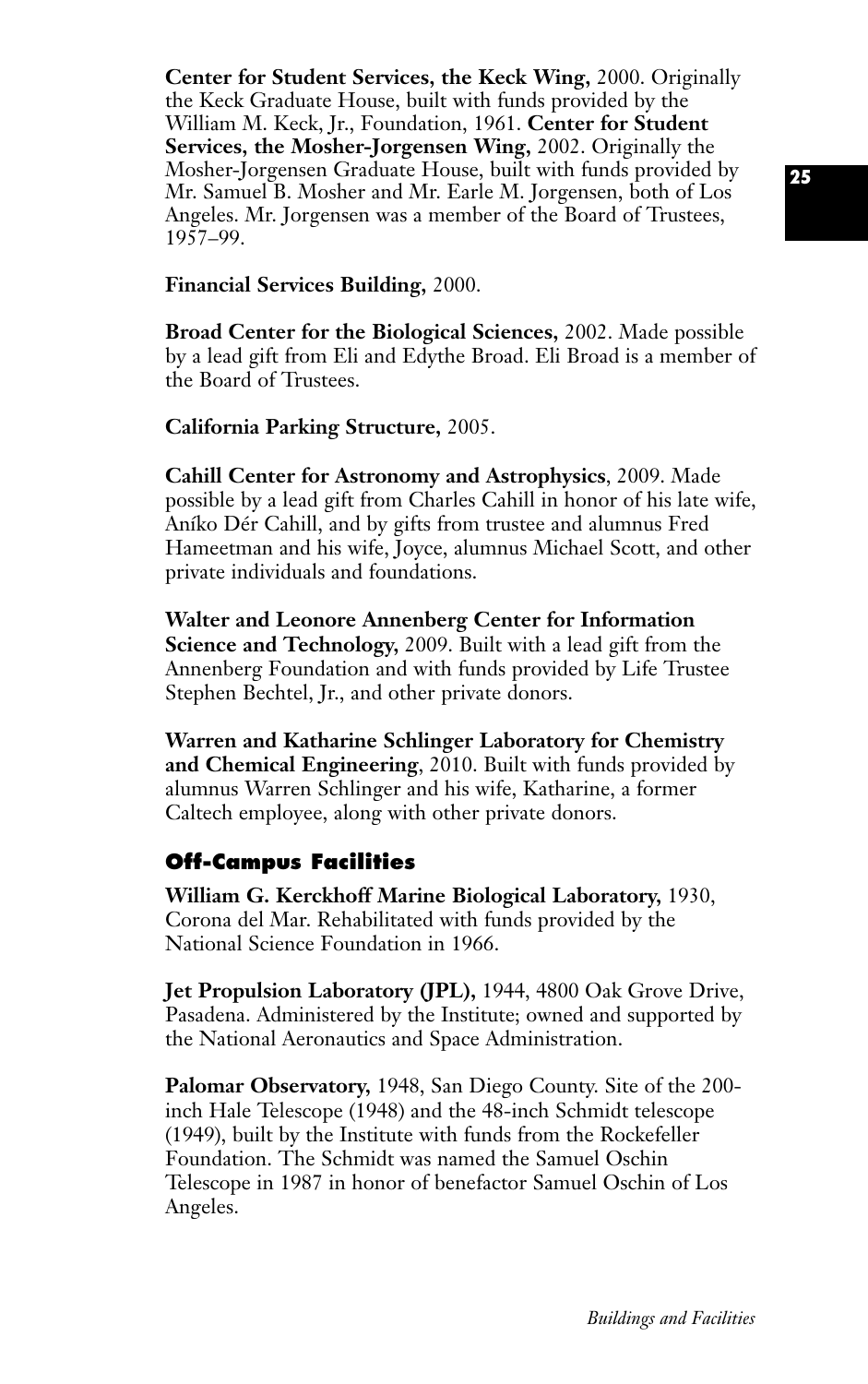**Center for Student Services, the Keck Wing,** 2000. Originally the Keck Graduate House, built with funds provided by the William M. Keck, Jr., Foundation, 1961. **Center for Student Services, the Mosher-Jorgensen Wing,** 2002. Originally the Mosher-Jorgensen Graduate House, built with funds provided by Mr. Samuel B. Mosher and Mr. Earle M. Jorgensen, both of Los Angeles. Mr. Jorgensen was a member of the Board of Trustees, 1957–99.

**Financial Services Building,** 2000.

**Broad Center for the Biological Sciences,** 2002. Made possible by a lead gift from Eli and Edythe Broad. Eli Broad is a member of the Board of Trustees.

**California Parking Structure,** 2005.

**Cahill Center for Astronomy and Astrophysics**, 2009. Made possible by a lead gift from Charles Cahill in honor of his late wife, Aníko Dér Cahill, and by gifts from trustee and alumnus Fred Hameetman and his wife, Joyce, alumnus Michael Scott, and other private individuals and foundations.

**Walter and Leonore Annenberg Center for Information Science and Technology,** 2009. Built with a lead gift from the Annenberg Foundation and with funds provided by Life Trustee Stephen Bechtel, Jr., and other private donors.

**Warren and Katharine Schlinger Laboratory for Chemistry and Chemical Engineering**, 2010. Built with funds provided by alumnus Warren Schlinger and his wife, Katharine, a former Caltech employee, along with other private donors.

# **Off-Campus Facilities**

**William G. Kerckhoff Marine Biological Laboratory,** 1930, Corona del Mar. Rehabilitated with funds provided by the National Science Foundation in 1966.

**Jet Propulsion Laboratory (JPL),** 1944, 4800 Oak Grove Drive, Pasadena. Administered by the Institute; owned and supported by the National Aeronautics and Space Administration.

**Palomar Observatory,** 1948, San Diego County. Site of the 200 inch Hale Telescope (1948) and the 48-inch Schmidt telescope (1949), built by the Institute with funds from the Rockefeller Foundation. The Schmidt was named the Samuel Oschin Telescope in 1987 in honor of benefactor Samuel Oschin of Los Angeles.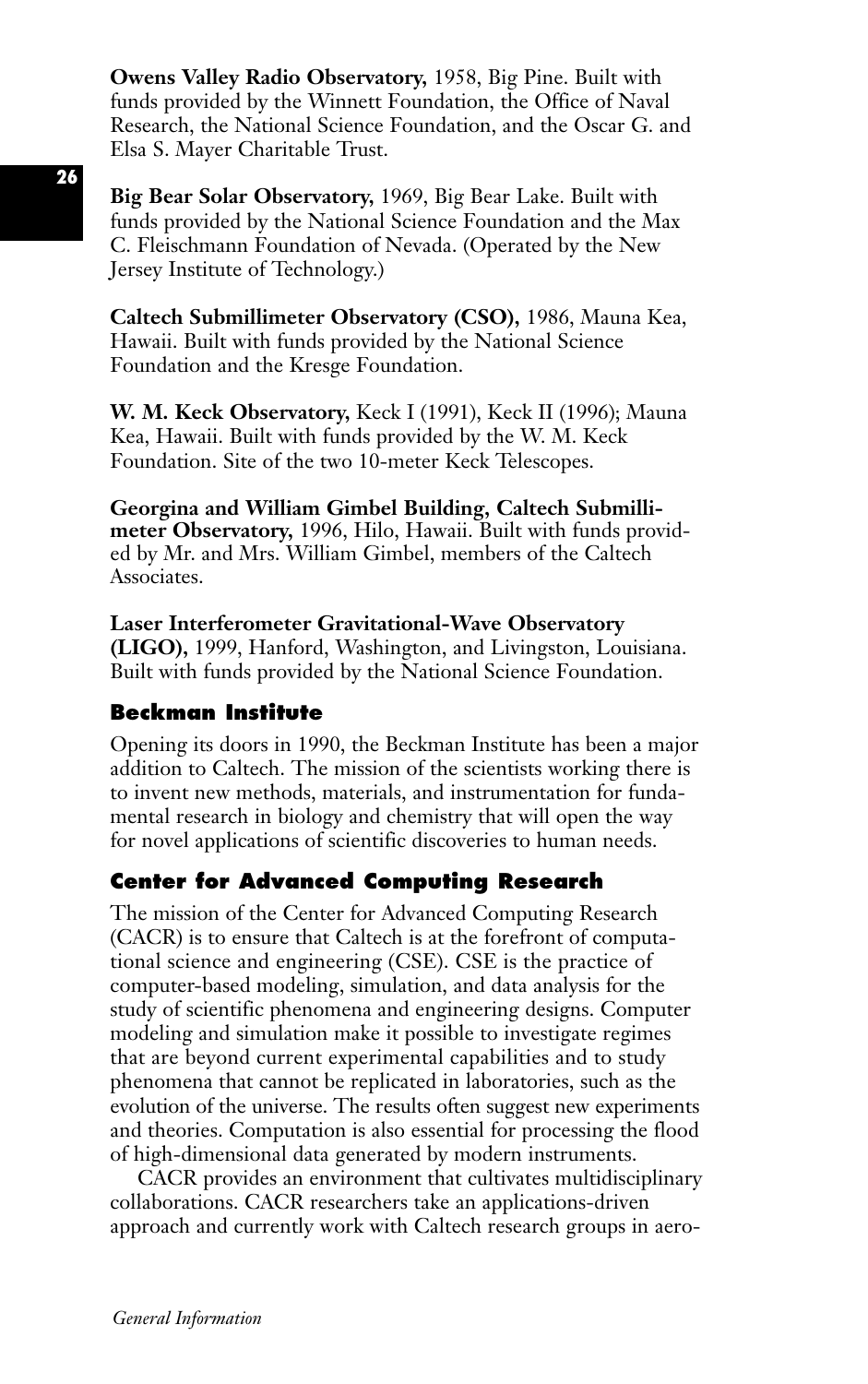**Owens Valley Radio Observatory,** 1958, Big Pine. Built with funds provided by the Winnett Foundation, the Office of Naval Research, the National Science Foundation, and the Oscar G. and Elsa S. Mayer Charitable Trust.

**Big Bear Solar Observatory,** 1969, Big Bear Lake. Built with funds provided by the National Science Foundation and the Max C. Fleischmann Foundation of Nevada. (Operated by the New Jersey Institute of Technology.)

**Caltech Submillimeter Observatory (CSO),** 1986, Mauna Kea, Hawaii. Built with funds provided by the National Science Foundation and the Kresge Foundation.

**W. M. Keck Observatory,** Keck I (1991), Keck II (1996); Mauna Kea, Hawaii. Built with funds provided by the W. M. Keck Foundation. Site of the two 10-meter Keck Telescopes.

**Georgina and William Gimbel Building, Caltech Submillimeter Observatory,** 1996, Hilo, Hawaii. Built with funds provided by Mr. and Mrs. William Gimbel, members of the Caltech Associates.

**Laser Interferometer Gravitational-Wave Observatory (LIGO),** 1999, Hanford, Washington, and Livingston, Louisiana. Built with funds provided by the National Science Foundation.

# **Beckman Institute**

Opening its doors in 1990, the Beckman Institute has been a major addition to Caltech. The mission of the scientists working there is to invent new methods, materials, and instrumentation for fundamental research in biology and chemistry that will open the way for novel applications of scientific discoveries to human needs.

# **Center for Advanced Computing Research**

The mission of the Center for Advanced Computing Research (CACR) is to ensure that Caltech is at the forefront of computational science and engineering (CSE). CSE is the practice of computer-based modeling, simulation, and data analysis for the study of scientific phenomena and engineering designs. Computer modeling and simulation make it possible to investigate regimes that are beyond current experimental capabilities and to study phenomena that cannot be replicated in laboratories, such as the evolution of the universe. The results often suggest new experiments and theories. Computation is also essential for processing the flood of high-dimensional data generated by modern instruments.

CACR provides an environment that cultivates multidisciplinary collaborations. CACR researchers take an applications-driven approach and currently work with Caltech research groups in aero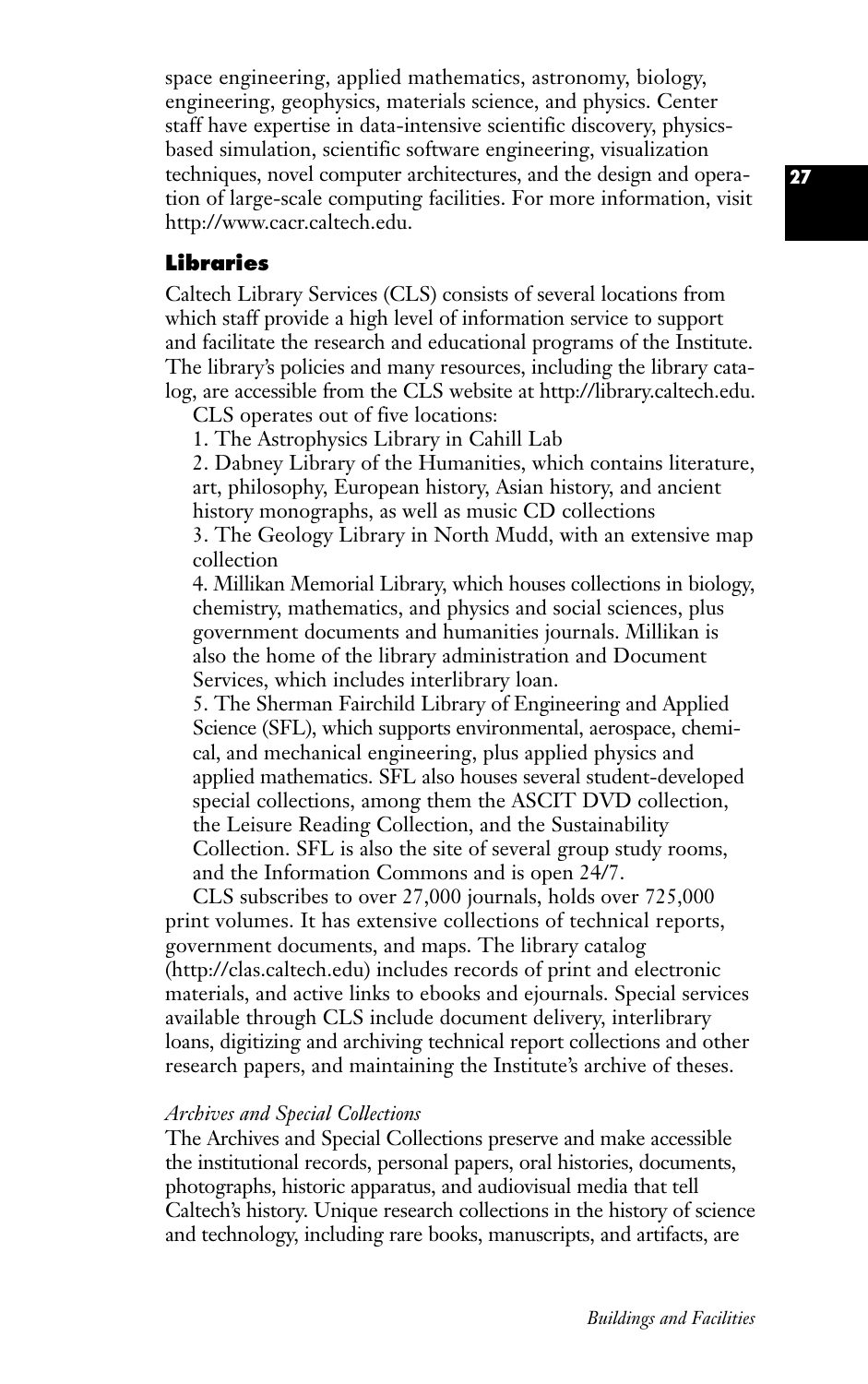space engineering, applied mathematics, astronomy, biology, engineering, geophysics, materials science, and physics. Center staff have expertise in data-intensive scientific discovery, physicsbased simulation, scientific software engineering, visualization techniques, novel computer architectures, and the design and operation of large-scale computing facilities. For more information, visit http://www.cacr.caltech.edu.

# **Libraries**

Caltech Library Services (CLS) consists of several locations from which staff provide a high level of information service to support and facilitate the research and educational programs of the Institute. The library's policies and many resources, including the library catalog, are accessible from the CLS website at http://library.caltech.edu.

CLS operates out of five locations:

1. The Astrophysics Library in Cahill Lab

2. Dabney Library of the Humanities, which contains literature, art, philosophy, European history, Asian history, and ancient history monographs, as well as music CD collections

3. The Geology Library in North Mudd, with an extensive map collection

4. Millikan Memorial Library, which houses collections in biology, chemistry, mathematics, and physics and social sciences, plus government documents and humanities journals. Millikan is also the home of the library administration and Document Services, which includes interlibrary loan.

5. The Sherman Fairchild Library of Engineering and Applied Science (SFL), which supports environmental, aerospace, chemical, and mechanical engineering, plus applied physics and applied mathematics. SFL also houses several student-developed special collections, among them the ASCIT DVD collection, the Leisure Reading Collection, and the Sustainability Collection. SFL is also the site of several group study rooms, and the Information Commons and is open 24/7.

CLS subscribes to over 27,000 journals, holds over 725,000 print volumes. It has extensive collections of technical reports, government documents, and maps. The library catalog (http://clas.caltech.edu) includes records of print and electronic materials, and active links to ebooks and ejournals. Special services available through CLS include document delivery, interlibrary loans, digitizing and archiving technical report collections and other research papers, and maintaining the Institute's archive of theses.

# *Archives and Special Collections*

The Archives and Special Collections preserve and make accessible the institutional records, personal papers, oral histories, documents, photographs, historic apparatus, and audiovisual media that tell Caltech's history. Unique research collections in the history of science and technology, including rare books, manuscripts, and artifacts, are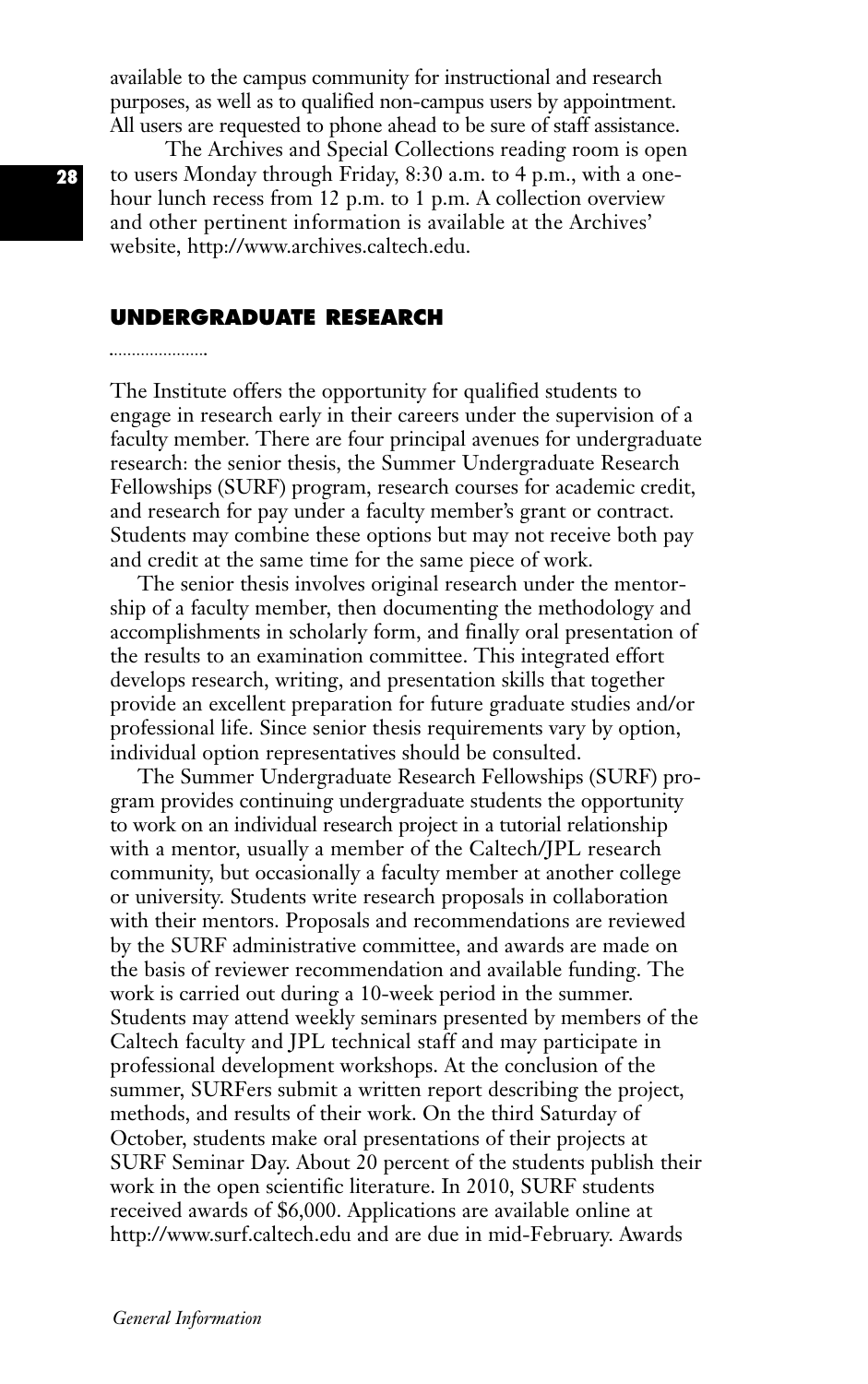available to the campus community for instructional and research purposes, as well as to qualified non-campus users by appointment. All users are requested to phone ahead to be sure of staff assistance.

The Archives and Special Collections reading room is open to users Monday through Friday, 8:30 a.m. to 4 p.m., with a onehour lunch recess from 12 p.m. to 1 p.m. A collection overview and other pertinent information is available at the Archives' website, http://www.archives.caltech.edu.

## **UNDERGRADUATE RESEARCH**

#### 

The Institute offers the opportunity for qualified students to engage in research early in their careers under the supervision of a faculty member. There are four principal avenues for undergraduate research: the senior thesis, the Summer Undergraduate Research Fellowships (SURF) program, research courses for academic credit, and research for pay under a faculty member's grant or contract. Students may combine these options but may not receive both pay and credit at the same time for the same piece of work.

The senior thesis involves original research under the mentorship of a faculty member, then documenting the methodology and accomplishments in scholarly form, and finally oral presentation of the results to an examination committee. This integrated effort develops research, writing, and presentation skills that together provide an excellent preparation for future graduate studies and/or professional life. Since senior thesis requirements vary by option, individual option representatives should be consulted.

The Summer Undergraduate Research Fellowships (SURF) program provides continuing undergraduate students the opportunity to work on an individual research project in a tutorial relationship with a mentor, usually a member of the Caltech/JPL research community, but occasionally a faculty member at another college or university. Students write research proposals in collaboration with their mentors. Proposals and recommendations are reviewed by the SURF administrative committee, and awards are made on the basis of reviewer recommendation and available funding. The work is carried out during a 10-week period in the summer. Students may attend weekly seminars presented by members of the Caltech faculty and JPL technical staff and may participate in professional development workshops. At the conclusion of the summer, SURFers submit a written report describing the project, methods, and results of their work. On the third Saturday of October, students make oral presentations of their projects at SURF Seminar Day. About 20 percent of the students publish their work in the open scientific literature. In 2010, SURF students received awards of \$6,000. Applications are available online at http://www.surf.caltech.edu and are due in mid-February. Awards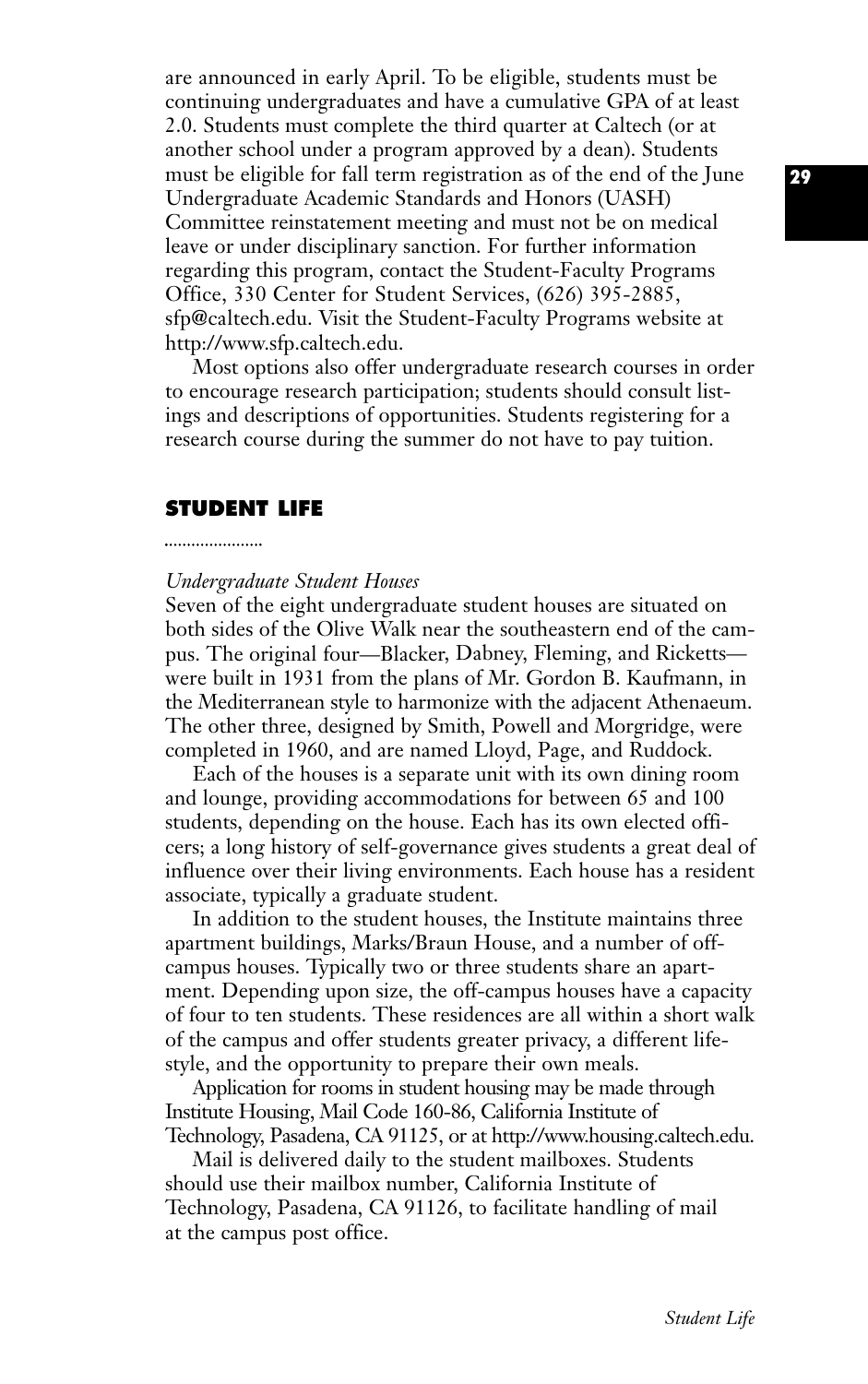are announced in early April. To be eligible, students must be continuing undergraduates and have a cumulative GPA of at least 2.0. Students must complete the third quarter at Caltech (or at another school under a program approved by a dean). Students must be eligible for fall term registration as of the end of the June Undergraduate Academic Standards and Honors (UASH) Committee reinstatement meeting and must not be on medical leave or under disciplinary sanction. For further information regarding this program, contact the Student-Faculty Programs Office, 330 Center for Student Services, (626) 395-2885, sfp@caltech.edu. Visit the Student-Faculty Programs website at http://www.sfp.caltech.edu.

Most options also offer undergraduate research courses in order to encourage research participation; students should consult listings and descriptions of opportunities. Students registering for a research course during the summer do not have to pay tuition.

## **STUDENT LIFE**

#### 

# *Undergraduate Student Houses*

Seven of the eight undergraduate student houses are situated on both sides of the Olive Walk near the southeastern end of the campus. The original four—Blacker, Dabney, Fleming, and Ricketts were built in 1931 from the plans of Mr. Gordon B. Kaufmann, in the Mediterranean style to harmonize with the adjacent Athenaeum. The other three, designed by Smith, Powell and Morgridge, were completed in 1960, and are named Lloyd, Page, and Ruddock.

Each of the houses is a separate unit with its own dining room and lounge, providing accommodations for between 65 and 100 students, depending on the house. Each has its own elected officers; a long history of self-governance gives students a great deal of influence over their living environments. Each house has a resident associate, typically a graduate student.

In addition to the student houses, the Institute maintains three apartment buildings, Marks/Braun House, and a number of offcampus houses. Typically two or three students share an apartment. Depending upon size, the off-campus houses have a capacity of four to ten students. These residences are all within a short walk of the campus and offer students greater privacy, a different lifestyle, and the opportunity to prepare their own meals.

Application for rooms in student housing may be made through Institute Housing, Mail Code 160-86, California Institute of Technology, Pasadena, CA 91125, or at http://www.housing.caltech.edu.

Mail is delivered daily to the student mailboxes. Students should use their mailbox number, California Institute of Technology, Pasadena, CA 91126, to facilitate handling of mail at the campus post office.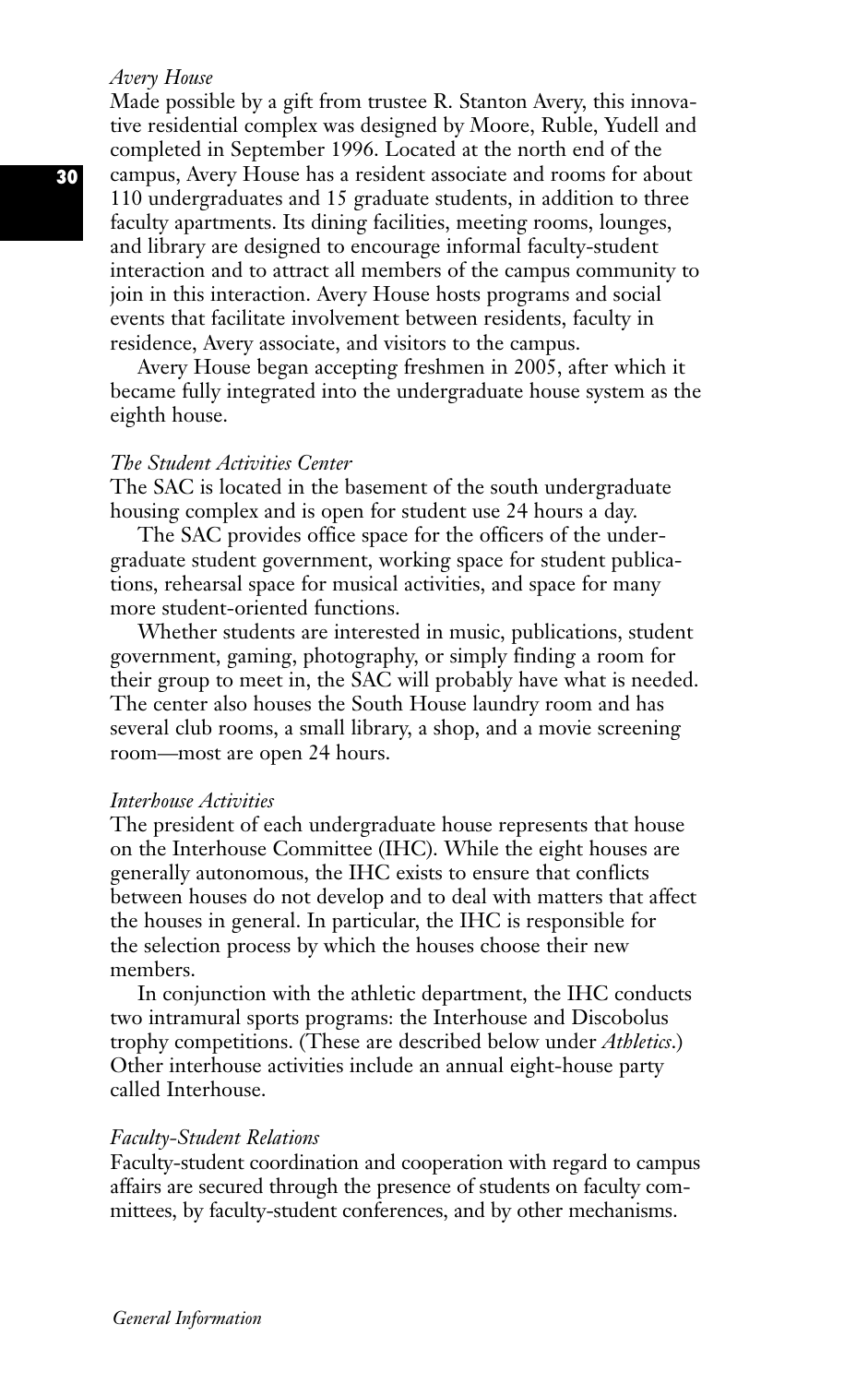# *Avery House*

Made possible by a gift from trustee R. Stanton Avery, this innovative residential complex was designed by Moore, Ruble, Yudell and completed in September 1996. Located at the north end of the campus, Avery House has a resident associate and rooms for about 110 undergraduates and 15 graduate students, in addition to three faculty apartments. Its dining facilities, meeting rooms, lounges, and library are designed to encourage informal faculty-student interaction and to attract all members of the campus community to join in this interaction. Avery House hosts programs and social events that facilitate involvement between residents, faculty in residence, Avery associate, and visitors to the campus.

Avery House began accepting freshmen in 2005, after which it became fully integrated into the undergraduate house system as the eighth house.

# *The Student Activities Center*

The SAC is located in the basement of the south undergraduate housing complex and is open for student use 24 hours a day.

The SAC provides office space for the officers of the undergraduate student government, working space for student publications, rehearsal space for musical activities, and space for many more student-oriented functions.

Whether students are interested in music, publications, student government, gaming, photography, or simply finding a room for their group to meet in, the SAC will probably have what is needed. The center also houses the South House laundry room and has several club rooms, a small library, a shop, and a movie screening room—most are open 24 hours.

## *Interhouse Activities*

The president of each undergraduate house represents that house on the Interhouse Committee (IHC). While the eight houses are generally autonomous, the IHC exists to ensure that conflicts between houses do not develop and to deal with matters that affect the houses in general. In particular, the IHC is responsible for the selection process by which the houses choose their new members.

In conjunction with the athletic department, the IHC conducts two intramural sports programs: the Interhouse and Discobolus trophy competitions. (These are described below under *Athletics*.) Other interhouse activities include an annual eight-house party called Interhouse.

## *Faculty-Student Relations*

Faculty-student coordination and cooperation with regard to campus affairs are secured through the presence of students on faculty committees, by faculty-student conferences, and by other mechanisms.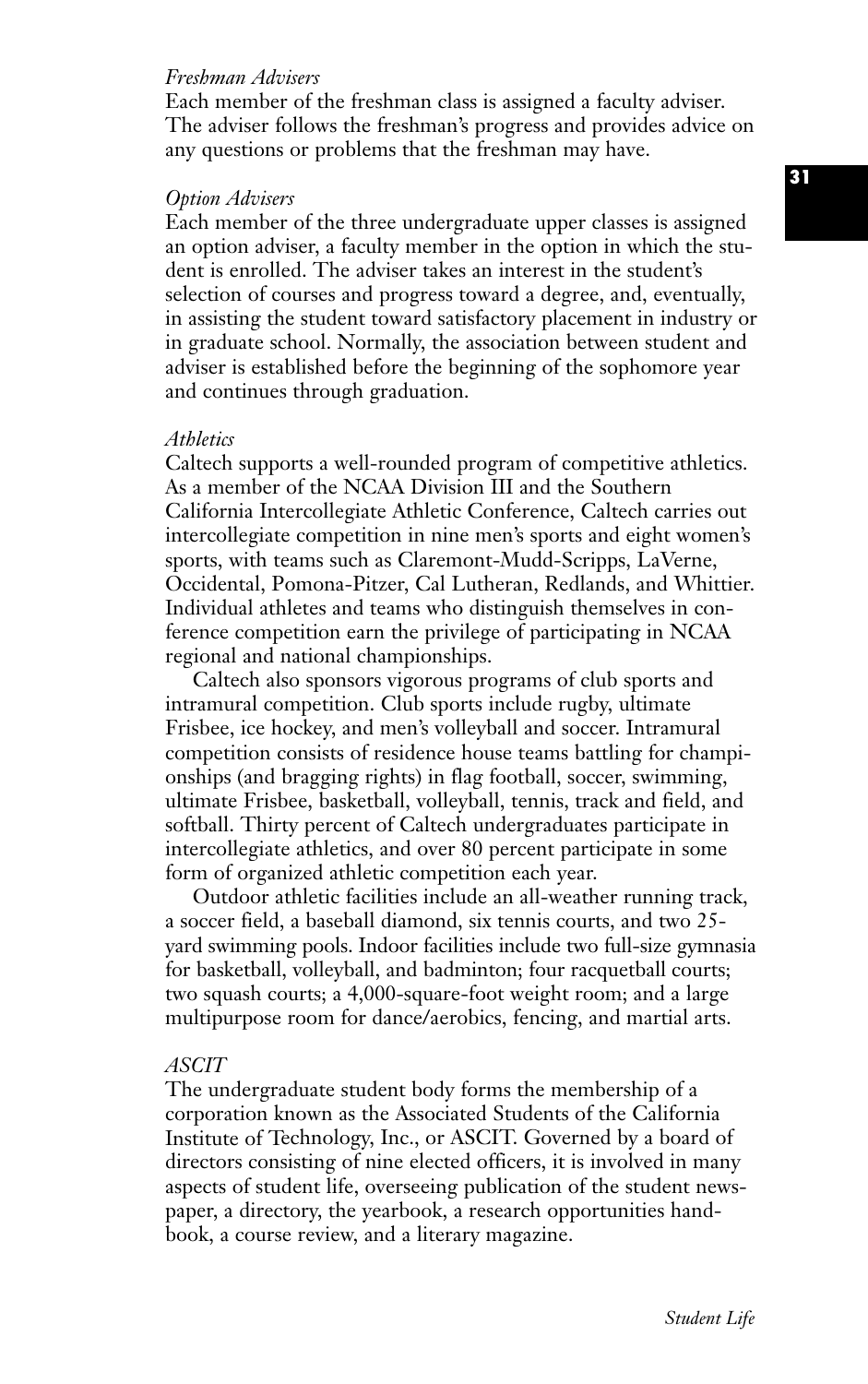## *Freshman Advisers*

Each member of the freshman class is assigned a faculty adviser. The adviser follows the freshman's progress and provides advice on any questions or problems that the freshman may have.

#### *Option Advisers*

Each member of the three undergraduate upper classes is assigned an option adviser, a faculty member in the option in which the student is enrolled. The adviser takes an interest in the student's selection of courses and progress toward a degree, and, eventually, in assisting the student toward satisfactory placement in industry or in graduate school. Normally, the association between student and adviser is established before the beginning of the sophomore year and continues through graduation.

## *Athletics*

Caltech supports a well-rounded program of competitive athletics. As a member of the NCAA Division III and the Southern California Intercollegiate Athletic Conference, Caltech carries out intercollegiate competition in nine men's sports and eight women's sports, with teams such as Claremont-Mudd-Scripps, LaVerne, Occidental, Pomona-Pitzer, Cal Lutheran, Redlands, and Whittier. Individual athletes and teams who distinguish themselves in conference competition earn the privilege of participating in NCAA regional and national championships.

Caltech also sponsors vigorous programs of club sports and intramural competition. Club sports include rugby, ultimate Frisbee, ice hockey, and men's volleyball and soccer. Intramural competition consists of residence house teams battling for championships (and bragging rights) in flag football, soccer, swimming, ultimate Frisbee, basketball, volleyball, tennis, track and field, and softball. Thirty percent of Caltech undergraduates participate in intercollegiate athletics, and over 80 percent participate in some form of organized athletic competition each year.

Outdoor athletic facilities include an all-weather running track, a soccer field, a baseball diamond, six tennis courts, and two 25 yard swimming pools. Indoor facilities include two full-size gymnasia for basketball, volleyball, and badminton; four racquetball courts; two squash courts; a 4,000-square-foot weight room; and a large multipurpose room for dance/aerobics, fencing, and martial arts.

## *ASCIT*

The undergraduate student body forms the membership of a corporation known as the Associated Students of the California Institute of Technology, Inc., or ASCIT. Governed by a board of directors consisting of nine elected officers, it is involved in many aspects of student life, overseeing publication of the student newspaper, a directory, the yearbook, a research opportunities handbook, a course review, and a literary magazine.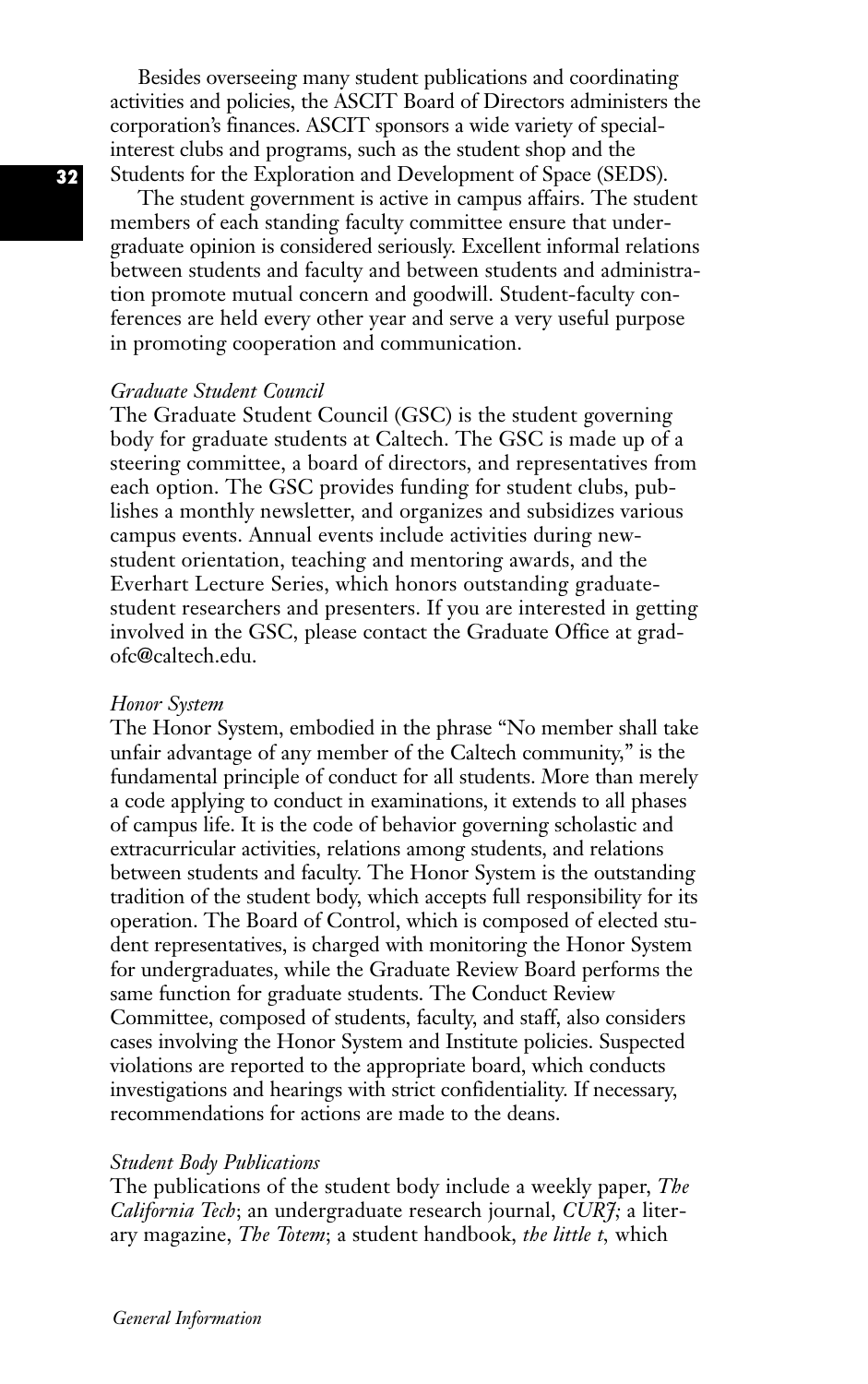Besides overseeing many student publications and coordinating activities and policies, the ASCIT Board of Directors administers the corporation's finances. ASCIT sponsors a wide variety of specialinterest clubs and programs, such as the student shop and the Students for the Exploration and Development of Space (SEDS).

The student government is active in campus affairs. The student members of each standing faculty committee ensure that undergraduate opinion is considered seriously. Excellent informal relations between students and faculty and between students and administration promote mutual concern and goodwill. Student-faculty conferences are held every other year and serve a very useful purpose in promoting cooperation and communication.

# *Graduate Student Council*

The Graduate Student Council (GSC) is the student governing body for graduate students at Caltech. The GSC is made up of a steering committee, a board of directors, and representatives from each option. The GSC provides funding for student clubs, publishes a monthly newsletter, and organizes and subsidizes various campus events. Annual events include activities during newstudent orientation, teaching and mentoring awards, and the Everhart Lecture Series, which honors outstanding graduatestudent researchers and presenters. If you are interested in getting involved in the GSC, please contact the Graduate Office at gradofc@caltech.edu.

## *Honor System*

The Honor System, embodied in the phrase "No member shall take unfair advantage of any member of the Caltech community,'' is the fundamental principle of conduct for all students. More than merely a code applying to conduct in examinations, it extends to all phases of campus life. It is the code of behavior governing scholastic and extracurricular activities, relations among students, and relations between students and faculty. The Honor System is the outstanding tradition of the student body, which accepts full responsibility for its operation. The Board of Control, which is composed of elected student representatives, is charged with monitoring the Honor System for undergraduates, while the Graduate Review Board performs the same function for graduate students. The Conduct Review Committee, composed of students, faculty, and staff, also considers cases involving the Honor System and Institute policies. Suspected violations are reported to the appropriate board, which conducts investigations and hearings with strict confidentiality. If necessary, recommendations for actions are made to the deans.

## *Student Body Publications*

The publications of the student body include a weekly paper, *The California Tech*; an undergraduate research journal, *CURJ;* a literary magazine, *The Totem*; a student handbook, *the little t,* which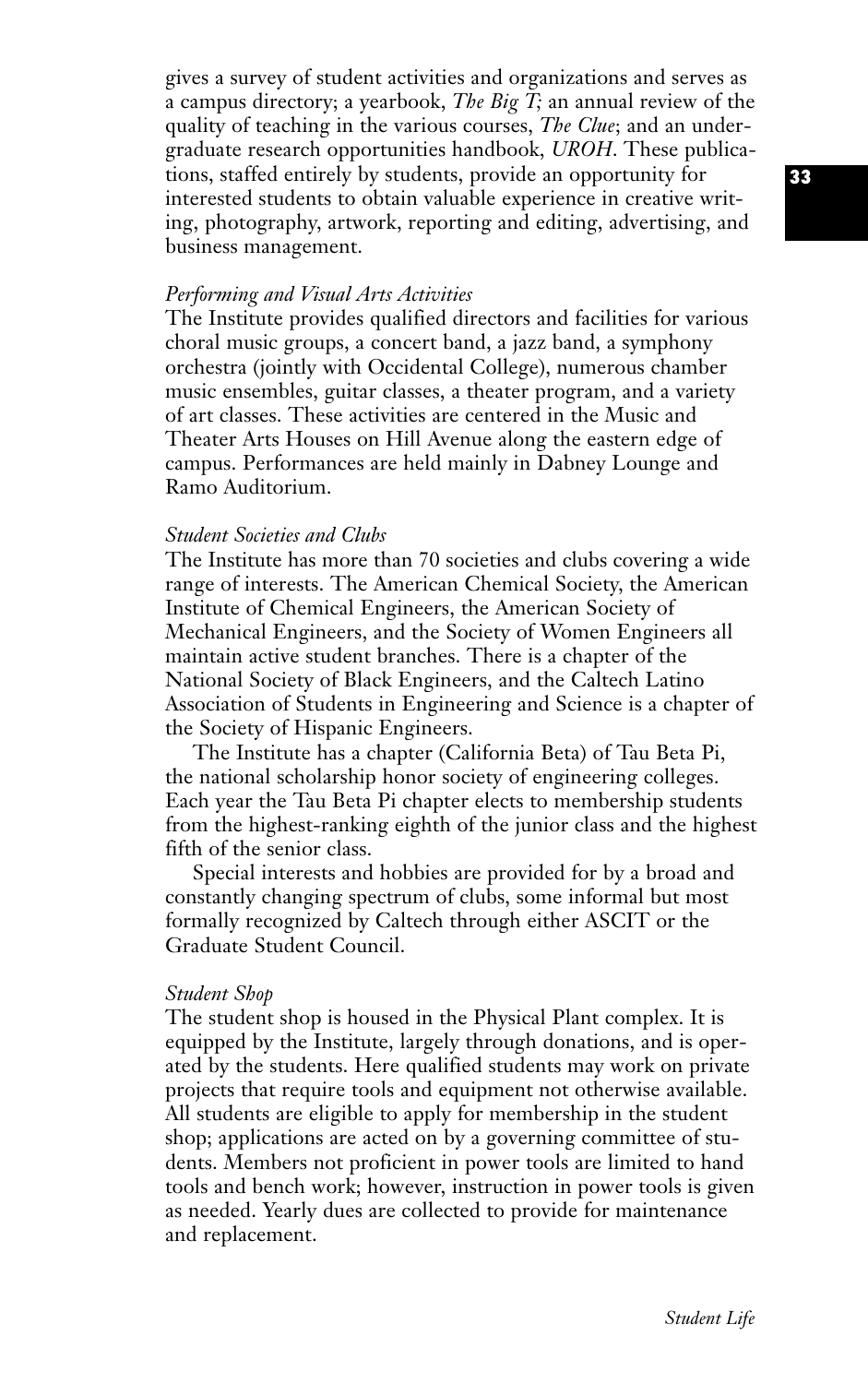gives a survey of student activities and organizations and serves as a campus directory; a yearbook, *The Big T;* an annual review of the quality of teaching in the various courses, *The Clue*; and an undergraduate research opportunities handbook, *UROH*. These publications, staffed entirely by students, provide an opportunity for interested students to obtain valuable experience in creative writing, photography, artwork, reporting and editing, advertising, and business management.

# *Performing and Visual Arts Activities*

The Institute provides qualified directors and facilities for various choral music groups, a concert band, a jazz band, a symphony orchestra (jointly with Occidental College), numerous chamber music ensembles, guitar classes, a theater program, and a variety of art classes. These activities are centered in the Music and Theater Arts Houses on Hill Avenue along the eastern edge of campus. Performances are held mainly in Dabney Lounge and Ramo Auditorium.

# *Student Societies and Clubs*

The Institute has more than 70 societies and clubs covering a wide range of interests. The American Chemical Society, the American Institute of Chemical Engineers, the American Society of Mechanical Engineers, and the Society of Women Engineers all maintain active student branches. There is a chapter of the National Society of Black Engineers, and the Caltech Latino Association of Students in Engineering and Science is a chapter of the Society of Hispanic Engineers.

The Institute has a chapter (California Beta) of Tau Beta Pi, the national scholarship honor society of engineering colleges. Each year the Tau Beta Pi chapter elects to membership students from the highest-ranking eighth of the junior class and the highest fifth of the senior class.

Special interests and hobbies are provided for by a broad and constantly changing spectrum of clubs, some informal but most formally recognized by Caltech through either ASCIT or the Graduate Student Council.

## *Student Shop*

The student shop is housed in the Physical Plant complex. It is equipped by the Institute, largely through donations, and is operated by the students. Here qualified students may work on private projects that require tools and equipment not otherwise available. All students are eligible to apply for membership in the student shop; applications are acted on by a governing committee of students. Members not proficient in power tools are limited to hand tools and bench work; however, instruction in power tools is given as needed. Yearly dues are collected to provide for maintenance and replacement.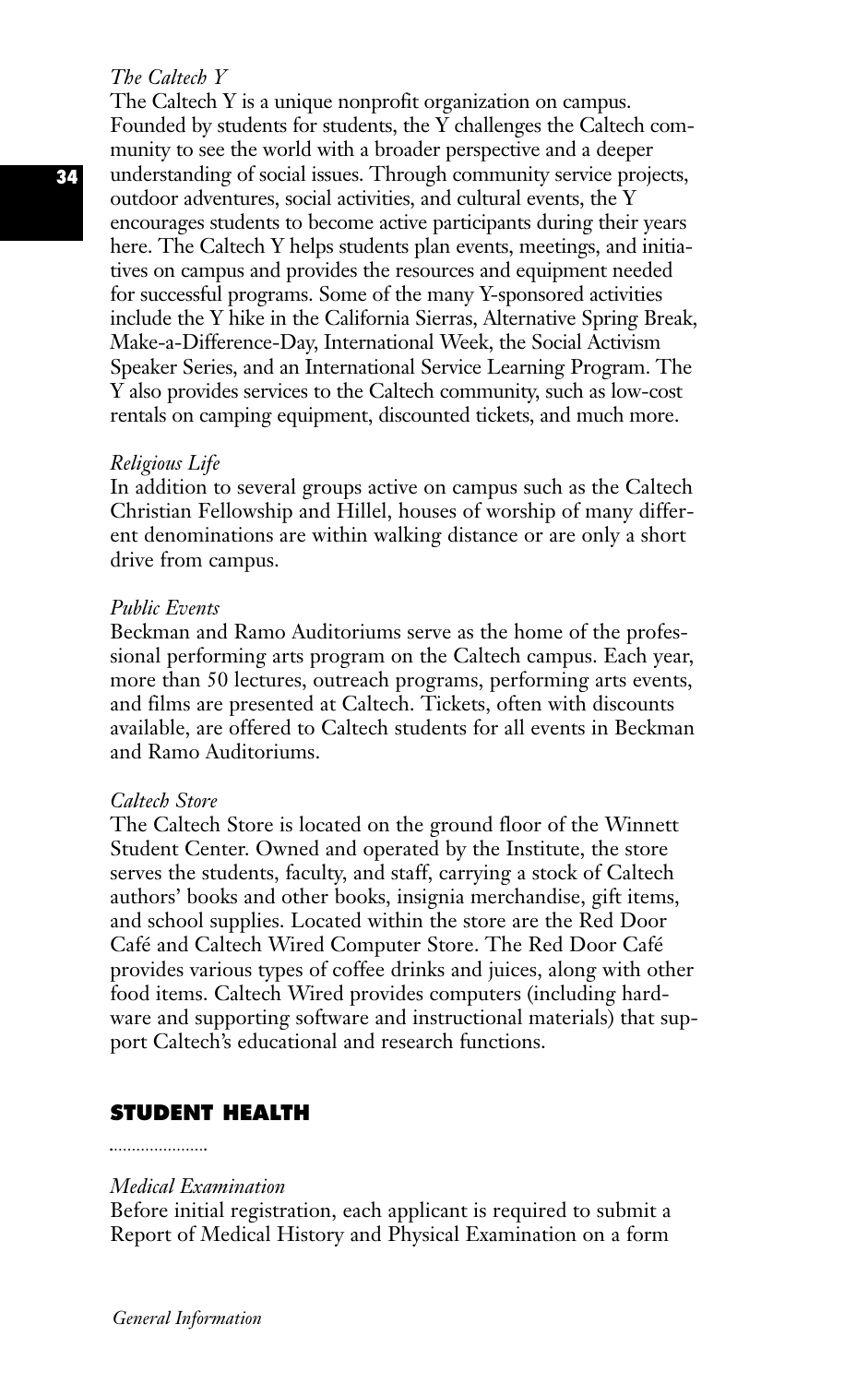# *The Caltech Y*

The Caltech Y is a unique nonprofit organization on campus. Founded by students for students, the Y challenges the Caltech community to see the world with a broader perspective and a deeper understanding of social issues. Through community service projects, outdoor adventures, social activities, and cultural events, the Y encourages students to become active participants during their years here. The Caltech Y helps students plan events, meetings, and initiatives on campus and provides the resources and equipment needed for successful programs. Some of the many Y-sponsored activities include the Y hike in the California Sierras, Alternative Spring Break, Make-a-Difference-Day, International Week, the Social Activism Speaker Series, and an International Service Learning Program. The Y also provides services to the Caltech community, such as low-cost rentals on camping equipment, discounted tickets, and much more.

## *Religious Life*

In addition to several groups active on campus such as the Caltech Christian Fellowship and Hillel, houses of worship of many different denominations are within walking distance or are only a short drive from campus.

# *Public Events*

Beckman and Ramo Auditoriums serve as the home of the professional performing arts program on the Caltech campus. Each year, more than 50 lectures, outreach programs, performing arts events, and films are presented at Caltech. Tickets, often with discounts available, are offered to Caltech students for all events in Beckman and Ramo Auditoriums.

## *Caltech Store*

The Caltech Store is located on the ground floor of the Winnett Student Center. Owned and operated by the Institute, the store serves the students, faculty, and staff, carrying a stock of Caltech authors' books and other books, insignia merchandise, gift items, and school supplies. Located within the store are the Red Door Café and Caltech Wired Computer Store. The Red Door Café provides various types of coffee drinks and juices, along with other food items. Caltech Wired provides computers (including hardware and supporting software and instructional materials) that support Caltech's educational and research functions.

# **STUDENT HEALTH**

## 

## *Medical Examination*

Before initial registration, each applicant is required to submit a Report of Medical History and Physical Examination on a form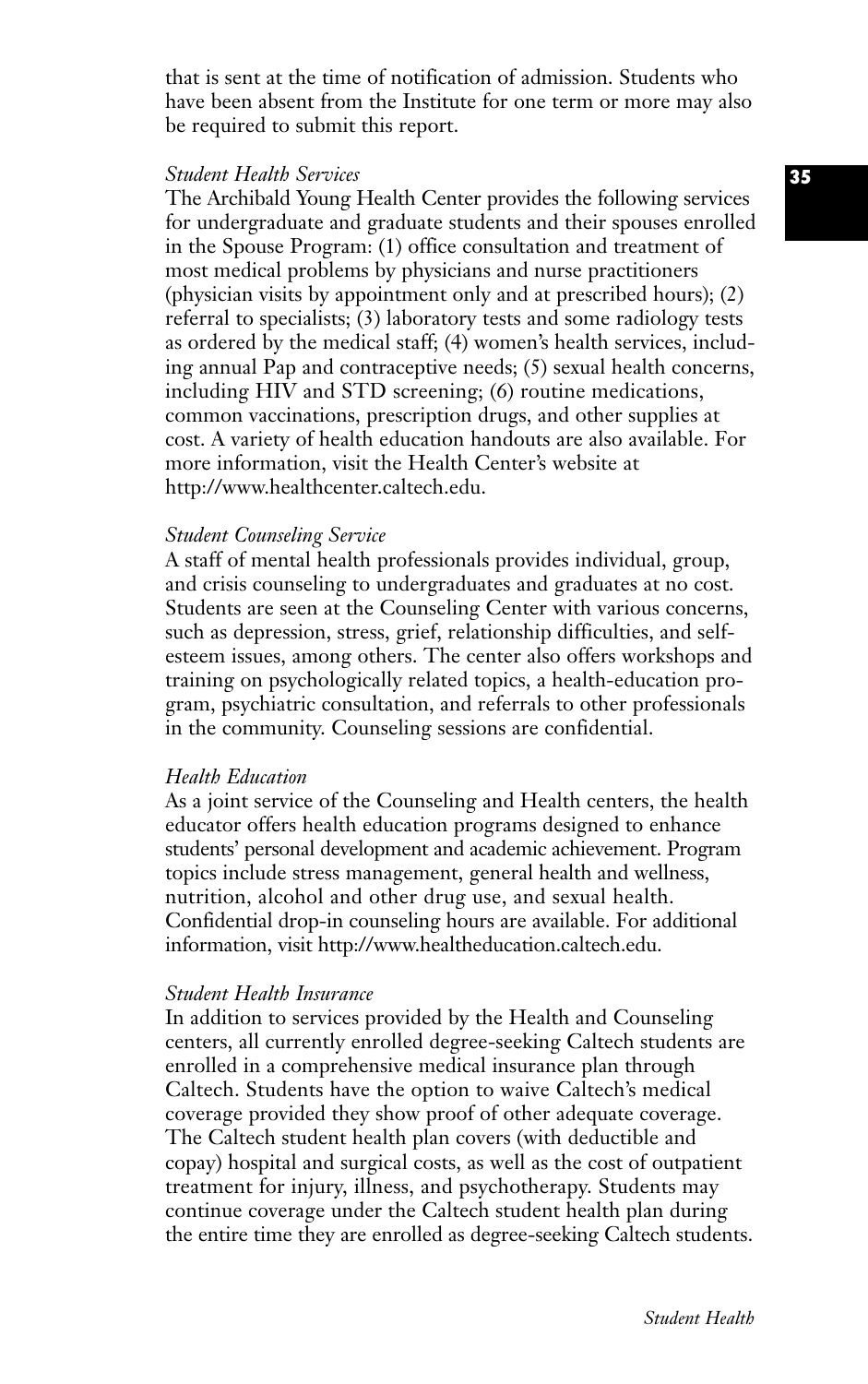that is sent at the time of notification of admission. Students who have been absent from the Institute for one term or more may also be required to submit this report.

## *Student Health Services*

The Archibald Young Health Center provides the following services for undergraduate and graduate students and their spouses enrolled in the Spouse Program: (1) office consultation and treatment of most medical problems by physicians and nurse practitioners (physician visits by appointment only and at prescribed hours); (2) referral to specialists; (3) laboratory tests and some radiology tests as ordered by the medical staff; (4) women's health services, including annual Pap and contraceptive needs; (5) sexual health concerns, including HIV and STD screening; (6) routine medications, common vaccinations, prescription drugs, and other supplies at cost. A variety of health education handouts are also available. For more information, visit the Health Center's website at http://www.healthcenter.caltech.edu.

## *Student Counseling Service*

A staff of mental health professionals provides individual, group, and crisis counseling to undergraduates and graduates at no cost. Students are seen at the Counseling Center with various concerns, such as depression, stress, grief, relationship difficulties, and selfesteem issues, among others. The center also offers workshops and training on psychologically related topics, a health-education program, psychiatric consultation, and referrals to other professionals in the community. Counseling sessions are confidential.

## *Health Education*

As a joint service of the Counseling and Health centers, the health educator offers health education programs designed to enhance students' personal development and academic achievement. Program topics include stress management, general health and wellness, nutrition, alcohol and other drug use, and sexual health. Confidential drop-in counseling hours are available. For additional information, visit http://www.healtheducation.caltech.edu.

## *Student Health Insurance*

In addition to services provided by the Health and Counseling centers, all currently enrolled degree-seeking Caltech students are enrolled in a comprehensive medical insurance plan through Caltech. Students have the option to waive Caltech's medical coverage provided they show proof of other adequate coverage. The Caltech student health plan covers (with deductible and copay) hospital and surgical costs, as well as the cost of outpatient treatment for injury, illness, and psychotherapy. Students may continue coverage under the Caltech student health plan during the entire time they are enrolled as degree-seeking Caltech students.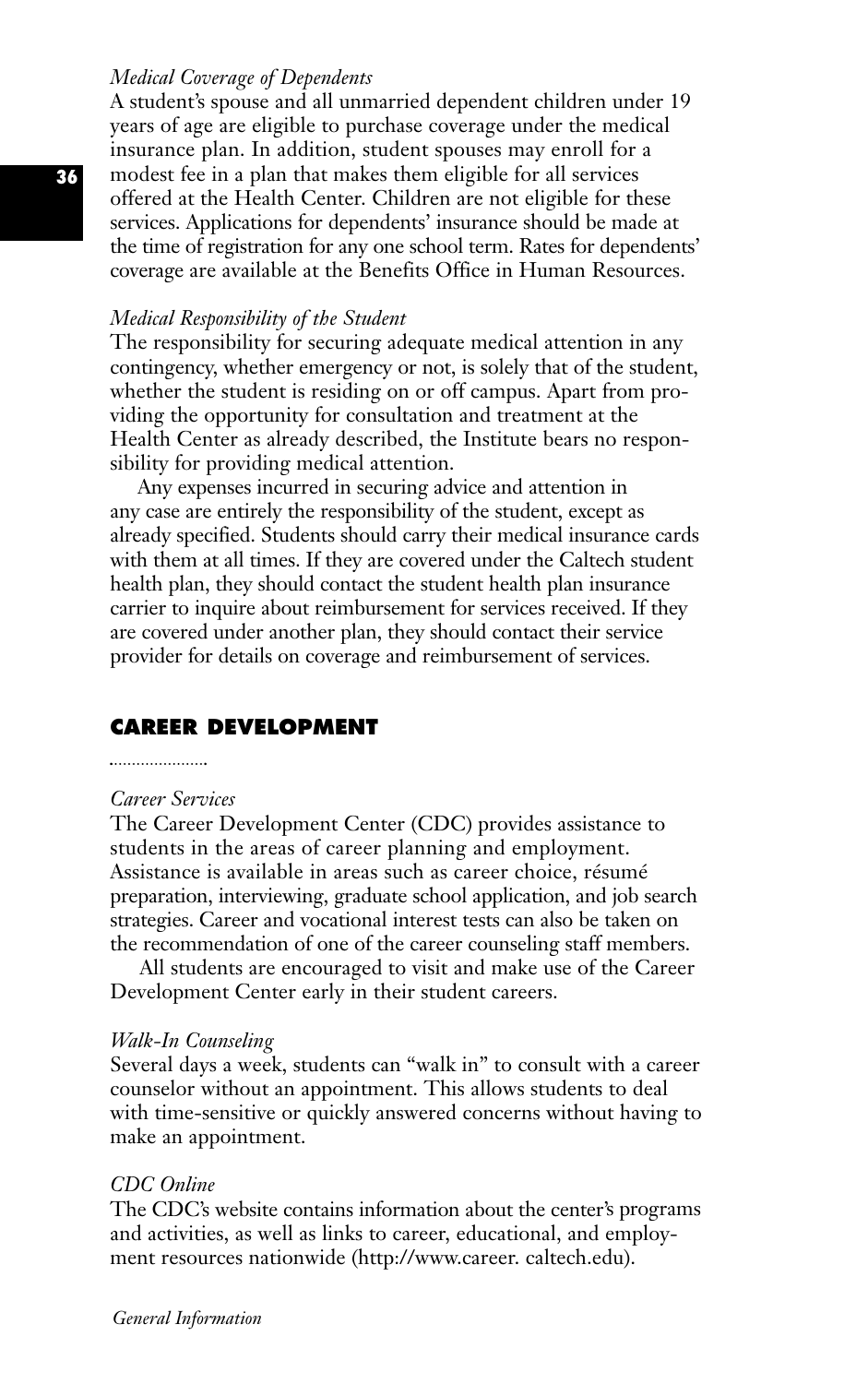# *Medical Coverage of Dependents*

A student's spouse and all unmarried dependent children under 19 years of age are eligible to purchase coverage under the medical insurance plan. In addition, student spouses may enroll for a modest fee in a plan that makes them eligible for all services offered at the Health Center. Children are not eligible for these services. Applications for dependents' insurance should be made at the time of registration for any one school term. Rates for dependents' coverage are available at the Benefits Office in Human Resources.

# *Medical Responsibility of the Student*

The responsibility for securing adequate medical attention in any contingency, whether emergency or not, is solely that of the student, whether the student is residing on or off campus. Apart from providing the opportunity for consultation and treatment at the Health Center as already described, the Institute bears no responsibility for providing medical attention.

Any expenses incurred in securing advice and attention in any case are entirely the responsibility of the student, except as already specified. Students should carry their medical insurance cards with them at all times. If they are covered under the Caltech student health plan, they should contact the student health plan insurance carrier to inquire about reimbursement for services received. If they are covered under another plan, they should contact their service provider for details on coverage and reimbursement of services.

# **CAREER DEVELOPMENT**

#### 

## *Career Services*

The Career Development Center (CDC) provides assistance to students in the areas of career planning and employment. Assistance is available in areas such as career choice, résumé preparation, interviewing, graduate school application, and job search strategies. Career and vocational interest tests can also be taken on the recommendation of one of the career counseling staff members.

All students are encouraged to visit and make use of the Career Development Center early in their student careers.

#### *Walk-In Counseling*

Several days a week, students can "walk in" to consult with a career counselor without an appointment. This allows students to deal with time-sensitive or quickly answered concerns without having to make an appointment.

# *CDC Online*

The CDC's website contains information about the center's programs and activities, as well as links to career, educational, and employment resources nationwide (http://www.career. caltech.edu).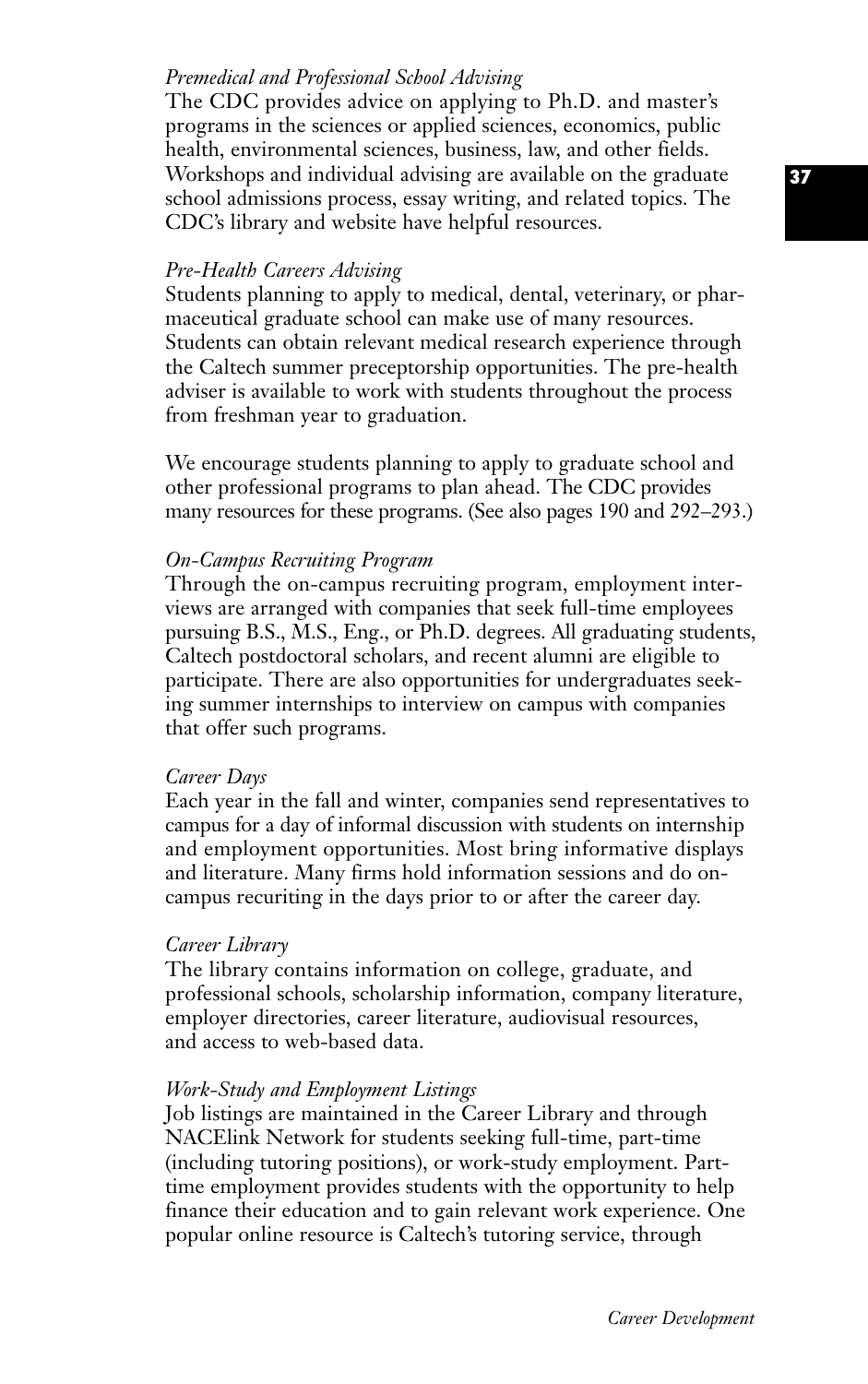## *Premedical and Professional School Advising*

The CDC provides advice on applying to Ph.D. and master's programs in the sciences or applied sciences, economics, public health, environmental sciences, business, law, and other fields. Workshops and individual advising are available on the graduate school admissions process, essay writing, and related topics. The CDC's library and website have helpful resources.

### *Pre-Health Careers Advising*

Students planning to apply to medical, dental, veterinary, or pharmaceutical graduate school can make use of many resources. Students can obtain relevant medical research experience through the Caltech summer preceptorship opportunities. The pre-health adviser is available to work with students throughout the process from freshman year to graduation.

We encourage students planning to apply to graduate school and other professional programs to plan ahead. The CDC provides many resources for these programs. (See also pages 190 and 292–293.)

### *On-Campus Recruiting Program*

Through the on-campus recruiting program, employment interviews are arranged with companies that seek full-time employees pursuing B.S., M.S., Eng., or Ph.D. degrees. All graduating students, Caltech postdoctoral scholars, and recent alumni are eligible to participate. There are also opportunities for undergraduates seeking summer internships to interview on campus with companies that offer such programs.

### *Career Days*

Each year in the fall and winter, companies send representatives to campus for a day of informal discussion with students on internship and employment opportunities. Most bring informative displays and literature. Many firms hold information sessions and do oncampus recuriting in the days prior to or after the career day.

### *Career Library*

The library contains information on college, graduate, and professional schools, scholarship information, company literature, employer directories, career literature, audiovisual resources, and access to web-based data.

### *Work-Study and Employment Listings*

Job listings are maintained in the Career Library and through NACElink Network for students seeking full-time, part-time (including tutoring positions), or work-study employment. Parttime employment provides students with the opportunity to help finance their education and to gain relevant work experience. One popular online resource is Caltech's tutoring service, through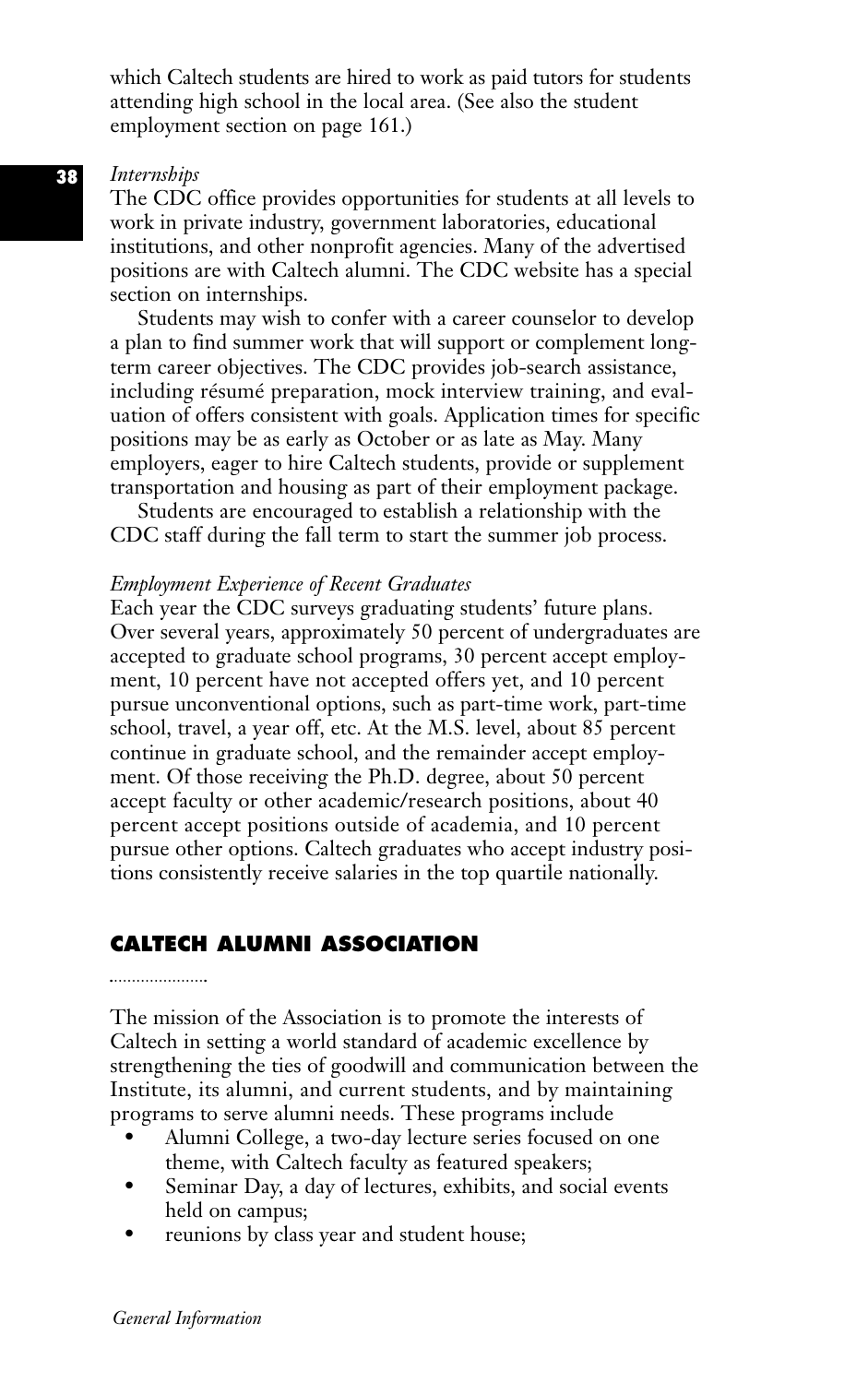which Caltech students are hired to work as paid tutors for students attending high school in the local area. (See also the student employment section on page 161.)

#### *Internships*

The CDC office provides opportunities for students at all levels to work in private industry, government laboratories, educational institutions, and other nonprofit agencies. Many of the advertised positions are with Caltech alumni. The CDC website has a special section on internships.

Students may wish to confer with a career counselor to develop a plan to find summer work that will support or complement longterm career objectives. The CDC provides job-search assistance, including résumé preparation, mock interview training, and evaluation of offers consistent with goals. Application times for specific positions may be as early as October or as late as May. Many employers, eager to hire Caltech students, provide or supplement transportation and housing as part of their employment package.

Students are encouraged to establish a relationship with the CDC staff during the fall term to start the summer job process.

### *Employment Experience of Recent Graduates*

Each year the CDC surveys graduating students' future plans. Over several years, approximately 50 percent of undergraduates are accepted to graduate school programs, 30 percent accept employment, 10 percent have not accepted offers yet, and 10 percent pursue unconventional options, such as part-time work, part-time school, travel, a year off, etc. At the M.S. level, about 85 percent continue in graduate school, and the remainder accept employment. Of those receiving the Ph.D. degree, about 50 percent accept faculty or other academic/research positions, about 40 percent accept positions outside of academia, and 10 percent pursue other options. Caltech graduates who accept industry positions consistently receive salaries in the top quartile nationally.

## **CALTECH ALUMNI ASSOCIATION**

The mission of the Association is to promote the interests of Caltech in setting a world standard of academic excellence by strengthening the ties of goodwill and communication between the Institute, its alumni, and current students, and by maintaining programs to serve alumni needs. These programs include

- Alumni College, a two-day lecture series focused on one theme, with Caltech faculty as featured speakers;
- Seminar Day, a day of lectures, exhibits, and social events held on campus;
- reunions by class year and student house;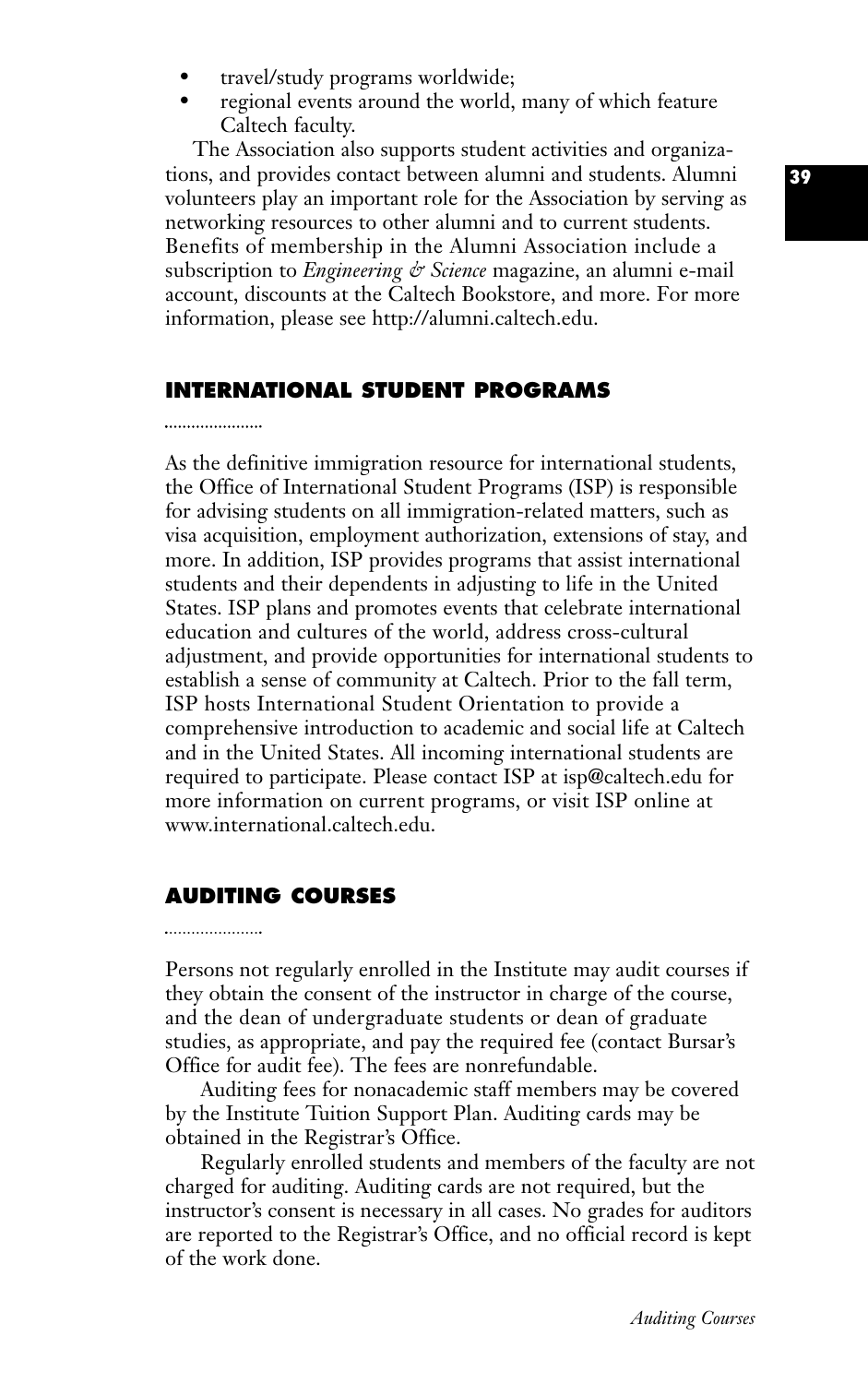- travel/study programs worldwide;
- regional events around the world, many of which feature Caltech faculty.

The Association also supports student activities and organizations, and provides contact between alumni and students. Alumni volunteers play an important role for the Association by serving as networking resources to other alumni and to current students. Benefits of membership in the Alumni Association include a subscription to *Engineering & Science* magazine, an alumni e-mail account, discounts at the Caltech Bookstore, and more. For more information, please see http://alumni.caltech.edu.

## **INTERNATIONAL STUDENT PROGRAMS**

As the definitive immigration resource for international students, the Office of International Student Programs (ISP) is responsible for advising students on all immigration-related matters, such as visa acquisition, employment authorization, extensions of stay, and more. In addition, ISP provides programs that assist international students and their dependents in adjusting to life in the United States. ISP plans and promotes events that celebrate international education and cultures of the world, address cross-cultural adjustment, and provide opportunities for international students to establish a sense of community at Caltech. Prior to the fall term, ISP hosts International Student Orientation to provide a comprehensive introduction to academic and social life at Caltech and in the United States. All incoming international students are required to participate. Please contact ISP at isp@caltech.edu for more information on current programs, or visit ISP online at www.international.caltech.edu.

## **AUDITING COURSES**

Persons not regularly enrolled in the Institute may audit courses if they obtain the consent of the instructor in charge of the course, and the dean of undergraduate students or dean of graduate studies, as appropriate, and pay the required fee (contact Bursar's Office for audit fee). The fees are nonrefundable.

Auditing fees for nonacademic staff members may be covered by the Institute Tuition Support Plan. Auditing cards may be obtained in the Registrar's Office.

Regularly enrolled students and members of the faculty are not charged for auditing. Auditing cards are not required, but the instructor's consent is necessary in all cases. No grades for auditors are reported to the Registrar's Office, and no official record is kept of the work done.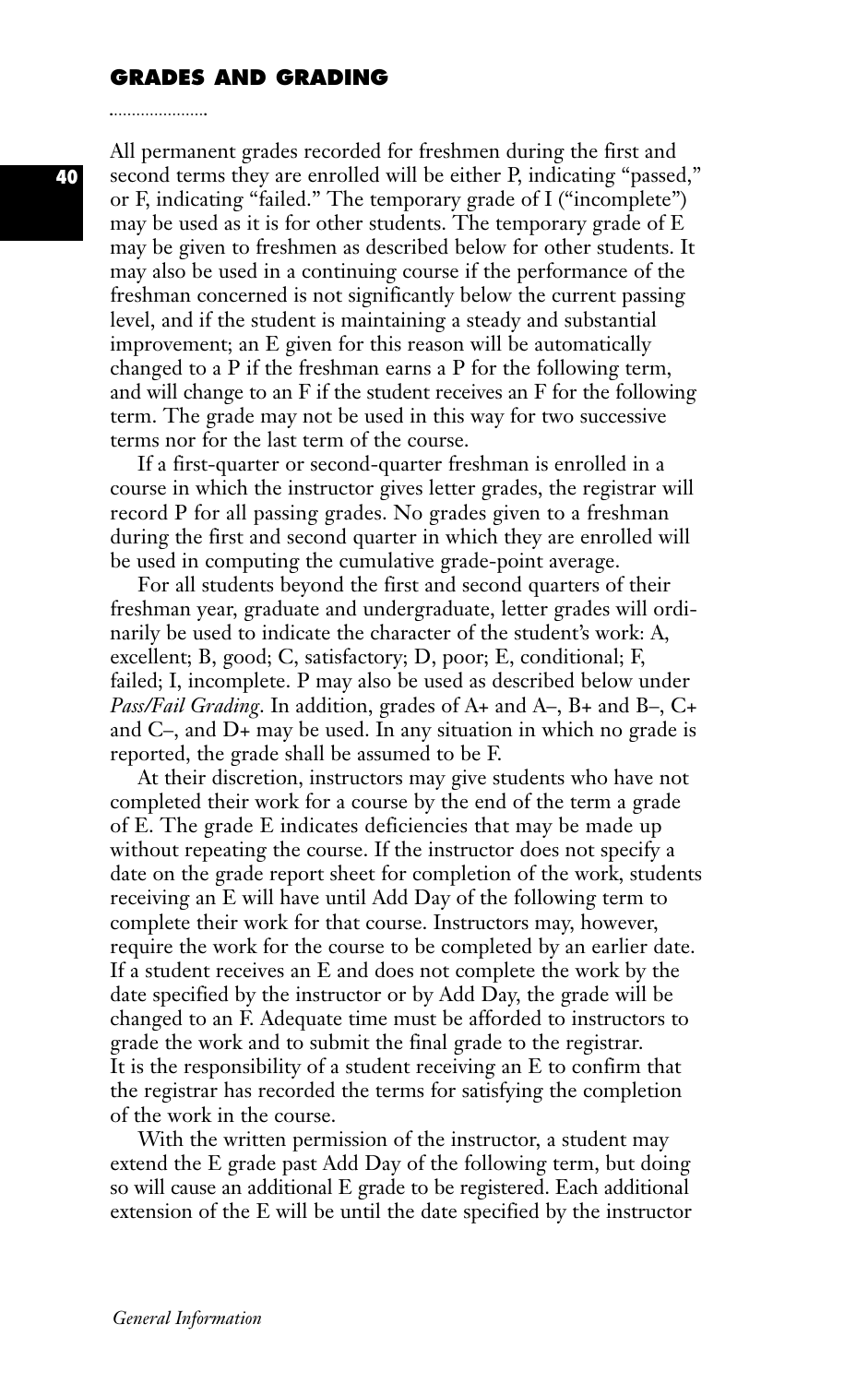#### **GRADES AND GRADING**

All permanent grades recorded for freshmen during the first and second terms they are enrolled will be either P, indicating "passed," or F, indicating "failed." The temporary grade of I ("incomplete") may be used as it is for other students. The temporary grade of E may be given to freshmen as described below for other students. It may also be used in a continuing course if the performance of the freshman concerned is not significantly below the current passing level, and if the student is maintaining a steady and substantial improvement; an E given for this reason will be automatically changed to a P if the freshman earns a P for the following term, and will change to an F if the student receives an F for the following term. The grade may not be used in this way for two successive terms nor for the last term of the course.

If a first-quarter or second-quarter freshman is enrolled in a course in which the instructor gives letter grades, the registrar will record P for all passing grades. No grades given to a freshman during the first and second quarter in which they are enrolled will be used in computing the cumulative grade-point average.

For all students beyond the first and second quarters of their freshman year, graduate and undergraduate, letter grades will ordinarily be used to indicate the character of the student's work: A, excellent; B, good; C, satisfactory; D, poor; E, conditional; F, failed; I, incomplete. P may also be used as described below under *Pass/Fail Grading*. In addition, grades of A+ and A–, B+ and B–, C+ and C–, and D+ may be used. In any situation in which no grade is reported, the grade shall be assumed to be F.

At their discretion, instructors may give students who have not completed their work for a course by the end of the term a grade of E. The grade E indicates deficiencies that may be made up without repeating the course. If the instructor does not specify a date on the grade report sheet for completion of the work, students receiving an E will have until Add Day of the following term to complete their work for that course. Instructors may, however, require the work for the course to be completed by an earlier date. If a student receives an E and does not complete the work by the date specified by the instructor or by Add Day, the grade will be changed to an F. Adequate time must be afforded to instructors to grade the work and to submit the final grade to the registrar. It is the responsibility of a student receiving an E to confirm that the registrar has recorded the terms for satisfying the completion of the work in the course.

With the written permission of the instructor, a student may extend the E grade past Add Day of the following term, but doing so will cause an additional E grade to be registered. Each additional extension of the E will be until the date specified by the instructor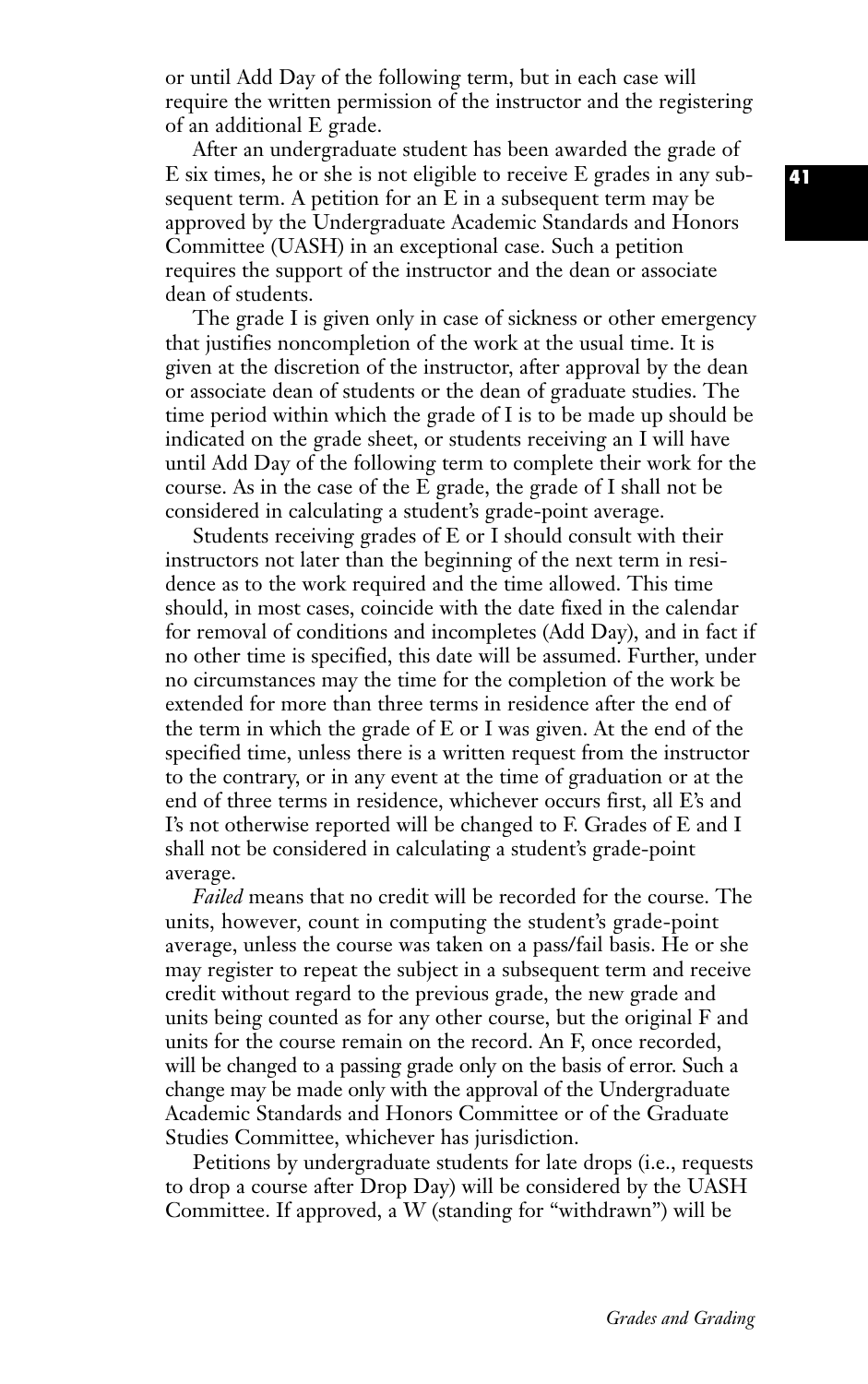or until Add Day of the following term, but in each case will require the written permission of the instructor and the registering of an additional E grade.

After an undergraduate student has been awarded the grade of E six times, he or she is not eligible to receive E grades in any subsequent term. A petition for an E in a subsequent term may be approved by the Undergraduate Academic Standards and Honors Committee (UASH) in an exceptional case. Such a petition requires the support of the instructor and the dean or associate dean of students.

The grade I is given only in case of sickness or other emergency that justifies noncompletion of the work at the usual time. It is given at the discretion of the instructor, after approval by the dean or associate dean of students or the dean of graduate studies. The time period within which the grade of I is to be made up should be indicated on the grade sheet, or students receiving an I will have until Add Day of the following term to complete their work for the course. As in the case of the E grade, the grade of I shall not be considered in calculating a student's grade-point average.

Students receiving grades of E or I should consult with their instructors not later than the beginning of the next term in residence as to the work required and the time allowed. This time should, in most cases, coincide with the date fixed in the calendar for removal of conditions and incompletes (Add Day), and in fact if no other time is specified, this date will be assumed. Further, under no circumstances may the time for the completion of the work be extended for more than three terms in residence after the end of the term in which the grade of E or I was given. At the end of the specified time, unless there is a written request from the instructor to the contrary, or in any event at the time of graduation or at the end of three terms in residence, whichever occurs first, all E's and I's not otherwise reported will be changed to F. Grades of E and I shall not be considered in calculating a student's grade-point average.

*Failed* means that no credit will be recorded for the course. The units, however, count in computing the student's grade-point average, unless the course was taken on a pass/fail basis. He or she may register to repeat the subject in a subsequent term and receive credit without regard to the previous grade, the new grade and units being counted as for any other course, but the original F and units for the course remain on the record. An F, once recorded, will be changed to a passing grade only on the basis of error. Such a change may be made only with the approval of the Undergraduate Academic Standards and Honors Committee or of the Graduate Studies Committee, whichever has jurisdiction.

Petitions by undergraduate students for late drops (i.e., requests to drop a course after Drop Day) will be considered by the UASH Committee. If approved, a W (standing for "withdrawn") will be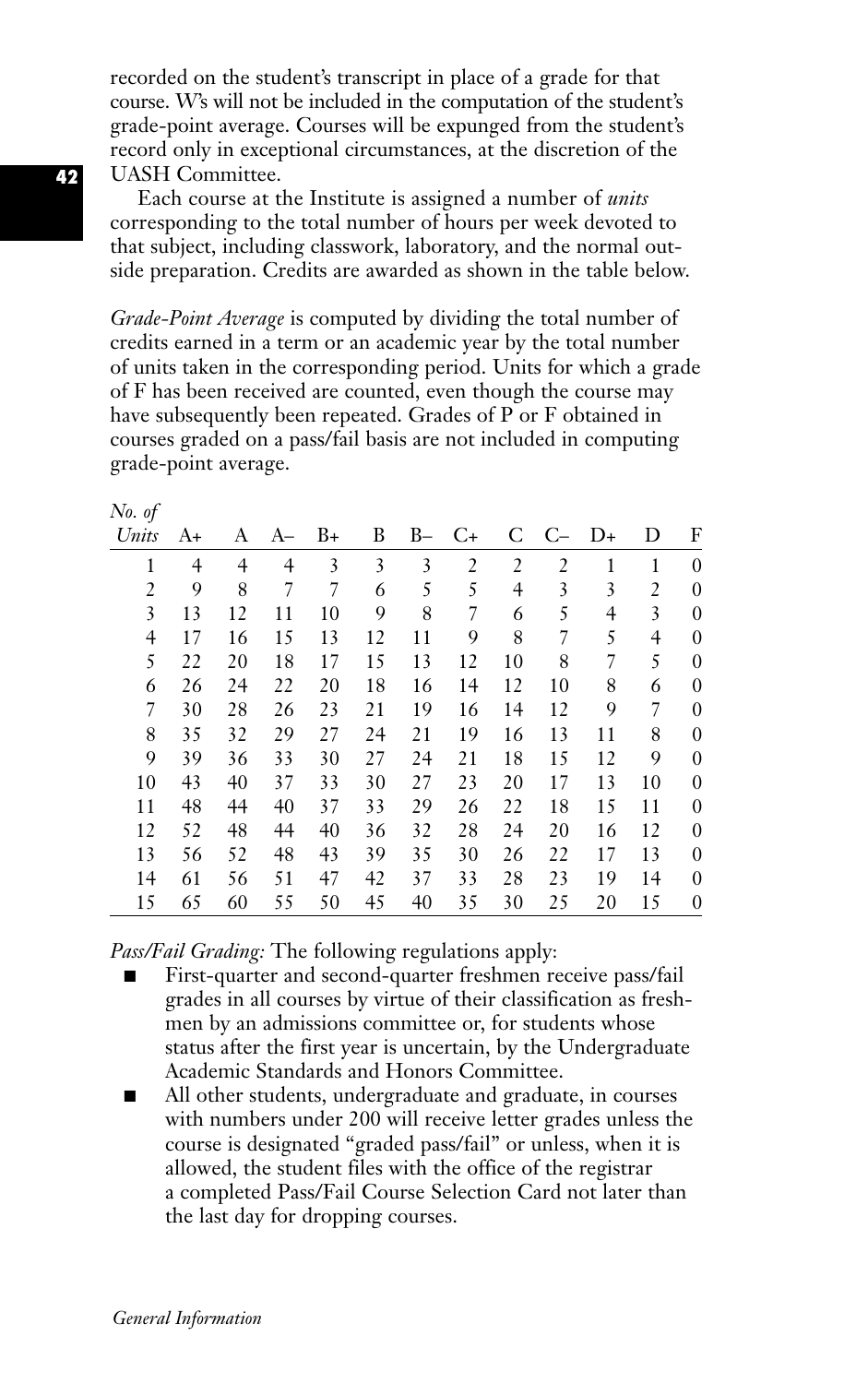recorded on the student's transcript in place of a grade for that course. W's will not be included in the computation of the student's grade-point average. Courses will be expunged from the student's record only in exceptional circumstances, at the discretion of the UASH Committee.

Each course at the Institute is assigned a number of *units* corresponding to the total number of hours per week devoted to that subject, including classwork, laboratory, and the normal outside preparation. Credits are awarded as shown in the table below.

*Grade-Point Average* is computed by dividing the total number of credits earned in a term or an academic year by the total number of units taken in the corresponding period. Units for which a grade of F has been received are counted, even though the course may have subsequently been repeated. Grades of P or F obtained in courses graded on a pass/fail basis are not included in computing grade-point average.

| Units          | A+             | А  | A–             | $B+$ | B  | B- | C+ | C  | $C-$ | $D+$ | D  | F            |
|----------------|----------------|----|----------------|------|----|----|----|----|------|------|----|--------------|
| 1              | $\overline{4}$ | 4  | $\overline{4}$ | 3    | 3  | 3  | 2  | 2  | 2    | 1    | 1  | $\theta$     |
| 2              | 9              | 8  | 7              | 7    | 6  | 5  | 5  | 4  | 3    | 3    | 2  | $\mathbf{0}$ |
| 3              | 13             | 12 | 11             | 10   | 9  | 8  | 7  | 6  | 5    | 4    | 3  | $\mathbf{0}$ |
| $\overline{4}$ | 17             | 16 | 15             | 13   | 12 | 11 | 9  | 8  | 7    | 5    | 4  | $\theta$     |
| 5              | 22             | 20 | 18             | 17   | 15 | 13 | 12 | 10 | 8    | 7    | 5  | $\mathbf{0}$ |
| 6              | 26             | 24 | 22             | 20   | 18 | 16 | 14 | 12 | 10   | 8    | 6  | $\mathbf{0}$ |
| 7              | 30             | 28 | 26             | 23   | 21 | 19 | 16 | 14 | 12   | 9    | 7  | $\theta$     |
| 8              | 35             | 32 | 29             | 27   | 24 | 21 | 19 | 16 | 13   | 11   | 8  | $\mathbf{0}$ |
| 9              | 39             | 36 | 33             | 30   | 27 | 24 | 21 | 18 | 15   | 12   | 9  | $\mathbf{0}$ |
| 10             | 43             | 40 | 37             | 33   | 30 | 27 | 23 | 20 | 17   | 13   | 10 | $\mathbf{0}$ |
| 11             | 48             | 44 | 40             | 37   | 33 | 29 | 26 | 22 | 18   | 15   | 11 | $\theta$     |
| 12             | 52             | 48 | 44             | 40   | 36 | 32 | 28 | 24 | 20   | 16   | 12 | $\mathbf{0}$ |
| 13             | 56             | 52 | 48             | 43   | 39 | 35 | 30 | 26 | 22   | 17   | 13 | $\mathbf{0}$ |
| 14             | 61             | 56 | 51             | 47   | 42 | 37 | 33 | 28 | 23   | 19   | 14 | $\mathbf{0}$ |
| 15             | 65             | 60 | 55             | 50   | 45 | 40 | 35 | 30 | 25   | 20   | 15 | $\mathbf{0}$ |

*Pass/Fail Grading:* The following regulations apply:

- First-quarter and second-quarter freshmen receive pass/fail grades in all courses by virtue of their classification as freshmen by an admissions committee or, for students whose status after the first year is uncertain, by the Undergraduate Academic Standards and Honors Committee.
- All other students, undergraduate and graduate, in courses with numbers under 200 will receive letter grades unless the course is designated "graded pass/fail'' or unless, when it is allowed, the student files with the office of the registrar a completed Pass/Fail Course Selection Card not later than the last day for dropping courses.

*No. of*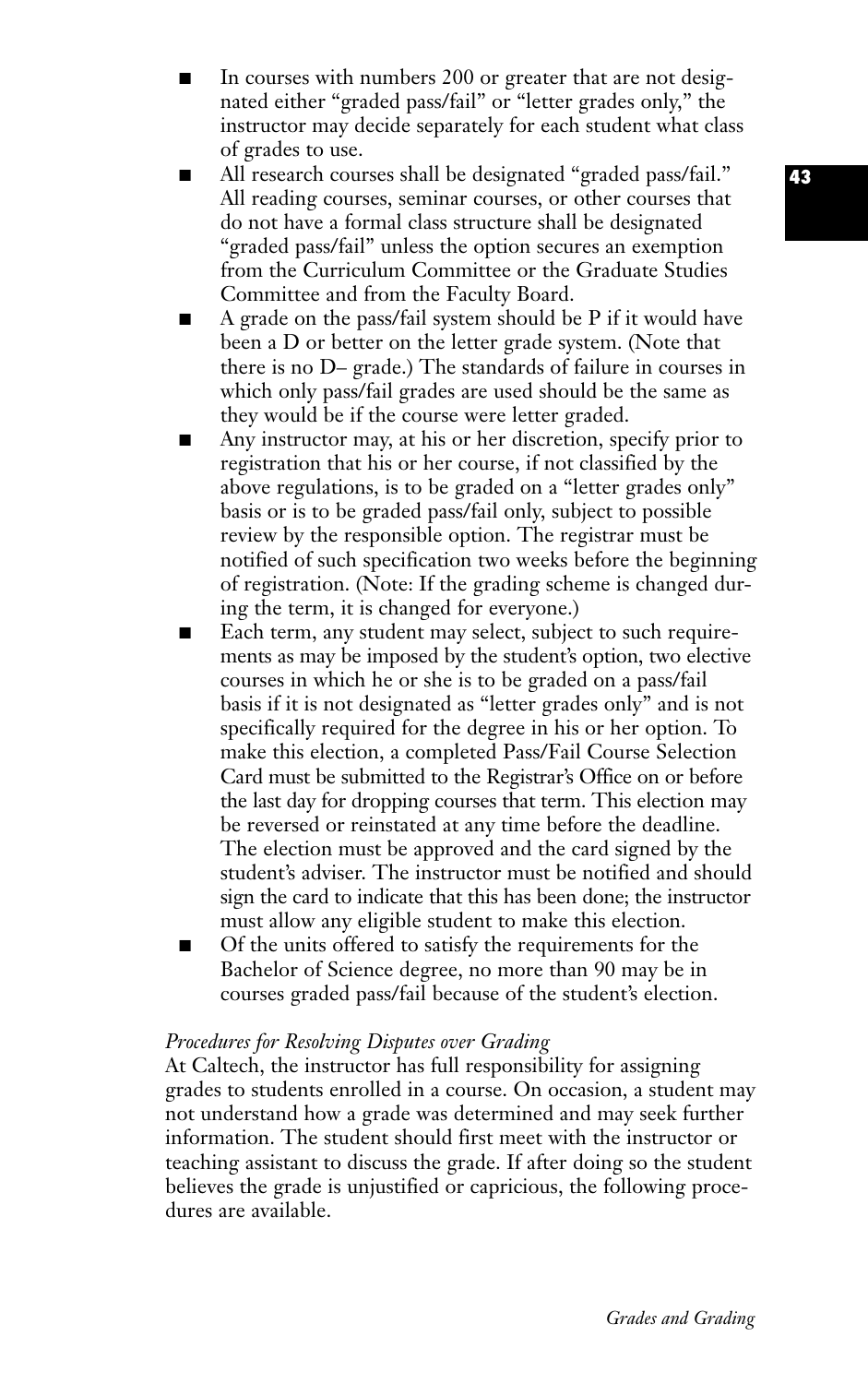- In courses with numbers 200 or greater that are not designated either "graded pass/fail'' or "letter grades only,'' the instructor may decide separately for each student what class of grades to use.
- **■** All research courses shall be designated "graded pass/fail.'' All reading courses, seminar courses, or other courses that do not have a formal class structure shall be designated "graded pass/fail'' unless the option secures an exemption from the Curriculum Committee or the Graduate Studies Committee and from the Faculty Board.
- A grade on the pass/fail system should be P if it would have been a D or better on the letter grade system. (Note that there is no D– grade.) The standards of failure in courses in which only pass/fail grades are used should be the same as they would be if the course were letter graded.
- Any instructor may, at his or her discretion, specify prior to registration that his or her course, if not classified by the above regulations, is to be graded on a "letter grades only'' basis or is to be graded pass/fail only, subject to possible review by the responsible option. The registrar must be notified of such specification two weeks before the beginning of registration. (Note: If the grading scheme is changed during the term, it is changed for everyone.)
- Each term, any student may select, subject to such requirements as may be imposed by the student's option, two elective courses in which he or she is to be graded on a pass/fail basis if it is not designated as "letter grades only'' and is not specifically required for the degree in his or her option. To make this election, a completed Pass/Fail Course Selection Card must be submitted to the Registrar's Office on or before the last day for dropping courses that term. This election may be reversed or reinstated at any time before the deadline. The election must be approved and the card signed by the student's adviser. The instructor must be notified and should sign the card to indicate that this has been done; the instructor must allow any eligible student to make this election.
- **■** Of the units offered to satisfy the requirements for the Bachelor of Science degree, no more than 90 may be in courses graded pass/fail because of the student's election.

## *Procedures for Resolving Disputes over Grading*

At Caltech, the instructor has full responsibility for assigning grades to students enrolled in a course. On occasion, a student may not understand how a grade was determined and may seek further information. The student should first meet with the instructor or teaching assistant to discuss the grade. If after doing so the student believes the grade is unjustified or capricious, the following procedures are available.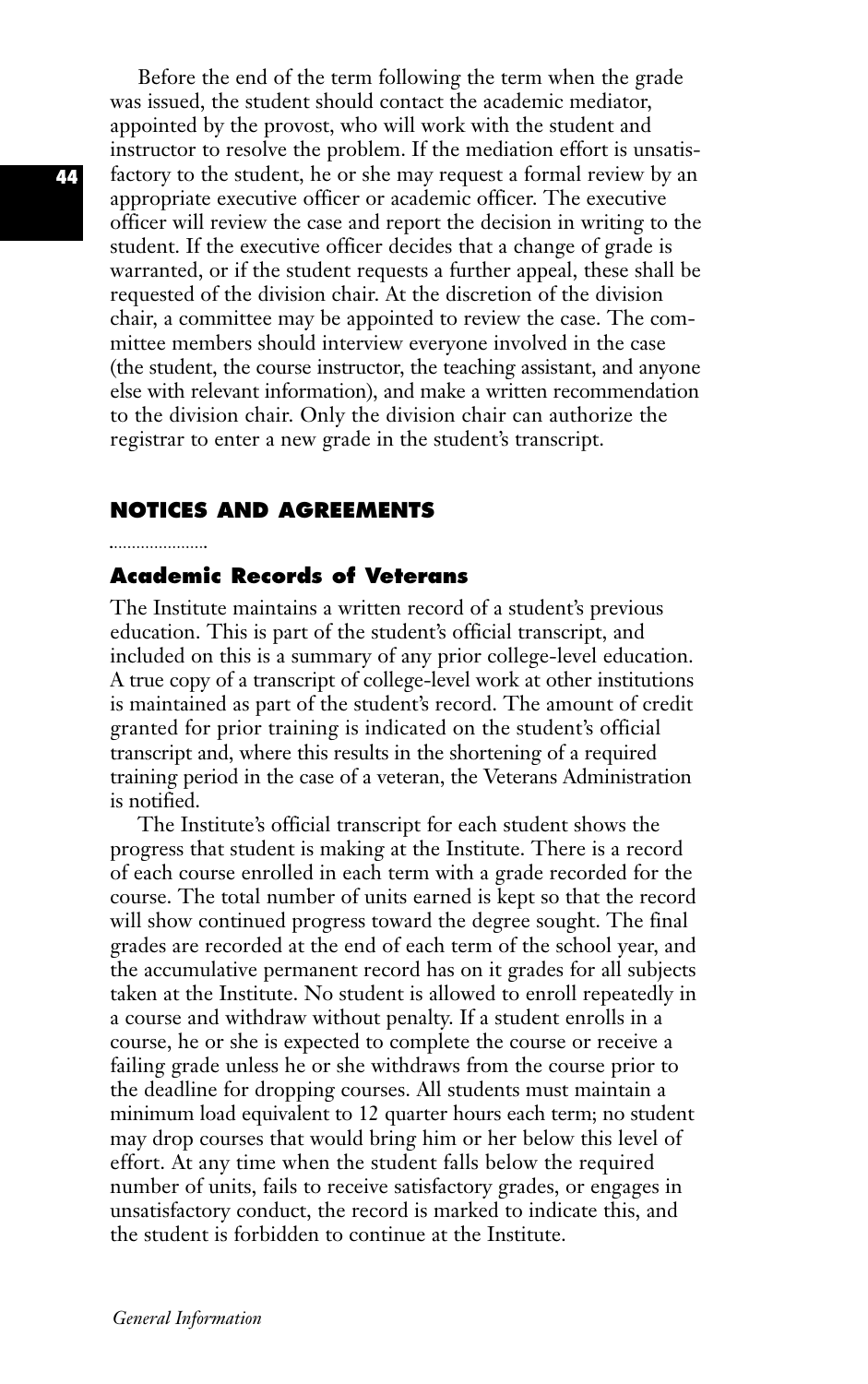Before the end of the term following the term when the grade was issued, the student should contact the academic mediator, appointed by the provost, who will work with the student and instructor to resolve the problem. If the mediation effort is unsatisfactory to the student, he or she may request a formal review by an appropriate executive officer or academic officer. The executive officer will review the case and report the decision in writing to the student. If the executive officer decides that a change of grade is warranted, or if the student requests a further appeal, these shall be requested of the division chair. At the discretion of the division chair, a committee may be appointed to review the case. The committee members should interview everyone involved in the case (the student, the course instructor, the teaching assistant, and anyone else with relevant information), and make a written recommendation to the division chair. Only the division chair can authorize the registrar to enter a new grade in the student's transcript.

## **NOTICES AND AGREEMENTS**

# **Academic Records of Veterans**

The Institute maintains a written record of a student's previous education. This is part of the student's official transcript, and included on this is a summary of any prior college-level education. A true copy of a transcript of college-level work at other institutions is maintained as part of the student's record. The amount of credit granted for prior training is indicated on the student's official transcript and, where this results in the shortening of a required training period in the case of a veteran, the Veterans Administration is notified.

The Institute's official transcript for each student shows the progress that student is making at the Institute. There is a record of each course enrolled in each term with a grade recorded for the course. The total number of units earned is kept so that the record will show continued progress toward the degree sought. The final grades are recorded at the end of each term of the school year, and the accumulative permanent record has on it grades for all subjects taken at the Institute. No student is allowed to enroll repeatedly in a course and withdraw without penalty. If a student enrolls in a course, he or she is expected to complete the course or receive a failing grade unless he or she withdraws from the course prior to the deadline for dropping courses. All students must maintain a minimum load equivalent to 12 quarter hours each term; no student may drop courses that would bring him or her below this level of effort. At any time when the student falls below the required number of units, fails to receive satisfactory grades, or engages in unsatisfactory conduct, the record is marked to indicate this, and the student is forbidden to continue at the Institute.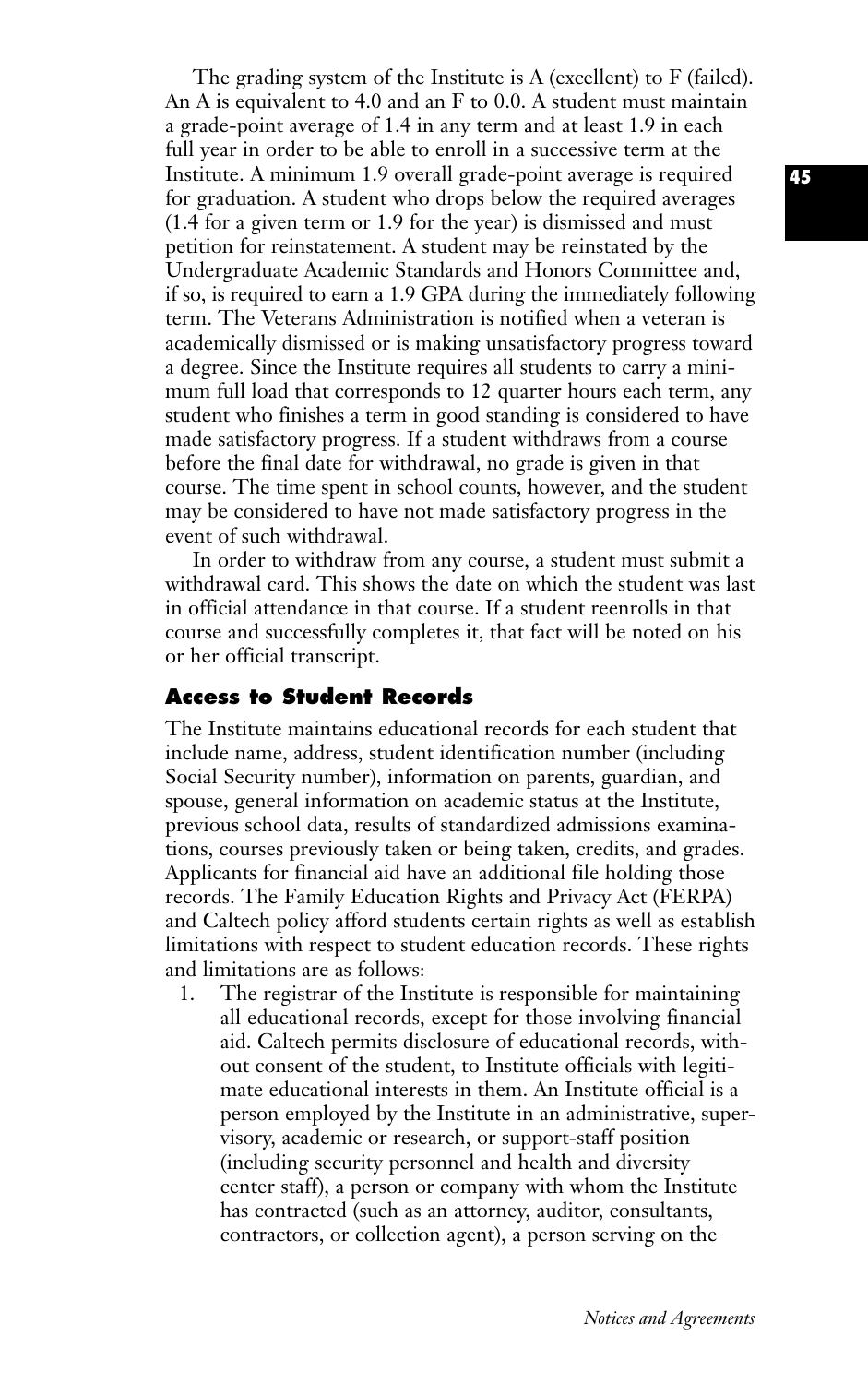The grading system of the Institute is A (excellent) to F (failed). An A is equivalent to 4.0 and an F to 0.0. A student must maintain a grade-point average of 1.4 in any term and at least 1.9 in each full year in order to be able to enroll in a successive term at the Institute. A minimum 1.9 overall grade-point average is required for graduation. A student who drops below the required averages (1.4 for a given term or 1.9 for the year) is dismissed and must petition for reinstatement. A student may be reinstated by the Undergraduate Academic Standards and Honors Committee and, if so, is required to earn a 1.9 GPA during the immediately following term. The Veterans Administration is notified when a veteran is academically dismissed or is making unsatisfactory progress toward a degree. Since the Institute requires all students to carry a minimum full load that corresponds to 12 quarter hours each term, any student who finishes a term in good standing is considered to have made satisfactory progress. If a student withdraws from a course before the final date for withdrawal, no grade is given in that course. The time spent in school counts, however, and the student may be considered to have not made satisfactory progress in the event of such withdrawal.

In order to withdraw from any course, a student must submit a withdrawal card. This shows the date on which the student was last in official attendance in that course. If a student reenrolls in that course and successfully completes it, that fact will be noted on his or her official transcript.

## **Access to Student Records**

The Institute maintains educational records for each student that include name, address, student identification number (including Social Security number), information on parents, guardian, and spouse, general information on academic status at the Institute, previous school data, results of standardized admissions examinations, courses previously taken or being taken, credits, and grades. Applicants for financial aid have an additional file holding those records. The Family Education Rights and Privacy Act (FERPA) and Caltech policy afford students certain rights as well as establish limitations with respect to student education records. These rights and limitations are as follows:

1. The registrar of the Institute is responsible for maintaining all educational records, except for those involving financial aid. Caltech permits disclosure of educational records, without consent of the student, to Institute officials with legitimate educational interests in them. An Institute official is a person employed by the Institute in an administrative, supervisory, academic or research, or support-staff position (including security personnel and health and diversity center staff), a person or company with whom the Institute has contracted (such as an attorney, auditor, consultants, contractors, or collection agent), a person serving on the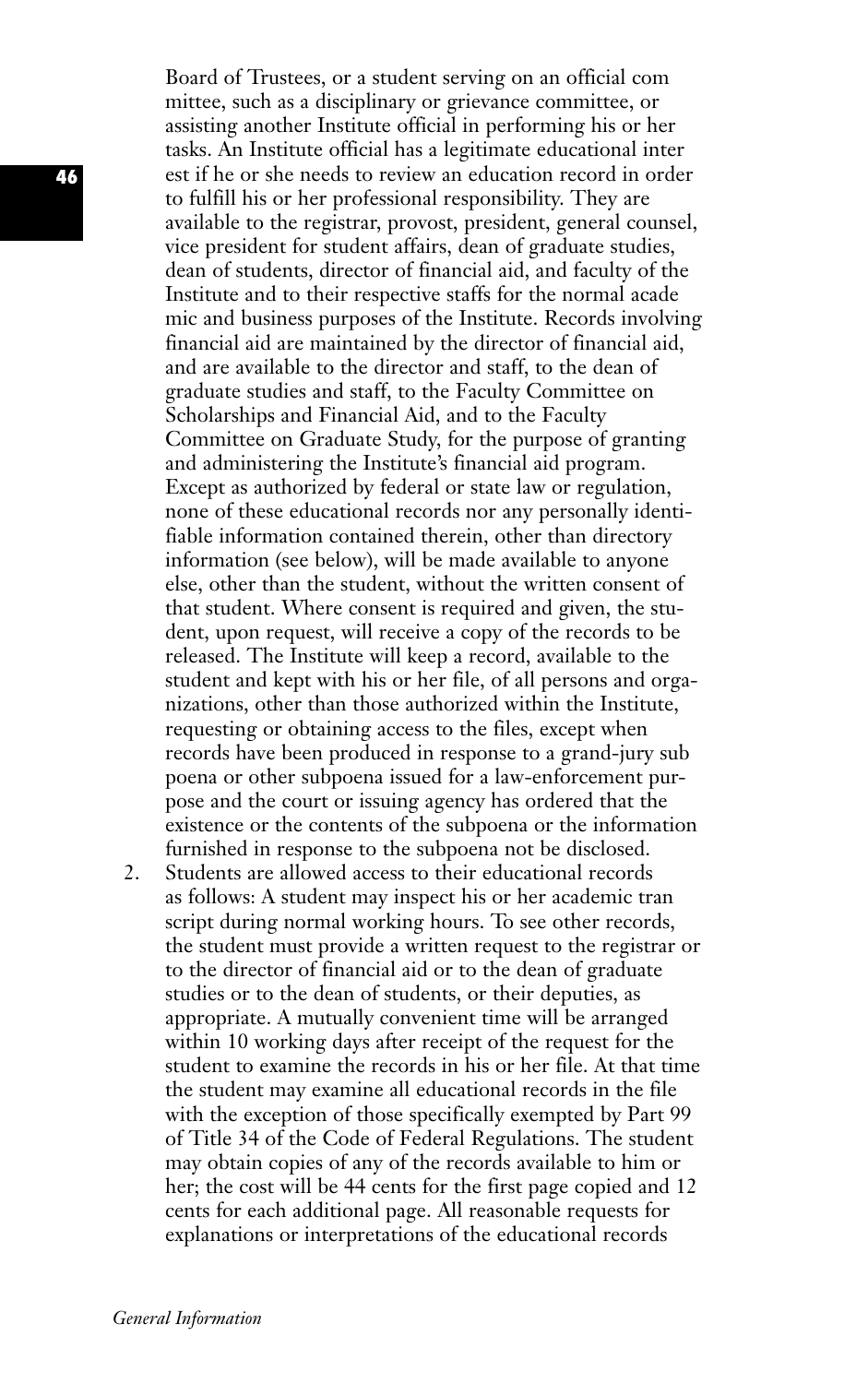Board of Trustees, or a student serving on an official com mittee, such as a disciplinary or grievance committee, or assisting another Institute official in performing his or her tasks. An Institute official has a legitimate educational inter est if he or she needs to review an education record in order to fulfill his or her professional responsibility. They are available to the registrar, provost, president, general counsel, vice president for student affairs, dean of graduate studies, dean of students, director of financial aid, and faculty of the Institute and to their respective staffs for the normal acade mic and business purposes of the Institute. Records involving financial aid are maintained by the director of financial aid, and are available to the director and staff, to the dean of graduate studies and staff, to the Faculty Committee on Scholarships and Financial Aid, and to the Faculty Committee on Graduate Study, for the purpose of granting and administering the Institute's financial aid program. Except as authorized by federal or state law or regulation, none of these educational records nor any personally identifiable information contained therein, other than directory information (see below), will be made available to anyone else, other than the student, without the written consent of that student. Where consent is required and given, the student, upon request, will receive a copy of the records to be released. The Institute will keep a record, available to the student and kept with his or her file, of all persons and organizations, other than those authorized within the Institute, requesting or obtaining access to the files, except when records have been produced in response to a grand-jury sub poena or other subpoena issued for a law-enforcement purpose and the court or issuing agency has ordered that the existence or the contents of the subpoena or the information furnished in response to the subpoena not be disclosed.

2. Students are allowed access to their educational records as follows: A student may inspect his or her academic tran script during normal working hours. To see other records, the student must provide a written request to the registrar or to the director of financial aid or to the dean of graduate studies or to the dean of students, or their deputies, as appropriate. A mutually convenient time will be arranged within 10 working days after receipt of the request for the student to examine the records in his or her file. At that time the student may examine all educational records in the file with the exception of those specifically exempted by Part 99 of Title 34 of the Code of Federal Regulations. The student may obtain copies of any of the records available to him or her; the cost will be 44 cents for the first page copied and 12 cents for each additional page. All reasonable requests for explanations or interpretations of the educational records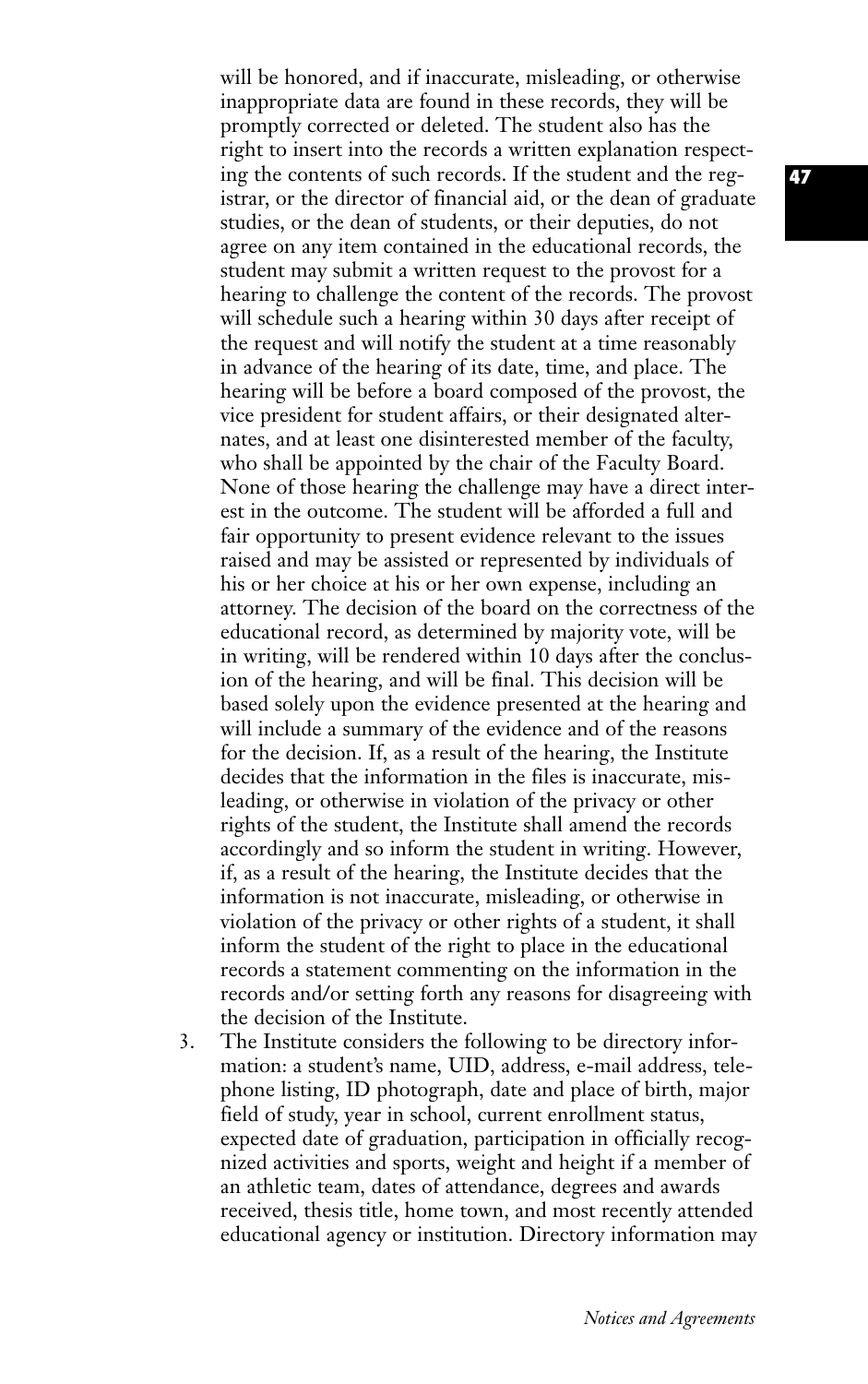will be honored, and if inaccurate, misleading, or otherwise inappropriate data are found in these records, they will be promptly corrected or deleted. The student also has the right to insert into the records a written explanation respecting the contents of such records. If the student and the registrar, or the director of financial aid, or the dean of graduate studies, or the dean of students, or their deputies, do not agree on any item contained in the educational records, the student may submit a written request to the provost for a hearing to challenge the content of the records. The provost will schedule such a hearing within 30 days after receipt of the request and will notify the student at a time reasonably in advance of the hearing of its date, time, and place. The hearing will be before a board composed of the provost, the vice president for student affairs, or their designated alternates, and at least one disinterested member of the faculty, who shall be appointed by the chair of the Faculty Board. None of those hearing the challenge may have a direct interest in the outcome. The student will be afforded a full and fair opportunity to present evidence relevant to the issues raised and may be assisted or represented by individuals of his or her choice at his or her own expense, including an attorney. The decision of the board on the correctness of the educational record, as determined by majority vote, will be in writing, will be rendered within 10 days after the conclusion of the hearing, and will be final. This decision will be based solely upon the evidence presented at the hearing and will include a summary of the evidence and of the reasons for the decision. If, as a result of the hearing, the Institute decides that the information in the files is inaccurate, misleading, or otherwise in violation of the privacy or other rights of the student, the Institute shall amend the records accordingly and so inform the student in writing. However, if, as a result of the hearing, the Institute decides that the information is not inaccurate, misleading, or otherwise in violation of the privacy or other rights of a student, it shall inform the student of the right to place in the educational records a statement commenting on the information in the records and/or setting forth any reasons for disagreeing with the decision of the Institute.

3. The Institute considers the following to be directory information: a student's name, UID, address, e-mail address, telephone listing, ID photograph, date and place of birth, major field of study, year in school, current enrollment status, expected date of graduation, participation in officially recognized activities and sports, weight and height if a member of an athletic team, dates of attendance, degrees and awards received, thesis title, home town, and most recently attended educational agency or institution. Directory information may **47**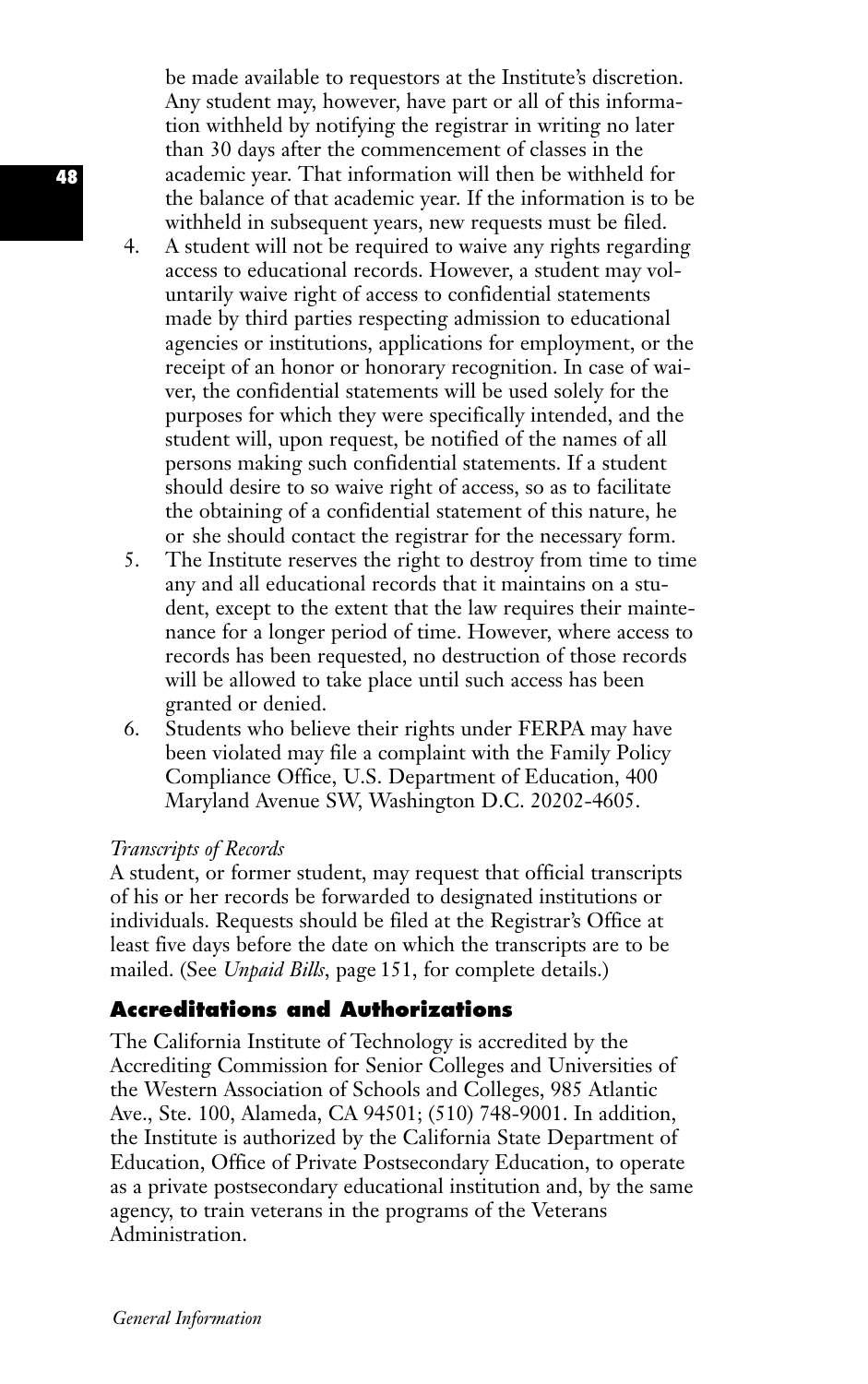be made available to requestors at the Institute's discretion. Any student may, however, have part or all of this information withheld by notifying the registrar in writing no later than 30 days after the commencement of classes in the academic year. That information will then be withheld for the balance of that academic year. If the information is to be withheld in subsequent years, new requests must be filed.

- 4. A student will not be required to waive any rights regarding access to educational records. However, a student may voluntarily waive right of access to confidential statements made by third parties respecting admission to educational agencies or institutions, applications for employment, or the receipt of an honor or honorary recognition. In case of waiver, the confidential statements will be used solely for the purposes for which they were specifically intended, and the student will, upon request, be notified of the names of all persons making such confidential statements. If a student should desire to so waive right of access, so as to facilitate the obtaining of a confidential statement of this nature, he or she should contact the registrar for the necessary form.
- 5. The Institute reserves the right to destroy from time to time any and all educational records that it maintains on a student, except to the extent that the law requires their maintenance for a longer period of time. However, where access to records has been requested, no destruction of those records will be allowed to take place until such access has been granted or denied.
- 6. Students who believe their rights under FERPA may have been violated may file a complaint with the Family Policy Compliance Office, U.S. Department of Education, 400 Maryland Avenue SW, Washington D.C. 20202-4605.

#### *Transcripts of Records*

A student, or former student, may request that official transcripts of his or her records be forwarded to designated institutions or individuals. Requests should be filed at the Registrar's Office at least five days before the date on which the transcripts are to be mailed. (See *Unpaid Bills*, page 151, for complete details.)

# **Accreditations and Authorizations**

The California Institute of Technology is accredited by the Accrediting Commission for Senior Colleges and Universities of the Western Association of Schools and Colleges, 985 Atlantic Ave., Ste. 100, Alameda, CA 94501; (510) 748-9001. In addition, the Institute is authorized by the California State Department of Education, Office of Private Postsecondary Education, to operate as a private postsecondary educational institution and, by the same agency, to train veterans in the programs of the Veterans Administration.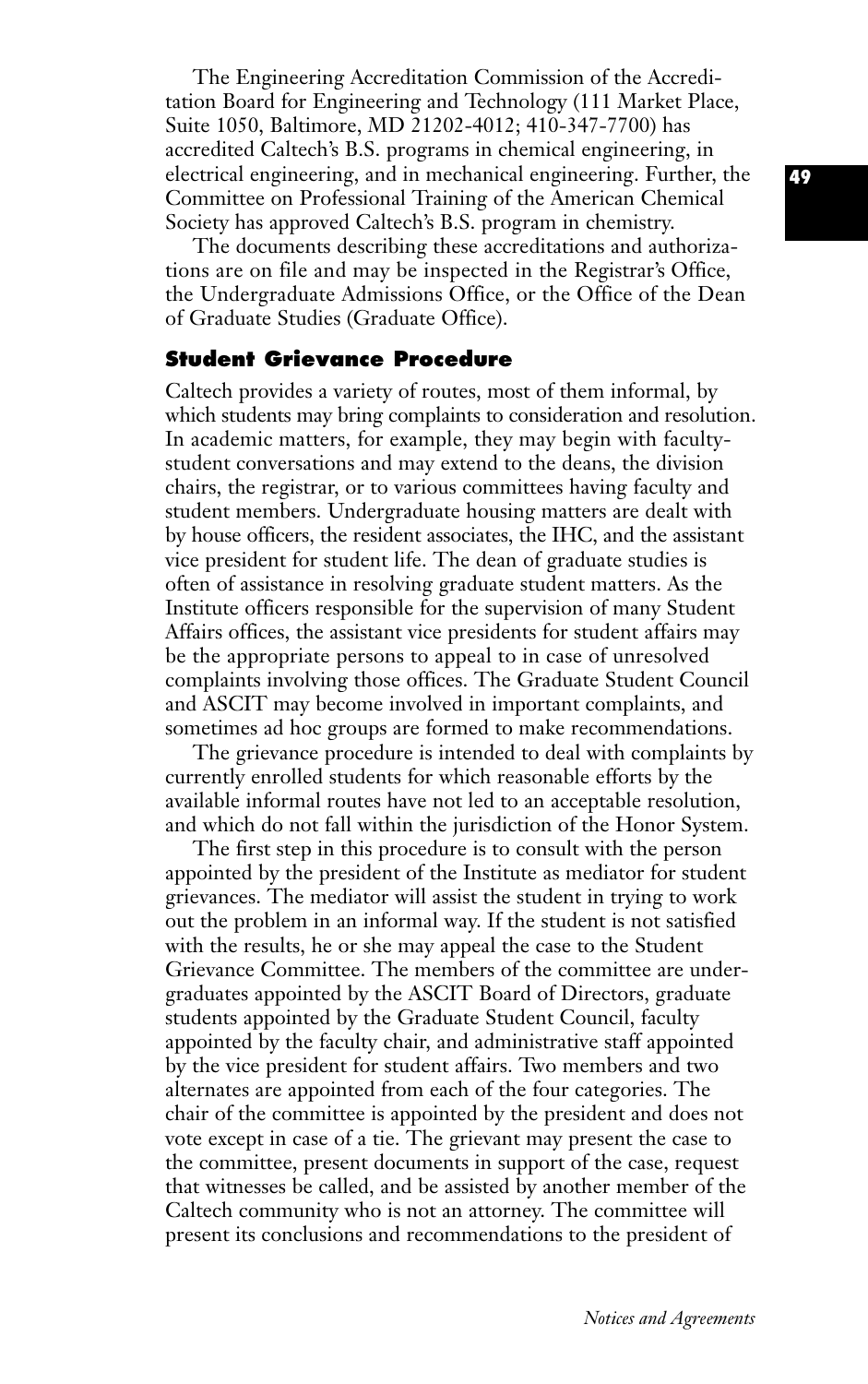The Engineering Accreditation Commission of the Accreditation Board for Engineering and Technology (111 Market Place, Suite 1050, Baltimore, MD 21202-4012; 410-347-7700) has accredited Caltech's B.S. programs in chemical engineering, in electrical engineering, and in mechanical engineering. Further, the Committee on Professional Training of the American Chemical Society has approved Caltech's B.S. program in chemistry.

The documents describing these accreditations and authorizations are on file and may be inspected in the Registrar's Office, the Undergraduate Admissions Office, or the Office of the Dean of Graduate Studies (Graduate Office).

## **Student Grievance Procedure**

Caltech provides a variety of routes, most of them informal, by which students may bring complaints to consideration and resolution. In academic matters, for example, they may begin with facultystudent conversations and may extend to the deans, the division chairs, the registrar, or to various committees having faculty and student members. Undergraduate housing matters are dealt with by house officers, the resident associates, the IHC, and the assistant vice president for student life. The dean of graduate studies is often of assistance in resolving graduate student matters. As the Institute officers responsible for the supervision of many Student Affairs offices, the assistant vice presidents for student affairs may be the appropriate persons to appeal to in case of unresolved complaints involving those offices. The Graduate Student Council and ASCIT may become involved in important complaints, and sometimes ad hoc groups are formed to make recommendations.

The grievance procedure is intended to deal with complaints by currently enrolled students for which reasonable efforts by the available informal routes have not led to an acceptable resolution, and which do not fall within the jurisdiction of the Honor System.

The first step in this procedure is to consult with the person appointed by the president of the Institute as mediator for student grievances. The mediator will assist the student in trying to work out the problem in an informal way. If the student is not satisfied with the results, he or she may appeal the case to the Student Grievance Committee. The members of the committee are undergraduates appointed by the ASCIT Board of Directors, graduate students appointed by the Graduate Student Council, faculty appointed by the faculty chair, and administrative staff appointed by the vice president for student affairs. Two members and two alternates are appointed from each of the four categories. The chair of the committee is appointed by the president and does not vote except in case of a tie. The grievant may present the case to the committee, present documents in support of the case, request that witnesses be called, and be assisted by another member of the Caltech community who is not an attorney. The committee will present its conclusions and recommendations to the president of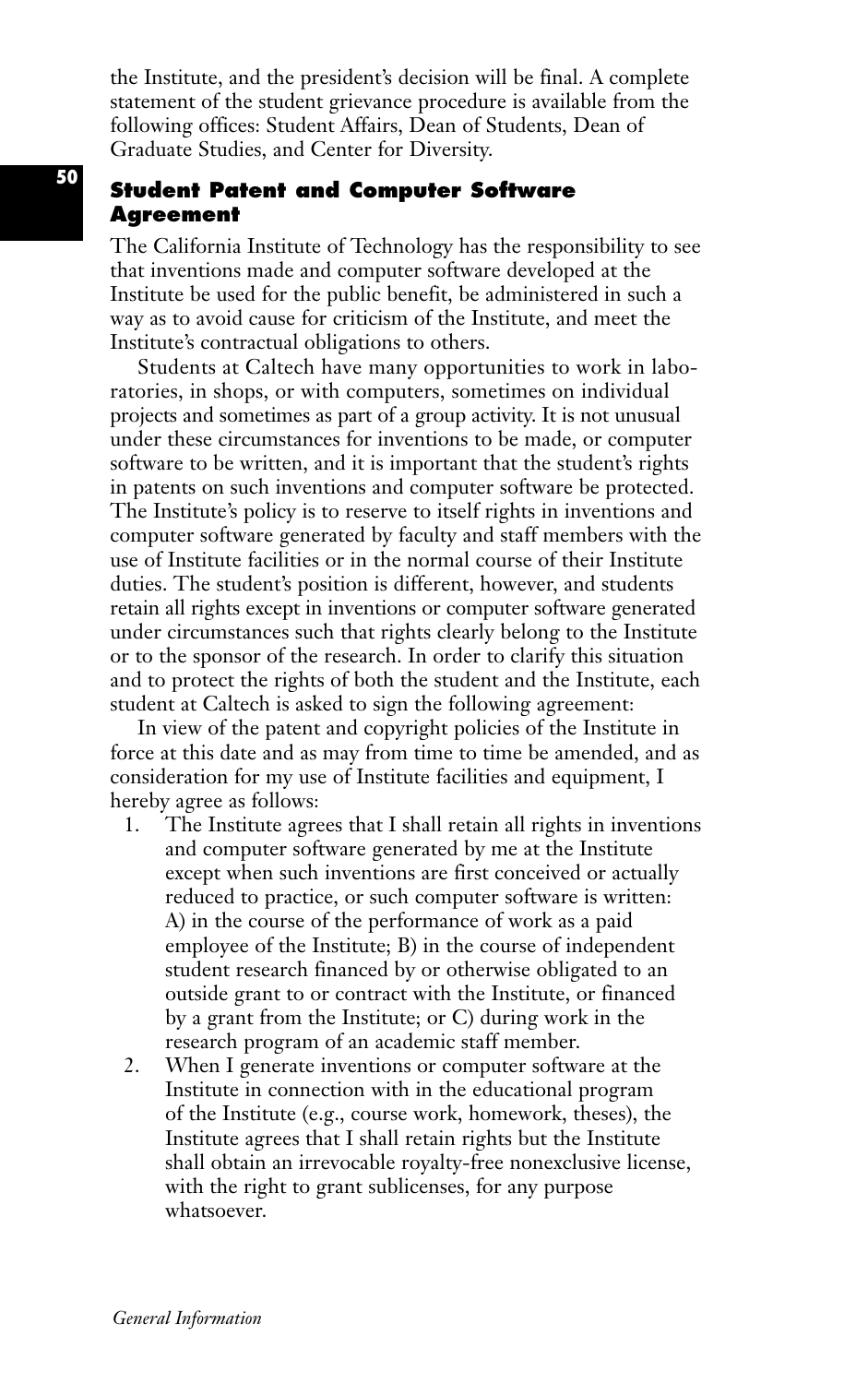the Institute, and the president's decision will be final. A complete statement of the student grievance procedure is available from the following offices: Student Affairs, Dean of Students, Dean of Graduate Studies, and Center for Diversity.

## **Student Patent and Computer Software Agreement**

The California Institute of Technology has the responsibility to see that inventions made and computer software developed at the Institute be used for the public benefit, be administered in such a way as to avoid cause for criticism of the Institute, and meet the Institute's contractual obligations to others.

Students at Caltech have many opportunities to work in laboratories, in shops, or with computers, sometimes on individual projects and sometimes as part of a group activity. It is not unusual under these circumstances for inventions to be made, or computer software to be written, and it is important that the student's rights in patents on such inventions and computer software be protected. The Institute's policy is to reserve to itself rights in inventions and computer software generated by faculty and staff members with the use of Institute facilities or in the normal course of their Institute duties. The student's position is different, however, and students retain all rights except in inventions or computer software generated under circumstances such that rights clearly belong to the Institute or to the sponsor of the research. In order to clarify this situation and to protect the rights of both the student and the Institute, each student at Caltech is asked to sign the following agreement:

In view of the patent and copyright policies of the Institute in force at this date and as may from time to time be amended, and as consideration for my use of Institute facilities and equipment, I hereby agree as follows:

- 1. The Institute agrees that I shall retain all rights in inventions and computer software generated by me at the Institute except when such inventions are first conceived or actually reduced to practice, or such computer software is written: A) in the course of the performance of work as a paid employee of the Institute; B) in the course of independent student research financed by or otherwise obligated to an outside grant to or contract with the Institute, or financed by a grant from the Institute; or C) during work in the research program of an academic staff member.
- 2. When I generate inventions or computer software at the Institute in connection with in the educational program of the Institute (e.g., course work, homework, theses), the Institute agrees that I shall retain rights but the Institute shall obtain an irrevocable royalty-free nonexclusive license, with the right to grant sublicenses, for any purpose whatsoever.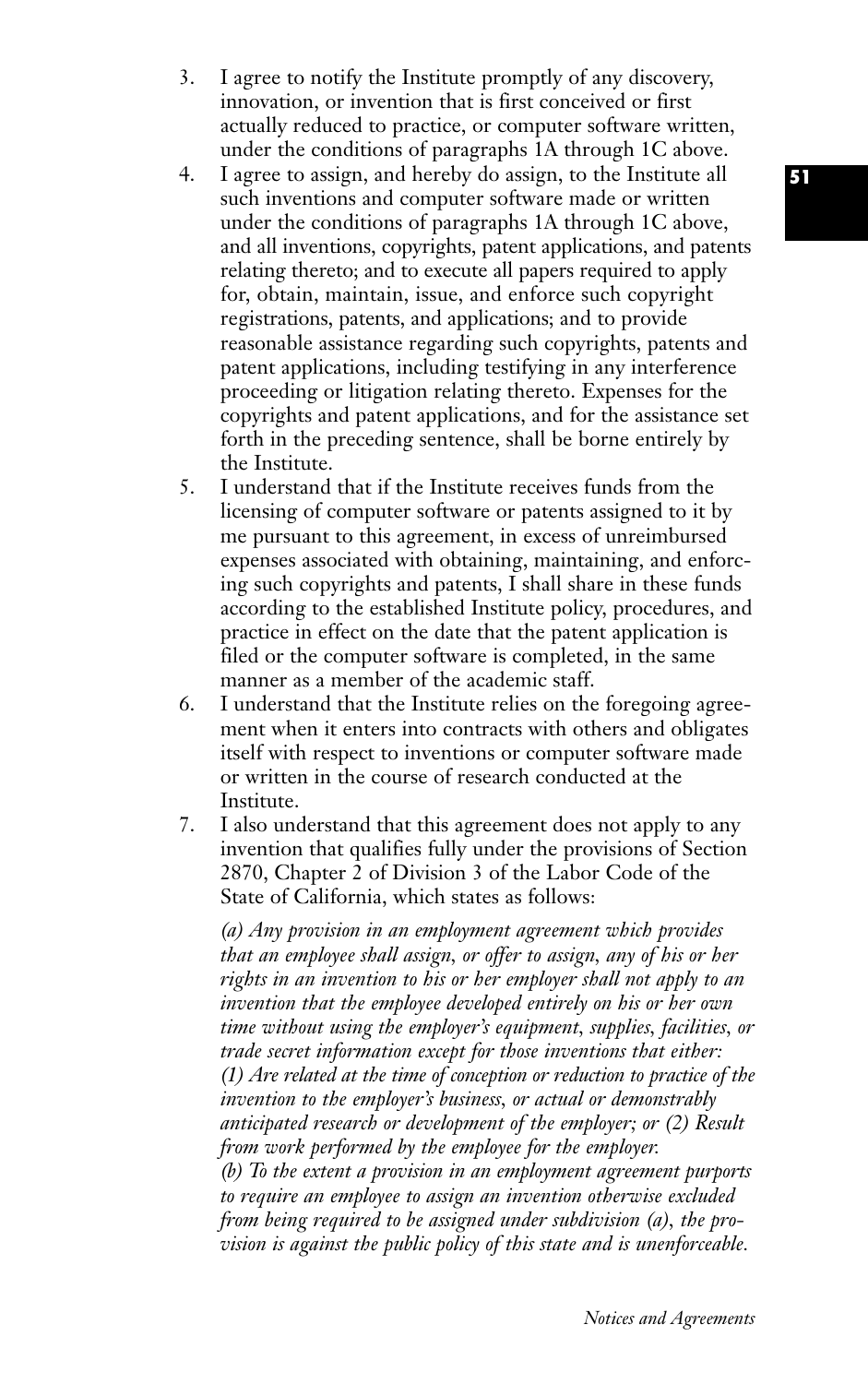- 3. I agree to notify the Institute promptly of any discovery, innovation, or invention that is first conceived or first actually reduced to practice, or computer software written, under the conditions of paragraphs 1A through 1C above.
- 4. I agree to assign, and hereby do assign, to the Institute all such inventions and computer software made or written under the conditions of paragraphs 1A through 1C above, and all inventions, copyrights, patent applications, and patents relating thereto; and to execute all papers required to apply for, obtain, maintain, issue, and enforce such copyright registrations, patents, and applications; and to provide reasonable assistance regarding such copyrights, patents and patent applications, including testifying in any interference proceeding or litigation relating thereto. Expenses for the copyrights and patent applications, and for the assistance set forth in the preceding sentence, shall be borne entirely by the Institute.
- 5. I understand that if the Institute receives funds from the licensing of computer software or patents assigned to it by me pursuant to this agreement, in excess of unreimbursed expenses associated with obtaining, maintaining, and enforcing such copyrights and patents, I shall share in these funds according to the established Institute policy, procedures, and practice in effect on the date that the patent application is filed or the computer software is completed, in the same manner as a member of the academic staff.
- 6. I understand that the Institute relies on the foregoing agreement when it enters into contracts with others and obligates itself with respect to inventions or computer software made or written in the course of research conducted at the Institute.
- 7. I also understand that this agreement does not apply to any invention that qualifies fully under the provisions of Section 2870, Chapter 2 of Division 3 of the Labor Code of the State of California, which states as follows:

*(a) Any provision in an employment agreement which provides that an employee shall assign, or offer to assign, any of his or her rights in an invention to his or her employer shall not apply to an invention that the employee developed entirely on his or her own time without using the employer's equipment, supplies, facilities, or trade secret information except for those inventions that either: (1) Are related at the time of conception or reduction to practice of the invention to the employer's business, or actual or demonstrably anticipated research or development of the employer; or (2) Result from work performed by the employee for the employer. (b) To the extent a provision in an employment agreement purports to require an employee to assign an invention otherwise excluded from being required to be assigned under subdivision (a), the provision is against the public policy of this state and is unenforceable.*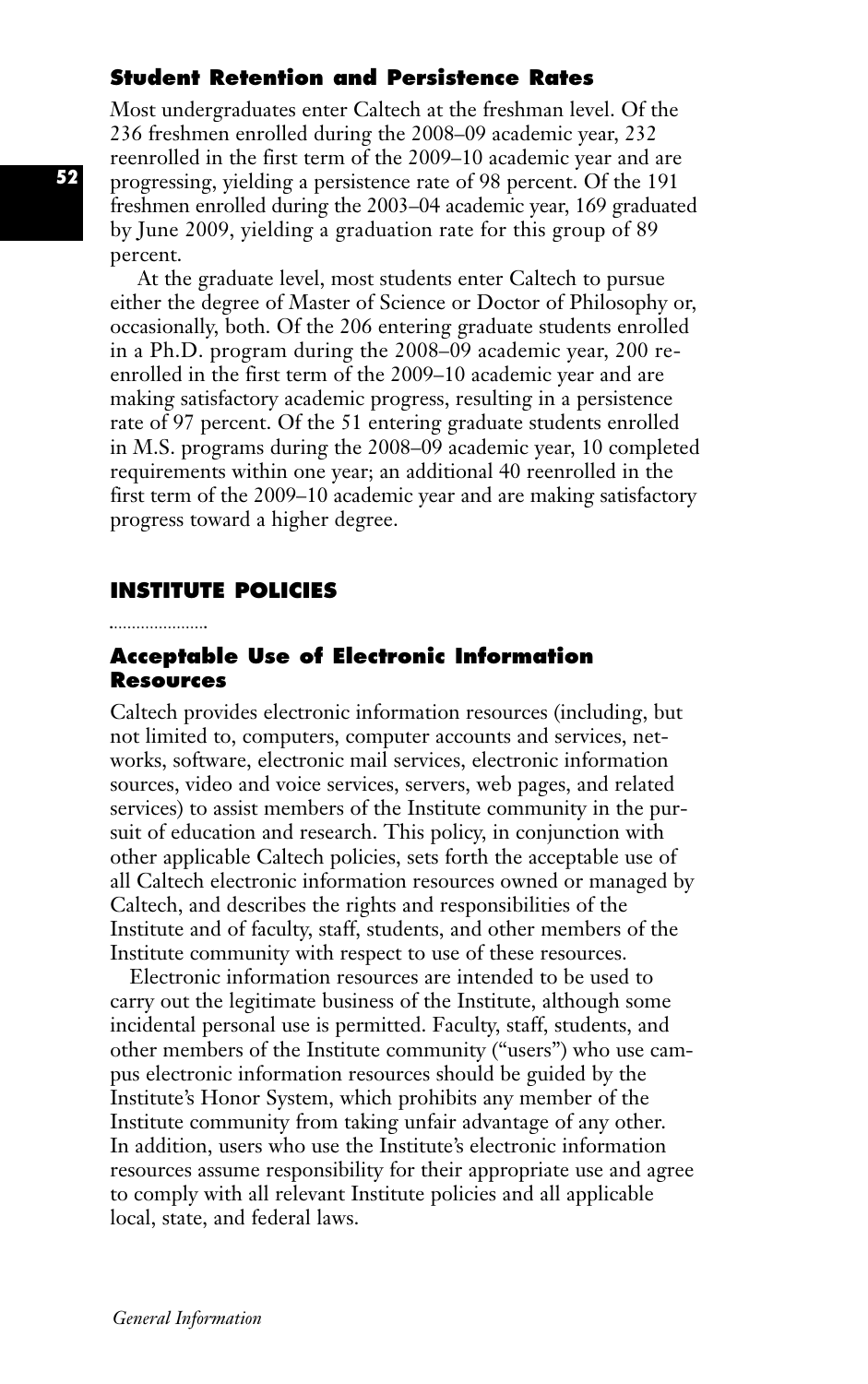## **Student Retention and Persistence Rates**

Most undergraduates enter Caltech at the freshman level. Of the 236 freshmen enrolled during the 2008–09 academic year, 232 reenrolled in the first term of the 2009–10 academic year and are progressing, yielding a persistence rate of 98 percent. Of the 191 freshmen enrolled during the 2003–04 academic year, 169 graduated by June 2009, yielding a graduation rate for this group of 89 percent.

At the graduate level, most students enter Caltech to pursue either the degree of Master of Science or Doctor of Philosophy or, occasionally, both. Of the 206 entering graduate students enrolled in a Ph.D. program during the 2008–09 academic year, 200 reenrolled in the first term of the 2009–10 academic year and are making satisfactory academic progress, resulting in a persistence rate of 97 percent. Of the 51 entering graduate students enrolled in M.S. programs during the 2008–09 academic year, 10 completed requirements within one year; an additional 40 reenrolled in the first term of the 2009–10 academic year and are making satisfactory progress toward a higher degree.

### **INSTITUTE POLICIES**

## **Acceptable Use of Electronic Information Resources**

Caltech provides electronic information resources (including, but not limited to, computers, computer accounts and services, networks, software, electronic mail services, electronic information sources, video and voice services, servers, web pages, and related services) to assist members of the Institute community in the pursuit of education and research. This policy, in conjunction with other applicable Caltech policies, sets forth the acceptable use of all Caltech electronic information resources owned or managed by Caltech, and describes the rights and responsibilities of the Institute and of faculty, staff, students, and other members of the Institute community with respect to use of these resources.

Electronic information resources are intended to be used to carry out the legitimate business of the Institute, although some incidental personal use is permitted. Faculty, staff, students, and other members of the Institute community ("users") who use campus electronic information resources should be guided by the Institute's Honor System, which prohibits any member of the Institute community from taking unfair advantage of any other. In addition, users who use the Institute's electronic information resources assume responsibility for their appropriate use and agree to comply with all relevant Institute policies and all applicable local, state, and federal laws.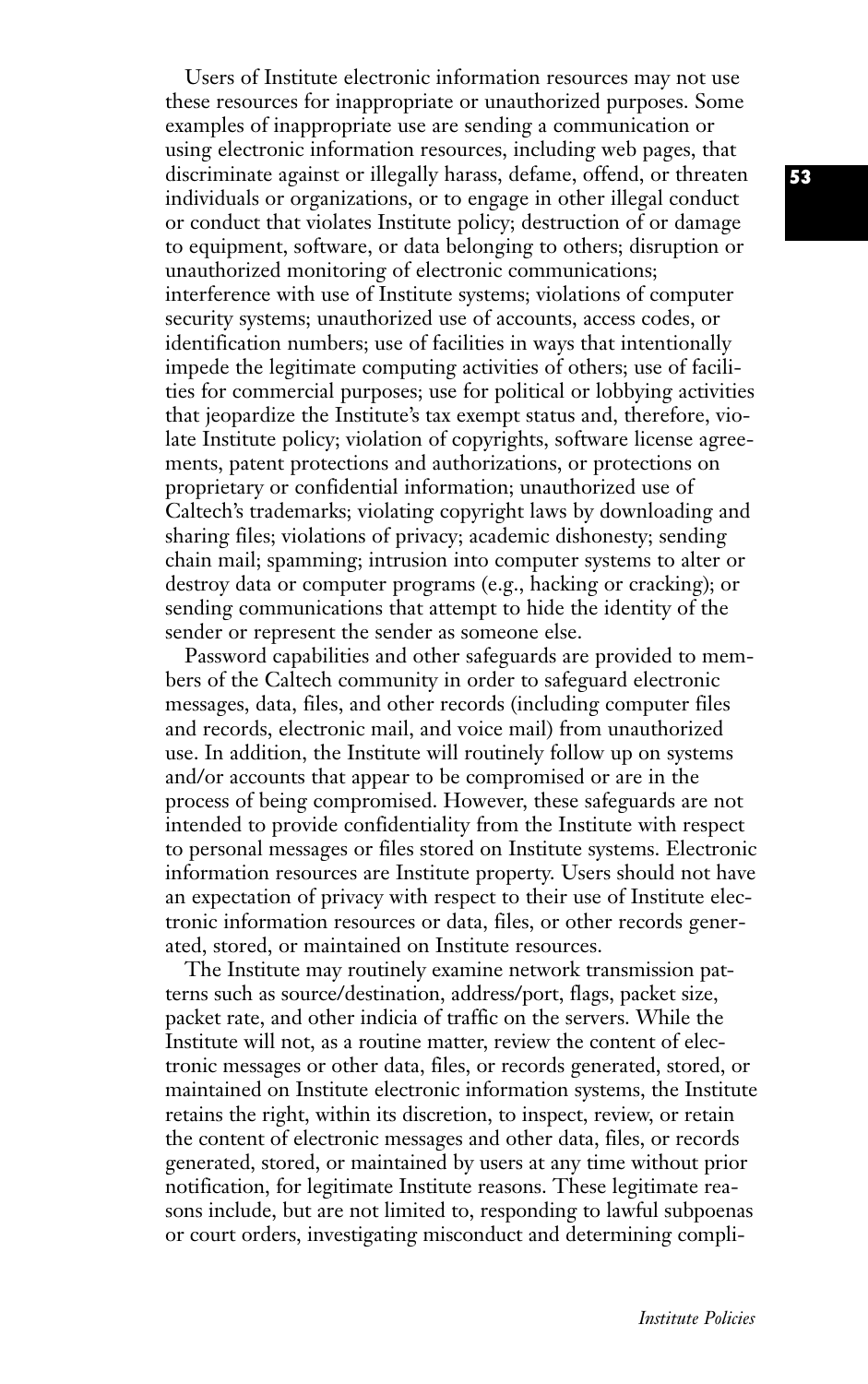Users of Institute electronic information resources may not use these resources for inappropriate or unauthorized purposes. Some examples of inappropriate use are sending a communication or using electronic information resources, including web pages, that discriminate against or illegally harass, defame, offend, or threaten individuals or organizations, or to engage in other illegal conduct or conduct that violates Institute policy; destruction of or damage to equipment, software, or data belonging to others; disruption or unauthorized monitoring of electronic communications; interference with use of Institute systems; violations of computer security systems; unauthorized use of accounts, access codes, or identification numbers; use of facilities in ways that intentionally impede the legitimate computing activities of others; use of facilities for commercial purposes; use for political or lobbying activities that jeopardize the Institute's tax exempt status and, therefore, violate Institute policy; violation of copyrights, software license agreements, patent protections and authorizations, or protections on proprietary or confidential information; unauthorized use of Caltech's trademarks; violating copyright laws by downloading and sharing files; violations of privacy; academic dishonesty; sending chain mail; spamming; intrusion into computer systems to alter or destroy data or computer programs (e.g., hacking or cracking); or sending communications that attempt to hide the identity of the sender or represent the sender as someone else.

Password capabilities and other safeguards are provided to members of the Caltech community in order to safeguard electronic messages, data, files, and other records (including computer files and records, electronic mail, and voice mail) from unauthorized use. In addition, the Institute will routinely follow up on systems and/or accounts that appear to be compromised or are in the process of being compromised. However, these safeguards are not intended to provide confidentiality from the Institute with respect to personal messages or files stored on Institute systems. Electronic information resources are Institute property. Users should not have an expectation of privacy with respect to their use of Institute electronic information resources or data, files, or other records generated, stored, or maintained on Institute resources.

The Institute may routinely examine network transmission patterns such as source/destination, address/port, flags, packet size, packet rate, and other indicia of traffic on the servers. While the Institute will not, as a routine matter, review the content of electronic messages or other data, files, or records generated, stored, or maintained on Institute electronic information systems, the Institute retains the right, within its discretion, to inspect, review, or retain the content of electronic messages and other data, files, or records generated, stored, or maintained by users at any time without prior notification, for legitimate Institute reasons. These legitimate reasons include, but are not limited to, responding to lawful subpoenas or court orders, investigating misconduct and determining compli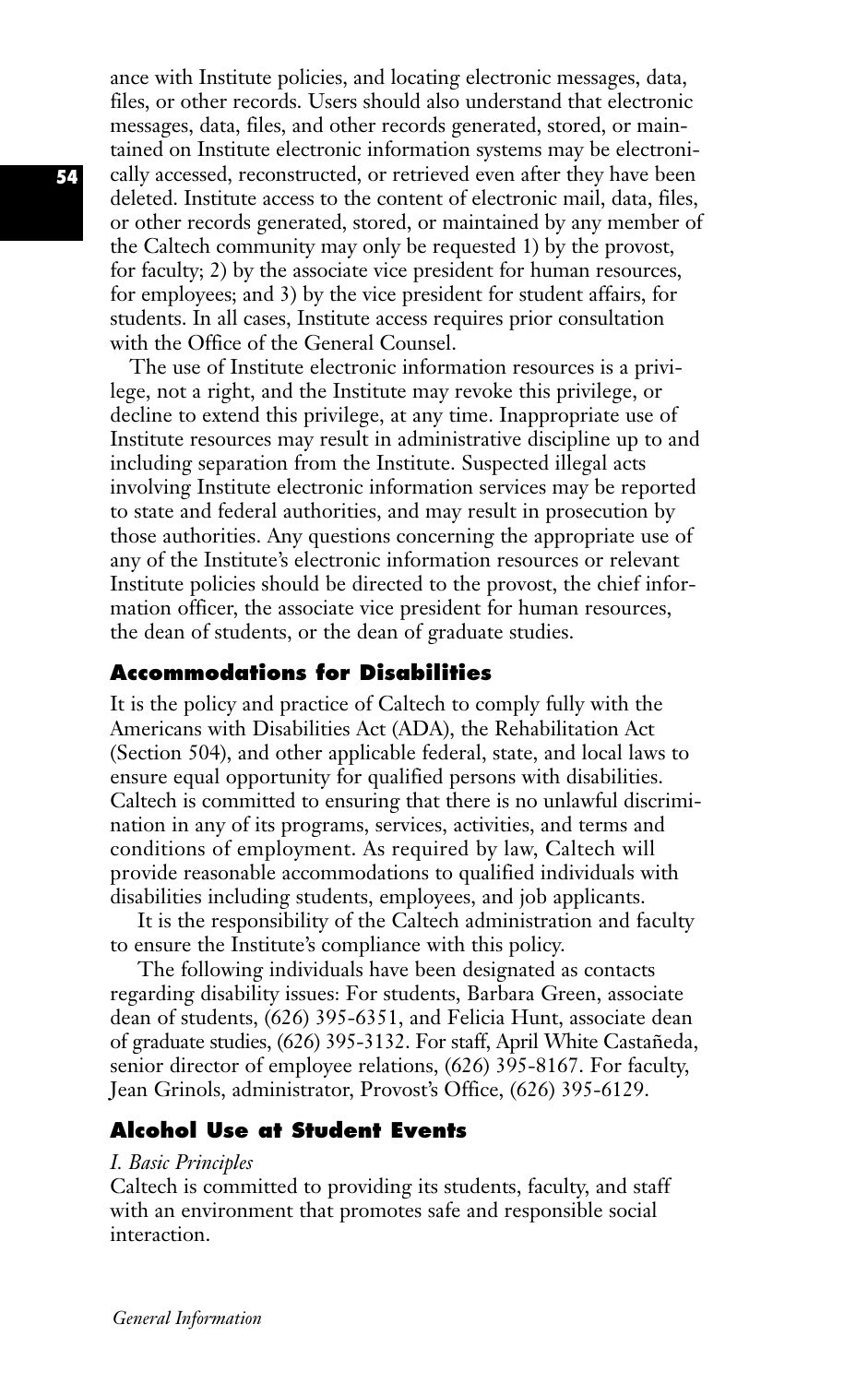ance with Institute policies, and locating electronic messages, data, files, or other records. Users should also understand that electronic messages, data, files, and other records generated, stored, or maintained on Institute electronic information systems may be electronically accessed, reconstructed, or retrieved even after they have been deleted. Institute access to the content of electronic mail, data, files, or other records generated, stored, or maintained by any member of the Caltech community may only be requested 1) by the provost, for faculty; 2) by the associate vice president for human resources, for employees; and 3) by the vice president for student affairs, for students. In all cases, Institute access requires prior consultation with the Office of the General Counsel.

The use of Institute electronic information resources is a privilege, not a right, and the Institute may revoke this privilege, or decline to extend this privilege, at any time. Inappropriate use of Institute resources may result in administrative discipline up to and including separation from the Institute. Suspected illegal acts involving Institute electronic information services may be reported to state and federal authorities, and may result in prosecution by those authorities. Any questions concerning the appropriate use of any of the Institute's electronic information resources or relevant Institute policies should be directed to the provost, the chief information officer, the associate vice president for human resources, the dean of students, or the dean of graduate studies.

## **Accommodations for Disabilities**

It is the policy and practice of Caltech to comply fully with the Americans with Disabilities Act (ADA), the Rehabilitation Act (Section 504), and other applicable federal, state, and local laws to ensure equal opportunity for qualified persons with disabilities. Caltech is committed to ensuring that there is no unlawful discrimination in any of its programs, services, activities, and terms and conditions of employment. As required by law, Caltech will provide reasonable accommodations to qualified individuals with disabilities including students, employees, and job applicants.

It is the responsibility of the Caltech administration and faculty to ensure the Institute's compliance with this policy.

The following individuals have been designated as contacts regarding disability issues: For students, Barbara Green, associate dean of students, (626) 395-6351, and Felicia Hunt, associate dean of graduate studies, (626) 395-3132. For staff, April White Castañeda, senior director of employee relations, (626) 395-8167. For faculty, Jean Grinols, administrator, Provost's Office, (626) 395-6129.

## **Alcohol Use at Student Events**

### *I. Basic Principles*

Caltech is committed to providing its students, faculty, and staff with an environment that promotes safe and responsible social interaction.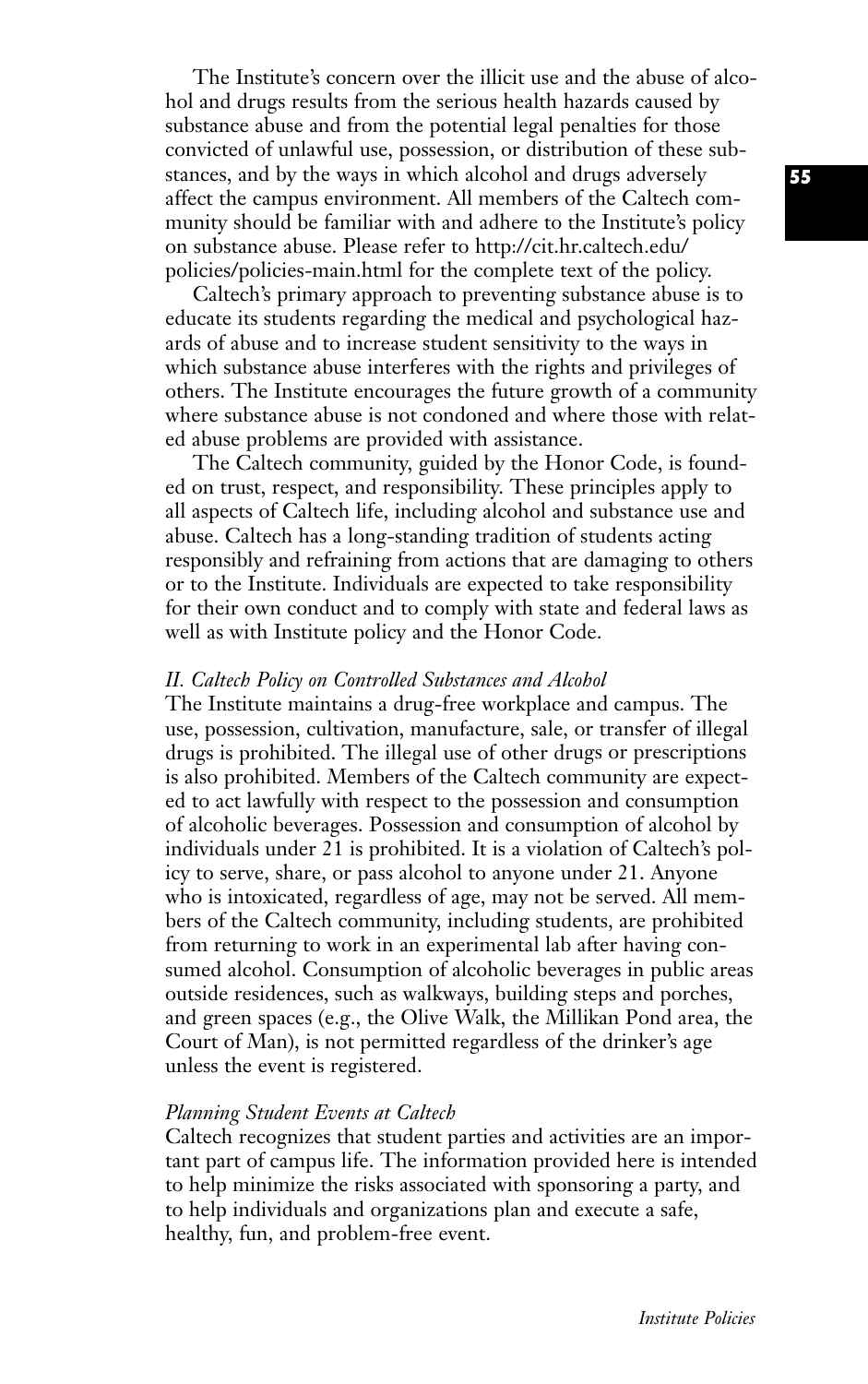The Institute's concern over the illicit use and the abuse of alcohol and drugs results from the serious health hazards caused by substance abuse and from the potential legal penalties for those convicted of unlawful use, possession, or distribution of these substances, and by the ways in which alcohol and drugs adversely affect the campus environment. All members of the Caltech community should be familiar with and adhere to the Institute's policy on substance abuse. Please refer to http://cit.hr.caltech.edu/ policies/policies-main.html for the complete text of the policy.

Caltech's primary approach to preventing substance abuse is to educate its students regarding the medical and psychological hazards of abuse and to increase student sensitivity to the ways in which substance abuse interferes with the rights and privileges of others. The Institute encourages the future growth of a community where substance abuse is not condoned and where those with related abuse problems are provided with assistance.

The Caltech community, guided by the Honor Code, is founded on trust, respect, and responsibility. These principles apply to all aspects of Caltech life, including alcohol and substance use and abuse. Caltech has a long-standing tradition of students acting responsibly and refraining from actions that are damaging to others or to the Institute. Individuals are expected to take responsibility for their own conduct and to comply with state and federal laws as well as with Institute policy and the Honor Code.

## *II. Caltech Policy on Controlled Substances and Alcohol*

The Institute maintains a drug-free workplace and campus. The use, possession, cultivation, manufacture, sale, or transfer of illegal drugs is prohibited. The illegal use of other drugs or prescriptions is also prohibited. Members of the Caltech community are expected to act lawfully with respect to the possession and consumption of alcoholic beverages. Possession and consumption of alcohol by individuals under 21 is prohibited. It is a violation of Caltech's policy to serve, share, or pass alcohol to anyone under 21. Anyone who is intoxicated, regardless of age, may not be served. All members of the Caltech community, including students, are prohibited from returning to work in an experimental lab after having consumed alcohol. Consumption of alcoholic beverages in public areas outside residences, such as walkways, building steps and porches, and green spaces (e.g., the Olive Walk, the Millikan Pond area, the Court of Man), is not permitted regardless of the drinker's age unless the event is registered.

### *Planning Student Events at Caltech*

Caltech recognizes that student parties and activities are an important part of campus life. The information provided here is intended to help minimize the risks associated with sponsoring a party, and to help individuals and organizations plan and execute a safe, healthy, fun, and problem-free event.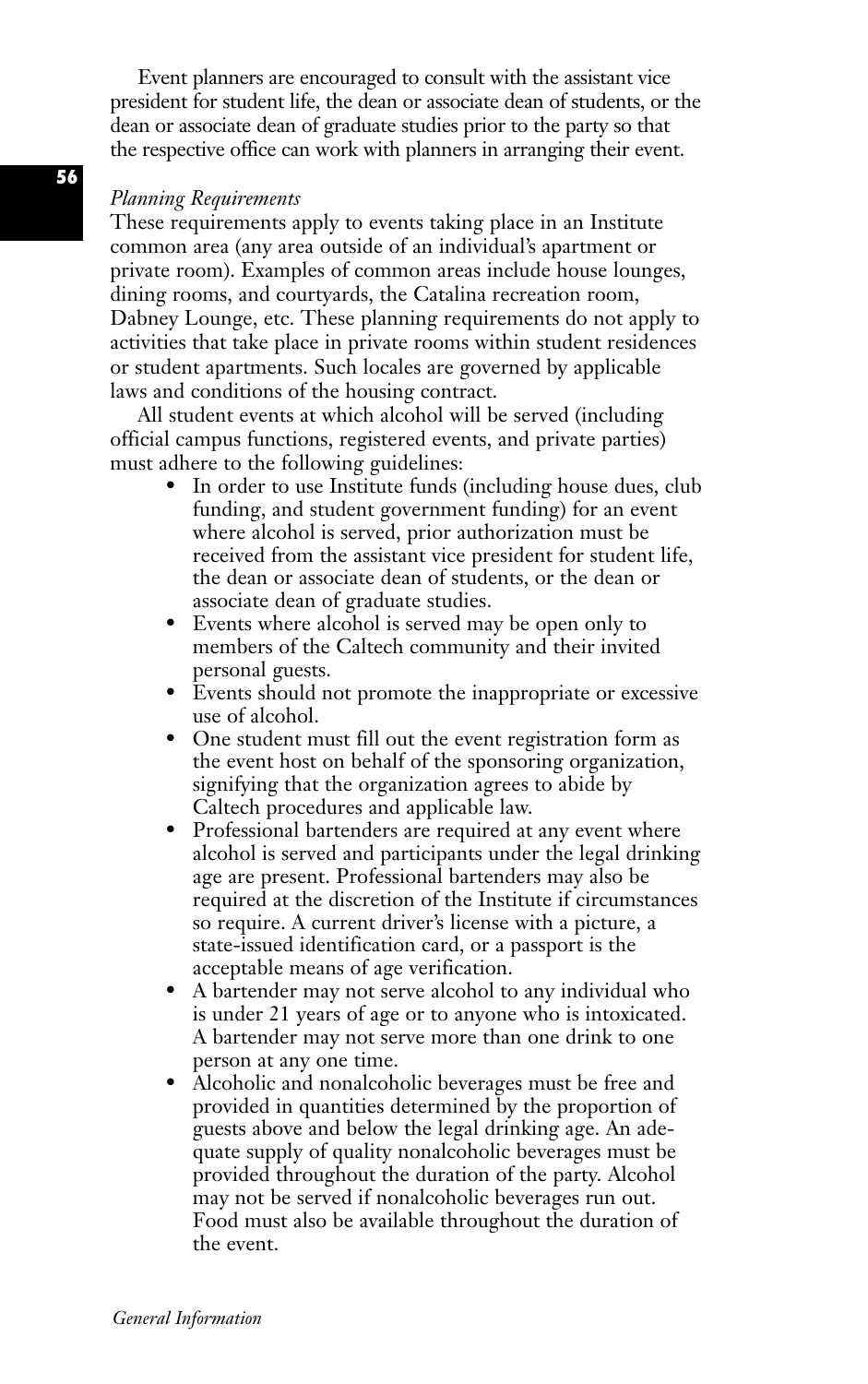Event planners are encouraged to consult with the assistant vice president for student life, the dean or associate dean of students, or the dean or associate dean of graduate studies prior to the party so that the respective office can work with planners in arranging their event.

#### *Planning Requirements*

These requirements apply to events taking place in an Institute common area (any area outside of an individual's apartment or private room). Examples of common areas include house lounges, dining rooms, and courtyards, the Catalina recreation room, Dabney Lounge, etc. These planning requirements do not apply to activities that take place in private rooms within student residences or student apartments. Such locales are governed by applicable laws and conditions of the housing contract.

All student events at which alcohol will be served (including official campus functions, registered events, and private parties) must adhere to the following guidelines:

- In order to use Institute funds (including house dues, club funding, and student government funding) for an event where alcohol is served, prior authorization must be received from the assistant vice president for student life, the dean or associate dean of students, or the dean or associate dean of graduate studies.
- Events where alcohol is served may be open only to members of the Caltech community and their invited personal guests.
- Events should not promote the inappropriate or excessive use of alcohol.
- One student must fill out the event registration form as the event host on behalf of the sponsoring organization, signifying that the organization agrees to abide by Caltech procedures and applicable law.
- Professional bartenders are required at any event where alcohol is served and participants under the legal drinking age are present. Professional bartenders may also be required at the discretion of the Institute if circumstances so require. A current driver's license with a picture, a state-issued identification card, or a passport is the acceptable means of age verification.
- A bartender may not serve alcohol to any individual who is under 21 years of age or to anyone who is intoxicated. A bartender may not serve more than one drink to one person at any one time.
- Alcoholic and nonalcoholic beverages must be free and provided in quantities determined by the proportion of guests above and below the legal drinking age. An adequate supply of quality nonalcoholic beverages must be provided throughout the duration of the party. Alcohol may not be served if nonalcoholic beverages run out. Food must also be available throughout the duration of the event.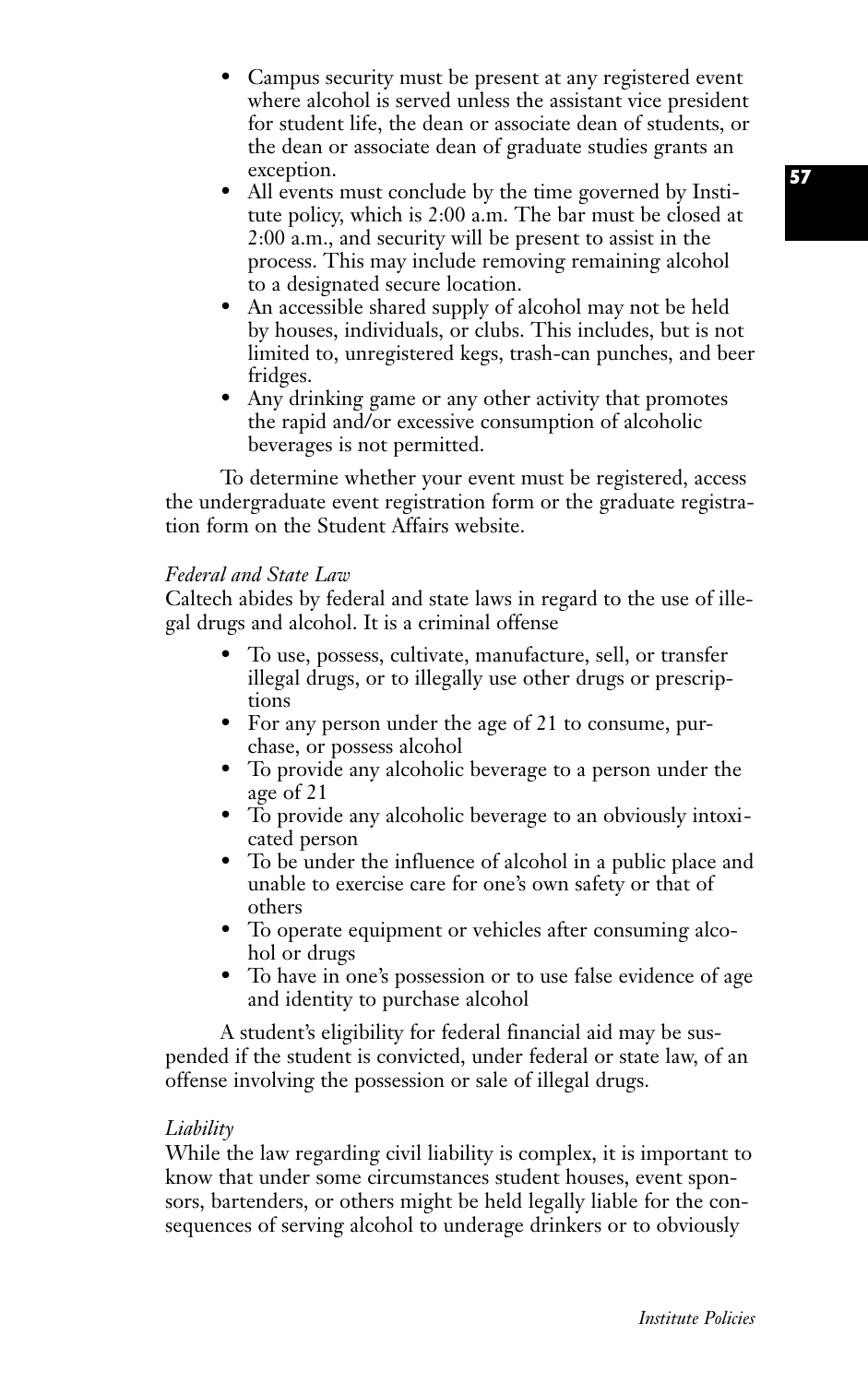- Campus security must be present at any registered event where alcohol is served unless the assistant vice president for student life, the dean or associate dean of students, or the dean or associate dean of graduate studies grants an exception.
- All events must conclude by the time governed by Institute policy, which is 2:00 a.m. The bar must be closed at 2:00 a.m., and security will be present to assist in the process. This may include removing remaining alcohol to a designated secure location.
- An accessible shared supply of alcohol may not be held by houses, individuals, or clubs. This includes, but is not limited to, unregistered kegs, trash-can punches, and beer fridges.
- Any drinking game or any other activity that promotes the rapid and/or excessive consumption of alcoholic beverages is not permitted.

To determine whether your event must be registered, access the undergraduate event registration form or the graduate registration form on the Student Affairs website.

## *Federal and State Law*

Caltech abides by federal and state laws in regard to the use of illegal drugs and alcohol. It is a criminal offense

- To use, possess, cultivate, manufacture, sell, or transfer illegal drugs, or to illegally use other drugs or prescriptions
- For any person under the age of 21 to consume, purchase, or possess alcohol
- To provide any alcoholic beverage to a person under the age of 21
- To provide any alcoholic beverage to an obviously intoxicated person
- To be under the influence of alcohol in a public place and unable to exercise care for one's own safety or that of others
- To operate equipment or vehicles after consuming alcohol or drugs
- To have in one's possession or to use false evidence of age and identity to purchase alcohol

A student's eligibility for federal financial aid may be suspended if the student is convicted, under federal or state law, of an offense involving the possession or sale of illegal drugs.

## *Liability*

While the law regarding civil liability is complex, it is important to know that under some circumstances student houses, event sponsors, bartenders, or others might be held legally liable for the consequences of serving alcohol to underage drinkers or to obviously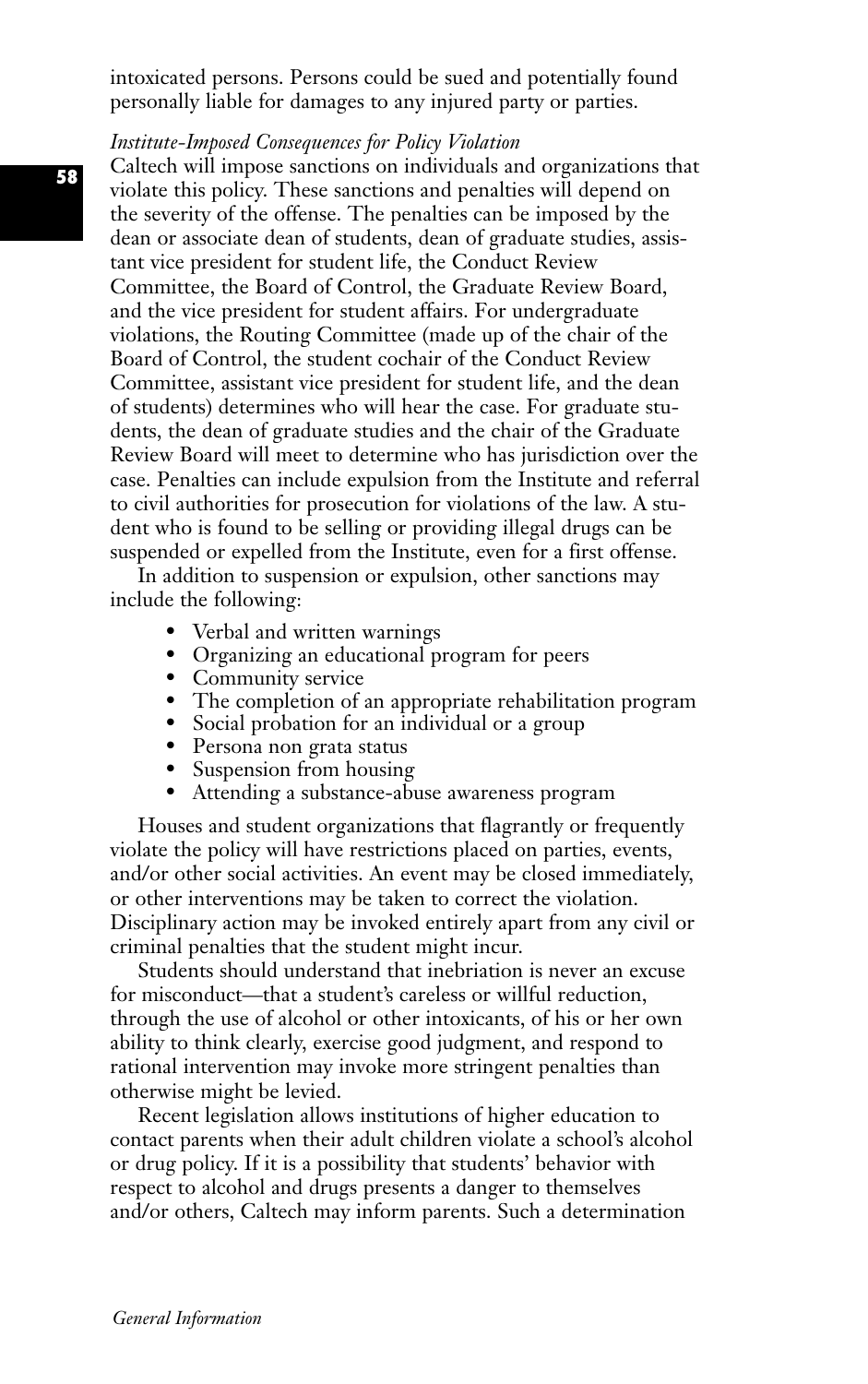intoxicated persons. Persons could be sued and potentially found personally liable for damages to any injured party or parties.

#### *Institute-Imposed Consequences for Policy Violation*

Caltech will impose sanctions on individuals and organizations that violate this policy. These sanctions and penalties will depend on the severity of the offense. The penalties can be imposed by the dean or associate dean of students, dean of graduate studies, assistant vice president for student life, the Conduct Review Committee, the Board of Control, the Graduate Review Board, and the vice president for student affairs. For undergraduate violations, the Routing Committee (made up of the chair of the Board of Control, the student cochair of the Conduct Review Committee, assistant vice president for student life, and the dean of students) determines who will hear the case. For graduate students, the dean of graduate studies and the chair of the Graduate Review Board will meet to determine who has jurisdiction over the case. Penalties can include expulsion from the Institute and referral to civil authorities for prosecution for violations of the law. A student who is found to be selling or providing illegal drugs can be suspended or expelled from the Institute, even for a first offense.

In addition to suspension or expulsion, other sanctions may include the following:

- Verbal and written warnings
- Organizing an educational program for peers
- Community service
- The completion of an appropriate rehabilitation program
- Social probation for an individual or a group
- Persona non grata status
- Suspension from housing
- Attending a substance-abuse awareness program

Houses and student organizations that flagrantly or frequently violate the policy will have restrictions placed on parties, events, and/or other social activities. An event may be closed immediately, or other interventions may be taken to correct the violation. Disciplinary action may be invoked entirely apart from any civil or criminal penalties that the student might incur.

Students should understand that inebriation is never an excuse for misconduct—that a student's careless or willful reduction, through the use of alcohol or other intoxicants, of his or her own ability to think clearly, exercise good judgment, and respond to rational intervention may invoke more stringent penalties than otherwise might be levied.

Recent legislation allows institutions of higher education to contact parents when their adult children violate a school's alcohol or drug policy. If it is a possibility that students' behavior with respect to alcohol and drugs presents a danger to themselves and/or others, Caltech may inform parents. Such a determination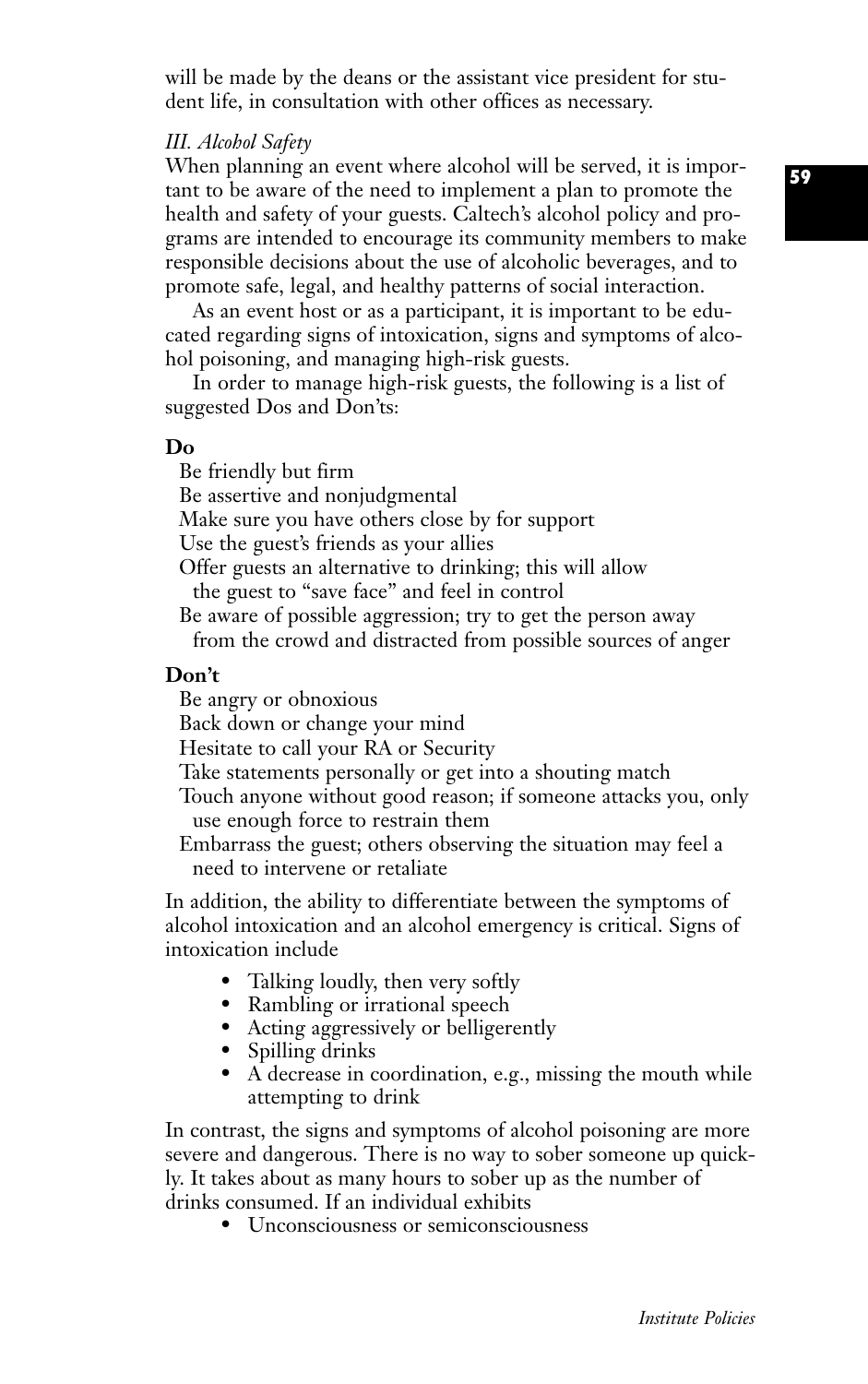will be made by the deans or the assistant vice president for student life, in consultation with other offices as necessary.

## *III. Alcohol Safety*

When planning an event where alcohol will be served, it is important to be aware of the need to implement a plan to promote the health and safety of your guests. Caltech's alcohol policy and programs are intended to encourage its community members to make responsible decisions about the use of alcoholic beverages, and to promote safe, legal, and healthy patterns of social interaction.

As an event host or as a participant, it is important to be educated regarding signs of intoxication, signs and symptoms of alcohol poisoning, and managing high-risk guests.

In order to manage high-risk guests, the following is a list of suggested Dos and Don'ts:

### **Do**

Be friendly but firm

Be assertive and nonjudgmental

Make sure you have others close by for support

Use the guest's friends as your allies

Offer guests an alternative to drinking; this will allow the guest to "save face" and feel in control

Be aware of possible aggression; try to get the person away from the crowd and distracted from possible sources of anger

## **Don't**

Be angry or obnoxious

Back down or change your mind

Hesitate to call your RA or Security

Take statements personally or get into a shouting match

Touch anyone without good reason; if someone attacks you, only use enough force to restrain them

Embarrass the guest; others observing the situation may feel a need to intervene or retaliate

In addition, the ability to differentiate between the symptoms of alcohol intoxication and an alcohol emergency is critical. Signs of intoxication include

- Talking loudly, then very softly
- Rambling or irrational speech
- Acting aggressively or belligerently
- Spilling drinks
- A decrease in coordination, e.g., missing the mouth while attempting to drink

In contrast, the signs and symptoms of alcohol poisoning are more severe and dangerous. There is no way to sober someone up quickly. It takes about as many hours to sober up as the number of drinks consumed. If an individual exhibits

• Unconsciousness or semiconsciousness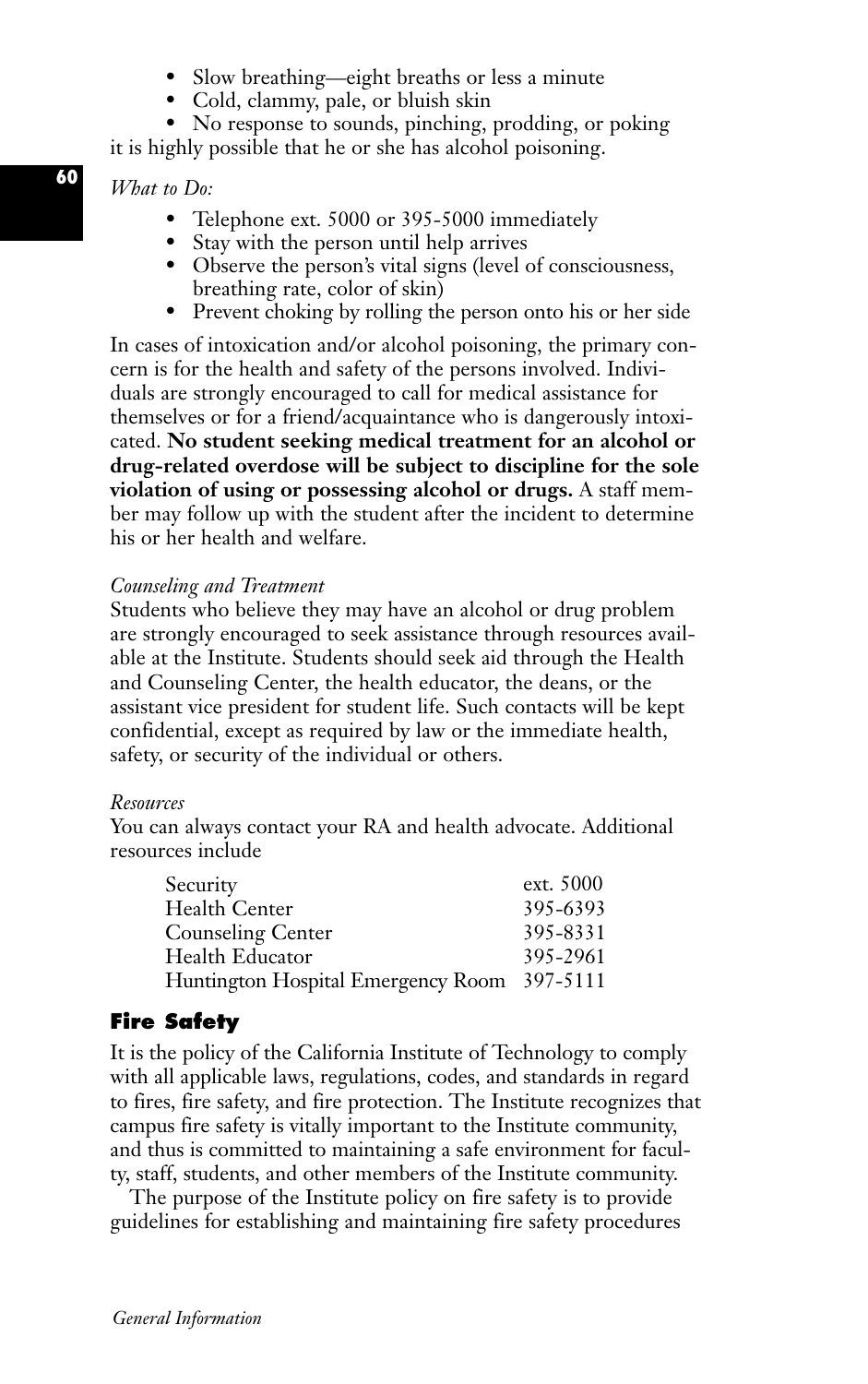- Slow breathing—eight breaths or less a minute
- Cold, clammy, pale, or bluish skin
- No response to sounds, pinching, prodding, or poking it is highly possible that he or she has alcohol poisoning.

## *What to Do:*

**60**

- Telephone ext. 5000 or 395-5000 immediately
- Stay with the person until help arrives
- Observe the person's vital signs (level of consciousness, breathing rate, color of skin)
- Prevent choking by rolling the person onto his or her side

In cases of intoxication and/or alcohol poisoning, the primary concern is for the health and safety of the persons involved. Individuals are strongly encouraged to call for medical assistance for themselves or for a friend/acquaintance who is dangerously intoxicated. **No student seeking medical treatment for an alcohol or drug-related overdose will be subject to discipline for the sole violation of using or possessing alcohol or drugs.** A staff member may follow up with the student after the incident to determine his or her health and welfare.

## *Counseling and Treatment*

Students who believe they may have an alcohol or drug problem are strongly encouraged to seek assistance through resources available at the Institute. Students should seek aid through the Health and Counseling Center, the health educator, the deans, or the assistant vice president for student life. Such contacts will be kept confidential, except as required by law or the immediate health, safety, or security of the individual or others.

## *Resources*

You can always contact your RA and health advocate. Additional resources include

| ext. 5000                                   |
|---------------------------------------------|
| 395-6393                                    |
| 395-8331                                    |
| 395-2961                                    |
| Huntington Hospital Emergency Room 397-5111 |
|                                             |

# **Fire Safety**

It is the policy of the California Institute of Technology to comply with all applicable laws, regulations, codes, and standards in regard to fires, fire safety, and fire protection. The Institute recognizes that campus fire safety is vitally important to the Institute community, and thus is committed to maintaining a safe environment for faculty, staff, students, and other members of the Institute community.

The purpose of the Institute policy on fire safety is to provide guidelines for establishing and maintaining fire safety procedures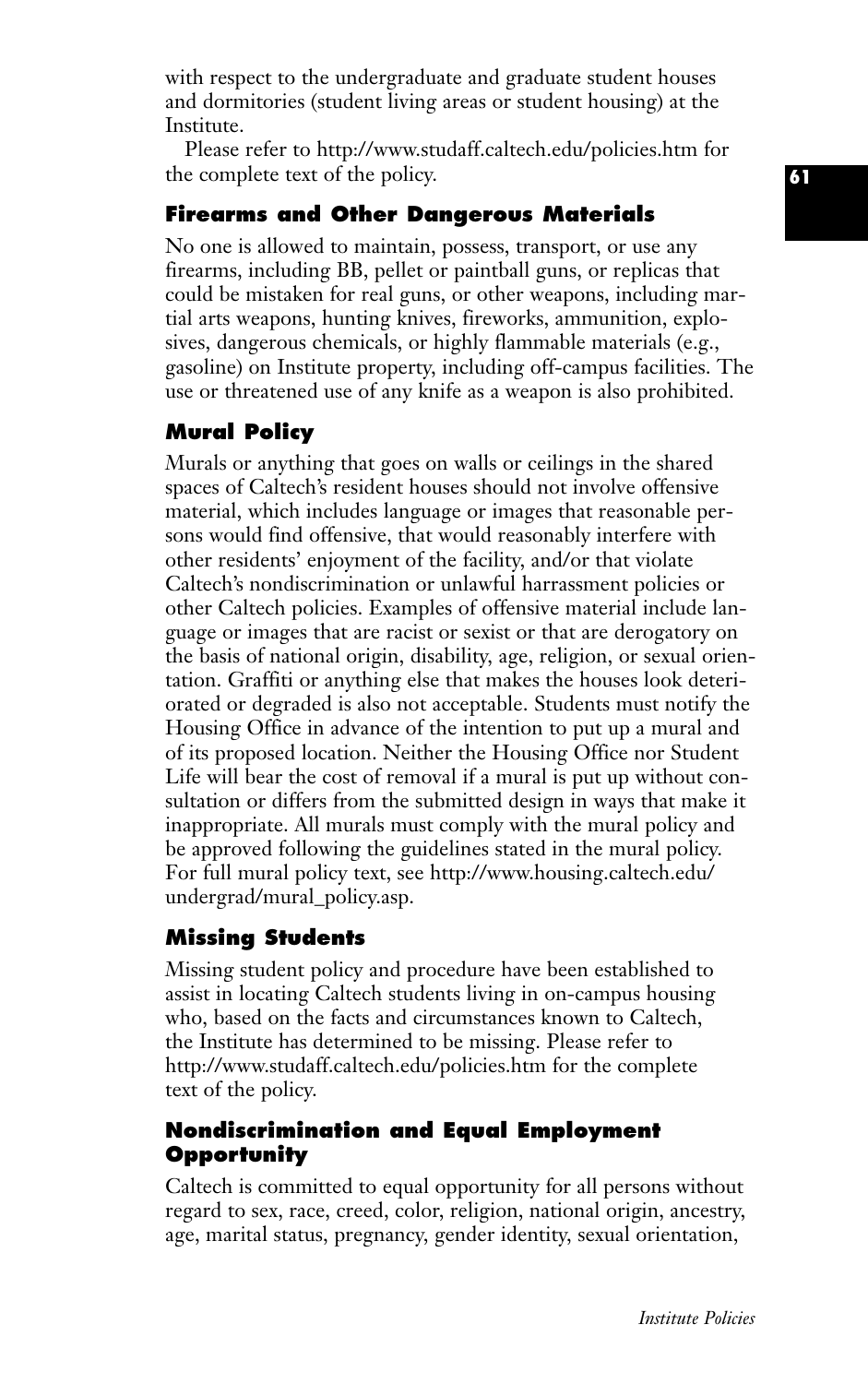with respect to the undergraduate and graduate student houses and dormitories (student living areas or student housing) at the Institute.

Please refer to http://www.studaff.caltech.edu/policies.htm for the complete text of the policy.

## **Firearms and Other Dangerous Materials**

No one is allowed to maintain, possess, transport, or use any firearms, including BB, pellet or paintball guns, or replicas that could be mistaken for real guns, or other weapons, including martial arts weapons, hunting knives, fireworks, ammunition, explosives, dangerous chemicals, or highly flammable materials (e.g., gasoline) on Institute property, including off-campus facilities. The use or threatened use of any knife as a weapon is also prohibited.

## **Mural Policy**

Murals or anything that goes on walls or ceilings in the shared spaces of Caltech's resident houses should not involve offensive material, which includes language or images that reasonable persons would find offensive, that would reasonably interfere with other residents' enjoyment of the facility, and/or that violate Caltech's nondiscrimination or unlawful harrassment policies or other Caltech policies. Examples of offensive material include language or images that are racist or sexist or that are derogatory on the basis of national origin, disability, age, religion, or sexual orientation. Graffiti or anything else that makes the houses look deteriorated or degraded is also not acceptable. Students must notify the Housing Office in advance of the intention to put up a mural and of its proposed location. Neither the Housing Office nor Student Life will bear the cost of removal if a mural is put up without consultation or differs from the submitted design in ways that make it inappropriate. All murals must comply with the mural policy and be approved following the guidelines stated in the mural policy. For full mural policy text, see http://www.housing.caltech.edu/ undergrad/mural\_policy.asp.

## **Missing Students**

Missing student policy and procedure have been established to assist in locating Caltech students living in on-campus housing who, based on the facts and circumstances known to Caltech, the Institute has determined to be missing. Please refer to http://www.studaff.caltech.edu/policies.htm for the complete text of the policy.

# **Nondiscrimination and Equal Employment Opportunity**

Caltech is committed to equal opportunity for all persons without regard to sex, race, creed, color, religion, national origin, ancestry, age, marital status, pregnancy, gender identity, sexual orientation,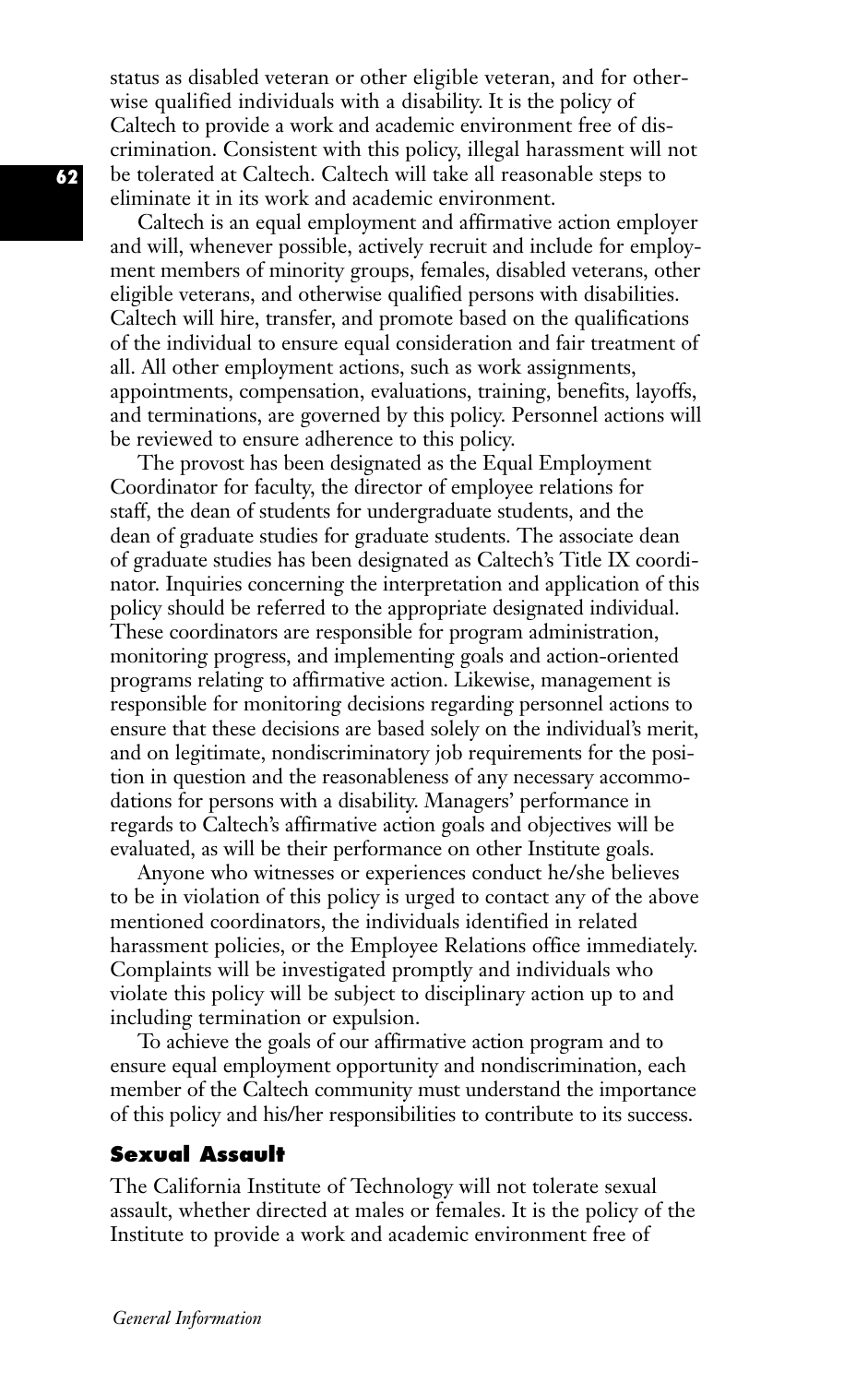status as disabled veteran or other eligible veteran, and for otherwise qualified individuals with a disability. It is the policy of Caltech to provide a work and academic environment free of discrimination. Consistent with this policy, illegal harassment will not be tolerated at Caltech. Caltech will take all reasonable steps to eliminate it in its work and academic environment.

Caltech is an equal employment and affirmative action employer and will, whenever possible, actively recruit and include for employment members of minority groups, females, disabled veterans, other eligible veterans, and otherwise qualified persons with disabilities. Caltech will hire, transfer, and promote based on the qualifications of the individual to ensure equal consideration and fair treatment of all. All other employment actions, such as work assignments, appointments, compensation, evaluations, training, benefits, layoffs, and terminations, are governed by this policy. Personnel actions will be reviewed to ensure adherence to this policy.

The provost has been designated as the Equal Employment Coordinator for faculty, the director of employee relations for staff, the dean of students for undergraduate students, and the dean of graduate studies for graduate students. The associate dean of graduate studies has been designated as Caltech's Title IX coordinator. Inquiries concerning the interpretation and application of this policy should be referred to the appropriate designated individual. These coordinators are responsible for program administration, monitoring progress, and implementing goals and action-oriented programs relating to affirmative action. Likewise, management is responsible for monitoring decisions regarding personnel actions to ensure that these decisions are based solely on the individual's merit, and on legitimate, nondiscriminatory job requirements for the position in question and the reasonableness of any necessary accommodations for persons with a disability. Managers' performance in regards to Caltech's affirmative action goals and objectives will be evaluated, as will be their performance on other Institute goals.

Anyone who witnesses or experiences conduct he/she believes to be in violation of this policy is urged to contact any of the above mentioned coordinators, the individuals identified in related harassment policies, or the Employee Relations office immediately. Complaints will be investigated promptly and individuals who violate this policy will be subject to disciplinary action up to and including termination or expulsion.

To achieve the goals of our affirmative action program and to ensure equal employment opportunity and nondiscrimination, each member of the Caltech community must understand the importance of this policy and his/her responsibilities to contribute to its success.

## **Sexual Assault**

The California Institute of Technology will not tolerate sexual assault, whether directed at males or females. It is the policy of the Institute to provide a work and academic environment free of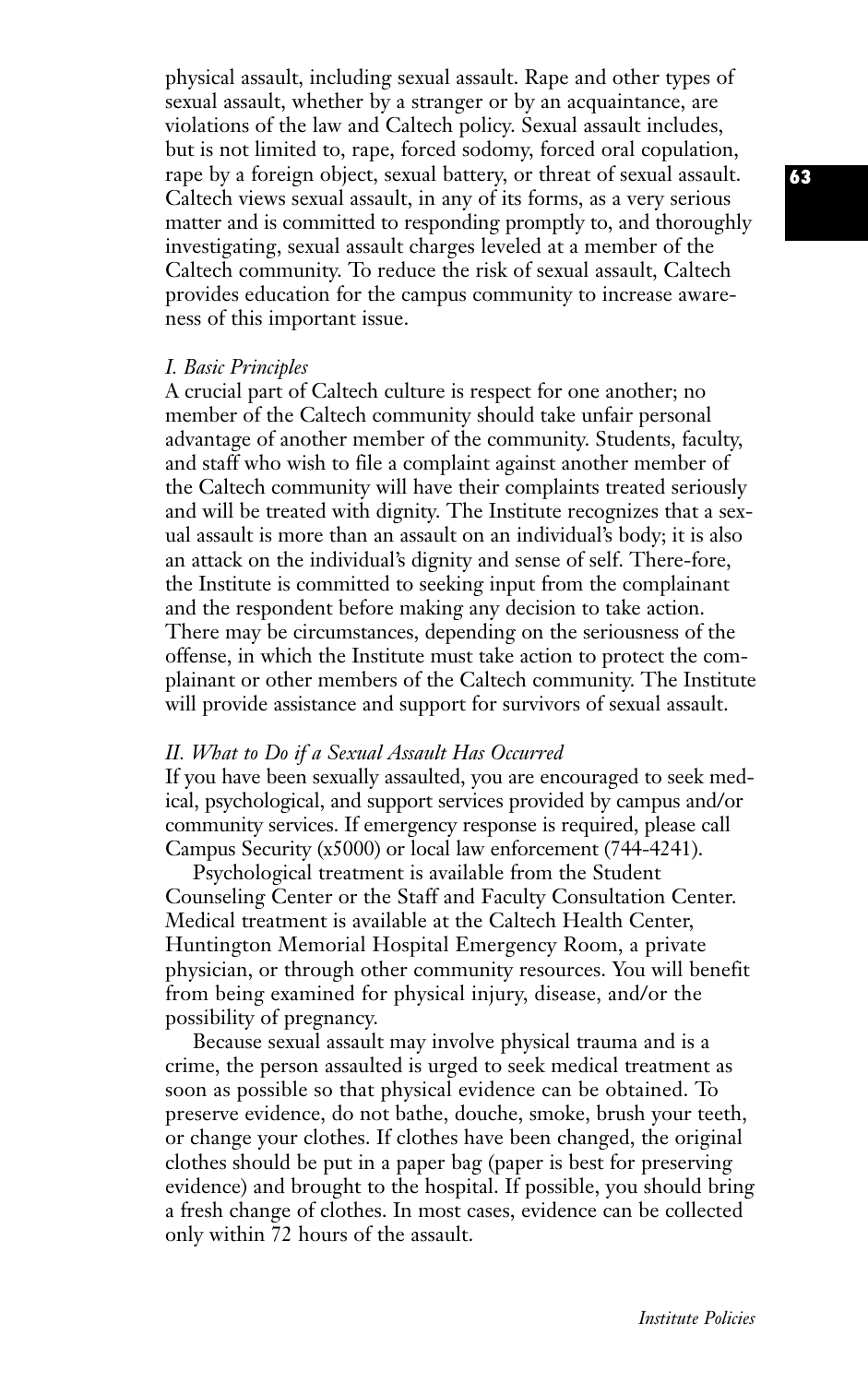physical assault, including sexual assault. Rape and other types of sexual assault, whether by a stranger or by an acquaintance, are violations of the law and Caltech policy. Sexual assault includes, but is not limited to, rape, forced sodomy, forced oral copulation, rape by a foreign object, sexual battery, or threat of sexual assault. Caltech views sexual assault, in any of its forms, as a very serious matter and is committed to responding promptly to, and thoroughly investigating, sexual assault charges leveled at a member of the Caltech community. To reduce the risk of sexual assault, Caltech provides education for the campus community to increase awareness of this important issue.

#### *I. Basic Principles*

A crucial part of Caltech culture is respect for one another; no member of the Caltech community should take unfair personal advantage of another member of the community. Students, faculty, and staff who wish to file a complaint against another member of the Caltech community will have their complaints treated seriously and will be treated with dignity. The Institute recognizes that a sexual assault is more than an assault on an individual's body; it is also an attack on the individual's dignity and sense of self. There-fore, the Institute is committed to seeking input from the complainant and the respondent before making any decision to take action. There may be circumstances, depending on the seriousness of the offense, in which the Institute must take action to protect the complainant or other members of the Caltech community. The Institute will provide assistance and support for survivors of sexual assault.

#### *II. What to Do if a Sexual Assault Has Occurred*

If you have been sexually assaulted, you are encouraged to seek medical, psychological, and support services provided by campus and/or community services. If emergency response is required, please call Campus Security (x5000) or local law enforcement (744-4241).

Psychological treatment is available from the Student Counseling Center or the Staff and Faculty Consultation Center. Medical treatment is available at the Caltech Health Center, Huntington Memorial Hospital Emergency Room, a private physician, or through other community resources. You will benefit from being examined for physical injury, disease, and/or the possibility of pregnancy.

Because sexual assault may involve physical trauma and is a crime, the person assaulted is urged to seek medical treatment as soon as possible so that physical evidence can be obtained. To preserve evidence, do not bathe, douche, smoke, brush your teeth, or change your clothes. If clothes have been changed, the original clothes should be put in a paper bag (paper is best for preserving evidence) and brought to the hospital. If possible, you should bring a fresh change of clothes. In most cases, evidence can be collected only within 72 hours of the assault.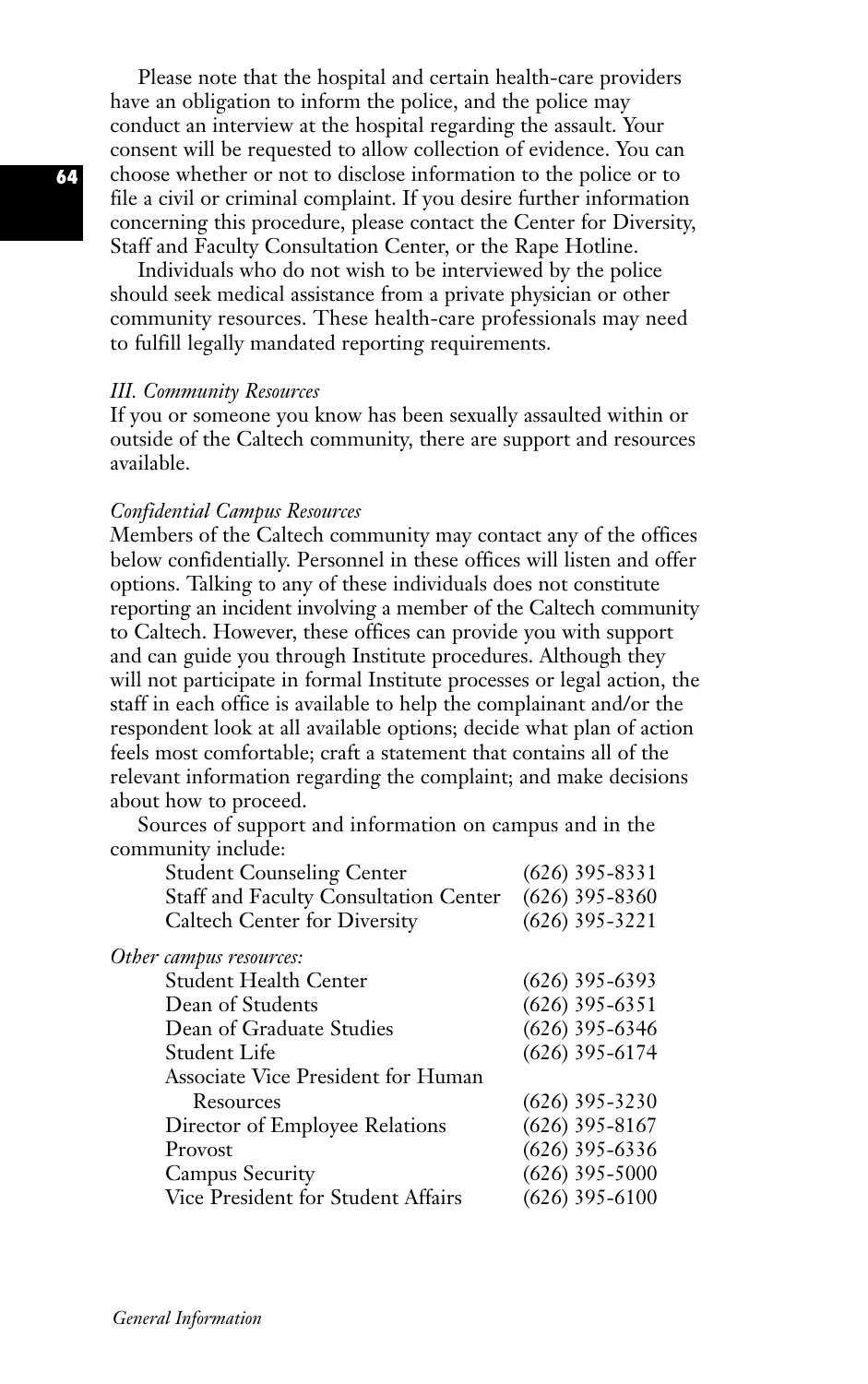Please note that the hospital and certain health-care providers have an obligation to inform the police, and the police may conduct an interview at the hospital regarding the assault. Your consent will be requested to allow collection of evidence. You can choose whether or not to disclose information to the police or to file a civil or criminal complaint. If you desire further information concerning this procedure, please contact the Center for Diversity, Staff and Faculty Consultation Center, or the Rape Hotline.

Individuals who do not wish to be interviewed by the police should seek medical assistance from a private physician or other community resources. These health-care professionals may need to fulfill legally mandated reporting requirements.

### *III. Community Resources*

If you or someone you know has been sexually assaulted within or outside of the Caltech community, there are support and resources available.

### *Confidential Campus Resources*

Members of the Caltech community may contact any of the offices below confidentially. Personnel in these offices will listen and offer options. Talking to any of these individuals does not constitute reporting an incident involving a member of the Caltech community to Caltech. However, these offices can provide you with support and can guide you through Institute procedures. Although they will not participate in formal Institute processes or legal action, the staff in each office is available to help the complainant and/or the respondent look at all available options; decide what plan of action feels most comfortable; craft a statement that contains all of the relevant information regarding the complaint; and make decisions about how to proceed.

Sources of support and information on campus and in the community include:

| <b>Student Counseling Center</b>      | $(626)$ 395-8331 |
|---------------------------------------|------------------|
| Staff and Faculty Consultation Center | $(626)$ 395-8360 |
| <b>Caltech Center for Diversity</b>   | $(626)$ 395-3221 |
| Other campus resources:               |                  |
| Student Health Center                 | $(626)$ 395-6393 |
| Dean of Students                      | $(626)$ 395-6351 |
| Dean of Graduate Studies              | $(626)$ 395-6346 |
| Student Life                          | $(626)$ 395-6174 |
| Associate Vice President for Human    |                  |
| Resources                             | $(626)$ 395-3230 |
| Director of Employee Relations        | $(626)$ 395-8167 |
| Provost                               | $(626)$ 395-6336 |
| <b>Campus Security</b>                | $(626)$ 395-5000 |
| Vice President for Student Affairs    | $(626)$ 395-6100 |
|                                       |                  |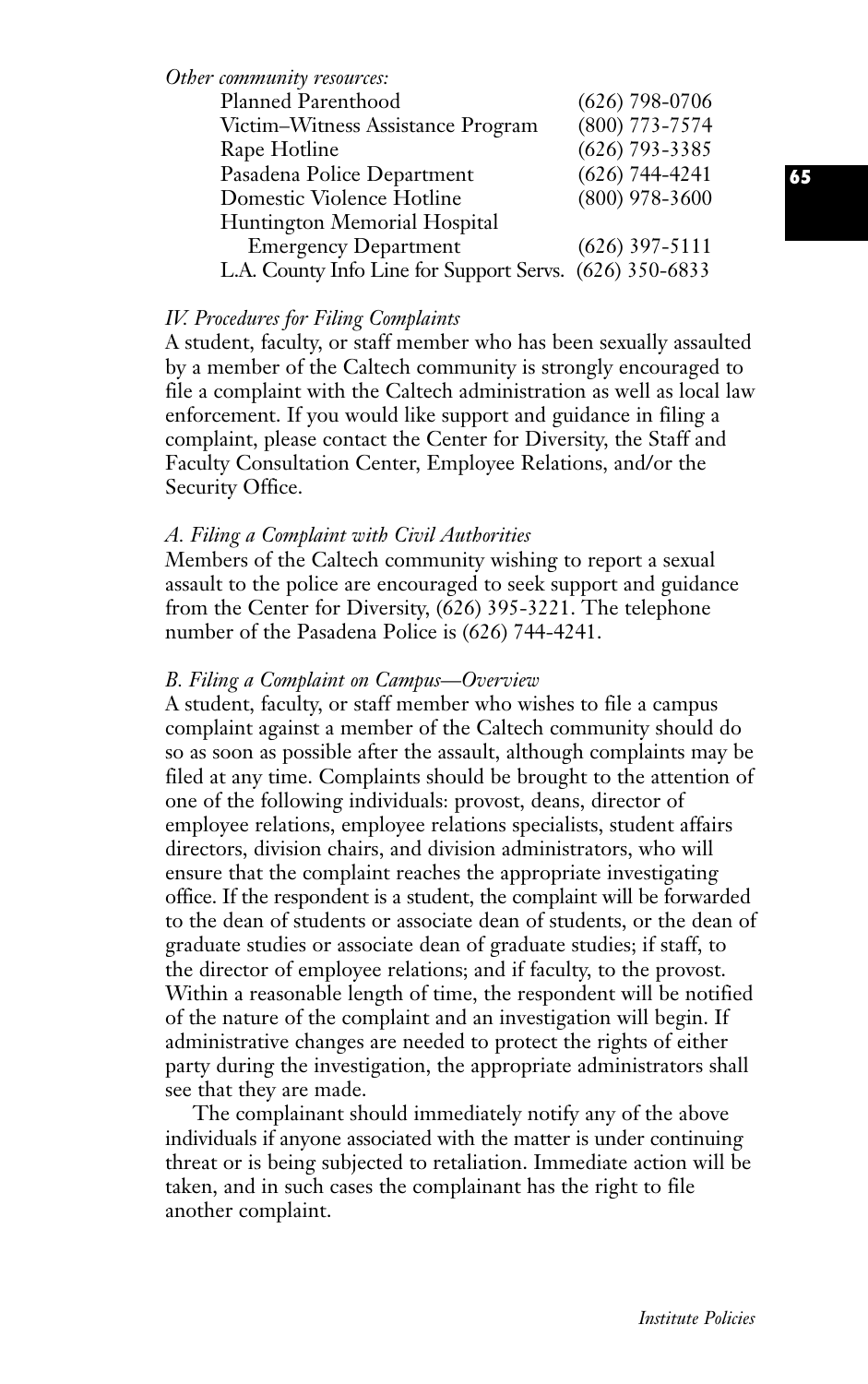| Other community resources:                              |                    |
|---------------------------------------------------------|--------------------|
| Planned Parenthood                                      | $(626)$ 798-0706   |
| Victim-Witness Assistance Program                       | (800) 773-7574     |
| Rape Hotline                                            | $(626)$ 793-3385   |
| Pasadena Police Department                              | $(626) 744 - 4241$ |
| Domestic Violence Hotline                               | $(800)$ 978-3600   |
| Huntington Memorial Hospital                            |                    |
| <b>Emergency Department</b>                             | $(626)$ 397-5111   |
| L.A. County Info Line for Support Servs. (626) 350-6833 |                    |
|                                                         |                    |

## *IV. Procedures for Filing Complaints*

A student, faculty, or staff member who has been sexually assaulted by a member of the Caltech community is strongly encouraged to file a complaint with the Caltech administration as well as local law enforcement. If you would like support and guidance in filing a complaint, please contact the Center for Diversity, the Staff and Faculty Consultation Center, Employee Relations, and/or the Security Office.

#### *A. Filing a Complaint with Civil Authorities*

Members of the Caltech community wishing to report a sexual assault to the police are encouraged to seek support and guidance from the Center for Diversity, (626) 395-3221. The telephone number of the Pasadena Police is (626) 744-4241.

## *B. Filing a Complaint on Campus—Overview*

A student, faculty, or staff member who wishes to file a campus complaint against a member of the Caltech community should do so as soon as possible after the assault, although complaints may be filed at any time. Complaints should be brought to the attention of one of the following individuals: provost, deans, director of employee relations, employee relations specialists, student affairs directors, division chairs, and division administrators, who will ensure that the complaint reaches the appropriate investigating office. If the respondent is a student, the complaint will be forwarded to the dean of students or associate dean of students, or the dean of graduate studies or associate dean of graduate studies; if staff, to the director of employee relations; and if faculty, to the provost. Within a reasonable length of time, the respondent will be notified of the nature of the complaint and an investigation will begin. If administrative changes are needed to protect the rights of either party during the investigation, the appropriate administrators shall see that they are made.

The complainant should immediately notify any of the above individuals if anyone associated with the matter is under continuing threat or is being subjected to retaliation. Immediate action will be taken, and in such cases the complainant has the right to file another complaint.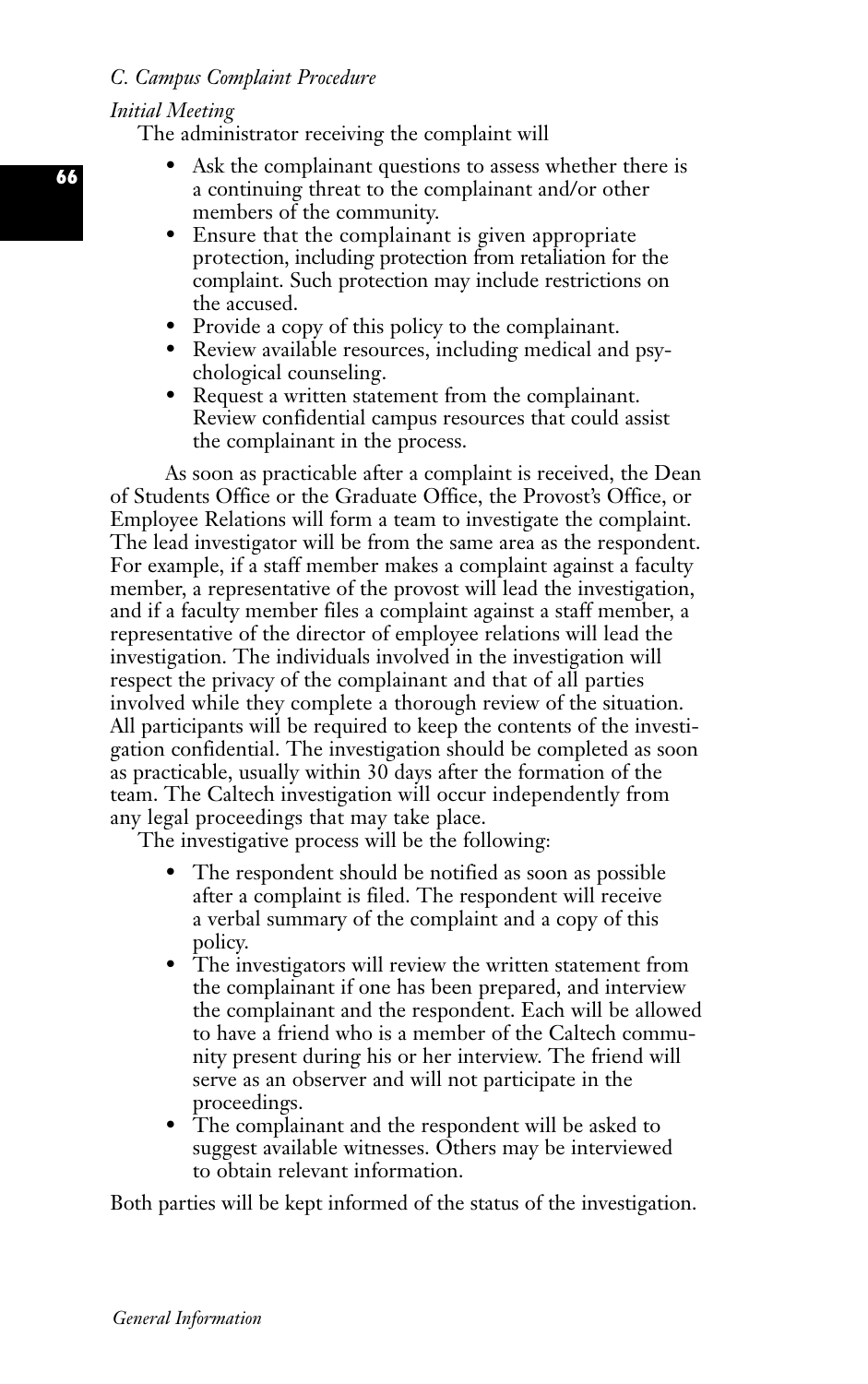## *C. Campus Complaint Procedure*

## *Initial Meeting*

The administrator receiving the complaint will

- Ask the complainant questions to assess whether there is a continuing threat to the complainant and/or other members of the community.
- Ensure that the complainant is given appropriate protection, including protection from retaliation for the complaint. Such protection may include restrictions on the accused.
- Provide a copy of this policy to the complainant.
- Review available resources, including medical and psychological counseling.
- Request a written statement from the complainant. Review confidential campus resources that could assist the complainant in the process.

As soon as practicable after a complaint is received, the Dean of Students Office or the Graduate Office, the Provost's Office, or Employee Relations will form a team to investigate the complaint. The lead investigator will be from the same area as the respondent. For example, if a staff member makes a complaint against a faculty member, a representative of the provost will lead the investigation, and if a faculty member files a complaint against a staff member, a representative of the director of employee relations will lead the investigation. The individuals involved in the investigation will respect the privacy of the complainant and that of all parties involved while they complete a thorough review of the situation. All participants will be required to keep the contents of the investigation confidential. The investigation should be completed as soon as practicable, usually within 30 days after the formation of the team. The Caltech investigation will occur independently from any legal proceedings that may take place.

The investigative process will be the following:

- The respondent should be notified as soon as possible after a complaint is filed. The respondent will receive a verbal summary of the complaint and a copy of this policy.
- The investigators will review the written statement from the complainant if one has been prepared, and interview the complainant and the respondent. Each will be allowed to have a friend who is a member of the Caltech community present during his or her interview. The friend will serve as an observer and will not participate in the proceedings.
- The complainant and the respondent will be asked to suggest available witnesses. Others may be interviewed to obtain relevant information.

Both parties will be kept informed of the status of the investigation.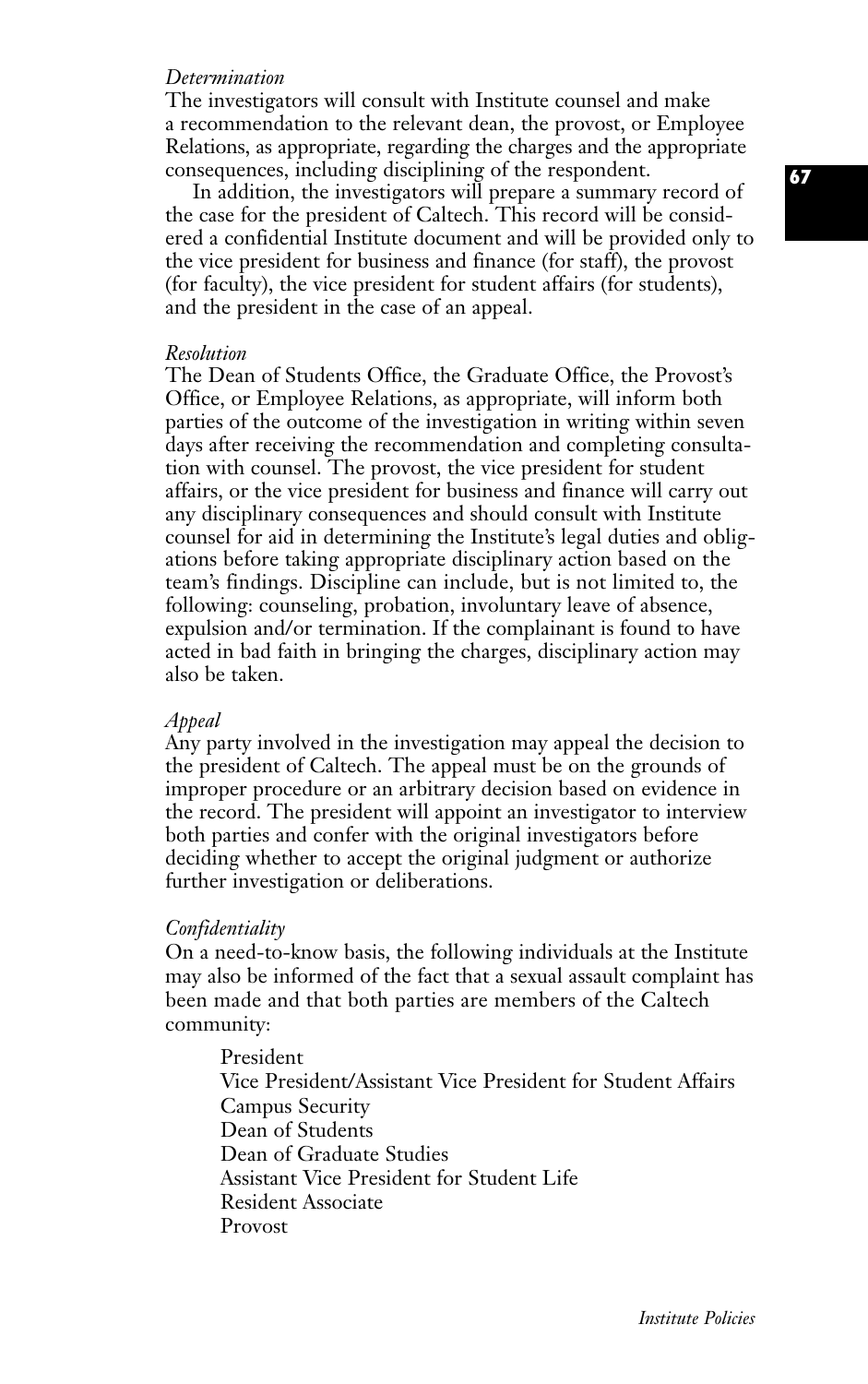### *Determination*

The investigators will consult with Institute counsel and make a recommendation to the relevant dean, the provost, or Employee Relations, as appropriate, regarding the charges and the appropriate consequences, including disciplining of the respondent.

In addition, the investigators will prepare a summary record of the case for the president of Caltech. This record will be considered a confidential Institute document and will be provided only to the vice president for business and finance (for staff), the provost (for faculty), the vice president for student affairs (for students), and the president in the case of an appeal.

#### *Resolution*

The Dean of Students Office, the Graduate Office, the Provost's Office, or Employee Relations, as appropriate, will inform both parties of the outcome of the investigation in writing within seven days after receiving the recommendation and completing consultation with counsel. The provost, the vice president for student affairs, or the vice president for business and finance will carry out any disciplinary consequences and should consult with Institute counsel for aid in determining the Institute's legal duties and obligations before taking appropriate disciplinary action based on the team's findings. Discipline can include, but is not limited to, the following: counseling, probation, involuntary leave of absence, expulsion and/or termination. If the complainant is found to have acted in bad faith in bringing the charges, disciplinary action may also be taken.

#### *Appeal*

Any party involved in the investigation may appeal the decision to the president of Caltech. The appeal must be on the grounds of improper procedure or an arbitrary decision based on evidence in the record. The president will appoint an investigator to interview both parties and confer with the original investigators before deciding whether to accept the original judgment or authorize further investigation or deliberations.

### *Confidentiality*

On a need-to-know basis, the following individuals at the Institute may also be informed of the fact that a sexual assault complaint has been made and that both parties are members of the Caltech community:

President Vice President/Assistant Vice President for Student Affairs Campus Security Dean of Students Dean of Graduate Studies Assistant Vice President for Student Life Resident Associate Provost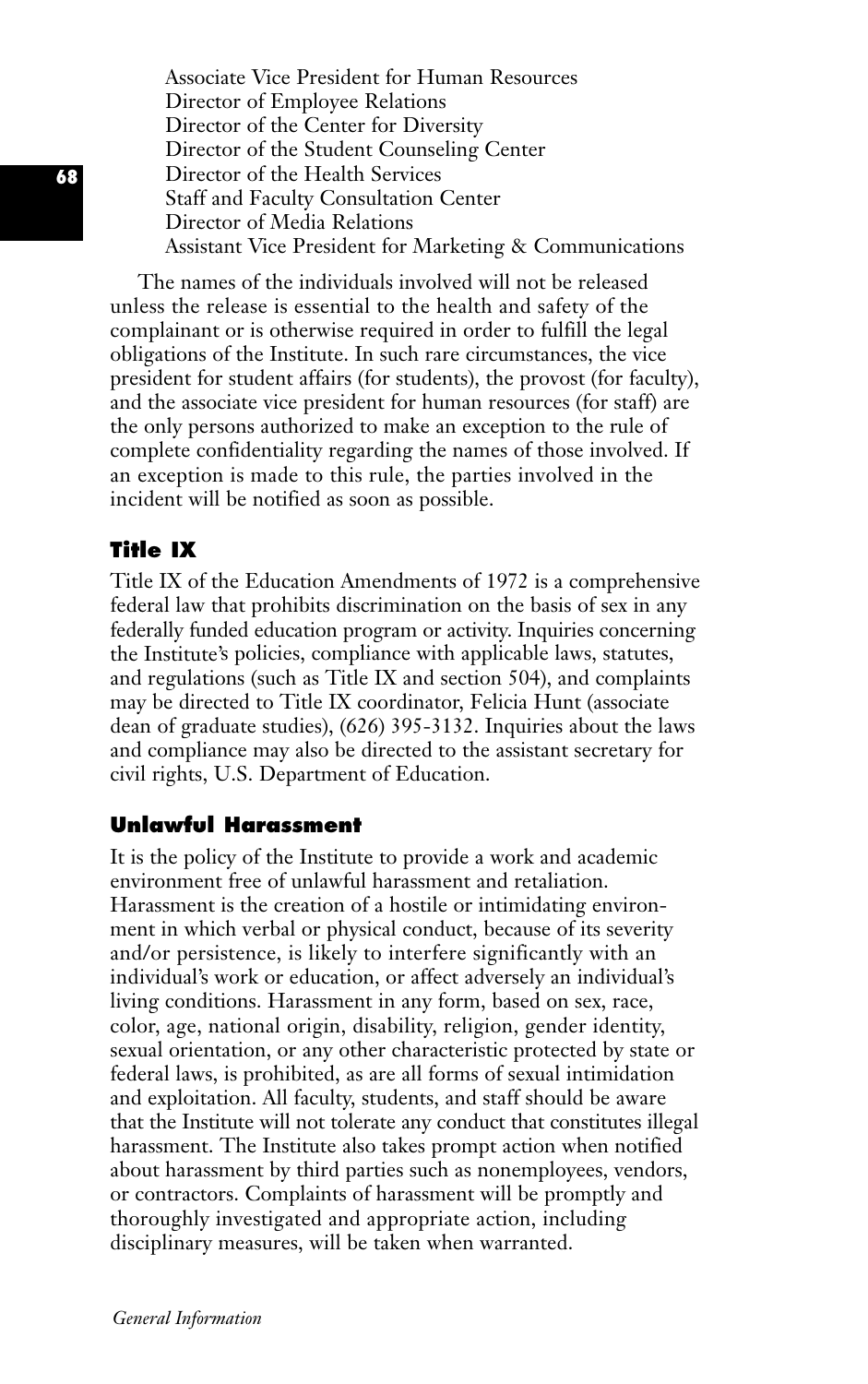Associate Vice President for Human Resources Director of Employee Relations Director of the Center for Diversity Director of the Student Counseling Center Director of the Health Services Staff and Faculty Consultation Center Director of Media Relations Assistant Vice President for Marketing & Communications

The names of the individuals involved will not be released unless the release is essential to the health and safety of the complainant or is otherwise required in order to fulfill the legal obligations of the Institute. In such rare circumstances, the vice president for student affairs (for students), the provost (for faculty), and the associate vice president for human resources (for staff) are the only persons authorized to make an exception to the rule of complete confidentiality regarding the names of those involved. If an exception is made to this rule, the parties involved in the incident will be notified as soon as possible.

## **Title IX**

Title IX of the Education Amendments of 1972 is a comprehensive federal law that prohibits discrimination on the basis of sex in any federally funded education program or activity. Inquiries concerning the Institute's policies, compliance with applicable laws, statutes, and regulations (such as Title IX and section 504), and complaints may be directed to Title IX coordinator, Felicia Hunt (associate dean of graduate studies), (626) 395-3132. Inquiries about the laws and compliance may also be directed to the assistant secretary for civil rights, U.S. Department of Education.

## **Unlawful Harassment**

It is the policy of the Institute to provide a work and academic environment free of unlawful harassment and retaliation. Harassment is the creation of a hostile or intimidating environment in which verbal or physical conduct, because of its severity and/or persistence, is likely to interfere significantly with an individual's work or education, or affect adversely an individual's living conditions. Harassment in any form, based on sex, race, color, age, national origin, disability, religion, gender identity, sexual orientation, or any other characteristic protected by state or federal laws, is prohibited, as are all forms of sexual intimidation and exploitation. All faculty, students, and staff should be aware that the Institute will not tolerate any conduct that constitutes illegal harassment. The Institute also takes prompt action when notified about harassment by third parties such as nonemployees, vendors, or contractors. Complaints of harassment will be promptly and thoroughly investigated and appropriate action, including disciplinary measures, will be taken when warranted.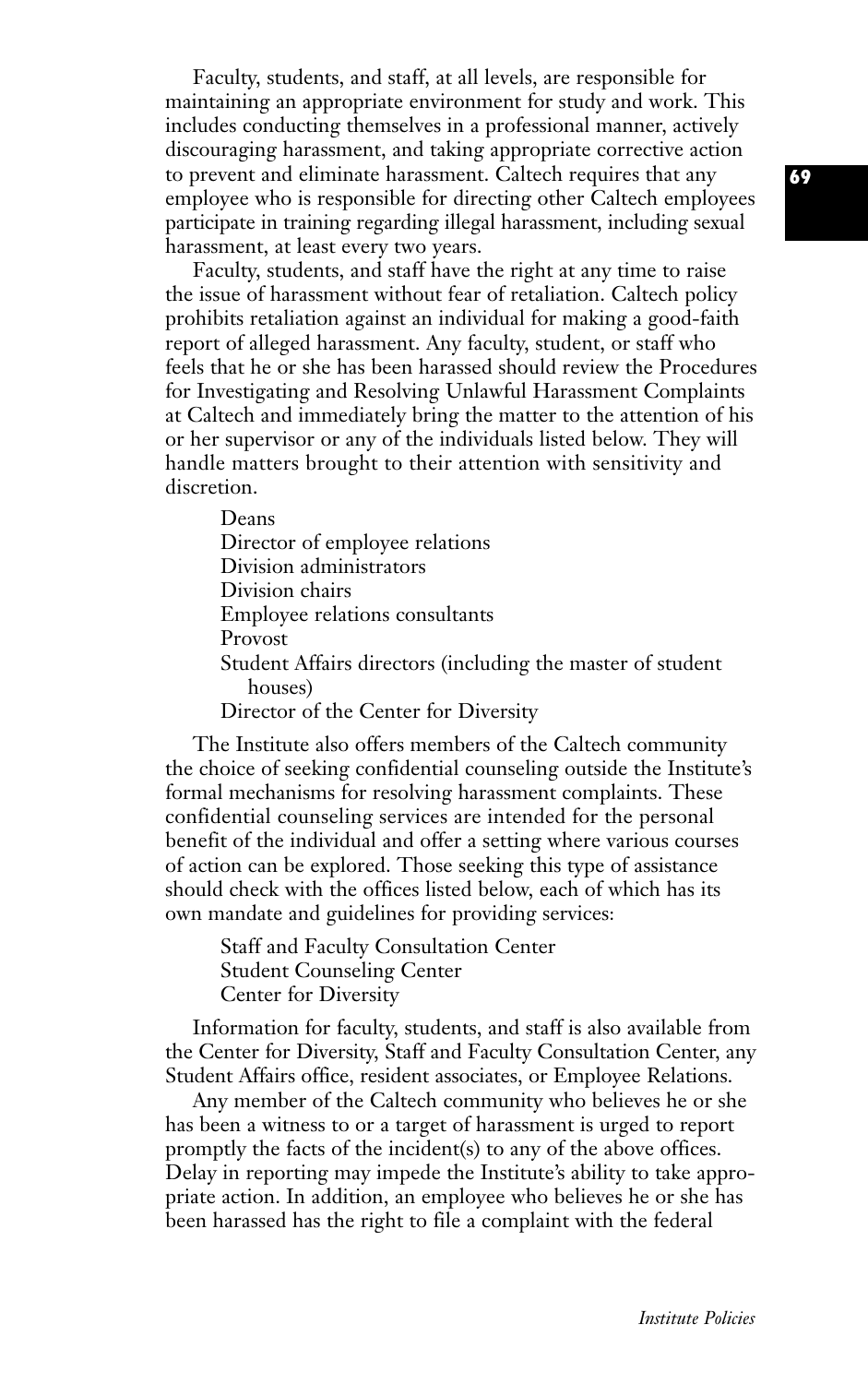Faculty, students, and staff, at all levels, are responsible for maintaining an appropriate environment for study and work. This includes conducting themselves in a professional manner, actively discouraging harassment, and taking appropriate corrective action to prevent and eliminate harassment. Caltech requires that any employee who is responsible for directing other Caltech employees participate in training regarding illegal harassment, including sexual harassment, at least every two years.

Faculty, students, and staff have the right at any time to raise the issue of harassment without fear of retaliation. Caltech policy prohibits retaliation against an individual for making a good-faith report of alleged harassment. Any faculty, student, or staff who feels that he or she has been harassed should review the Procedures for Investigating and Resolving Unlawful Harassment Complaints at Caltech and immediately bring the matter to the attention of his or her supervisor or any of the individuals listed below. They will handle matters brought to their attention with sensitivity and discretion.

Deans Director of employee relations Division administrators Division chairs Employee relations consultants Provost Student Affairs directors (including the master of student houses) Director of the Center for Diversity

The Institute also offers members of the Caltech community the choice of seeking confidential counseling outside the Institute's formal mechanisms for resolving harassment complaints. These confidential counseling services are intended for the personal benefit of the individual and offer a setting where various courses of action can be explored. Those seeking this type of assistance should check with the offices listed below, each of which has its own mandate and guidelines for providing services:

Staff and Faculty Consultation Center Student Counseling Center Center for Diversity

Information for faculty, students, and staff is also available from the Center for Diversity, Staff and Faculty Consultation Center, any Student Affairs office, resident associates, or Employee Relations.

Any member of the Caltech community who believes he or she has been a witness to or a target of harassment is urged to report promptly the facts of the incident(s) to any of the above offices. Delay in reporting may impede the Institute's ability to take appropriate action. In addition, an employee who believes he or she has been harassed has the right to file a complaint with the federal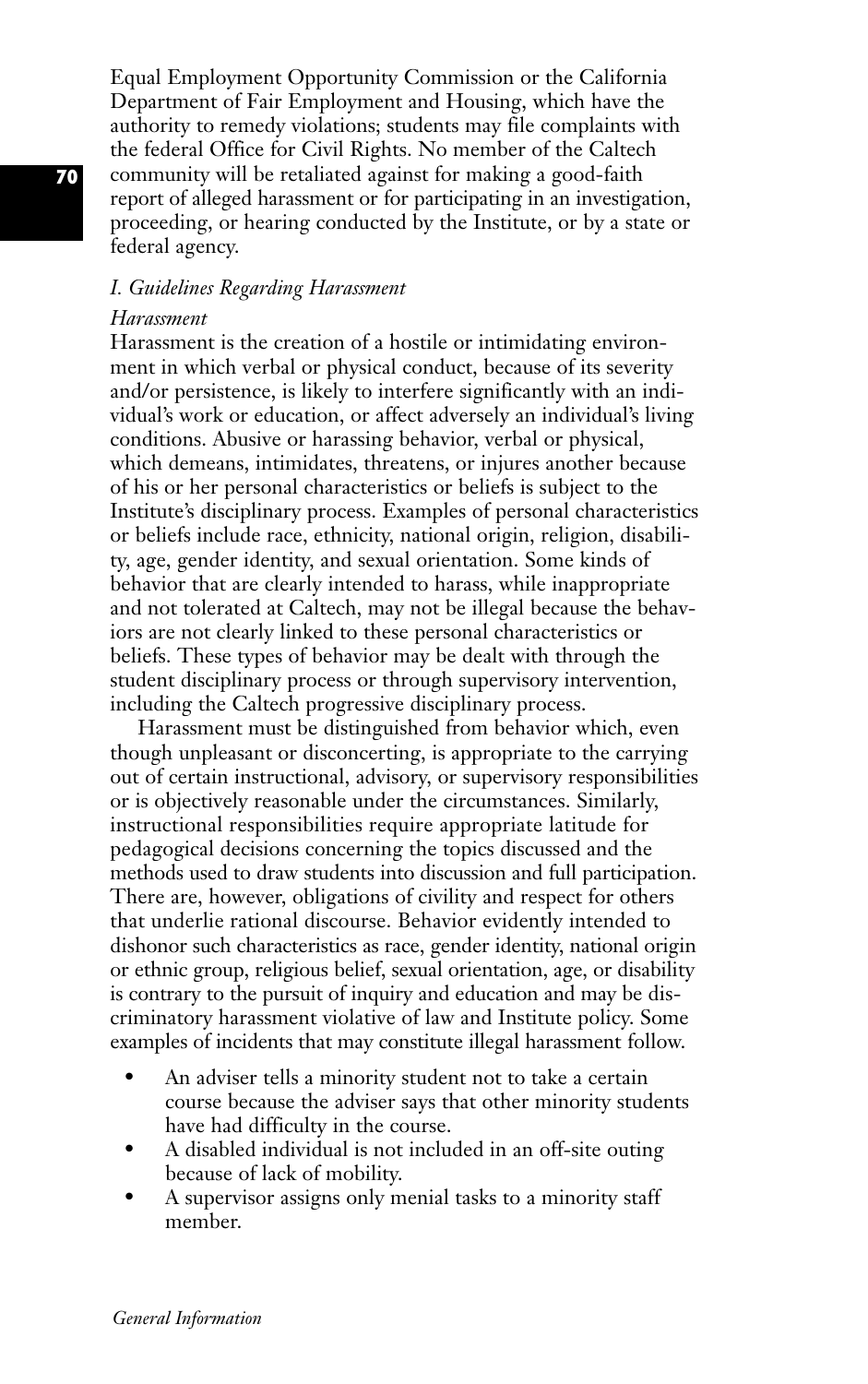Equal Employment Opportunity Commission or the California Department of Fair Employment and Housing, which have the authority to remedy violations; students may file complaints with the federal Office for Civil Rights. No member of the Caltech community will be retaliated against for making a good-faith report of alleged harassment or for participating in an investigation, proceeding, or hearing conducted by the Institute, or by a state or federal agency.

## *I. Guidelines Regarding Harassment*

### *Harassment*

Harassment is the creation of a hostile or intimidating environment in which verbal or physical conduct, because of its severity and/or persistence, is likely to interfere significantly with an individual's work or education, or affect adversely an individual's living conditions. Abusive or harassing behavior, verbal or physical, which demeans, intimidates, threatens, or injures another because of his or her personal characteristics or beliefs is subject to the Institute's disciplinary process. Examples of personal characteristics or beliefs include race, ethnicity, national origin, religion, disability, age, gender identity, and sexual orientation. Some kinds of behavior that are clearly intended to harass, while inappropriate and not tolerated at Caltech, may not be illegal because the behaviors are not clearly linked to these personal characteristics or beliefs. These types of behavior may be dealt with through the student disciplinary process or through supervisory intervention, including the Caltech progressive disciplinary process.

Harassment must be distinguished from behavior which, even though unpleasant or disconcerting, is appropriate to the carrying out of certain instructional, advisory, or supervisory responsibilities or is objectively reasonable under the circumstances. Similarly, instructional responsibilities require appropriate latitude for pedagogical decisions concerning the topics discussed and the methods used to draw students into discussion and full participation. There are, however, obligations of civility and respect for others that underlie rational discourse. Behavior evidently intended to dishonor such characteristics as race, gender identity, national origin or ethnic group, religious belief, sexual orientation, age, or disability is contrary to the pursuit of inquiry and education and may be discriminatory harassment violative of law and Institute policy. Some examples of incidents that may constitute illegal harassment follow.

- An adviser tells a minority student not to take a certain course because the adviser says that other minority students have had difficulty in the course.
- A disabled individual is not included in an off-site outing because of lack of mobility.
- A supervisor assigns only menial tasks to a minority staff member.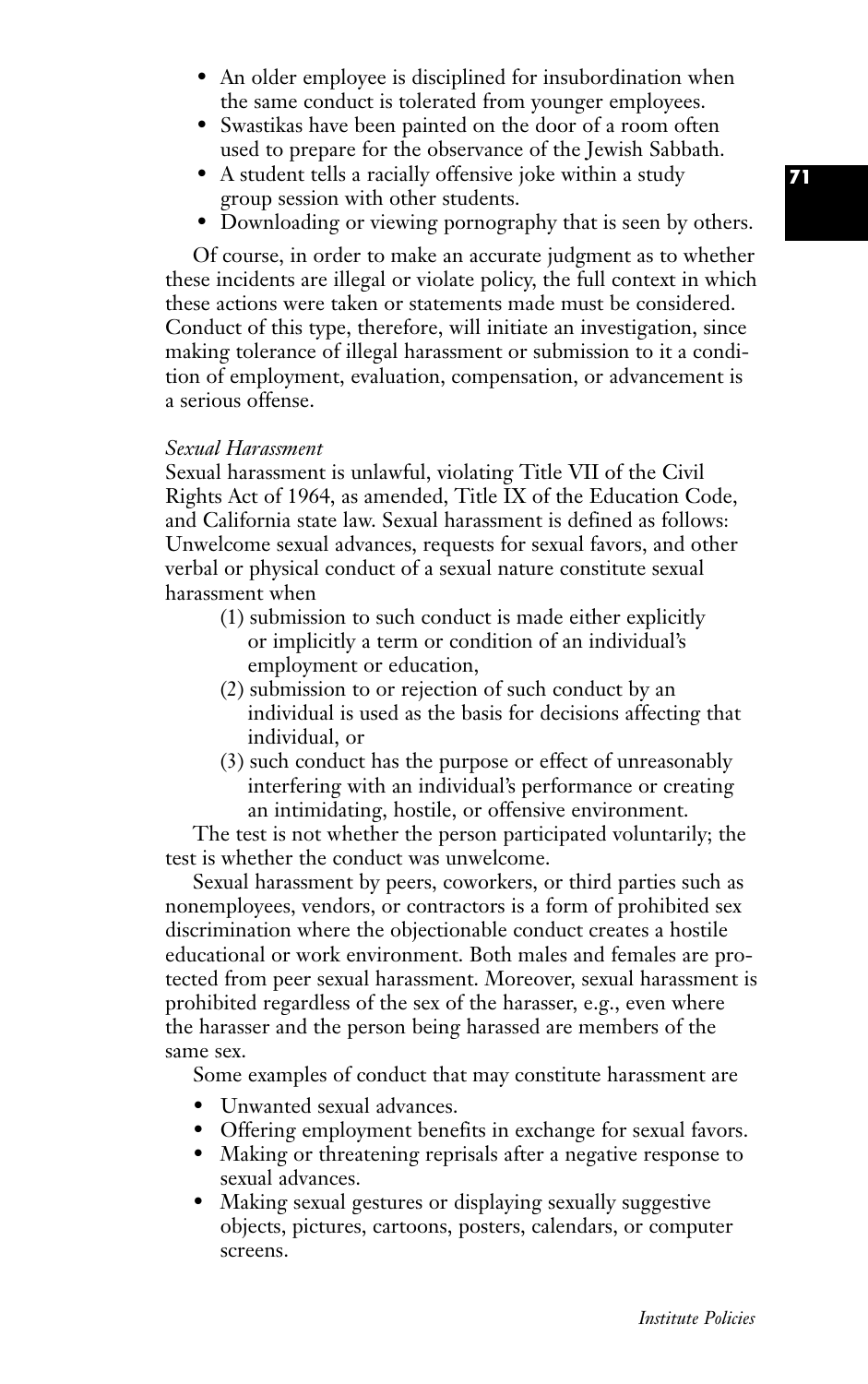- An older employee is disciplined for insubordination when the same conduct is tolerated from younger employees.
- Swastikas have been painted on the door of a room often used to prepare for the observance of the Jewish Sabbath.
- A student tells a racially offensive joke within a study group session with other students.
- Downloading or viewing pornography that is seen by others.

Of course, in order to make an accurate judgment as to whether these incidents are illegal or violate policy, the full context in which these actions were taken or statements made must be considered. Conduct of this type, therefore, will initiate an investigation, since making tolerance of illegal harassment or submission to it a condition of employment, evaluation, compensation, or advancement is a serious offense.

#### *Sexual Harassment*

Sexual harassment is unlawful, violating Title VII of the Civil Rights Act of 1964, as amended, Title IX of the Education Code, and California state law. Sexual harassment is defined as follows: Unwelcome sexual advances, requests for sexual favors, and other verbal or physical conduct of a sexual nature constitute sexual harassment when

- (1) submission to such conduct is made either explicitly or implicitly a term or condition of an individual's employment or education,
- (2) submission to or rejection of such conduct by an individual is used as the basis for decisions affecting that individual, or
- (3) such conduct has the purpose or effect of unreasonably interfering with an individual's performance or creating an intimidating, hostile, or offensive environment.

The test is not whether the person participated voluntarily; the test is whether the conduct was unwelcome.

Sexual harassment by peers, coworkers, or third parties such as nonemployees, vendors, or contractors is a form of prohibited sex discrimination where the objectionable conduct creates a hostile educational or work environment. Both males and females are protected from peer sexual harassment. Moreover, sexual harassment is prohibited regardless of the sex of the harasser, e.g., even where the harasser and the person being harassed are members of the same sex.

Some examples of conduct that may constitute harassment are

- Unwanted sexual advances.
- Offering employment benefits in exchange for sexual favors.
- Making or threatening reprisals after a negative response to sexual advances.
- Making sexual gestures or displaying sexually suggestive objects, pictures, cartoons, posters, calendars, or computer screens.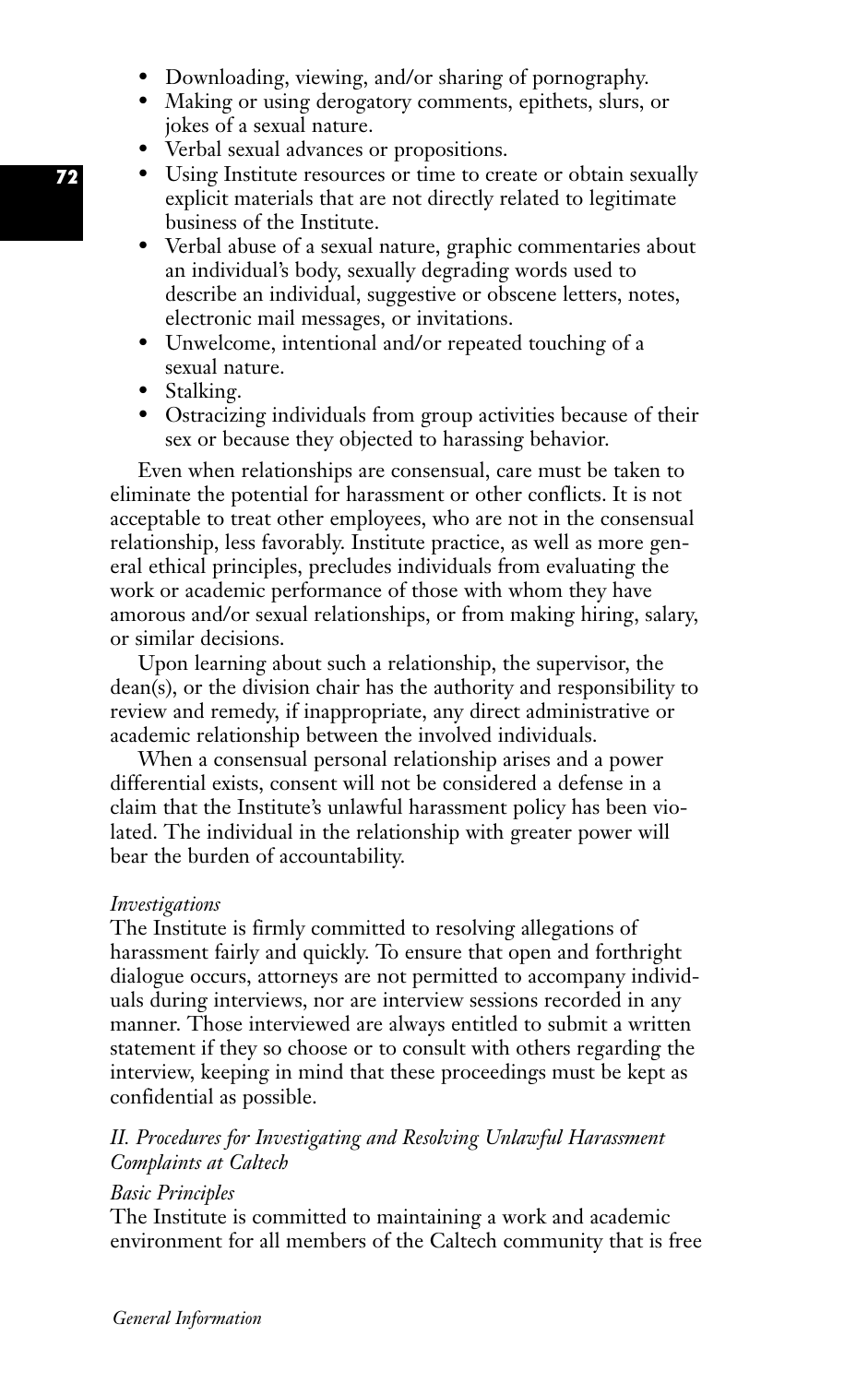- Downloading, viewing, and/or sharing of pornography.
- Making or using derogatory comments, epithets, slurs, or jokes of a sexual nature.
- Verbal sexual advances or propositions.
- Using Institute resources or time to create or obtain sexually explicit materials that are not directly related to legitimate business of the Institute.
- Verbal abuse of a sexual nature, graphic commentaries about an individual's body, sexually degrading words used to describe an individual, suggestive or obscene letters, notes, electronic mail messages, or invitations.
- Unwelcome, intentional and/or repeated touching of a sexual nature.
- Stalking.
- Ostracizing individuals from group activities because of their sex or because they objected to harassing behavior.

Even when relationships are consensual, care must be taken to eliminate the potential for harassment or other conflicts. It is not acceptable to treat other employees, who are not in the consensual relationship, less favorably. Institute practice, as well as more general ethical principles, precludes individuals from evaluating the work or academic performance of those with whom they have amorous and/or sexual relationships, or from making hiring, salary, or similar decisions.

Upon learning about such a relationship, the supervisor, the dean(s), or the division chair has the authority and responsibility to review and remedy, if inappropriate, any direct administrative or academic relationship between the involved individuals.

When a consensual personal relationship arises and a power differential exists, consent will not be considered a defense in a claim that the Institute's unlawful harassment policy has been violated. The individual in the relationship with greater power will bear the burden of accountability.

#### *Investigations*

The Institute is firmly committed to resolving allegations of harassment fairly and quickly. To ensure that open and forthright dialogue occurs, attorneys are not permitted to accompany individuals during interviews, nor are interview sessions recorded in any manner. Those interviewed are always entitled to submit a written statement if they so choose or to consult with others regarding the interview, keeping in mind that these proceedings must be kept as confidential as possible.

## *II. Procedures for Investigating and Resolving Unlawful Harassment Complaints at Caltech*

### *Basic Principles*

The Institute is committed to maintaining a work and academic environment for all members of the Caltech community that is free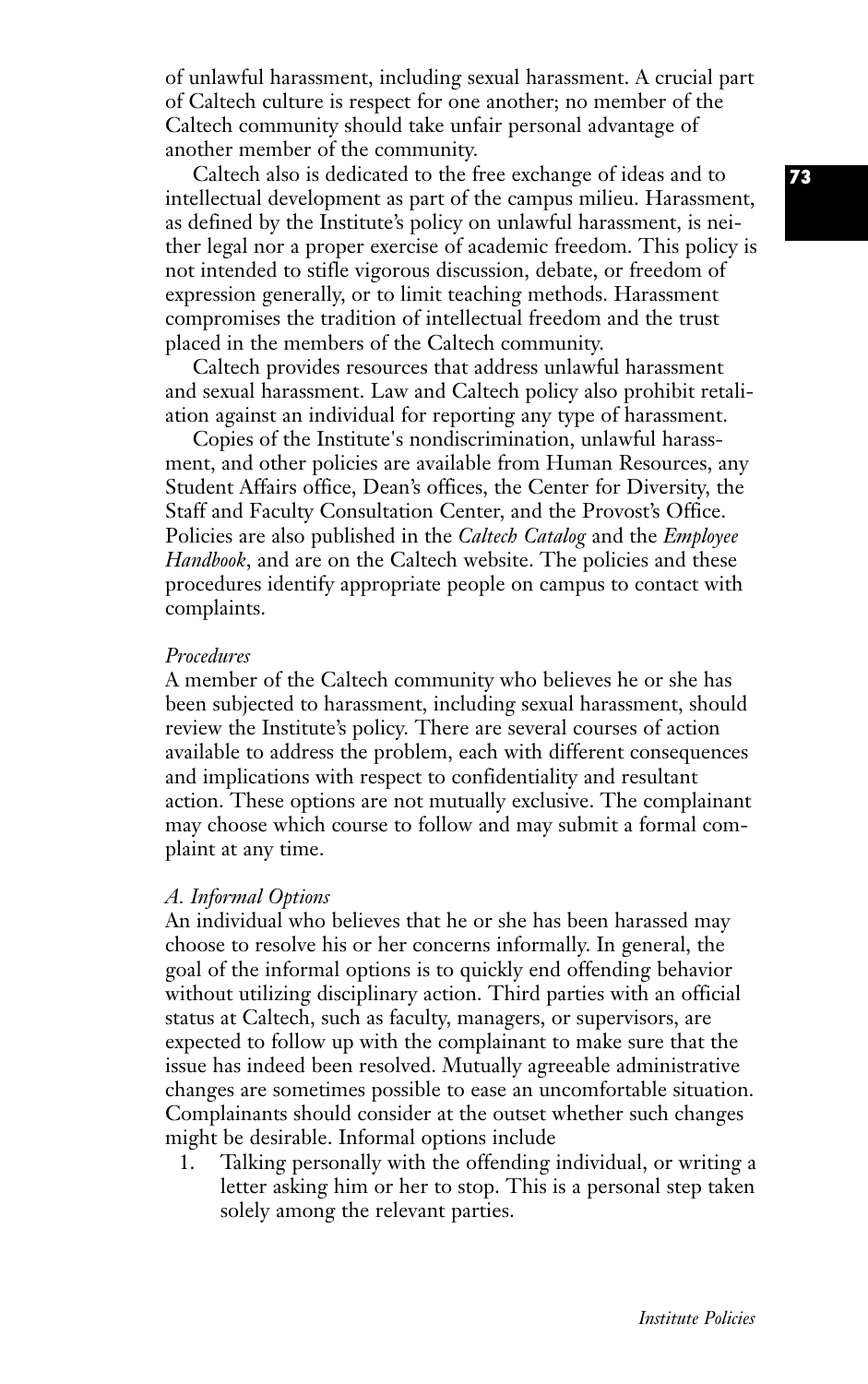of unlawful harassment, including sexual harassment. A crucial part of Caltech culture is respect for one another; no member of the Caltech community should take unfair personal advantage of another member of the community.

Caltech also is dedicated to the free exchange of ideas and to intellectual development as part of the campus milieu. Harassment, as defined by the Institute's policy on unlawful harassment, is neither legal nor a proper exercise of academic freedom. This policy is not intended to stifle vigorous discussion, debate, or freedom of expression generally, or to limit teaching methods. Harassment compromises the tradition of intellectual freedom and the trust placed in the members of the Caltech community.

Caltech provides resources that address unlawful harassment and sexual harassment. Law and Caltech policy also prohibit retaliation against an individual for reporting any type of harassment.

Copies of the Institute's nondiscrimination, unlawful harassment, and other policies are available from Human Resources, any Student Affairs office, Dean's offices, the Center for Diversity, the Staff and Faculty Consultation Center, and the Provost's Office. Policies are also published in the *Caltech Catalog* and the *Employee Handbook*, and are on the Caltech website. The policies and these procedures identify appropriate people on campus to contact with complaints.

#### *Procedures*

A member of the Caltech community who believes he or she has been subjected to harassment, including sexual harassment, should review the Institute's policy. There are several courses of action available to address the problem, each with different consequences and implications with respect to confidentiality and resultant action. These options are not mutually exclusive. The complainant may choose which course to follow and may submit a formal complaint at any time.

### *A. Informal Options*

An individual who believes that he or she has been harassed may choose to resolve his or her concerns informally. In general, the goal of the informal options is to quickly end offending behavior without utilizing disciplinary action. Third parties with an official status at Caltech, such as faculty, managers, or supervisors, are expected to follow up with the complainant to make sure that the issue has indeed been resolved. Mutually agreeable administrative changes are sometimes possible to ease an uncomfortable situation. Complainants should consider at the outset whether such changes might be desirable. Informal options include

1. Talking personally with the offending individual, or writing a letter asking him or her to stop. This is a personal step taken solely among the relevant parties.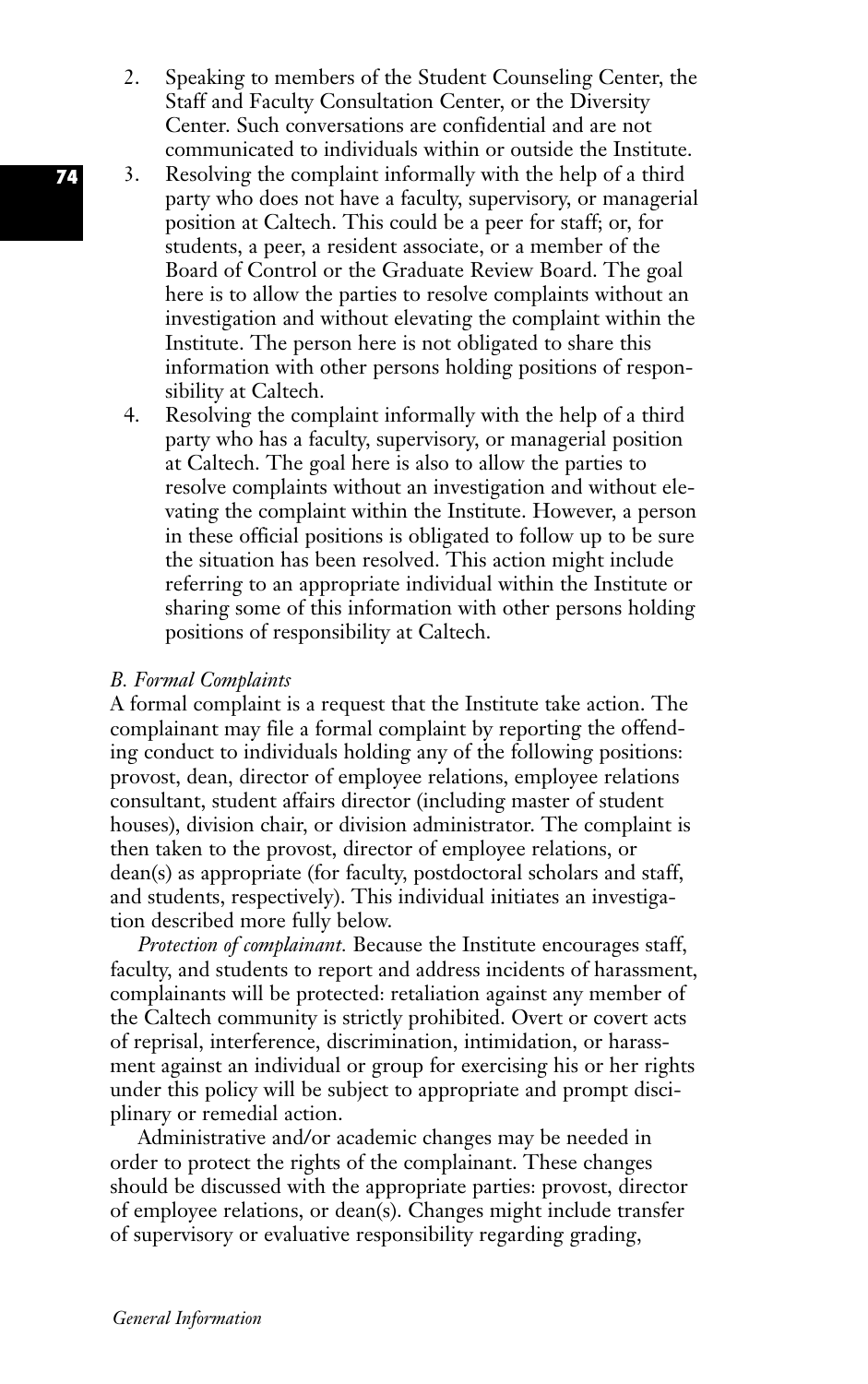- 2. Speaking to members of the Student Counseling Center, the Staff and Faculty Consultation Center, or the Diversity Center. Such conversations are confidential and are not communicated to individuals within or outside the Institute.
- 3. Resolving the complaint informally with the help of a third party who does not have a faculty, supervisory, or managerial position at Caltech. This could be a peer for staff; or, for students, a peer, a resident associate, or a member of the Board of Control or the Graduate Review Board. The goal here is to allow the parties to resolve complaints without an investigation and without elevating the complaint within the Institute. The person here is not obligated to share this information with other persons holding positions of responsibility at Caltech.
- 4. Resolving the complaint informally with the help of a third party who has a faculty, supervisory, or managerial position at Caltech. The goal here is also to allow the parties to resolve complaints without an investigation and without elevating the complaint within the Institute. However, a person in these official positions is obligated to follow up to be sure the situation has been resolved. This action might include referring to an appropriate individual within the Institute or sharing some of this information with other persons holding positions of responsibility at Caltech.

# *B. Formal Complaints*

A formal complaint is a request that the Institute take action. The complainant may file a formal complaint by reporting the offending conduct to individuals holding any of the following positions: provost, dean, director of employee relations, employee relations consultant, student affairs director (including master of student houses), division chair, or division administrator. The complaint is then taken to the provost, director of employee relations, or dean(s) as appropriate (for faculty, postdoctoral scholars and staff, and students, respectively). This individual initiates an investigation described more fully below.

*Protection of complainant.* Because the Institute encourages staff, faculty, and students to report and address incidents of harassment, complainants will be protected: retaliation against any member of the Caltech community is strictly prohibited. Overt or covert acts of reprisal, interference, discrimination, intimidation, or harassment against an individual or group for exercising his or her rights under this policy will be subject to appropriate and prompt disciplinary or remedial action.

Administrative and/or academic changes may be needed in order to protect the rights of the complainant. These changes should be discussed with the appropriate parties: provost, director of employee relations, or dean(s). Changes might include transfer of supervisory or evaluative responsibility regarding grading,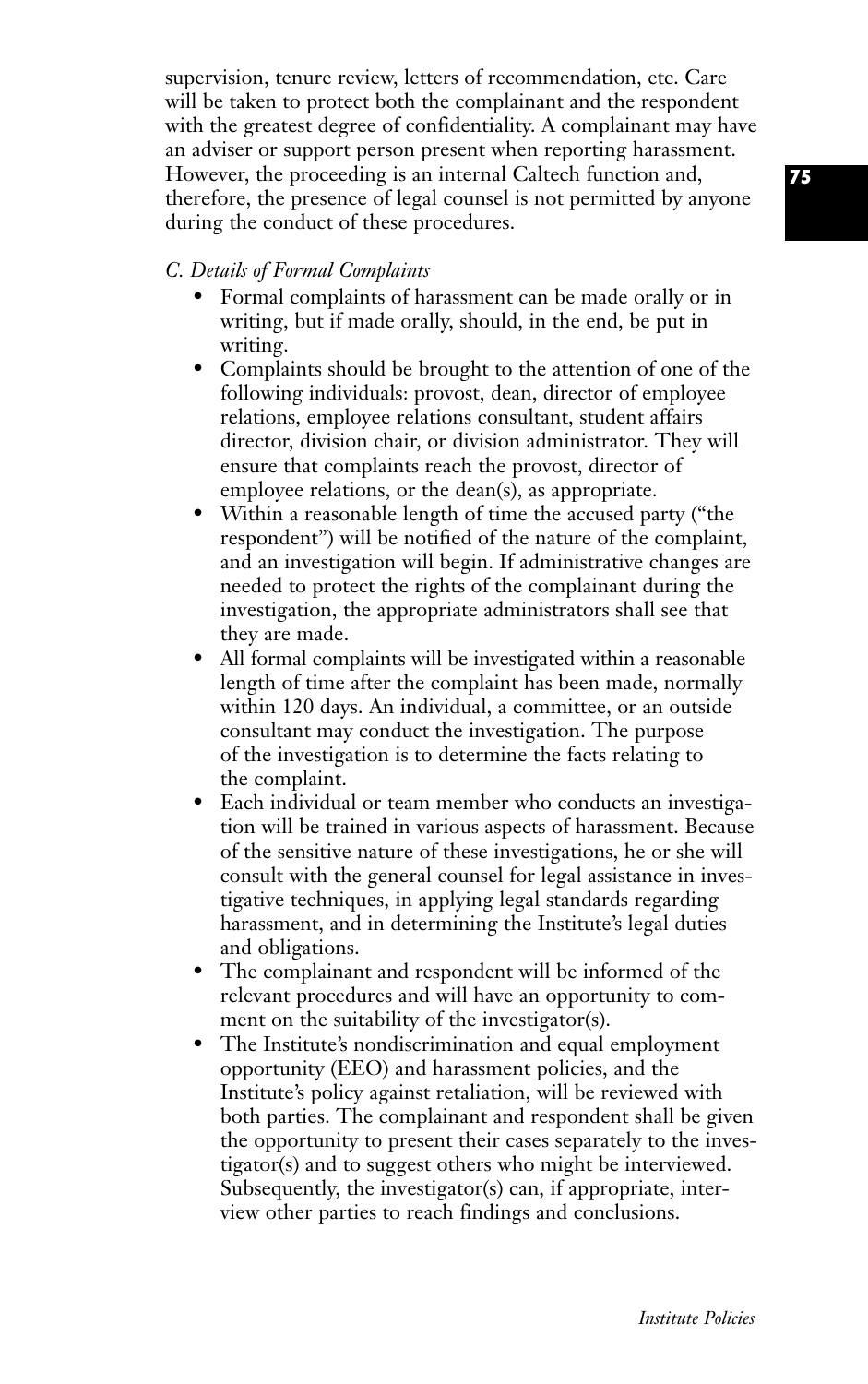supervision, tenure review, letters of recommendation, etc. Care will be taken to protect both the complainant and the respondent with the greatest degree of confidentiality. A complainant may have an adviser or support person present when reporting harassment. However, the proceeding is an internal Caltech function and, therefore, the presence of legal counsel is not permitted by anyone during the conduct of these procedures.

# *C. Details of Formal Complaints*

- Formal complaints of harassment can be made orally or in writing, but if made orally, should, in the end, be put in writing.
- Complaints should be brought to the attention of one of the following individuals: provost, dean, director of employee relations, employee relations consultant, student affairs director, division chair, or division administrator. They will ensure that complaints reach the provost, director of employee relations, or the dean(s), as appropriate.
- Within a reasonable length of time the accused party ("the respondent") will be notified of the nature of the complaint, and an investigation will begin. If administrative changes are needed to protect the rights of the complainant during the investigation, the appropriate administrators shall see that they are made.
- All formal complaints will be investigated within a reasonable length of time after the complaint has been made, normally within 120 days. An individual, a committee, or an outside consultant may conduct the investigation. The purpose of the investigation is to determine the facts relating to the complaint.
- Each individual or team member who conducts an investigation will be trained in various aspects of harassment. Because of the sensitive nature of these investigations, he or she will consult with the general counsel for legal assistance in investigative techniques, in applying legal standards regarding harassment, and in determining the Institute's legal duties and obligations.
- The complainant and respondent will be informed of the relevant procedures and will have an opportunity to comment on the suitability of the investigator(s).
- The Institute's nondiscrimination and equal employment opportunity (EEO) and harassment policies, and the Institute's policy against retaliation, will be reviewed with both parties. The complainant and respondent shall be given the opportunity to present their cases separately to the investigator(s) and to suggest others who might be interviewed. Subsequently, the investigator(s) can, if appropriate, interview other parties to reach findings and conclusions.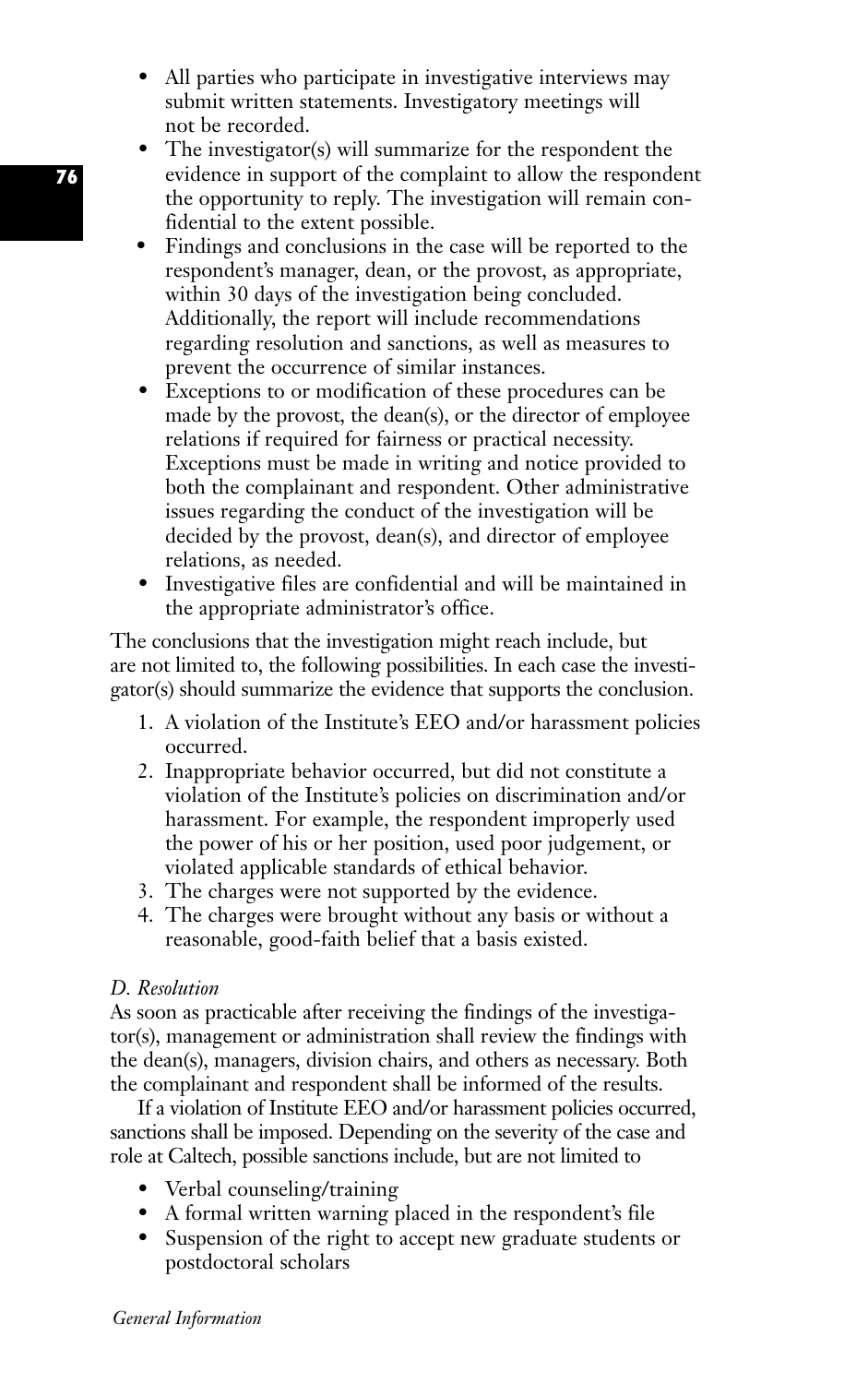- All parties who participate in investigative interviews may submit written statements. Investigatory meetings will not be recorded.
- The investigator(s) will summarize for the respondent the evidence in support of the complaint to allow the respondent the opportunity to reply. The investigation will remain confidential to the extent possible.
- Findings and conclusions in the case will be reported to the respondent's manager, dean, or the provost, as appropriate, within 30 days of the investigation being concluded. Additionally, the report will include recommendations regarding resolution and sanctions, as well as measures to prevent the occurrence of similar instances.
- Exceptions to or modification of these procedures can be made by the provost, the dean(s), or the director of employee relations if required for fairness or practical necessity. Exceptions must be made in writing and notice provided to both the complainant and respondent. Other administrative issues regarding the conduct of the investigation will be decided by the provost, dean(s), and director of employee relations, as needed.
- Investigative files are confidential and will be maintained in the appropriate administrator's office.

The conclusions that the investigation might reach include, but are not limited to, the following possibilities. In each case the investigator(s) should summarize the evidence that supports the conclusion.

- 1. A violation of the Institute's EEO and/or harassment policies occurred.
- 2. Inappropriate behavior occurred, but did not constitute a violation of the Institute's policies on discrimination and/or harassment. For example, the respondent improperly used the power of his or her position, used poor judgement, or violated applicable standards of ethical behavior.
- 3. The charges were not supported by the evidence.
- 4. The charges were brought without any basis or without a reasonable, good-faith belief that a basis existed.

# *D. Resolution*

As soon as practicable after receiving the findings of the investigator(s), management or administration shall review the findings with the dean(s), managers, division chairs, and others as necessary. Both the complainant and respondent shall be informed of the results.

If a violation of Institute EEO and/or harassment policies occurred, sanctions shall be imposed. Depending on the severity of the case and role at Caltech, possible sanctions include, but are not limited to

- Verbal counseling/training
- A formal written warning placed in the respondent's file
- Suspension of the right to accept new graduate students or postdoctoral scholars